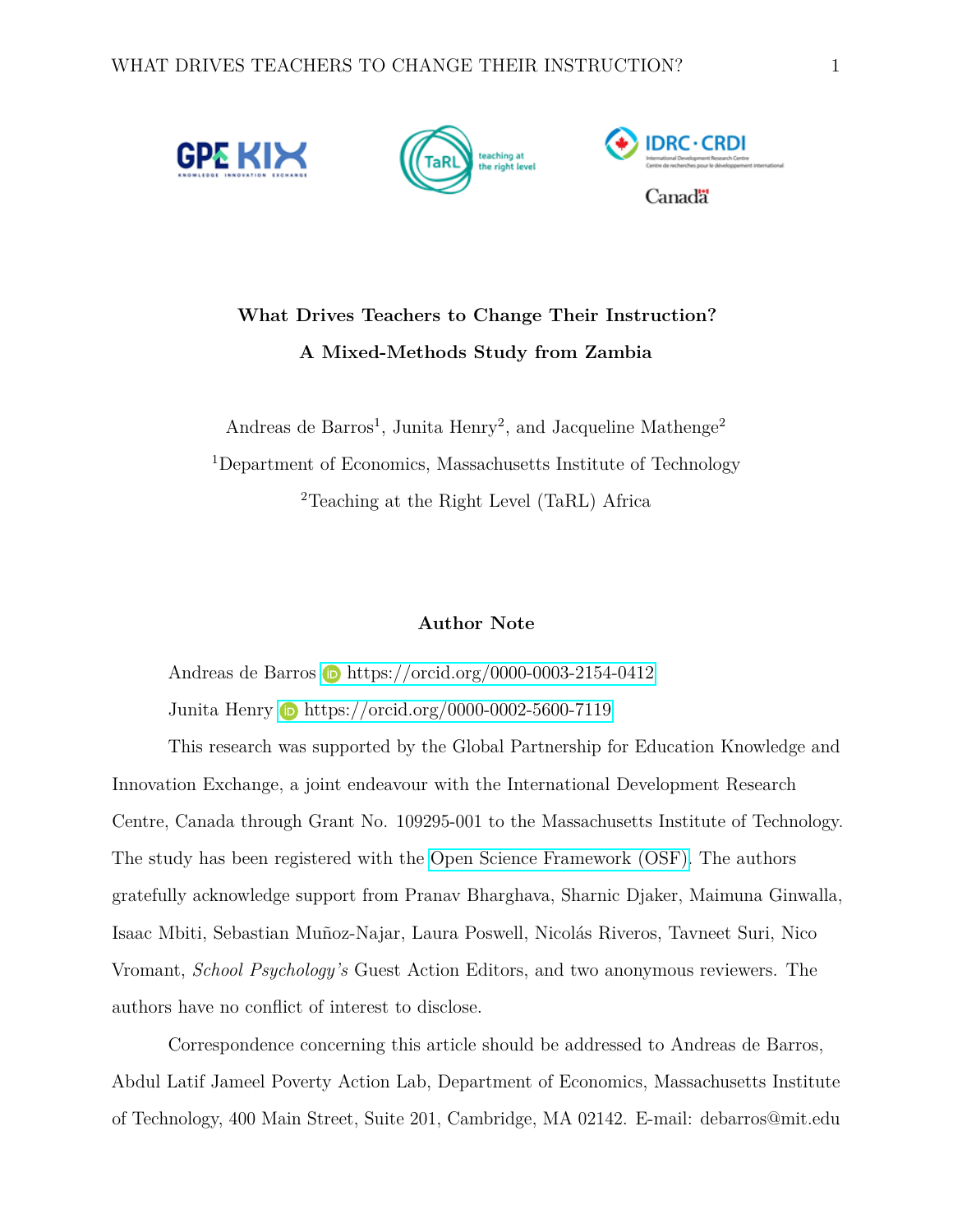

# **What Drives Teachers to Change Their Instruction? A Mixed-Methods Study from Zambia**

Andreas de Barros<sup>1</sup>, Junita Henry<sup>2</sup>, and Jacqueline Mathenge<sup>2</sup> <sup>1</sup>Department of Economics, Massachusetts Institute of Technology <sup>2</sup>Teaching at the Right Level (TaRL) Africa

#### **Author Note**

Andreas de Barros **b** <https://orcid.org/0000-0003-2154-0412> Junita Henry **i** <https://orcid.org/0000-0002-5600-7119>

This research was supported by the Global Partnership for Education Knowledge and Innovation Exchange, a joint endeavour with the International Development Research Centre, Canada through Grant No. 109295-001 to the Massachusetts Institute of Technology. The study has been registered with the [Open Science Framework \(OSF\).](https://osf.io/3cy8t/) The authors gratefully acknowledge support from Pranav Bharghava, Sharnic Djaker, Maimuna Ginwalla, Isaac Mbiti, Sebastian Muñoz-Najar, Laura Poswell, Nicolás Riveros, Tavneet Suri, Nico Vromant, *School Psychology's* Guest Action Editors, and two anonymous reviewers. The authors have no conflict of interest to disclose.

Correspondence concerning this article should be addressed to Andreas de Barros, Abdul Latif Jameel Poverty Action Lab, Department of Economics, Massachusetts Institute of Technology, 400 Main Street, Suite 201, Cambridge, MA 02142. E-mail: debarros@mit.edu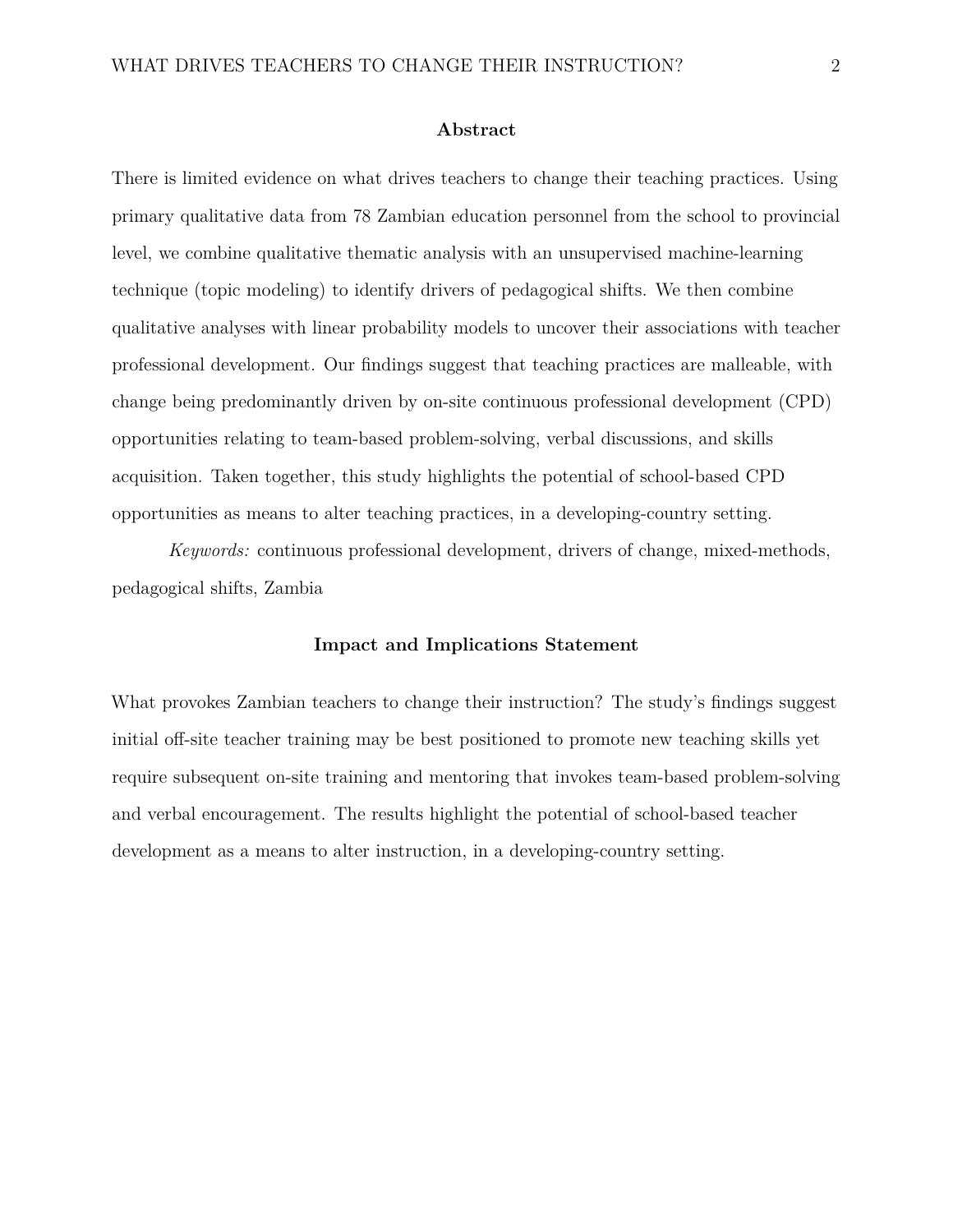#### **Abstract**

There is limited evidence on what drives teachers to change their teaching practices. Using primary qualitative data from 78 Zambian education personnel from the school to provincial level, we combine qualitative thematic analysis with an unsupervised machine-learning technique (topic modeling) to identify drivers of pedagogical shifts. We then combine qualitative analyses with linear probability models to uncover their associations with teacher professional development. Our findings suggest that teaching practices are malleable, with change being predominantly driven by on-site continuous professional development (CPD) opportunities relating to team-based problem-solving, verbal discussions, and skills acquisition. Taken together, this study highlights the potential of school-based CPD opportunities as means to alter teaching practices, in a developing-country setting.

*Keywords:* continuous professional development, drivers of change, mixed-methods, pedagogical shifts, Zambia

#### **Impact and Implications Statement**

What provokes Zambian teachers to change their instruction? The study's findings suggest initial off-site teacher training may be best positioned to promote new teaching skills yet require subsequent on-site training and mentoring that invokes team-based problem-solving and verbal encouragement. The results highlight the potential of school-based teacher development as a means to alter instruction, in a developing-country setting.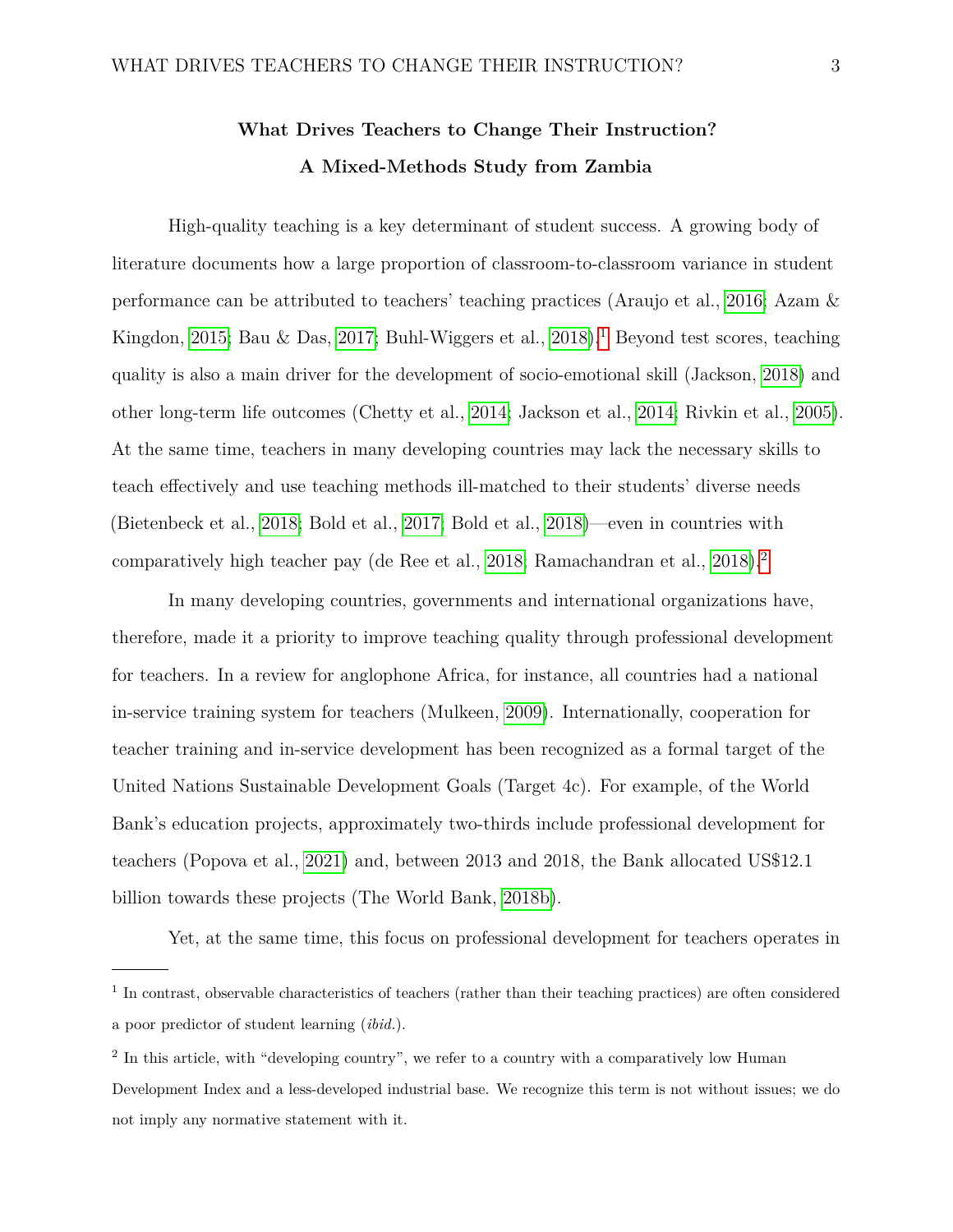# **What Drives Teachers to Change Their Instruction? A Mixed-Methods Study from Zambia**

High-quality teaching is a key determinant of student success. A growing body of literature documents how a large proportion of classroom-to-classroom variance in student performance can be attributed to teachers' teaching practices (Araujo et al., [2016;](#page-25-0) Azam & Kingdon, [2015;](#page-25-1) Bau & Das, [2017;](#page-26-0) Buhl-Wiggers et al., [2018\)](#page-27-0).<sup>[1](#page-2-0)</sup> Beyond test scores, teaching quality is also a main driver for the development of socio-emotional skill (Jackson, [2018\)](#page-30-0) and other long-term life outcomes (Chetty et al., [2014;](#page-27-1) Jackson et al., [2014;](#page-30-1) Rivkin et al., [2005\)](#page-32-0). At the same time, teachers in many developing countries may lack the necessary skills to teach effectively and use teaching methods ill-matched to their students' diverse needs (Bietenbeck et al., [2018;](#page-26-1) Bold et al., [2017;](#page-26-2) Bold et al., [2018\)](#page-26-3)—even in countries with comparatively high teacher pay (de Ree et al., [2018;](#page-28-0) Ramachandran et al., [2018\)](#page-32-1).<sup>[2](#page-2-1)</sup>

In many developing countries, governments and international organizations have, therefore, made it a priority to improve teaching quality through professional development for teachers. In a review for anglophone Africa, for instance, all countries had a national in-service training system for teachers (Mulkeen, [2009\)](#page-31-0). Internationally, cooperation for teacher training and in-service development has been recognized as a formal target of the United Nations Sustainable Development Goals (Target 4c). For example, of the World Bank's education projects, approximately two-thirds include professional development for teachers (Popova et al., [2021\)](#page-32-2) and, between 2013 and 2018, the Bank allocated US\$12.1 billion towards these projects (The World Bank, [2018b\)](#page-33-0).

Yet, at the same time, this focus on professional development for teachers operates in

<span id="page-2-0"></span><sup>&</sup>lt;sup>1</sup> In contrast, observable characteristics of teachers (rather than their teaching practices) are often considered a poor predictor of student learning (*ibid.*).

<span id="page-2-1"></span><sup>&</sup>lt;sup>2</sup> In this article, with "developing country", we refer to a country with a comparatively low Human Development Index and a less-developed industrial base. We recognize this term is not without issues; we do not imply any normative statement with it.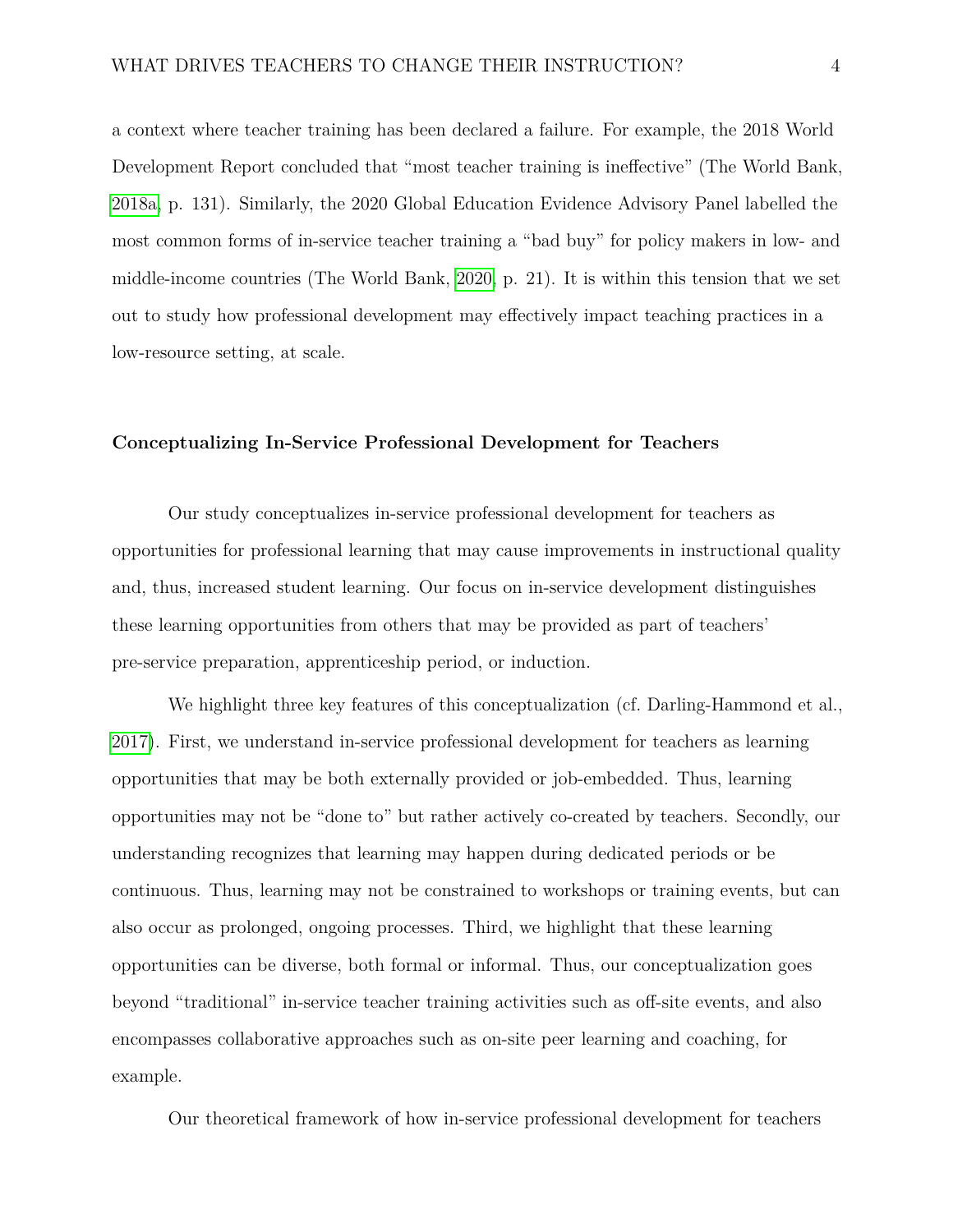a context where teacher training has been declared a failure. For example, the 2018 World Development Report concluded that "most teacher training is ineffective" (The World Bank, [2018a,](#page-33-1) p. 131). Similarly, the 2020 Global Education Evidence Advisory Panel labelled the most common forms of in-service teacher training a "bad buy" for policy makers in low- and middle-income countries (The World Bank, [2020,](#page-33-2) p. 21). It is within this tension that we set out to study how professional development may effectively impact teaching practices in a low-resource setting, at scale.

#### **Conceptualizing In-Service Professional Development for Teachers**

Our study conceptualizes in-service professional development for teachers as opportunities for professional learning that may cause improvements in instructional quality and, thus, increased student learning. Our focus on in-service development distinguishes these learning opportunities from others that may be provided as part of teachers' pre-service preparation, apprenticeship period, or induction.

We highlight three key features of this conceptualization (cf. Darling-Hammond et al., [2017\)](#page-28-1). First, we understand in-service professional development for teachers as learning opportunities that may be both externally provided or job-embedded. Thus, learning opportunities may not be "done to" but rather actively co-created by teachers. Secondly, our understanding recognizes that learning may happen during dedicated periods or be continuous. Thus, learning may not be constrained to workshops or training events, but can also occur as prolonged, ongoing processes. Third, we highlight that these learning opportunities can be diverse, both formal or informal. Thus, our conceptualization goes beyond "traditional" in-service teacher training activities such as off-site events, and also encompasses collaborative approaches such as on-site peer learning and coaching, for example.

Our theoretical framework of how in-service professional development for teachers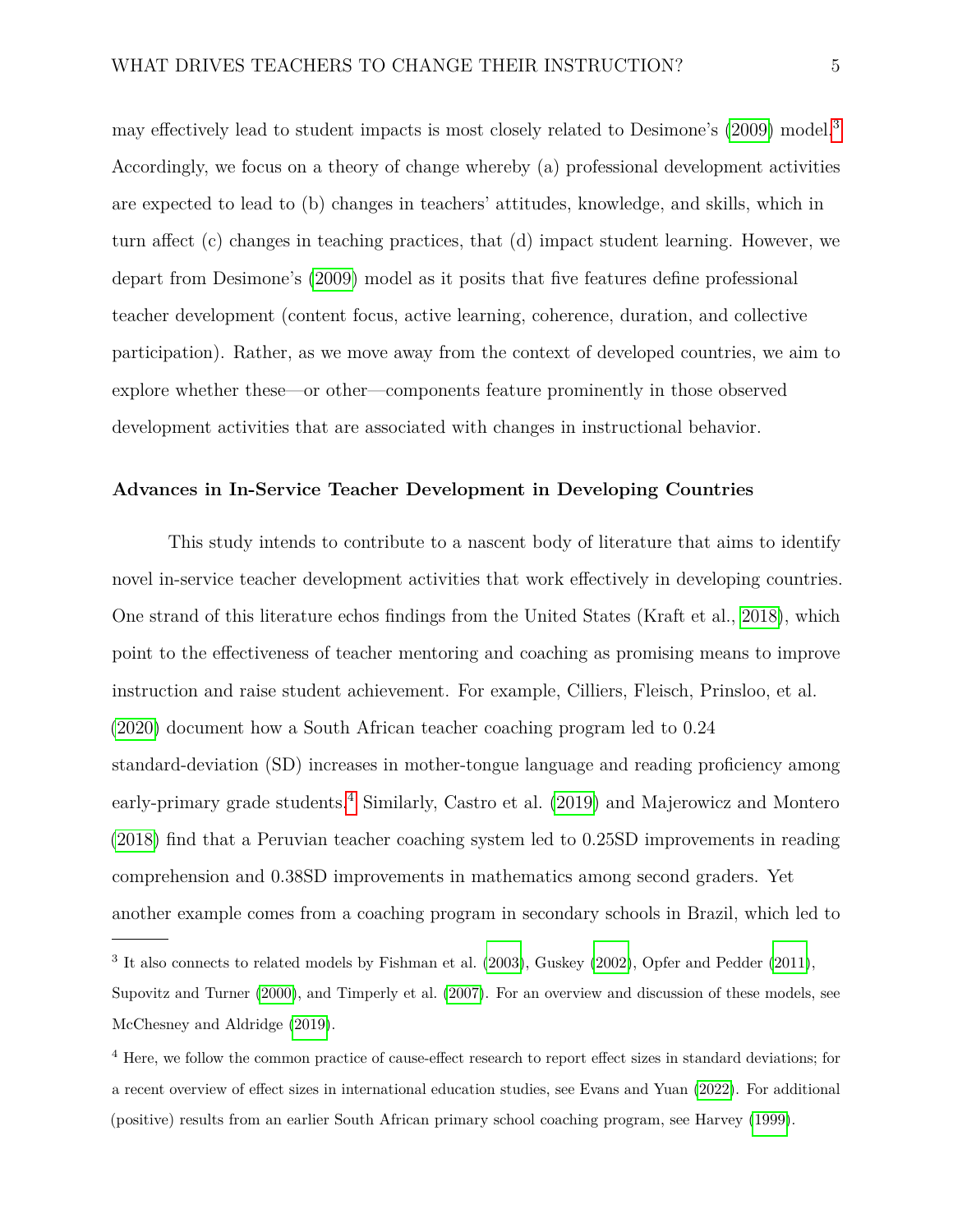may effectively lead to student impacts is most closely related to Desimone's [\(2009\)](#page-28-2) model.[3](#page-4-0) Accordingly, we focus on a theory of change whereby (a) professional development activities are expected to lead to (b) changes in teachers' attitudes, knowledge, and skills, which in turn affect (c) changes in teaching practices, that (d) impact student learning. However, we depart from Desimone's [\(2009\)](#page-28-2) model as it posits that five features define professional teacher development (content focus, active learning, coherence, duration, and collective participation). Rather, as we move away from the context of developed countries, we aim to explore whether these—or other—components feature prominently in those observed development activities that are associated with changes in instructional behavior.

### **Advances in In-Service Teacher Development in Developing Countries**

This study intends to contribute to a nascent body of literature that aims to identify novel in-service teacher development activities that work effectively in developing countries. One strand of this literature echos findings from the United States (Kraft et al., [2018\)](#page-30-2), which point to the effectiveness of teacher mentoring and coaching as promising means to improve instruction and raise student achievement. For example, Cilliers, Fleisch, Prinsloo, et al. [\(2020\)](#page-27-2) document how a South African teacher coaching program led to 0.24 standard-deviation (SD) increases in mother-tongue language and reading proficiency among early-primary grade students.<sup>[4](#page-4-1)</sup> Similarly, Castro et al. [\(2019\)](#page-27-3) and Majerowicz and Montero [\(2018\)](#page-31-1) find that a Peruvian teacher coaching system led to 0.25SD improvements in reading comprehension and 0.38SD improvements in mathematics among second graders. Yet another example comes from a coaching program in secondary schools in Brazil, which led to

<span id="page-4-0"></span><sup>&</sup>lt;sup>3</sup> It also connects to related models by Fishman et al. [\(2003\)](#page-29-0), Guskey [\(2002\)](#page-29-1), Opfer and Pedder [\(2011\)](#page-31-2), Supovitz and Turner [\(2000\)](#page-32-3), and Timperly et al. [\(2007\)](#page-33-3). For an overview and discussion of these models, see McChesney and Aldridge [\(2019\)](#page-31-3).

<span id="page-4-1"></span><sup>&</sup>lt;sup>4</sup> Here, we follow the common practice of cause-effect research to report effect sizes in standard deviations; for a recent overview of effect sizes in international education studies, see Evans and Yuan [\(2022\)](#page-29-2). For additional (positive) results from an earlier South African primary school coaching program, see Harvey [\(1999\)](#page-29-3).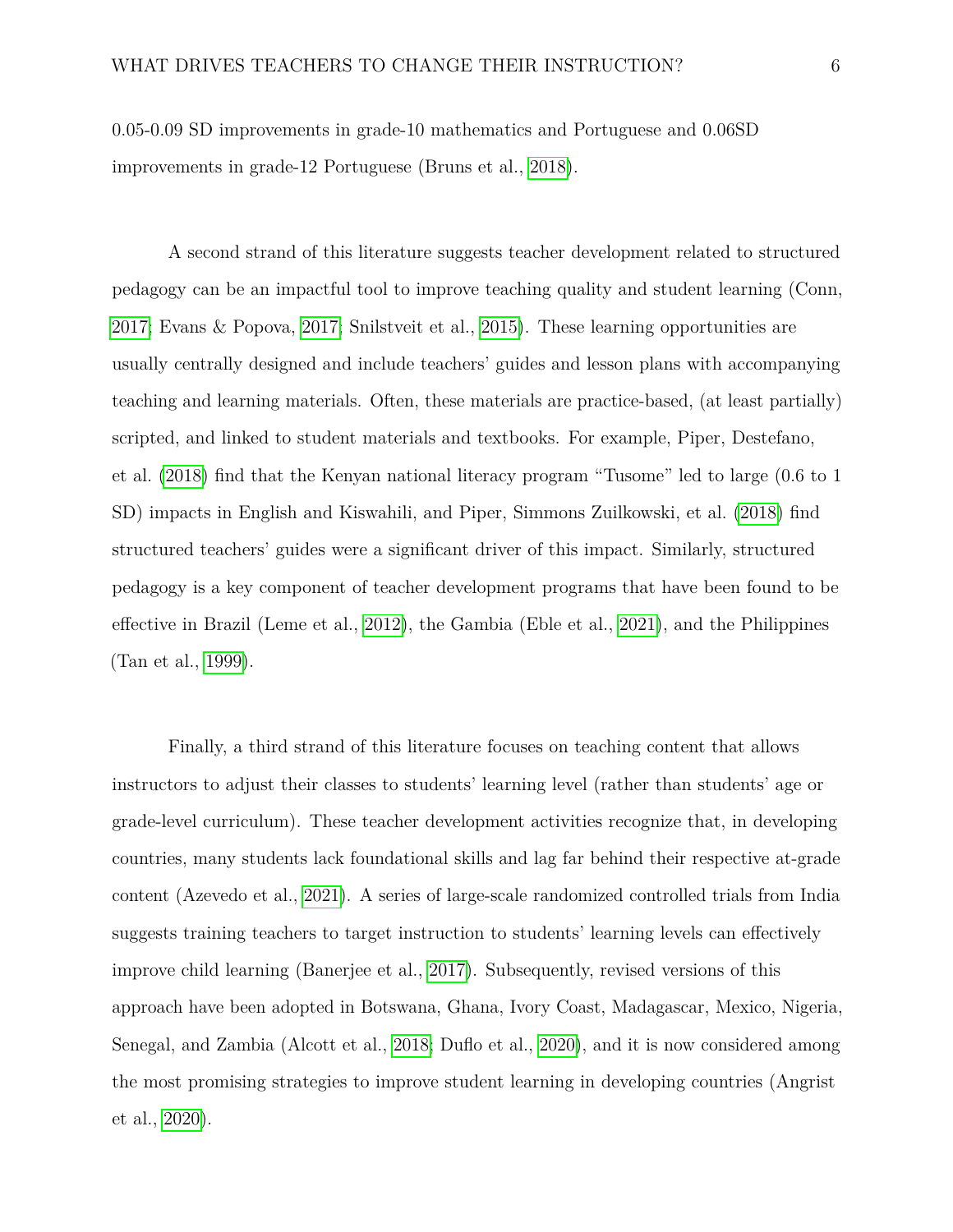0.05-0.09 SD improvements in grade-10 mathematics and Portuguese and 0.06SD improvements in grade-12 Portuguese (Bruns et al., [2018\)](#page-27-4).

A second strand of this literature suggests teacher development related to structured pedagogy can be an impactful tool to improve teaching quality and student learning (Conn, [2017;](#page-28-3) Evans & Popova, [2017;](#page-29-4) Snilstveit et al., [2015\)](#page-32-4). These learning opportunities are usually centrally designed and include teachers' guides and lesson plans with accompanying teaching and learning materials. Often, these materials are practice-based, (at least partially) scripted, and linked to student materials and textbooks. For example, Piper, Destefano, et al. [\(2018\)](#page-31-4) find that the Kenyan national literacy program "Tusome" led to large (0.6 to 1 SD) impacts in English and Kiswahili, and Piper, Simmons Zuilkowski, et al. [\(2018\)](#page-31-5) find structured teachers' guides were a significant driver of this impact. Similarly, structured pedagogy is a key component of teacher development programs that have been found to be effective in Brazil (Leme et al., [2012\)](#page-30-3), the Gambia (Eble et al., [2021\)](#page-28-4), and the Philippines (Tan et al., [1999\)](#page-33-4).

Finally, a third strand of this literature focuses on teaching content that allows instructors to adjust their classes to students' learning level (rather than students' age or grade-level curriculum). These teacher development activities recognize that, in developing countries, many students lack foundational skills and lag far behind their respective at-grade content (Azevedo et al., [2021\)](#page-25-2). A series of large-scale randomized controlled trials from India suggests training teachers to target instruction to students' learning levels can effectively improve child learning (Banerjee et al., [2017\)](#page-26-4). Subsequently, revised versions of this approach have been adopted in Botswana, Ghana, Ivory Coast, Madagascar, Mexico, Nigeria, Senegal, and Zambia (Alcott et al., [2018;](#page-25-3) Duflo et al., [2020\)](#page-28-5), and it is now considered among the most promising strategies to improve student learning in developing countries (Angrist et al., [2020\)](#page-25-4).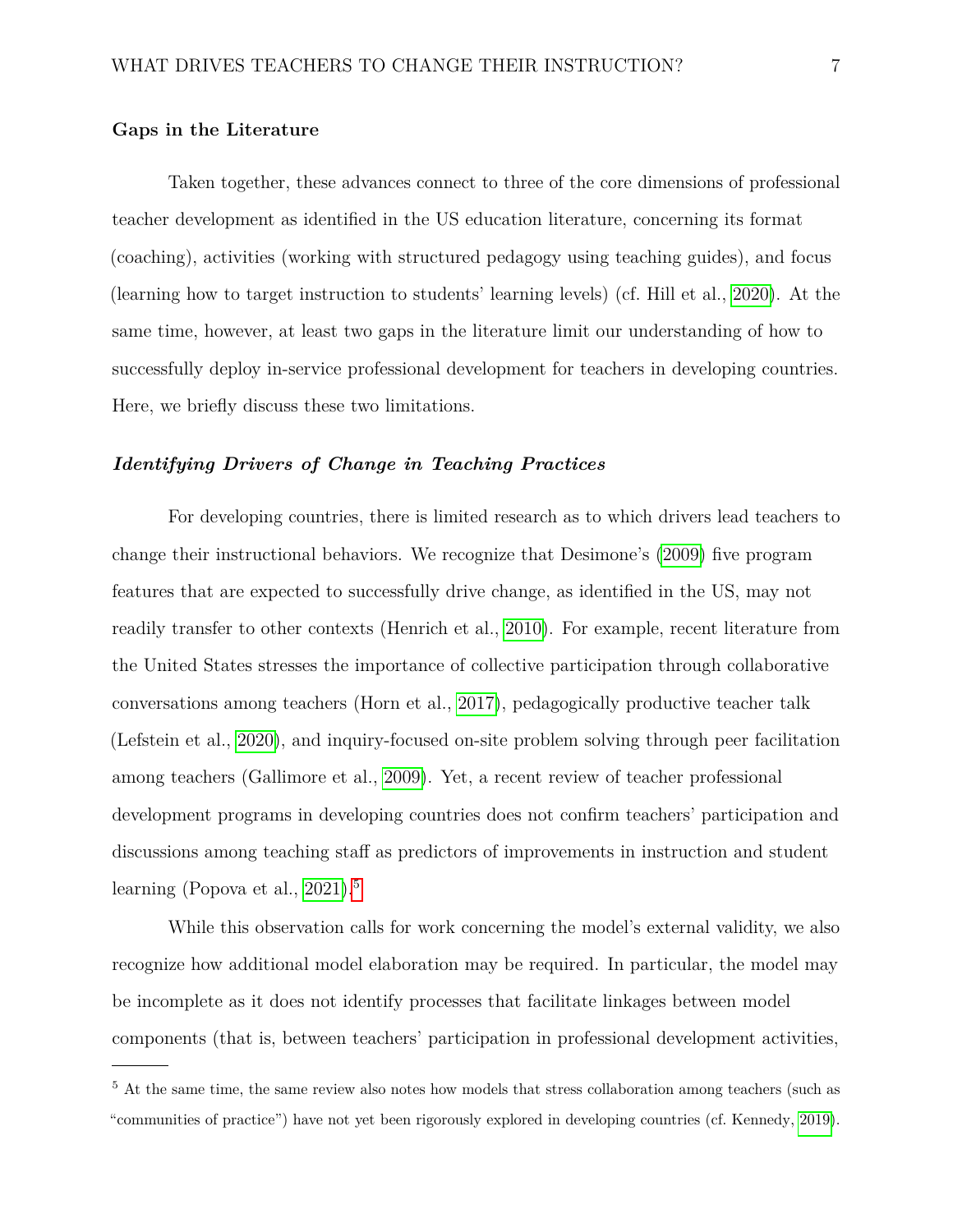## **Gaps in the Literature**

Taken together, these advances connect to three of the core dimensions of professional teacher development as identified in the US education literature, concerning its format (coaching), activities (working with structured pedagogy using teaching guides), and focus (learning how to target instruction to students' learning levels) (cf. Hill et al., [2020\)](#page-29-5). At the same time, however, at least two gaps in the literature limit our understanding of how to successfully deploy in-service professional development for teachers in developing countries. Here, we briefly discuss these two limitations.

#### *Identifying Drivers of Change in Teaching Practices*

For developing countries, there is limited research as to which drivers lead teachers to change their instructional behaviors. We recognize that Desimone's [\(2009\)](#page-28-2) five program features that are expected to successfully drive change, as identified in the US, may not readily transfer to other contexts (Henrich et al., [2010\)](#page-29-6). For example, recent literature from the United States stresses the importance of collective participation through collaborative conversations among teachers (Horn et al., [2017\)](#page-30-4), pedagogically productive teacher talk (Lefstein et al., [2020\)](#page-30-5), and inquiry-focused on-site problem solving through peer facilitation among teachers (Gallimore et al., [2009\)](#page-29-7). Yet, a recent review of teacher professional development programs in developing countries does not confirm teachers' participation and discussions among teaching staff as predictors of improvements in instruction and student learning (Popova et al., [2021\)](#page-32-2).<sup>[5](#page-6-0)</sup>

While this observation calls for work concerning the model's external validity, we also recognize how additional model elaboration may be required. In particular, the model may be incomplete as it does not identify processes that facilitate linkages between model components (that is, between teachers' participation in professional development activities,

<span id="page-6-0"></span><sup>&</sup>lt;sup>5</sup> At the same time, the same review also notes how models that stress collaboration among teachers (such as "communities of practice") have not yet been rigorously explored in developing countries (cf. Kennedy, [2019\)](#page-30-6).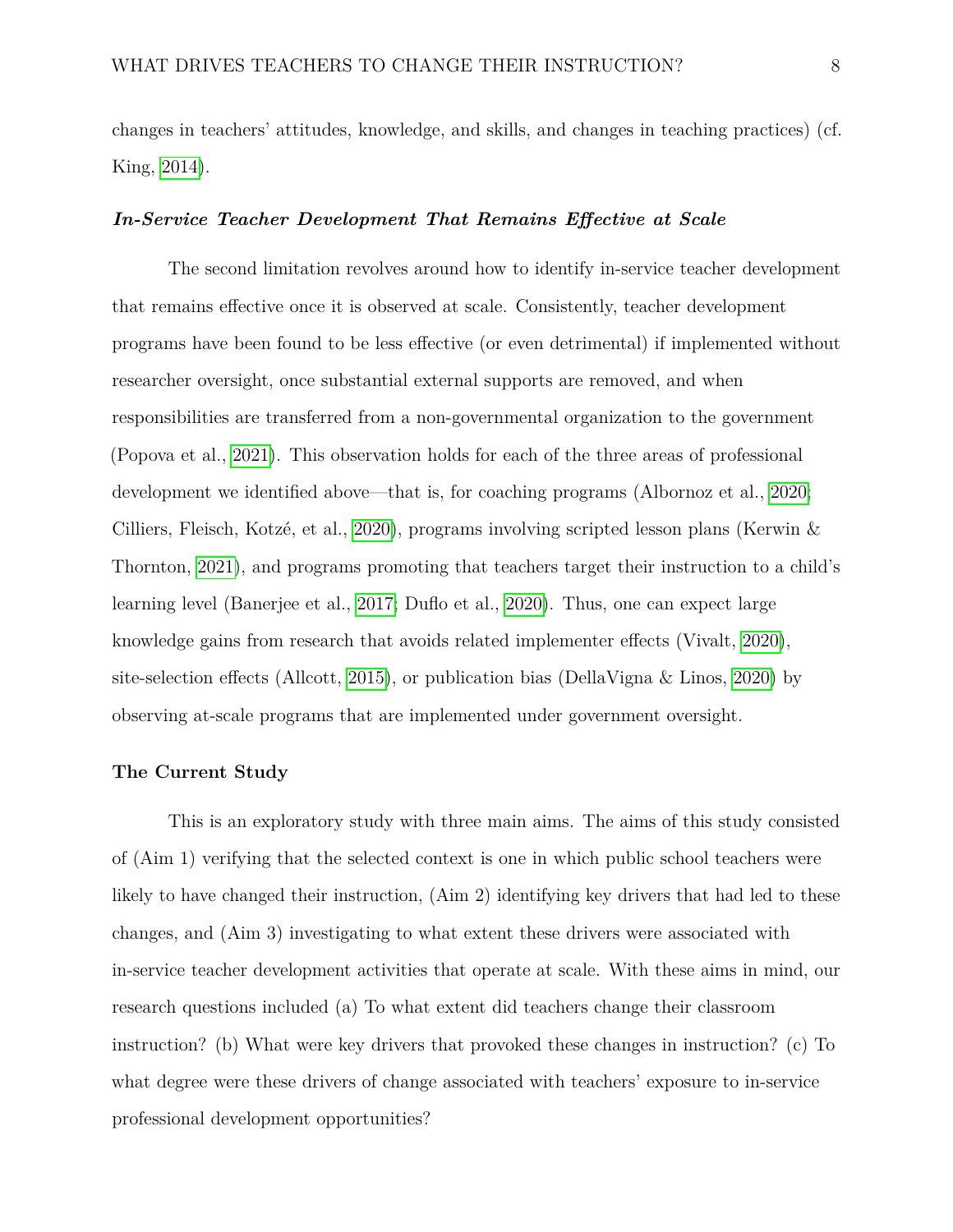changes in teachers' attitudes, knowledge, and skills, and changes in teaching practices) (cf. King, [2014\)](#page-30-7).

#### *In-Service Teacher Development That Remains Effective at Scale*

The second limitation revolves around how to identify in-service teacher development that remains effective once it is observed at scale. Consistently, teacher development programs have been found to be less effective (or even detrimental) if implemented without researcher oversight, once substantial external supports are removed, and when responsibilities are transferred from a non-governmental organization to the government (Popova et al., [2021\)](#page-32-2). This observation holds for each of the three areas of professional development we identified above—that is, for coaching programs (Albornoz et al., [2020;](#page-25-5) Cilliers, Fleisch, Kotzé, et al., [2020\)](#page-27-5), programs involving scripted lesson plans (Kerwin & Thornton, [2021\)](#page-30-8), and programs promoting that teachers target their instruction to a child's learning level (Banerjee et al., [2017;](#page-26-4) Duflo et al., [2020\)](#page-28-5). Thus, one can expect large knowledge gains from research that avoids related implementer effects (Vivalt, [2020\)](#page-33-5), site-selection effects (Allcott, [2015\)](#page-25-6), or publication bias (DellaVigna & Linos, [2020\)](#page-28-6) by observing at-scale programs that are implemented under government oversight.

#### **The Current Study**

This is an exploratory study with three main aims. The aims of this study consisted of (Aim 1) verifying that the selected context is one in which public school teachers were likely to have changed their instruction, (Aim 2) identifying key drivers that had led to these changes, and (Aim 3) investigating to what extent these drivers were associated with in-service teacher development activities that operate at scale. With these aims in mind, our research questions included (a) To what extent did teachers change their classroom instruction? (b) What were key drivers that provoked these changes in instruction? (c) To what degree were these drivers of change associated with teachers' exposure to in-service professional development opportunities?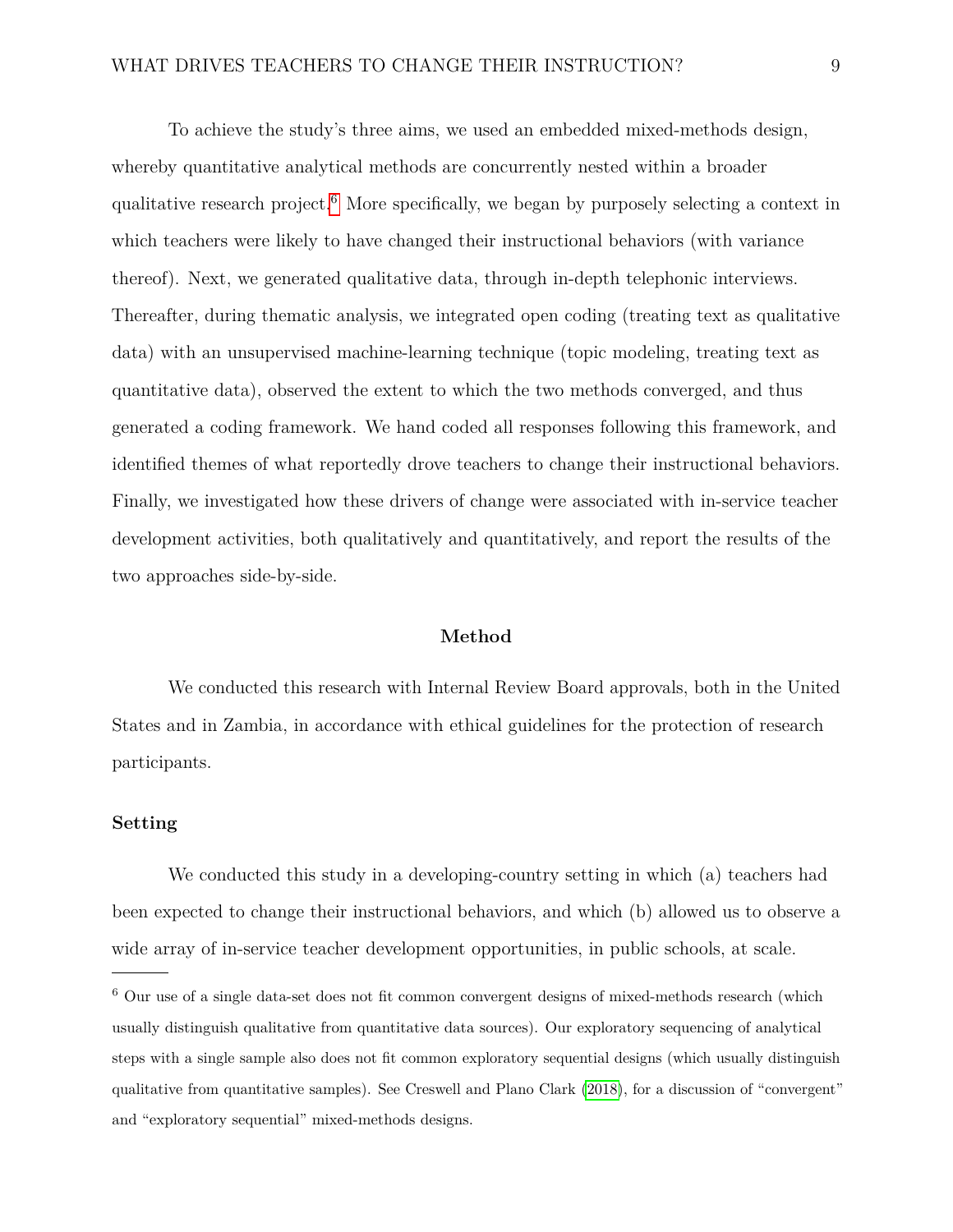To achieve the study's three aims, we used an embedded mixed-methods design, whereby quantitative analytical methods are concurrently nested within a broader qualitative research project.[6](#page-8-0) More specifically, we began by purposely selecting a context in which teachers were likely to have changed their instructional behaviors (with variance thereof). Next, we generated qualitative data, through in-depth telephonic interviews. Thereafter, during thematic analysis, we integrated open coding (treating text as qualitative data) with an unsupervised machine-learning technique (topic modeling, treating text as quantitative data), observed the extent to which the two methods converged, and thus generated a coding framework. We hand coded all responses following this framework, and identified themes of what reportedly drove teachers to change their instructional behaviors. Finally, we investigated how these drivers of change were associated with in-service teacher development activities, both qualitatively and quantitatively, and report the results of the two approaches side-by-side.

#### **Method**

We conducted this research with Internal Review Board approvals, both in the United States and in Zambia, in accordance with ethical guidelines for the protection of research participants.

#### **Setting**

We conducted this study in a developing-country setting in which (a) teachers had been expected to change their instructional behaviors, and which (b) allowed us to observe a wide array of in-service teacher development opportunities, in public schools, at scale.

<span id="page-8-0"></span><sup>6</sup> Our use of a single data-set does not fit common convergent designs of mixed-methods research (which usually distinguish qualitative from quantitative data sources). Our exploratory sequencing of analytical steps with a single sample also does not fit common exploratory sequential designs (which usually distinguish qualitative from quantitative samples). See Creswell and Plano Clark [\(2018\)](#page-28-7), for a discussion of "convergent" and "exploratory sequential" mixed-methods designs.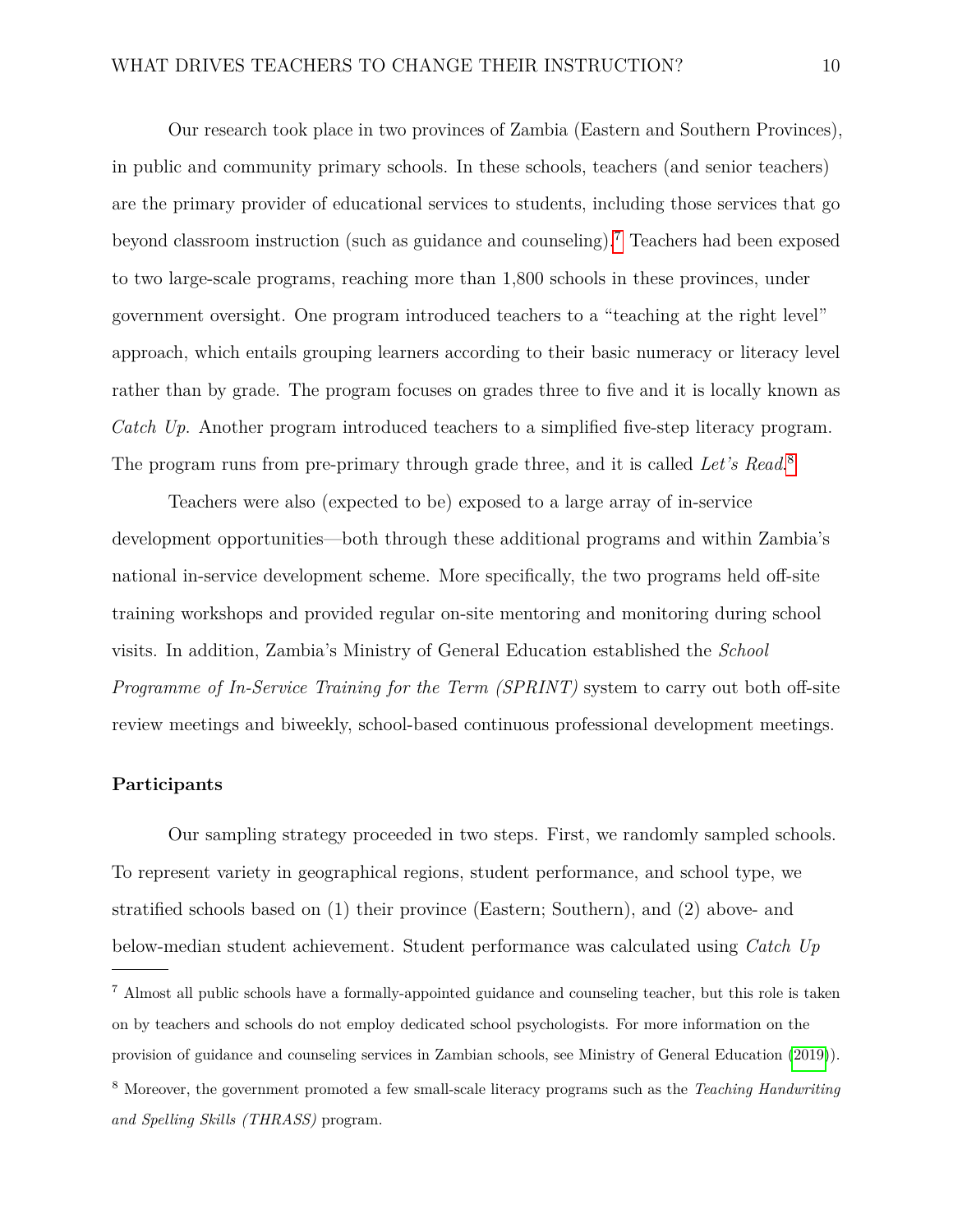Our research took place in two provinces of Zambia (Eastern and Southern Provinces), in public and community primary schools. In these schools, teachers (and senior teachers) are the primary provider of educational services to students, including those services that go beyond classroom instruction (such as guidance and counseling).[7](#page-9-0) Teachers had been exposed to two large-scale programs, reaching more than 1,800 schools in these provinces, under government oversight. One program introduced teachers to a "teaching at the right level" approach, which entails grouping learners according to their basic numeracy or literacy level rather than by grade. The program focuses on grades three to five and it is locally known as *Catch Up*. Another program introduced teachers to a simplified five-step literacy program. The program runs from pre-primary through grade three, and it is called *Let's Read*. [8](#page-9-1)

Teachers were also (expected to be) exposed to a large array of in-service development opportunities—both through these additional programs and within Zambia's national in-service development scheme. More specifically, the two programs held off-site training workshops and provided regular on-site mentoring and monitoring during school visits. In addition, Zambia's Ministry of General Education established the *School Programme of In-Service Training for the Term (SPRINT)* system to carry out both off-site review meetings and biweekly, school-based continuous professional development meetings.

#### **Participants**

Our sampling strategy proceeded in two steps. First, we randomly sampled schools. To represent variety in geographical regions, student performance, and school type, we stratified schools based on (1) their province (Eastern; Southern), and (2) above- and below-median student achievement. Student performance was calculated using *Catch Up*

<span id="page-9-1"></span><span id="page-9-0"></span><sup>7</sup> Almost all public schools have a formally-appointed guidance and counseling teacher, but this role is taken on by teachers and schools do not employ dedicated school psychologists. For more information on the provision of guidance and counseling services in Zambian schools, see Ministry of General Education [\(2019\)](#page-31-6)). <sup>8</sup> Moreover, the government promoted a few small-scale literacy programs such as the *Teaching Handwriting and Spelling Skills (THRASS)* program.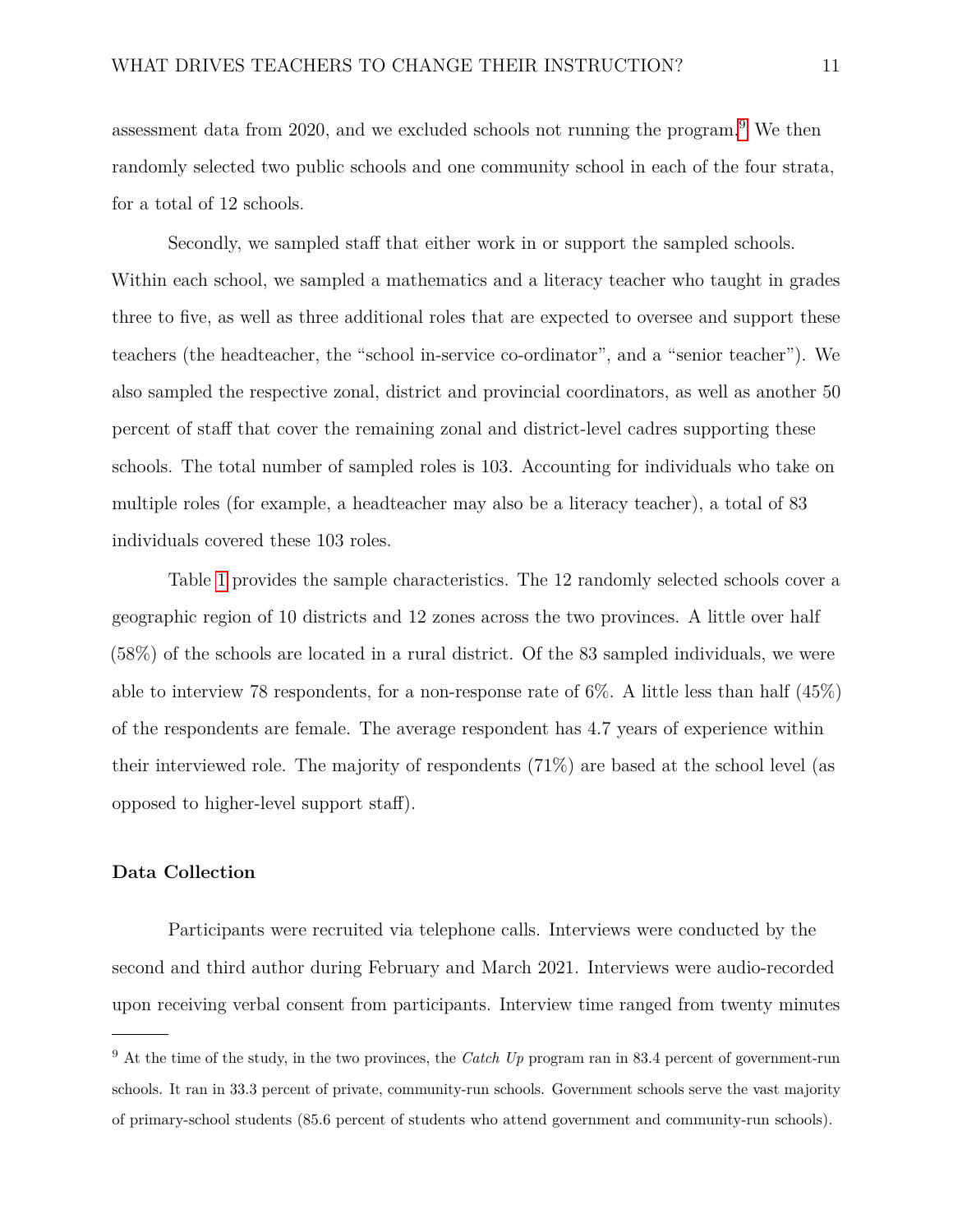assessment data from 2020, and we excluded schools not running the program.[9](#page-10-0) We then randomly selected two public schools and one community school in each of the four strata, for a total of 12 schools.

Secondly, we sampled staff that either work in or support the sampled schools. Within each school, we sampled a mathematics and a literacy teacher who taught in grades three to five, as well as three additional roles that are expected to oversee and support these teachers (the headteacher, the "school in-service co-ordinator", and a "senior teacher"). We also sampled the respective zonal, district and provincial coordinators, as well as another 50 percent of staff that cover the remaining zonal and district-level cadres supporting these schools. The total number of sampled roles is 103. Accounting for individuals who take on multiple roles (for example, a headteacher may also be a literacy teacher), a total of 83 individuals covered these 103 roles.

Table [1](#page-34-0) provides the sample characteristics. The 12 randomly selected schools cover a geographic region of 10 districts and 12 zones across the two provinces. A little over half (58%) of the schools are located in a rural district. Of the 83 sampled individuals, we were able to interview 78 respondents, for a non-response rate of 6%. A little less than half (45%) of the respondents are female. The average respondent has 4.7 years of experience within their interviewed role. The majority of respondents  $(71\%)$  are based at the school level (as opposed to higher-level support staff).

## **Data Collection**

Participants were recruited via telephone calls. Interviews were conducted by the second and third author during February and March 2021. Interviews were audio-recorded upon receiving verbal consent from participants. Interview time ranged from twenty minutes

<span id="page-10-0"></span><sup>&</sup>lt;sup>9</sup> At the time of the study, in the two provinces, the *Catch Up* program ran in 83.4 percent of government-run schools. It ran in 33.3 percent of private, community-run schools. Government schools serve the vast majority of primary-school students (85.6 percent of students who attend government and community-run schools).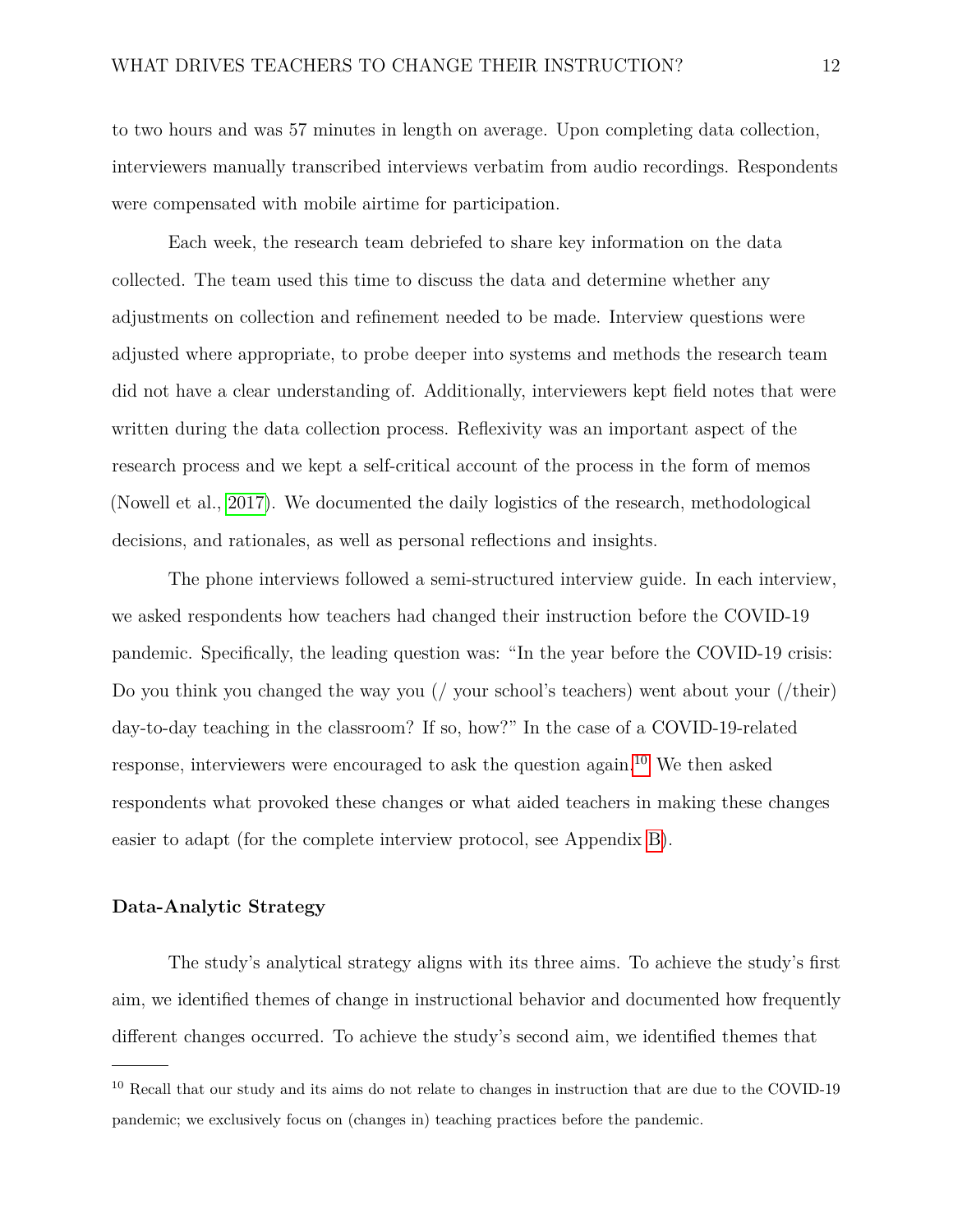to two hours and was 57 minutes in length on average. Upon completing data collection, interviewers manually transcribed interviews verbatim from audio recordings. Respondents were compensated with mobile airtime for participation.

Each week, the research team debriefed to share key information on the data collected. The team used this time to discuss the data and determine whether any adjustments on collection and refinement needed to be made. Interview questions were adjusted where appropriate, to probe deeper into systems and methods the research team did not have a clear understanding of. Additionally, interviewers kept field notes that were written during the data collection process. Reflexivity was an important aspect of the research process and we kept a self-critical account of the process in the form of memos (Nowell et al., [2017\)](#page-31-7). We documented the daily logistics of the research, methodological decisions, and rationales, as well as personal reflections and insights.

The phone interviews followed a semi-structured interview guide. In each interview, we asked respondents how teachers had changed their instruction before the COVID-19 pandemic. Specifically, the leading question was: "In the year before the COVID-19 crisis: Do you think you changed the way you (/ your school's teachers) went about your (/their) day-to-day teaching in the classroom? If so, how?" In the case of a COVID-19-related response, interviewers were encouraged to ask the question again.[10](#page-11-0) We then asked respondents what provoked these changes or what aided teachers in making these changes easier to adapt (for the complete interview protocol, see Appendix [B\)](#page-42-0).

## **Data-Analytic Strategy**

The study's analytical strategy aligns with its three aims. To achieve the study's first aim, we identified themes of change in instructional behavior and documented how frequently different changes occurred. To achieve the study's second aim, we identified themes that

<span id="page-11-0"></span><sup>10</sup> Recall that our study and its aims do not relate to changes in instruction that are due to the COVID-19 pandemic; we exclusively focus on (changes in) teaching practices before the pandemic.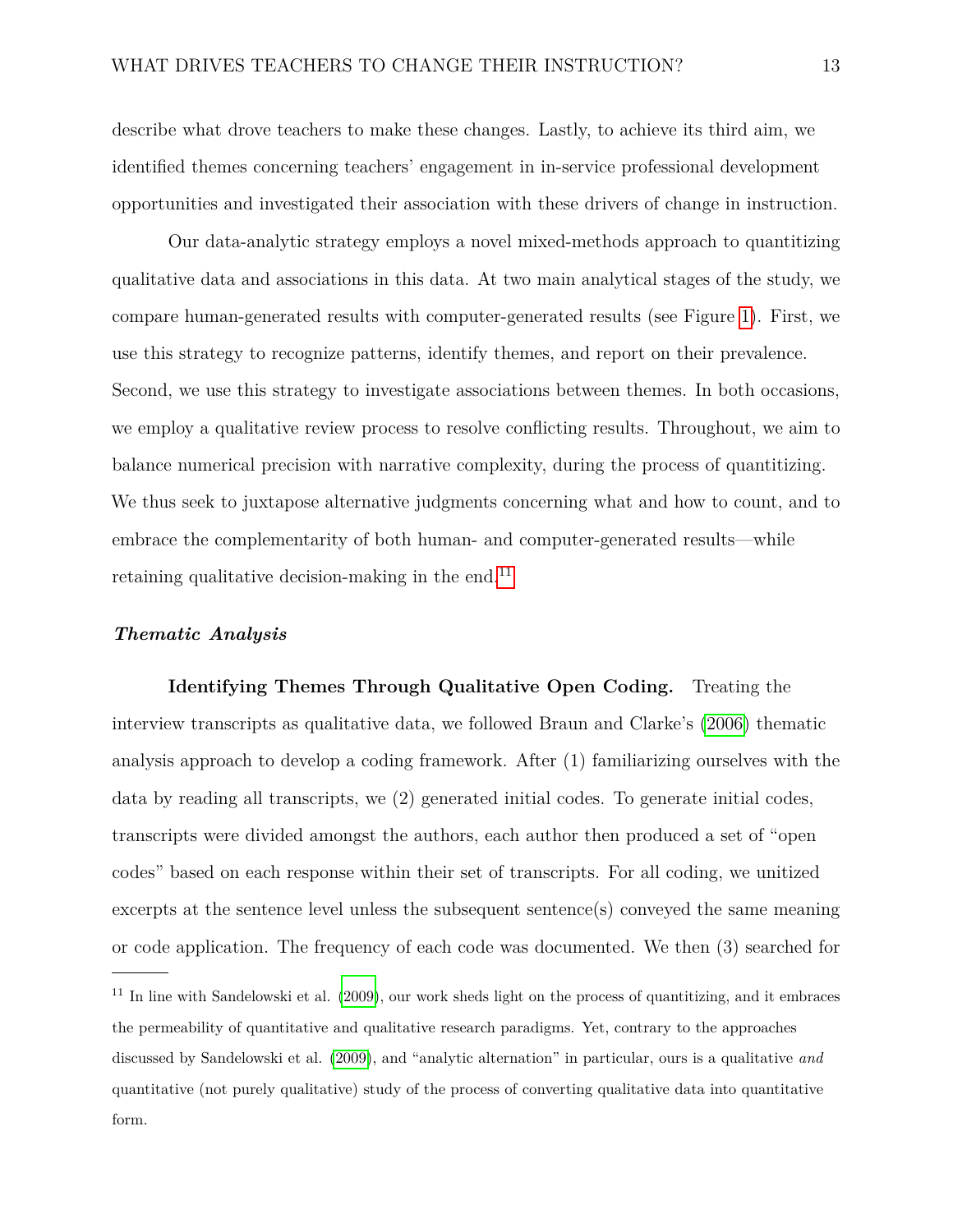describe what drove teachers to make these changes. Lastly, to achieve its third aim, we identified themes concerning teachers' engagement in in-service professional development opportunities and investigated their association with these drivers of change in instruction.

Our data-analytic strategy employs a novel mixed-methods approach to quantitizing qualitative data and associations in this data. At two main analytical stages of the study, we compare human-generated results with computer-generated results (see Figure [1\)](#page-38-0). First, we use this strategy to recognize patterns, identify themes, and report on their prevalence. Second, we use this strategy to investigate associations between themes. In both occasions, we employ a qualitative review process to resolve conflicting results. Throughout, we aim to balance numerical precision with narrative complexity, during the process of quantitizing. We thus seek to juxtapose alternative judgments concerning what and how to count, and to embrace the complementarity of both human- and computer-generated results—while retaining qualitative decision-making in the end. $^{11}$  $^{11}$  $^{11}$ 

### *Thematic Analysis*

**Identifying Themes Through Qualitative Open Coding.** Treating the interview transcripts as qualitative data, we followed Braun and Clarke's [\(2006\)](#page-27-6) thematic analysis approach to develop a coding framework. After (1) familiarizing ourselves with the data by reading all transcripts, we  $(2)$  generated initial codes. To generate initial codes, transcripts were divided amongst the authors, each author then produced a set of "open codes" based on each response within their set of transcripts. For all coding, we unitized excerpts at the sentence level unless the subsequent sentence(s) conveyed the same meaning or code application. The frequency of each code was documented. We then (3) searched for

<span id="page-12-0"></span><sup>11</sup> In line with Sandelowski et al. [\(2009\)](#page-32-5), our work sheds light on the process of quantitizing, and it embraces the permeability of quantitative and qualitative research paradigms. Yet, contrary to the approaches discussed by Sandelowski et al. [\(2009\)](#page-32-5), and "analytic alternation" in particular, ours is a qualitative *and* quantitative (not purely qualitative) study of the process of converting qualitative data into quantitative form.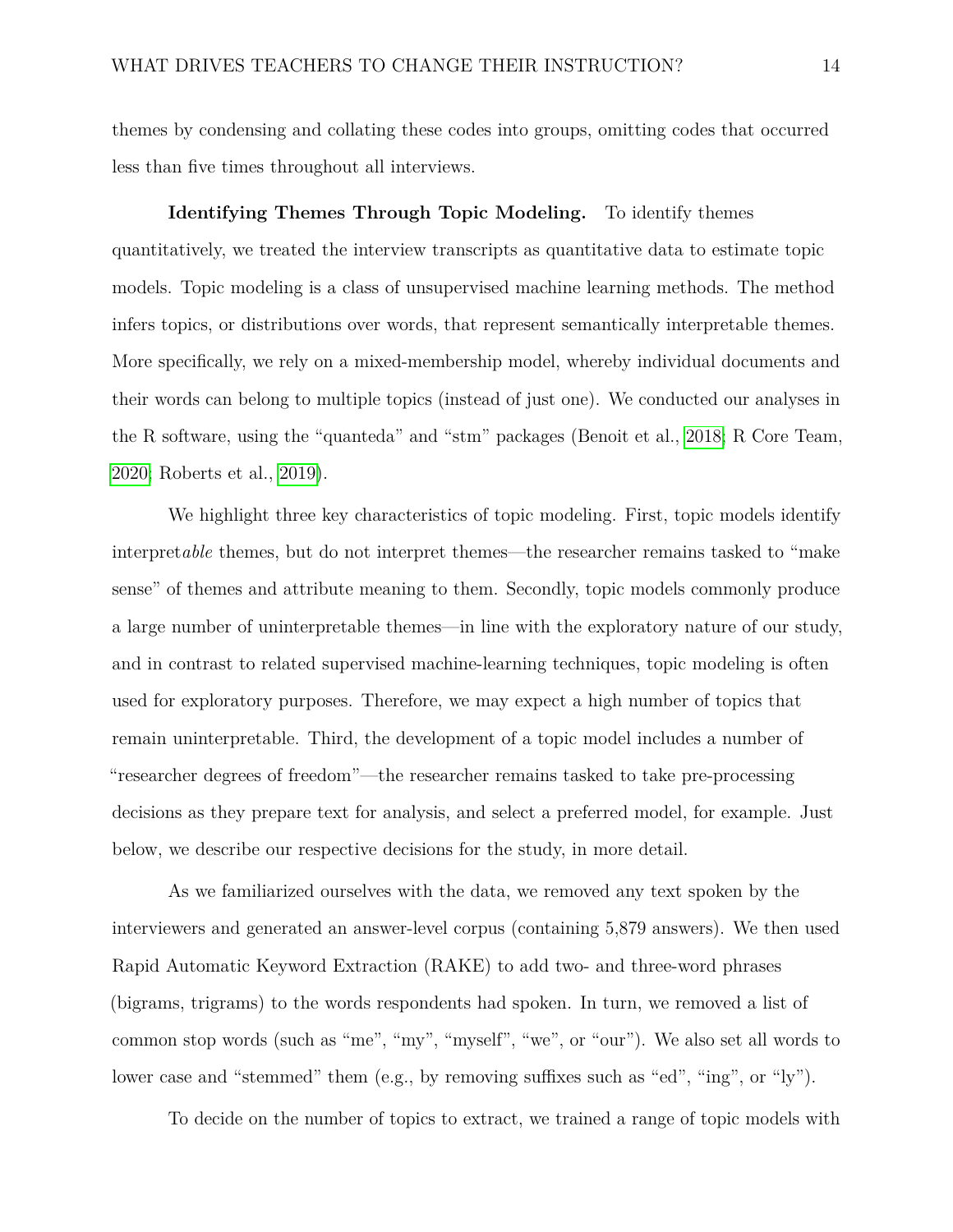themes by condensing and collating these codes into groups, omitting codes that occurred less than five times throughout all interviews.

**Identifying Themes Through Topic Modeling.** To identify themes quantitatively, we treated the interview transcripts as quantitative data to estimate topic models. Topic modeling is a class of unsupervised machine learning methods. The method infers topics, or distributions over words, that represent semantically interpretable themes. More specifically, we rely on a mixed-membership model, whereby individual documents and their words can belong to multiple topics (instead of just one). We conducted our analyses in the R software, using the "quanteda" and "stm" packages (Benoit et al., [2018;](#page-26-5) R Core Team, [2020;](#page-32-6) Roberts et al., [2019\)](#page-32-7).

We highlight three key characteristics of topic modeling. First, topic models identify interpret*able* themes, but do not interpret themes—the researcher remains tasked to "make sense" of themes and attribute meaning to them. Secondly, topic models commonly produce a large number of uninterpretable themes—in line with the exploratory nature of our study, and in contrast to related supervised machine-learning techniques, topic modeling is often used for exploratory purposes. Therefore, we may expect a high number of topics that remain uninterpretable. Third, the development of a topic model includes a number of "researcher degrees of freedom"—the researcher remains tasked to take pre-processing decisions as they prepare text for analysis, and select a preferred model, for example. Just below, we describe our respective decisions for the study, in more detail.

As we familiarized ourselves with the data, we removed any text spoken by the interviewers and generated an answer-level corpus (containing 5,879 answers). We then used Rapid Automatic Keyword Extraction (RAKE) to add two- and three-word phrases (bigrams, trigrams) to the words respondents had spoken. In turn, we removed a list of common stop words (such as "me", "my", "myself", "we", or "our"). We also set all words to lower case and "stemmed" them (e.g., by removing suffixes such as "ed", "ing", or "ly").

To decide on the number of topics to extract, we trained a range of topic models with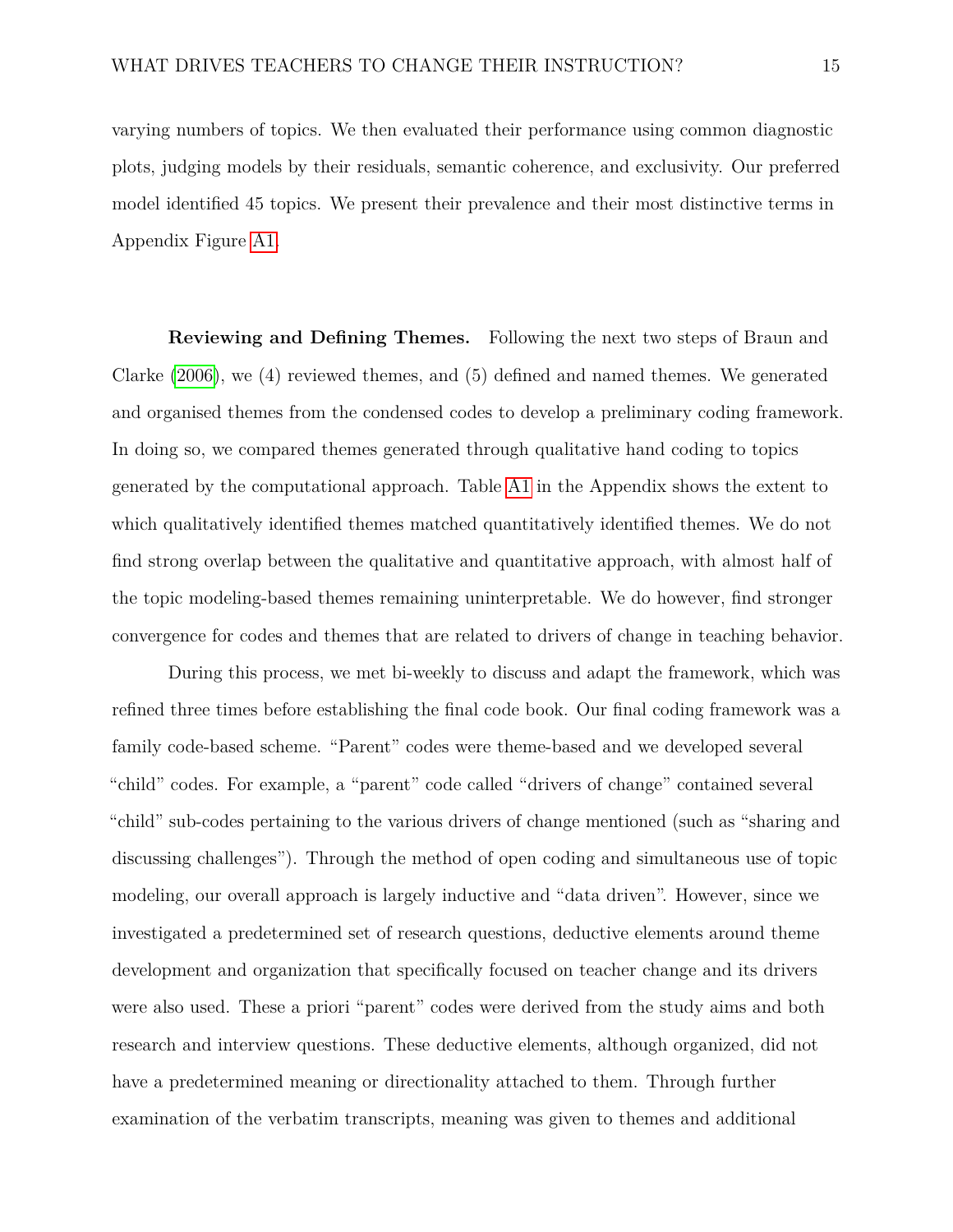varying numbers of topics. We then evaluated their performance using common diagnostic plots, judging models by their residuals, semantic coherence, and exclusivity. Our preferred model identified 45 topics. We present their prevalence and their most distinctive terms in Appendix Figure [A1.](#page-40-0)

**Reviewing and Defining Themes.** Following the next two steps of Braun and Clarke [\(2006\)](#page-27-6), we (4) reviewed themes, and (5) defined and named themes. We generated and organised themes from the condensed codes to develop a preliminary coding framework. In doing so, we compared themes generated through qualitative hand coding to topics generated by the computational approach. Table [A1](#page-39-0) in the Appendix shows the extent to which qualitatively identified themes matched quantitatively identified themes. We do not find strong overlap between the qualitative and quantitative approach, with almost half of the topic modeling-based themes remaining uninterpretable. We do however, find stronger convergence for codes and themes that are related to drivers of change in teaching behavior.

During this process, we met bi-weekly to discuss and adapt the framework, which was refined three times before establishing the final code book. Our final coding framework was a family code-based scheme. "Parent" codes were theme-based and we developed several "child" codes. For example, a "parent" code called "drivers of change" contained several "child" sub-codes pertaining to the various drivers of change mentioned (such as "sharing and discussing challenges"). Through the method of open coding and simultaneous use of topic modeling, our overall approach is largely inductive and "data driven". However, since we investigated a predetermined set of research questions, deductive elements around theme development and organization that specifically focused on teacher change and its drivers were also used. These a priori "parent" codes were derived from the study aims and both research and interview questions. These deductive elements, although organized, did not have a predetermined meaning or directionality attached to them. Through further examination of the verbatim transcripts, meaning was given to themes and additional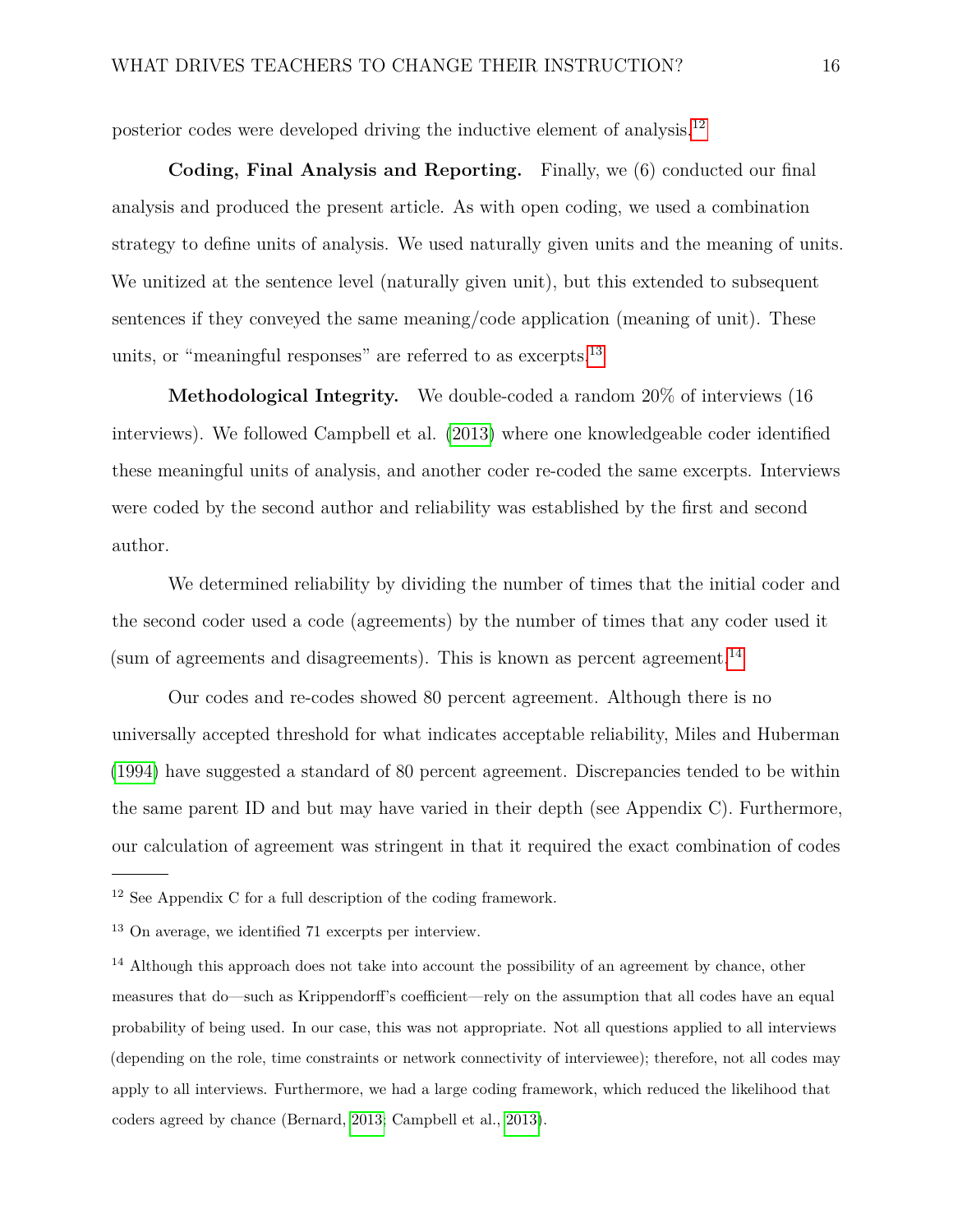posterior codes were developed driving the inductive element of analysis.[12](#page-15-0)

**Coding, Final Analysis and Reporting.** Finally, we (6) conducted our final analysis and produced the present article. As with open coding, we used a combination strategy to define units of analysis. We used naturally given units and the meaning of units. We unitized at the sentence level (naturally given unit), but this extended to subsequent sentences if they conveyed the same meaning/code application (meaning of unit). These units, or "meaningful responses" are referred to as excerpts.<sup>[13](#page-15-1)</sup>

**Methodological Integrity.** We double-coded a random 20% of interviews (16 interviews). We followed Campbell et al. [\(2013\)](#page-27-7) where one knowledgeable coder identified these meaningful units of analysis, and another coder re-coded the same excerpts. Interviews were coded by the second author and reliability was established by the first and second author.

We determined reliability by dividing the number of times that the initial coder and the second coder used a code (agreements) by the number of times that any coder used it (sum of agreements and disagreements). This is known as percent agreement.<sup>[14](#page-15-2)</sup>

Our codes and re-codes showed 80 percent agreement. Although there is no universally accepted threshold for what indicates acceptable reliability, Miles and Huberman [\(1994\)](#page-31-8) have suggested a standard of 80 percent agreement. Discrepancies tended to be within the same parent ID and but may have varied in their depth (see Appendix C). Furthermore, our calculation of agreement was stringent in that it required the exact combination of codes

<span id="page-15-0"></span><sup>12</sup> See Appendix C for a full description of the coding framework.

<span id="page-15-2"></span><span id="page-15-1"></span><sup>13</sup> On average, we identified 71 excerpts per interview.

<sup>&</sup>lt;sup>14</sup> Although this approach does not take into account the possibility of an agreement by chance, other measures that do—such as Krippendorff's coefficient—rely on the assumption that all codes have an equal probability of being used. In our case, this was not appropriate. Not all questions applied to all interviews (depending on the role, time constraints or network connectivity of interviewee); therefore, not all codes may apply to all interviews. Furthermore, we had a large coding framework, which reduced the likelihood that coders agreed by chance (Bernard, [2013;](#page-26-6) Campbell et al., [2013\)](#page-27-7).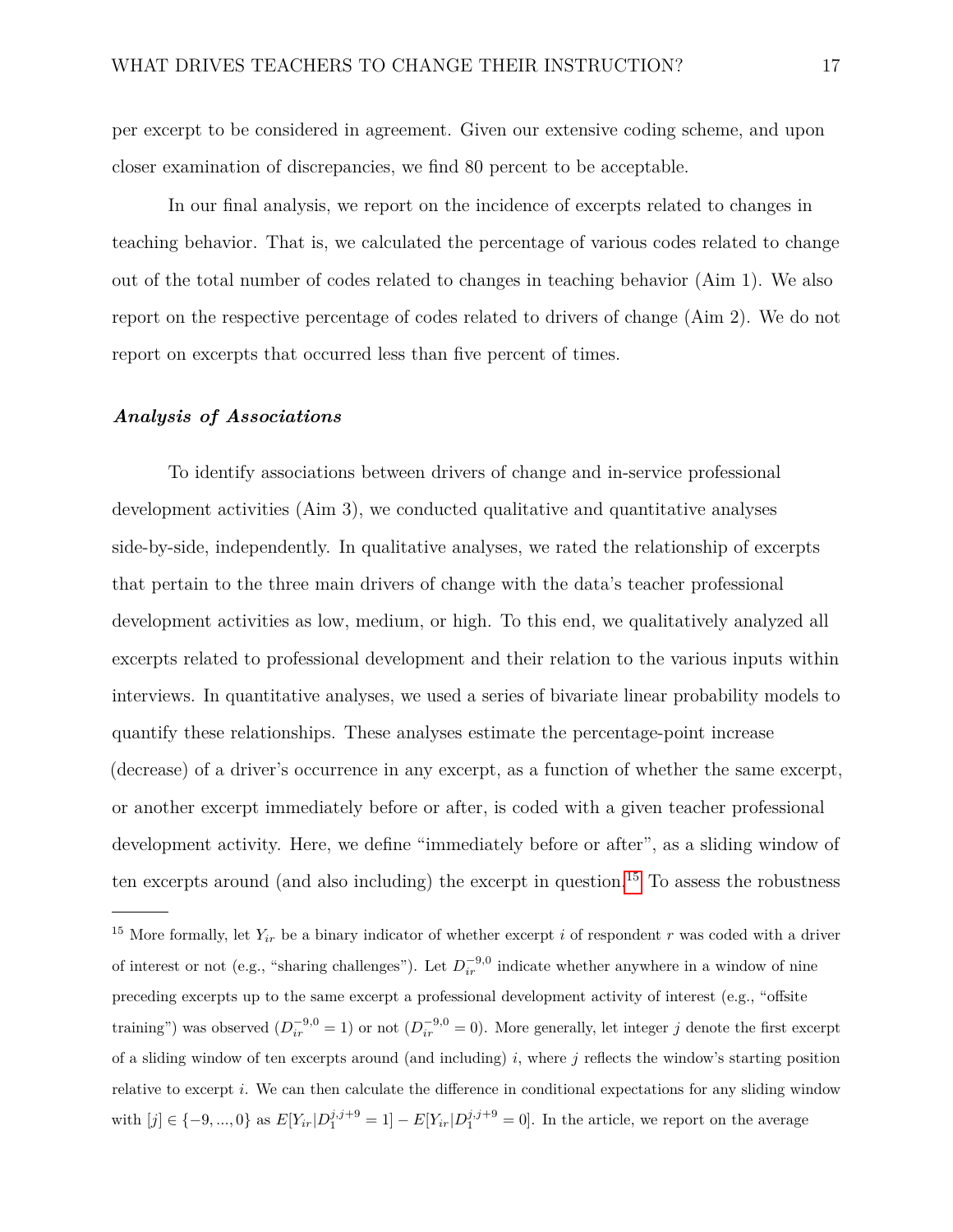per excerpt to be considered in agreement. Given our extensive coding scheme, and upon closer examination of discrepancies, we find 80 percent to be acceptable.

In our final analysis, we report on the incidence of excerpts related to changes in teaching behavior. That is, we calculated the percentage of various codes related to change out of the total number of codes related to changes in teaching behavior (Aim 1). We also report on the respective percentage of codes related to drivers of change (Aim 2). We do not report on excerpts that occurred less than five percent of times.

#### *Analysis of Associations*

To identify associations between drivers of change and in-service professional development activities (Aim 3), we conducted qualitative and quantitative analyses side-by-side, independently. In qualitative analyses, we rated the relationship of excerpts that pertain to the three main drivers of change with the data's teacher professional development activities as low, medium, or high. To this end, we qualitatively analyzed all excerpts related to professional development and their relation to the various inputs within interviews. In quantitative analyses, we used a series of bivariate linear probability models to quantify these relationships. These analyses estimate the percentage-point increase (decrease) of a driver's occurrence in any excerpt, as a function of whether the same excerpt, or another excerpt immediately before or after, is coded with a given teacher professional development activity. Here, we define "immediately before or after", as a sliding window of ten excerpts around (and also including) the excerpt in question.<sup>[15](#page-16-0)</sup> To assess the robustness

<span id="page-16-0"></span><sup>&</sup>lt;sup>15</sup> More formally, let  $Y_{ir}$  be a binary indicator of whether excerpt *i* of respondent *r* was coded with a driver of interest or not (e.g., "sharing challenges"). Let  $D_{ir}^{-9,0}$  indicate whether anywhere in a window of nine preceding excerpts up to the same excerpt a professional development activity of interest (e.g., "offsite training") was observed  $(D_{ir}^{-9,0} = 1)$  or not  $(D_{ir}^{-9,0} = 0)$ . More generally, let integer *j* denote the first excerpt of a sliding window of ten excerpts around (and including) *i*, where *j* reflects the window's starting position relative to excerpt *i*. We can then calculate the difference in conditional expectations for any sliding window with  $[j] \in \{-9, ..., 0\}$  as  $E[Y_{ir}|D_1^{j,j+9} = 1] - E[Y_{ir}|D_1^{j,j+9} = 0]$ . In the article, we report on the average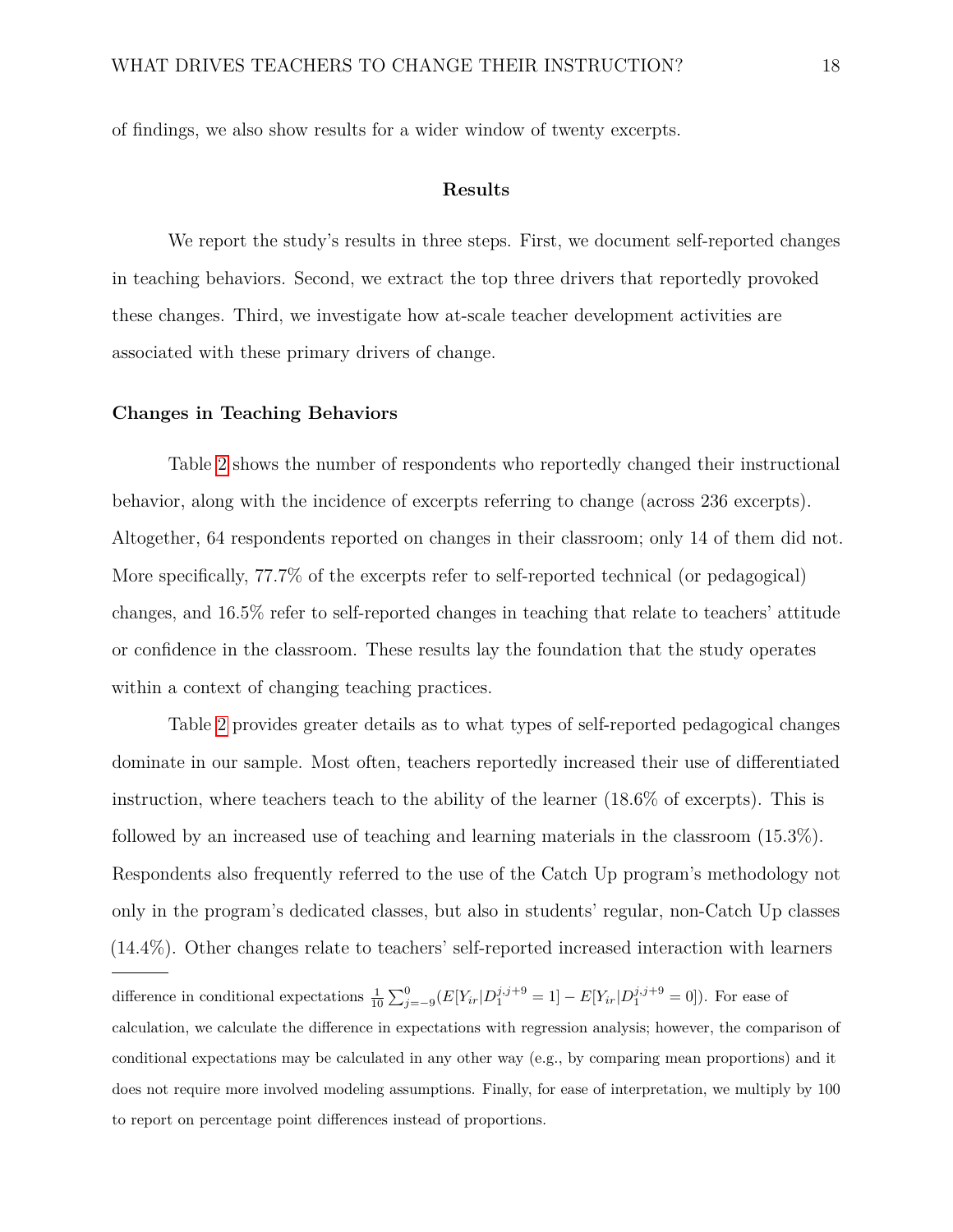of findings, we also show results for a wider window of twenty excerpts.

#### **Results**

We report the study's results in three steps. First, we document self-reported changes in teaching behaviors. Second, we extract the top three drivers that reportedly provoked these changes. Third, we investigate how at-scale teacher development activities are associated with these primary drivers of change.

#### **Changes in Teaching Behaviors**

Table [2](#page-35-0) shows the number of respondents who reportedly changed their instructional behavior, along with the incidence of excerpts referring to change (across 236 excerpts). Altogether, 64 respondents reported on changes in their classroom; only 14 of them did not. More specifically, 77.7% of the excerpts refer to self-reported technical (or pedagogical) changes, and 16.5% refer to self-reported changes in teaching that relate to teachers' attitude or confidence in the classroom. These results lay the foundation that the study operates within a context of changing teaching practices.

Table [2](#page-35-0) provides greater details as to what types of self-reported pedagogical changes dominate in our sample. Most often, teachers reportedly increased their use of differentiated instruction, where teachers teach to the ability of the learner (18.6% of excerpts). This is followed by an increased use of teaching and learning materials in the classroom (15.3%). Respondents also frequently referred to the use of the Catch Up program's methodology not only in the program's dedicated classes, but also in students' regular, non-Catch Up classes (14.4%). Other changes relate to teachers' self-reported increased interaction with learners

difference in conditional expectations  $\frac{1}{10} \sum_{j=-9}^{0} (E[Y_{ir}|D_1^{j,j+9} = 1] - E[Y_{ir}|D_1^{j,j+9} = 0])$ . For ease of calculation, we calculate the difference in expectations with regression analysis; however, the comparison of conditional expectations may be calculated in any other way (e.g., by comparing mean proportions) and it does not require more involved modeling assumptions. Finally, for ease of interpretation, we multiply by 100 to report on percentage point differences instead of proportions.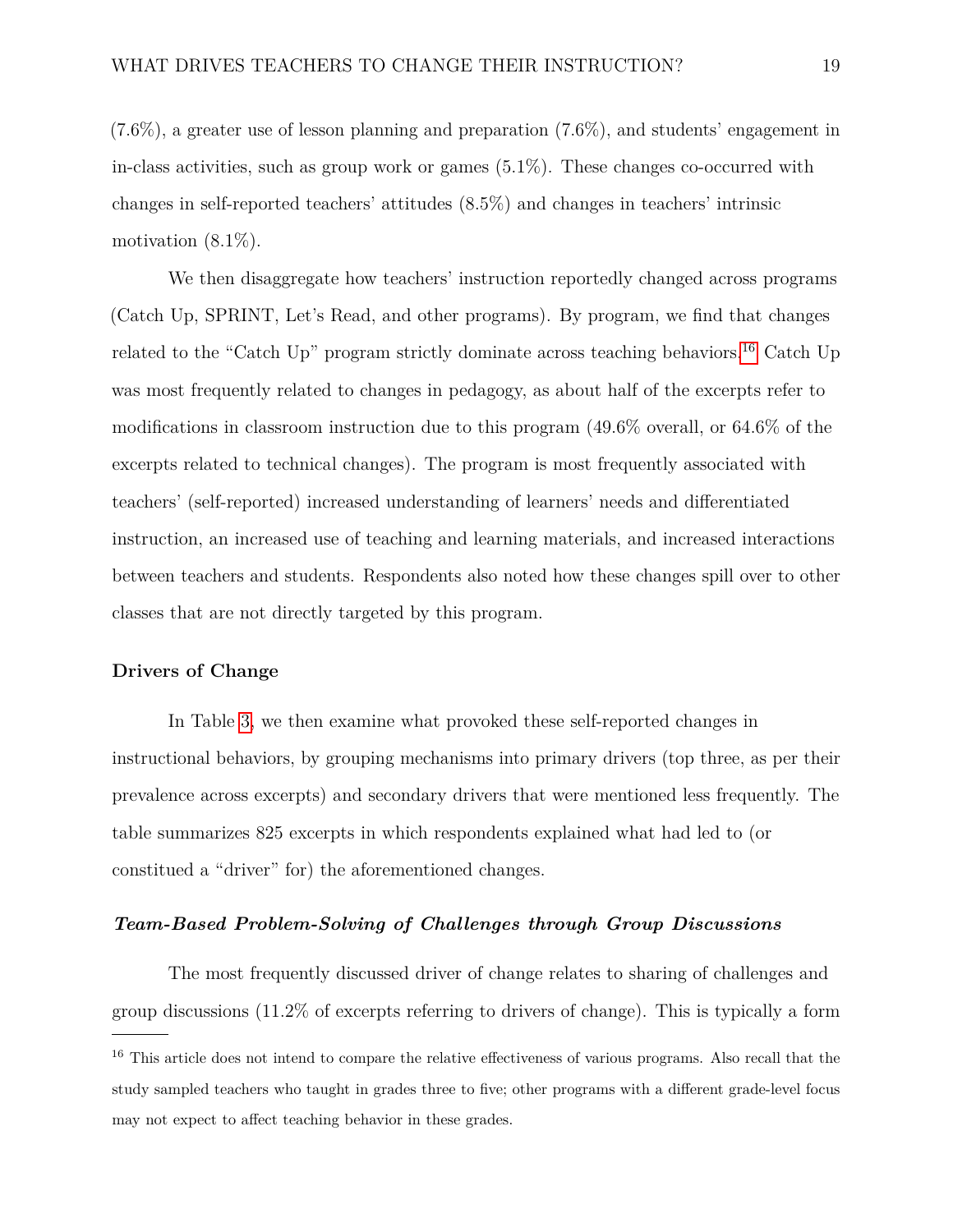$(7.6\%)$ , a greater use of lesson planning and preparation  $(7.6\%)$ , and students' engagement in in-class activities, such as group work or games (5.1%). These changes co-occurred with changes in self-reported teachers' attitudes (8.5%) and changes in teachers' intrinsic motivation (8.1%).

We then disaggregate how teachers' instruction reportedly changed across programs (Catch Up, SPRINT, Let's Read, and other programs). By program, we find that changes related to the "Catch Up" program strictly dominate across teaching behaviors.<sup>[16](#page-18-0)</sup> Catch Up was most frequently related to changes in pedagogy, as about half of the excerpts refer to modifications in classroom instruction due to this program (49.6% overall, or 64.6% of the excerpts related to technical changes). The program is most frequently associated with teachers' (self-reported) increased understanding of learners' needs and differentiated instruction, an increased use of teaching and learning materials, and increased interactions between teachers and students. Respondents also noted how these changes spill over to other classes that are not directly targeted by this program.

#### **Drivers of Change**

In Table [3,](#page-36-0) we then examine what provoked these self-reported changes in instructional behaviors, by grouping mechanisms into primary drivers (top three, as per their prevalence across excerpts) and secondary drivers that were mentioned less frequently. The table summarizes 825 excerpts in which respondents explained what had led to (or constitued a "driver" for) the aforementioned changes.

### *Team-Based Problem-Solving of Challenges through Group Discussions*

The most frequently discussed driver of change relates to sharing of challenges and group discussions (11.2% of excerpts referring to drivers of change). This is typically a form

<span id="page-18-0"></span><sup>&</sup>lt;sup>16</sup> This article does not intend to compare the relative effectiveness of various programs. Also recall that the study sampled teachers who taught in grades three to five; other programs with a different grade-level focus may not expect to affect teaching behavior in these grades.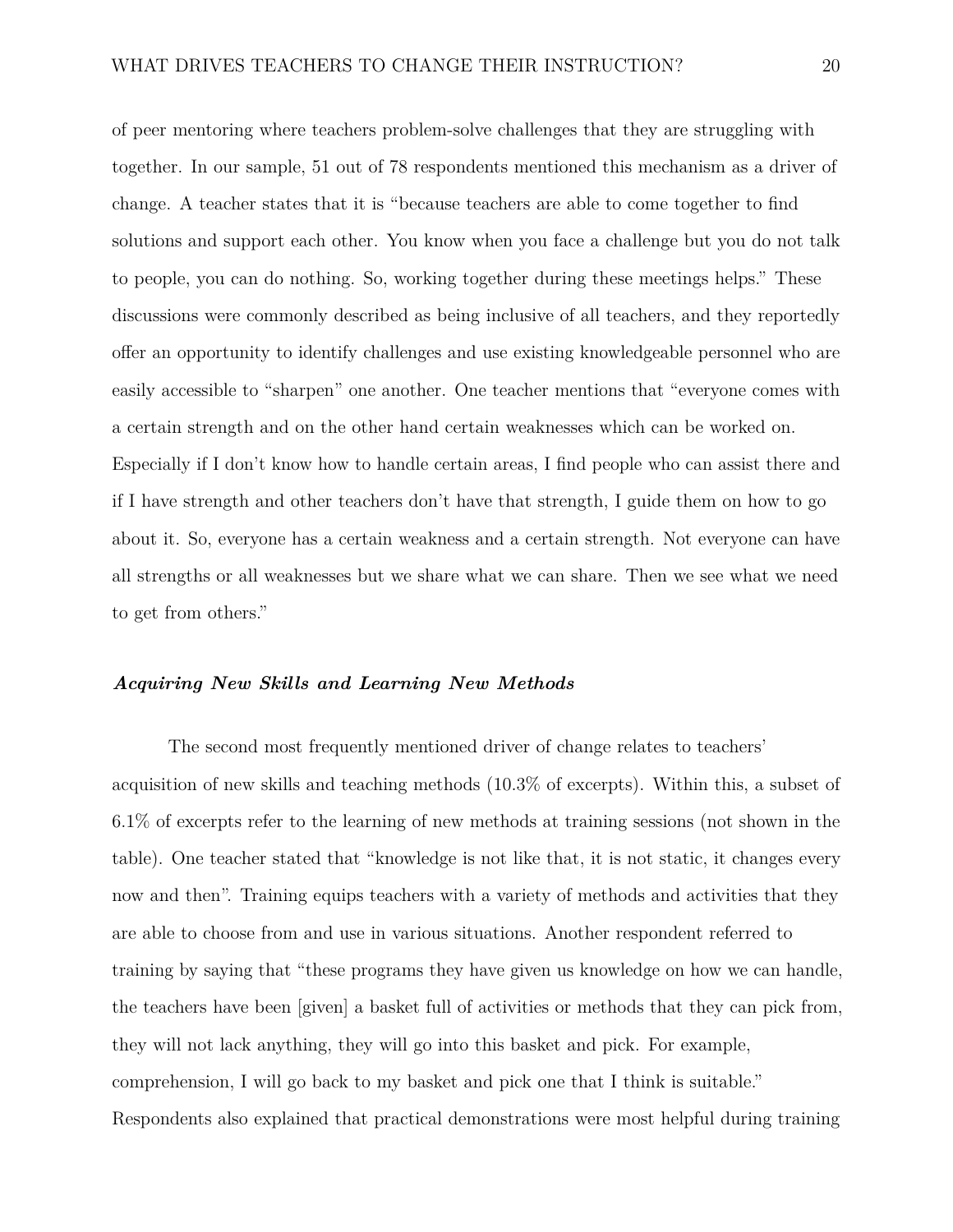of peer mentoring where teachers problem-solve challenges that they are struggling with together. In our sample, 51 out of 78 respondents mentioned this mechanism as a driver of change. A teacher states that it is "because teachers are able to come together to find solutions and support each other. You know when you face a challenge but you do not talk to people, you can do nothing. So, working together during these meetings helps." These discussions were commonly described as being inclusive of all teachers, and they reportedly offer an opportunity to identify challenges and use existing knowledgeable personnel who are easily accessible to "sharpen" one another. One teacher mentions that "everyone comes with a certain strength and on the other hand certain weaknesses which can be worked on. Especially if I don't know how to handle certain areas, I find people who can assist there and if I have strength and other teachers don't have that strength, I guide them on how to go about it. So, everyone has a certain weakness and a certain strength. Not everyone can have all strengths or all weaknesses but we share what we can share. Then we see what we need to get from others."

## *Acquiring New Skills and Learning New Methods*

The second most frequently mentioned driver of change relates to teachers' acquisition of new skills and teaching methods (10.3% of excerpts). Within this, a subset of 6.1% of excerpts refer to the learning of new methods at training sessions (not shown in the table). One teacher stated that "knowledge is not like that, it is not static, it changes every now and then". Training equips teachers with a variety of methods and activities that they are able to choose from and use in various situations. Another respondent referred to training by saying that "these programs they have given us knowledge on how we can handle, the teachers have been [given] a basket full of activities or methods that they can pick from, they will not lack anything, they will go into this basket and pick. For example, comprehension, I will go back to my basket and pick one that I think is suitable." Respondents also explained that practical demonstrations were most helpful during training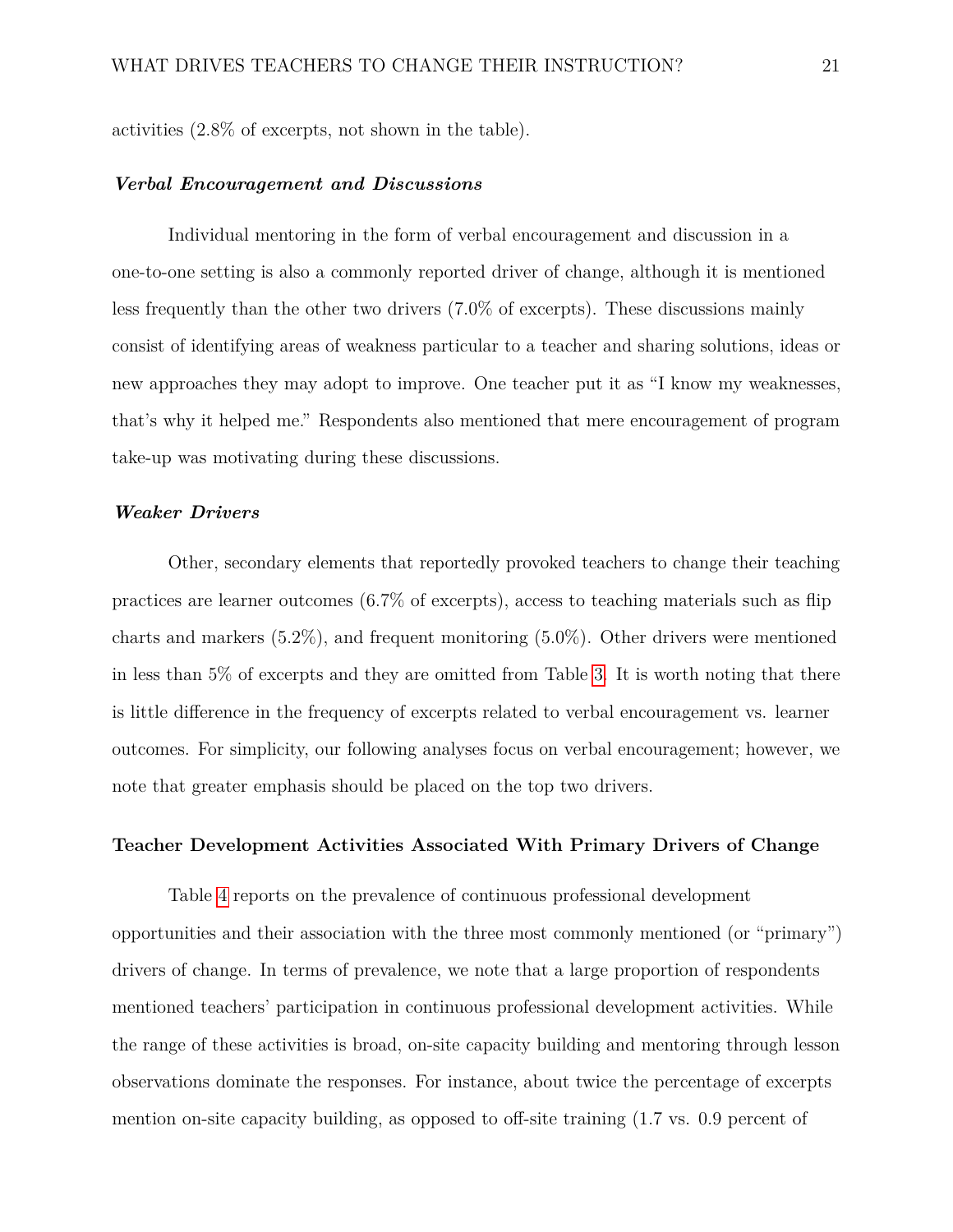activities (2.8% of excerpts, not shown in the table).

#### *Verbal Encouragement and Discussions*

Individual mentoring in the form of verbal encouragement and discussion in a one-to-one setting is also a commonly reported driver of change, although it is mentioned less frequently than the other two drivers (7.0% of excerpts). These discussions mainly consist of identifying areas of weakness particular to a teacher and sharing solutions, ideas or new approaches they may adopt to improve. One teacher put it as "I know my weaknesses, that's why it helped me." Respondents also mentioned that mere encouragement of program take-up was motivating during these discussions.

#### *Weaker Drivers*

Other, secondary elements that reportedly provoked teachers to change their teaching practices are learner outcomes (6.7% of excerpts), access to teaching materials such as flip charts and markers  $(5.2\%)$ , and frequent monitoring  $(5.0\%)$ . Other drivers were mentioned in less than 5% of excerpts and they are omitted from Table [3.](#page-36-0) It is worth noting that there is little difference in the frequency of excerpts related to verbal encouragement vs. learner outcomes. For simplicity, our following analyses focus on verbal encouragement; however, we note that greater emphasis should be placed on the top two drivers.

#### **Teacher Development Activities Associated With Primary Drivers of Change**

Table [4](#page-37-0) reports on the prevalence of continuous professional development opportunities and their association with the three most commonly mentioned (or "primary") drivers of change. In terms of prevalence, we note that a large proportion of respondents mentioned teachers' participation in continuous professional development activities. While the range of these activities is broad, on-site capacity building and mentoring through lesson observations dominate the responses. For instance, about twice the percentage of excerpts mention on-site capacity building, as opposed to off-site training (1.7 vs. 0.9 percent of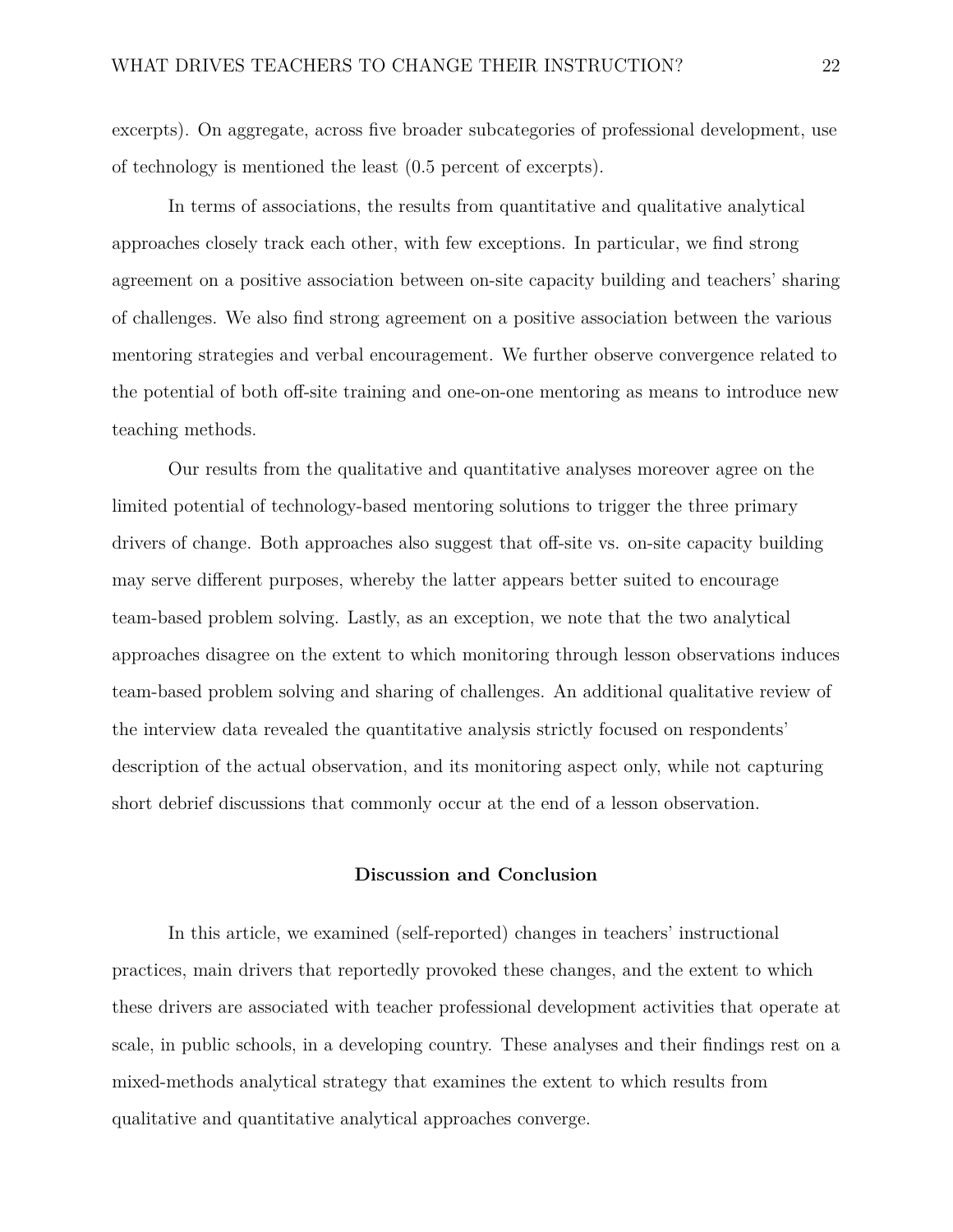excerpts). On aggregate, across five broader subcategories of professional development, use of technology is mentioned the least (0.5 percent of excerpts).

In terms of associations, the results from quantitative and qualitative analytical approaches closely track each other, with few exceptions. In particular, we find strong agreement on a positive association between on-site capacity building and teachers' sharing of challenges. We also find strong agreement on a positive association between the various mentoring strategies and verbal encouragement. We further observe convergence related to the potential of both off-site training and one-on-one mentoring as means to introduce new teaching methods.

Our results from the qualitative and quantitative analyses moreover agree on the limited potential of technology-based mentoring solutions to trigger the three primary drivers of change. Both approaches also suggest that off-site vs. on-site capacity building may serve different purposes, whereby the latter appears better suited to encourage team-based problem solving. Lastly, as an exception, we note that the two analytical approaches disagree on the extent to which monitoring through lesson observations induces team-based problem solving and sharing of challenges. An additional qualitative review of the interview data revealed the quantitative analysis strictly focused on respondents' description of the actual observation, and its monitoring aspect only, while not capturing short debrief discussions that commonly occur at the end of a lesson observation.

#### **Discussion and Conclusion**

In this article, we examined (self-reported) changes in teachers' instructional practices, main drivers that reportedly provoked these changes, and the extent to which these drivers are associated with teacher professional development activities that operate at scale, in public schools, in a developing country. These analyses and their findings rest on a mixed-methods analytical strategy that examines the extent to which results from qualitative and quantitative analytical approaches converge.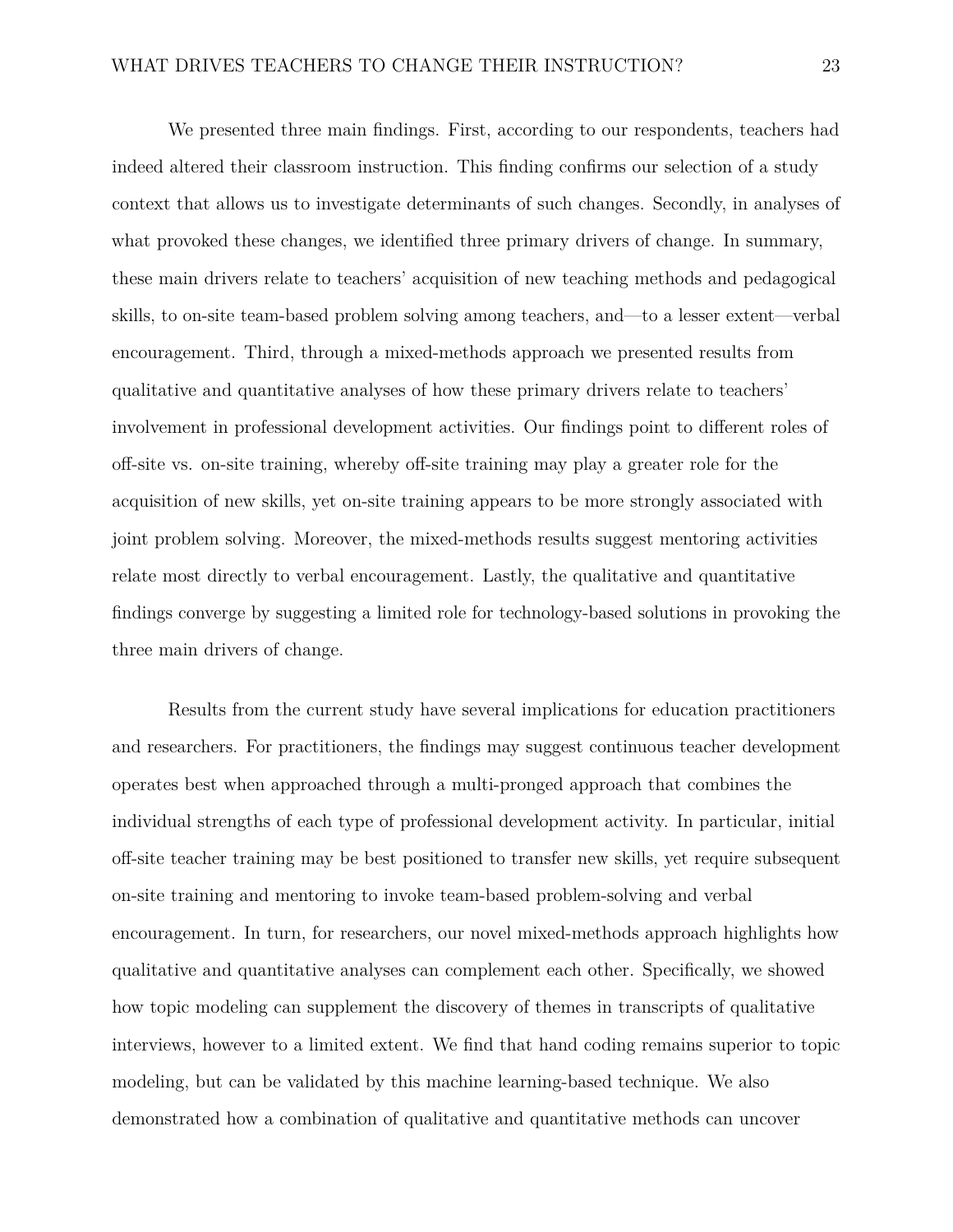We presented three main findings. First, according to our respondents, teachers had indeed altered their classroom instruction. This finding confirms our selection of a study context that allows us to investigate determinants of such changes. Secondly, in analyses of what provoked these changes, we identified three primary drivers of change. In summary, these main drivers relate to teachers' acquisition of new teaching methods and pedagogical skills, to on-site team-based problem solving among teachers, and—to a lesser extent—verbal encouragement. Third, through a mixed-methods approach we presented results from qualitative and quantitative analyses of how these primary drivers relate to teachers' involvement in professional development activities. Our findings point to different roles of off-site vs. on-site training, whereby off-site training may play a greater role for the acquisition of new skills, yet on-site training appears to be more strongly associated with joint problem solving. Moreover, the mixed-methods results suggest mentoring activities relate most directly to verbal encouragement. Lastly, the qualitative and quantitative findings converge by suggesting a limited role for technology-based solutions in provoking the three main drivers of change.

Results from the current study have several implications for education practitioners and researchers. For practitioners, the findings may suggest continuous teacher development operates best when approached through a multi-pronged approach that combines the individual strengths of each type of professional development activity. In particular, initial off-site teacher training may be best positioned to transfer new skills, yet require subsequent on-site training and mentoring to invoke team-based problem-solving and verbal encouragement. In turn, for researchers, our novel mixed-methods approach highlights how qualitative and quantitative analyses can complement each other. Specifically, we showed how topic modeling can supplement the discovery of themes in transcripts of qualitative interviews, however to a limited extent. We find that hand coding remains superior to topic modeling, but can be validated by this machine learning-based technique. We also demonstrated how a combination of qualitative and quantitative methods can uncover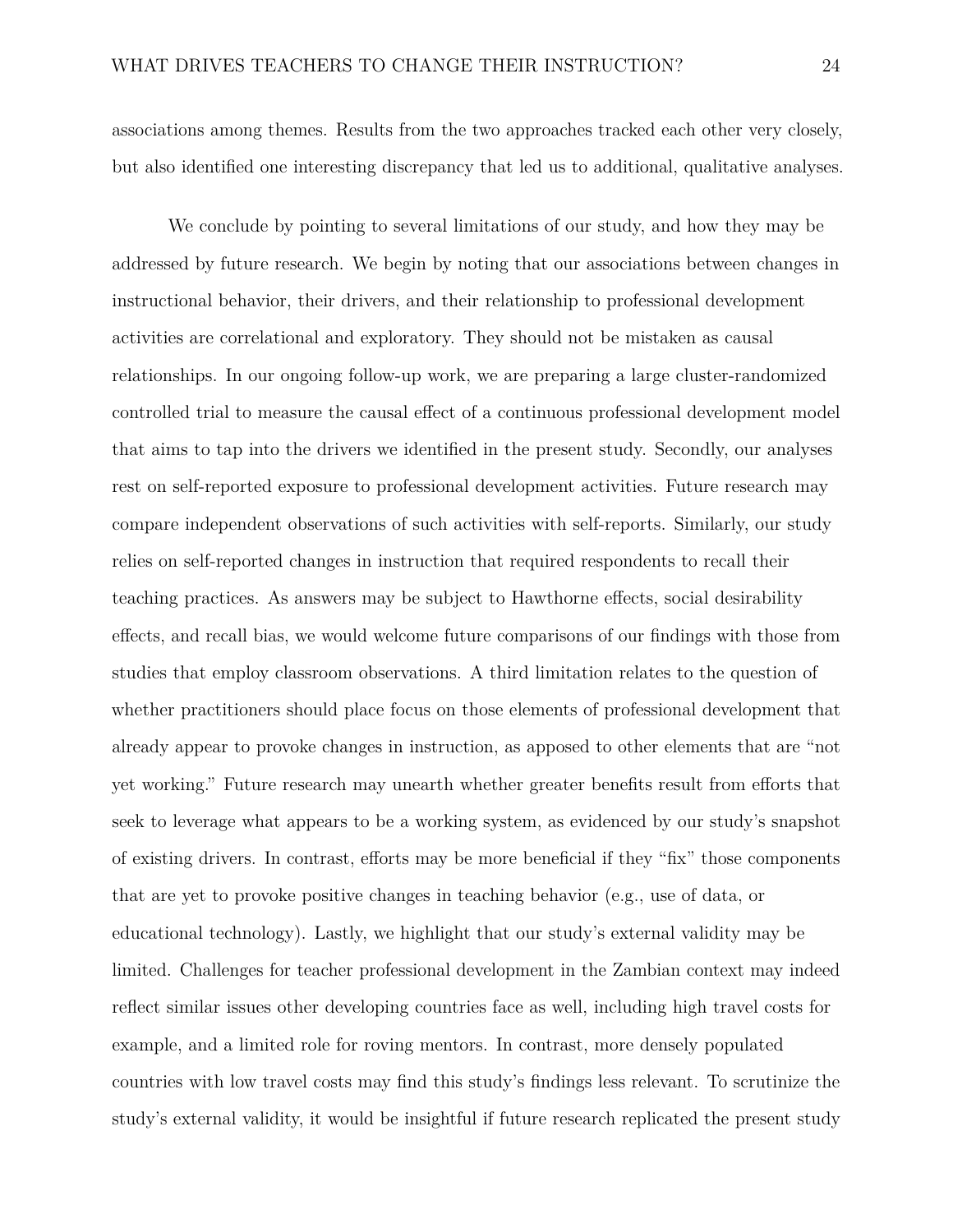associations among themes. Results from the two approaches tracked each other very closely, but also identified one interesting discrepancy that led us to additional, qualitative analyses.

We conclude by pointing to several limitations of our study, and how they may be addressed by future research. We begin by noting that our associations between changes in instructional behavior, their drivers, and their relationship to professional development activities are correlational and exploratory. They should not be mistaken as causal relationships. In our ongoing follow-up work, we are preparing a large cluster-randomized controlled trial to measure the causal effect of a continuous professional development model that aims to tap into the drivers we identified in the present study. Secondly, our analyses rest on self-reported exposure to professional development activities. Future research may compare independent observations of such activities with self-reports. Similarly, our study relies on self-reported changes in instruction that required respondents to recall their teaching practices. As answers may be subject to Hawthorne effects, social desirability effects, and recall bias, we would welcome future comparisons of our findings with those from studies that employ classroom observations. A third limitation relates to the question of whether practitioners should place focus on those elements of professional development that already appear to provoke changes in instruction, as apposed to other elements that are "not yet working." Future research may unearth whether greater benefits result from efforts that seek to leverage what appears to be a working system, as evidenced by our study's snapshot of existing drivers. In contrast, efforts may be more beneficial if they "fix" those components that are yet to provoke positive changes in teaching behavior (e.g., use of data, or educational technology). Lastly, we highlight that our study's external validity may be limited. Challenges for teacher professional development in the Zambian context may indeed reflect similar issues other developing countries face as well, including high travel costs for example, and a limited role for roving mentors. In contrast, more densely populated countries with low travel costs may find this study's findings less relevant. To scrutinize the study's external validity, it would be insightful if future research replicated the present study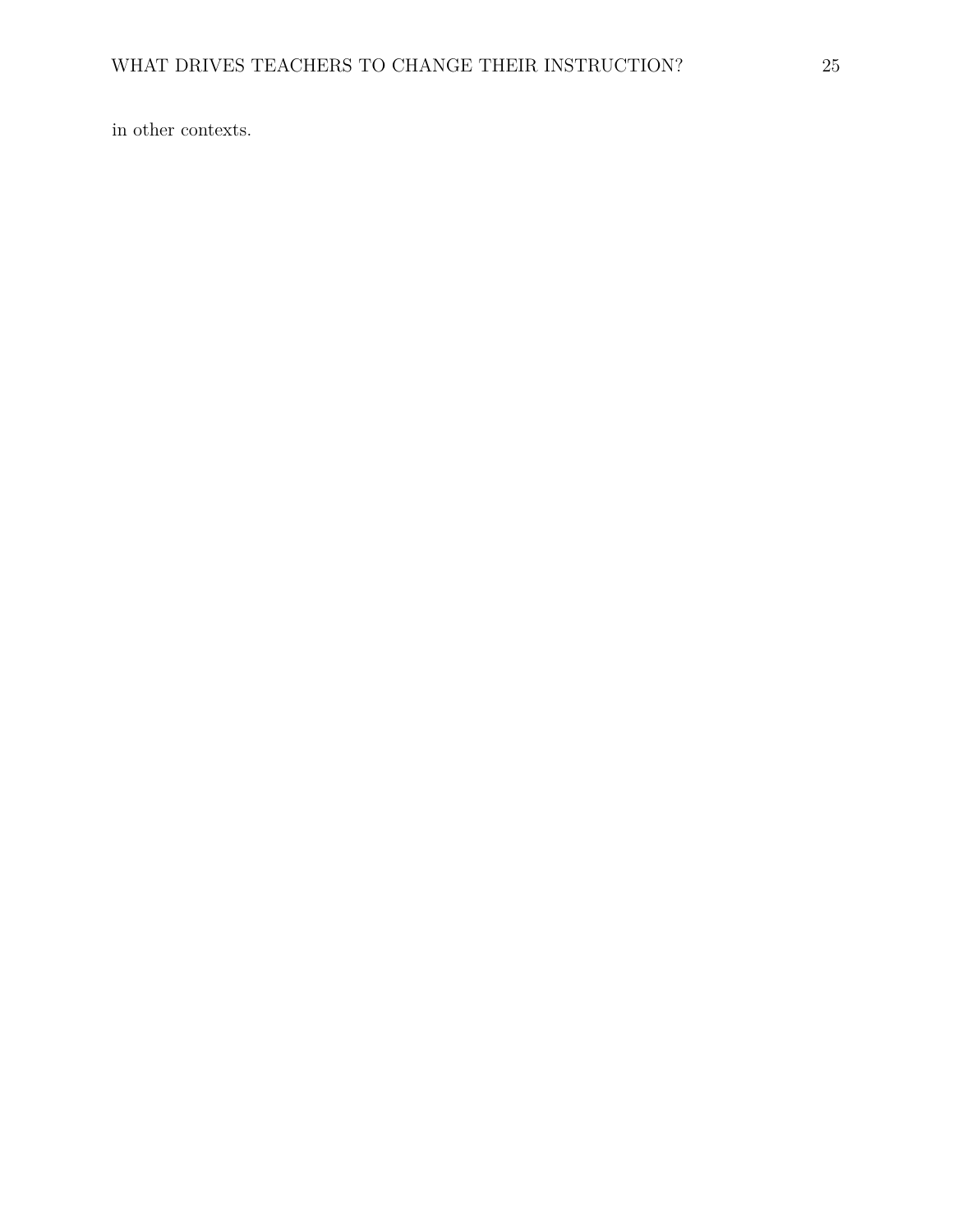in other contexts.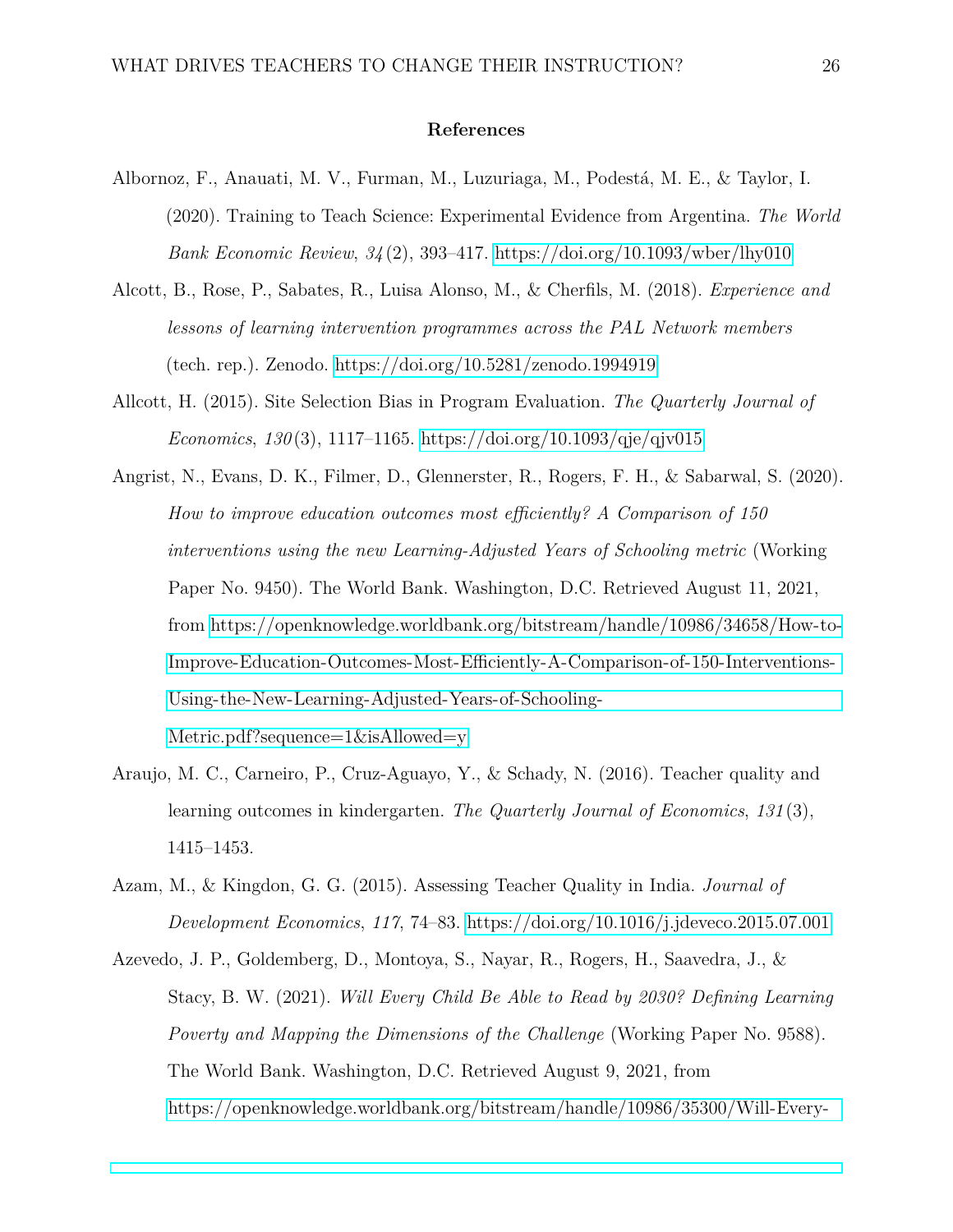#### **References**

- <span id="page-25-5"></span>Albornoz, F., Anauati, M. V., Furman, M., Luzuriaga, M., Podestá, M. E., & Taylor, I. (2020). Training to Teach Science: Experimental Evidence from Argentina. *The World Bank Economic Review*, *34* (2), 393–417.<https://doi.org/10.1093/wber/lhy010>
- <span id="page-25-3"></span>Alcott, B., Rose, P., Sabates, R., Luisa Alonso, M., & Cherfils, M. (2018). *Experience and lessons of learning intervention programmes across the PAL Network members* (tech. rep.). Zenodo.<https://doi.org/10.5281/zenodo.1994919>
- <span id="page-25-6"></span>Allcott, H. (2015). Site Selection Bias in Program Evaluation. *The Quarterly Journal of Economics*, *130* (3), 1117–1165.<https://doi.org/10.1093/qje/qjv015>
- <span id="page-25-4"></span>Angrist, N., Evans, D. K., Filmer, D., Glennerster, R., Rogers, F. H., & Sabarwal, S. (2020). *How to improve education outcomes most efficiently? A Comparison of 150 interventions using the new Learning-Adjusted Years of Schooling metric* (Working Paper No. 9450). The World Bank. Washington, D.C. Retrieved August 11, 2021, from [https://openknowledge.worldbank.org/bitstream/handle/10986/34658/How-to-](https://openknowledge.worldbank.org/bitstream/handle/10986/34658/How-to-Improve-Education-Outcomes-Most-Efficiently-A-Comparison-of-150-Interventions-Using-the-New-Learning-Adjusted-Years-of-Schooling-Metric.pdf?sequence=1&isAllowed=y)[Improve-Education-Outcomes-Most-Efficiently-A-Comparison-of-150-Interventions-](https://openknowledge.worldbank.org/bitstream/handle/10986/34658/How-to-Improve-Education-Outcomes-Most-Efficiently-A-Comparison-of-150-Interventions-Using-the-New-Learning-Adjusted-Years-of-Schooling-Metric.pdf?sequence=1&isAllowed=y)[Using-the-New-Learning-Adjusted-Years-of-Schooling-](https://openknowledge.worldbank.org/bitstream/handle/10986/34658/How-to-Improve-Education-Outcomes-Most-Efficiently-A-Comparison-of-150-Interventions-Using-the-New-Learning-Adjusted-Years-of-Schooling-Metric.pdf?sequence=1&isAllowed=y)[Metric.pdf?sequence=1&isAllowed=y](https://openknowledge.worldbank.org/bitstream/handle/10986/34658/How-to-Improve-Education-Outcomes-Most-Efficiently-A-Comparison-of-150-Interventions-Using-the-New-Learning-Adjusted-Years-of-Schooling-Metric.pdf?sequence=1&isAllowed=y)
- <span id="page-25-0"></span>Araujo, M. C., Carneiro, P., Cruz-Aguayo, Y., & Schady, N. (2016). Teacher quality and learning outcomes in kindergarten. *The Quarterly Journal of Economics*, *131* (3), 1415–1453.
- <span id="page-25-1"></span>Azam, M., & Kingdon, G. G. (2015). Assessing Teacher Quality in India. *Journal of Development Economics*, *117*, 74–83.<https://doi.org/10.1016/j.jdeveco.2015.07.001>
- <span id="page-25-2"></span>Azevedo, J. P., Goldemberg, D., Montoya, S., Nayar, R., Rogers, H., Saavedra, J., & Stacy, B. W. (2021). *Will Every Child Be Able to Read by 2030? Defining Learning Poverty and Mapping the Dimensions of the Challenge* (Working Paper No. 9588). The World Bank. Washington, D.C. Retrieved August 9, 2021, from [https://openknowledge.worldbank.org/bitstream/handle/10986/35300/Will-Every-](https://openknowledge.worldbank.org/bitstream/handle/10986/35300/Will-Every-Child-Be-Able-to-Read-by-2030-Defining-Learning-Poverty-and-Mapping-the-Dimensions-of-the-Challenge.pdf?sequence=1&isAllowed=y)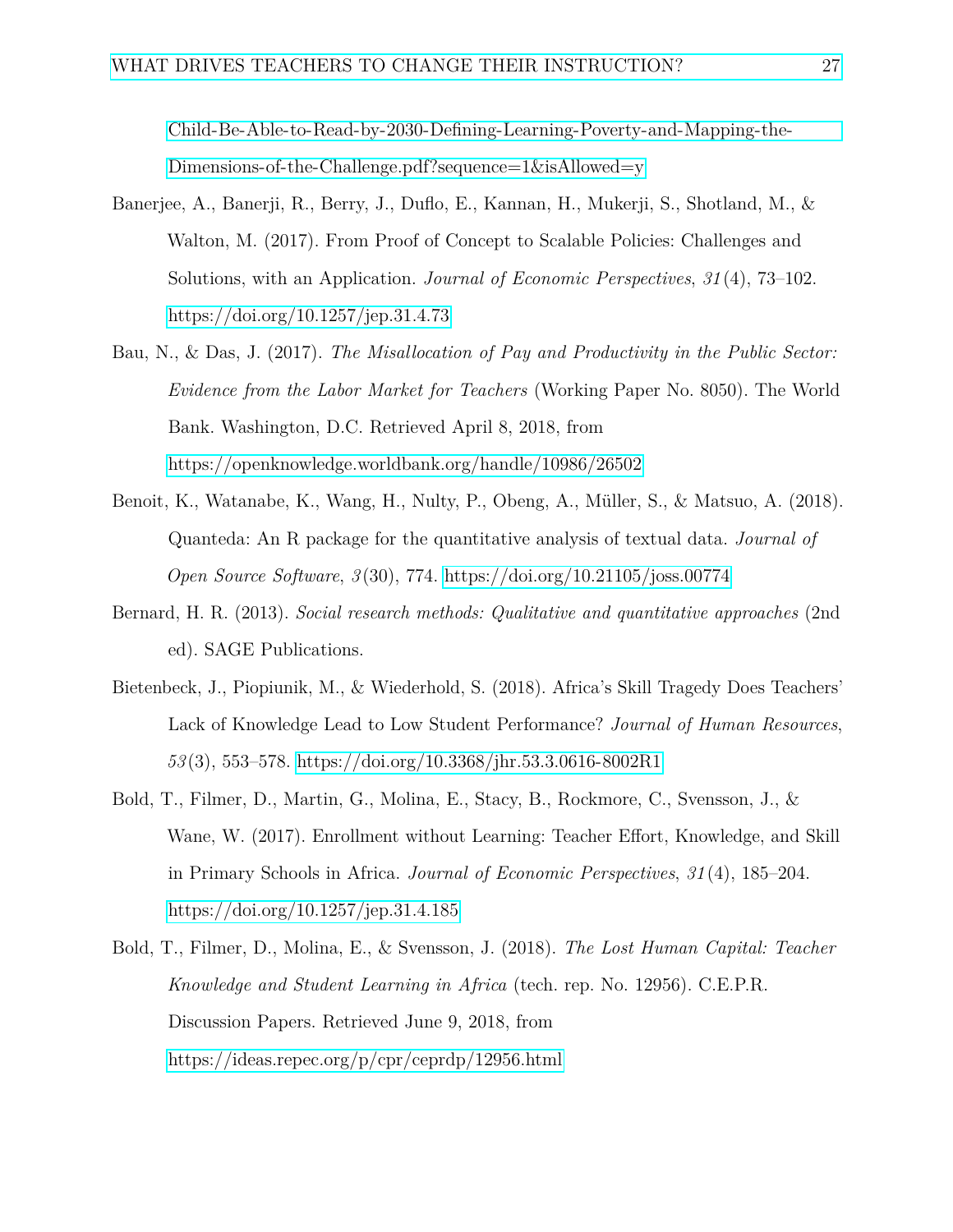[Child-Be-Able-to-Read-by-2030-Defining-Learning-Poverty-and-Mapping-the-](https://openknowledge.worldbank.org/bitstream/handle/10986/35300/Will-Every-Child-Be-Able-to-Read-by-2030-Defining-Learning-Poverty-and-Mapping-the-Dimensions-of-the-Challenge.pdf?sequence=1&isAllowed=y)[Dimensions-of-the-Challenge.pdf?sequence=1&isAllowed=y](https://openknowledge.worldbank.org/bitstream/handle/10986/35300/Will-Every-Child-Be-Able-to-Read-by-2030-Defining-Learning-Poverty-and-Mapping-the-Dimensions-of-the-Challenge.pdf?sequence=1&isAllowed=y)

- <span id="page-26-4"></span>Banerjee, A., Banerji, R., Berry, J., Duflo, E., Kannan, H., Mukerji, S., Shotland, M., & Walton, M. (2017). From Proof of Concept to Scalable Policies: Challenges and Solutions, with an Application. *Journal of Economic Perspectives*, *31* (4), 73–102. <https://doi.org/10.1257/jep.31.4.73>
- <span id="page-26-0"></span>Bau, N., & Das, J. (2017). *The Misallocation of Pay and Productivity in the Public Sector: Evidence from the Labor Market for Teachers* (Working Paper No. 8050). The World Bank. Washington, D.C. Retrieved April 8, 2018, from <https://openknowledge.worldbank.org/handle/10986/26502>
- <span id="page-26-5"></span>Benoit, K., Watanabe, K., Wang, H., Nulty, P., Obeng, A., Müller, S., & Matsuo, A. (2018). Quanteda: An R package for the quantitative analysis of textual data. *Journal of Open Source Software*, *3* (30), 774.<https://doi.org/10.21105/joss.00774>
- <span id="page-26-6"></span>Bernard, H. R. (2013). *Social research methods: Qualitative and quantitative approaches* (2nd ed). SAGE Publications.
- <span id="page-26-1"></span>Bietenbeck, J., Piopiunik, M., & Wiederhold, S. (2018). Africa's Skill Tragedy Does Teachers' Lack of Knowledge Lead to Low Student Performance? *Journal of Human Resources*, *53* (3), 553–578.<https://doi.org/10.3368/jhr.53.3.0616-8002R1>
- <span id="page-26-2"></span>Bold, T., Filmer, D., Martin, G., Molina, E., Stacy, B., Rockmore, C., Svensson, J., & Wane, W. (2017). Enrollment without Learning: Teacher Effort, Knowledge, and Skill in Primary Schools in Africa. *Journal of Economic Perspectives*, *31* (4), 185–204. <https://doi.org/10.1257/jep.31.4.185>
- <span id="page-26-3"></span>Bold, T., Filmer, D., Molina, E., & Svensson, J. (2018). *The Lost Human Capital: Teacher Knowledge and Student Learning in Africa* (tech. rep. No. 12956). C.E.P.R. Discussion Papers. Retrieved June 9, 2018, from <https://ideas.repec.org/p/cpr/ceprdp/12956.html>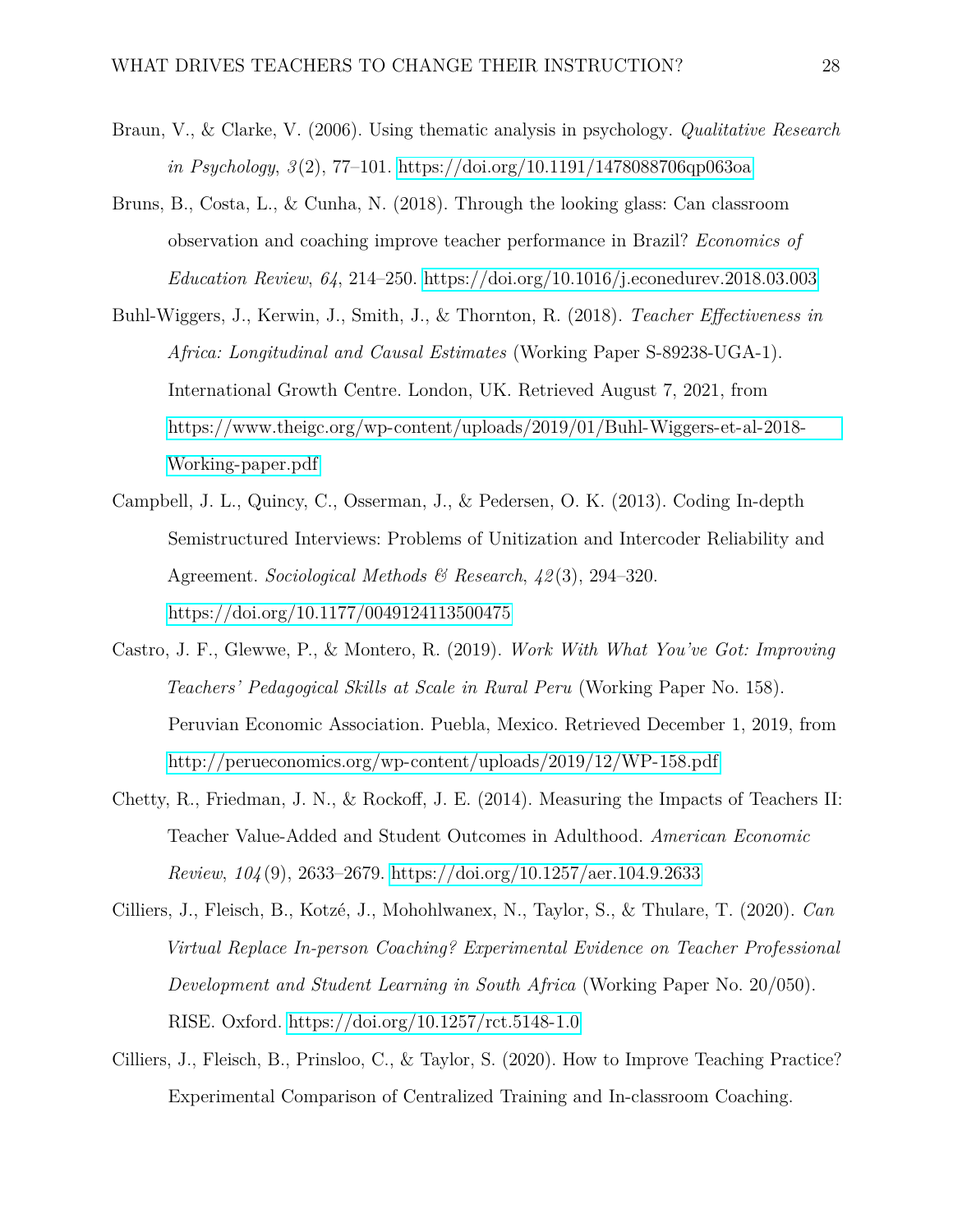- <span id="page-27-6"></span>Braun, V., & Clarke, V. (2006). Using thematic analysis in psychology. *Qualitative Research in Psychology*, *3* (2), 77–101.<https://doi.org/10.1191/1478088706qp063oa>
- <span id="page-27-4"></span>Bruns, B., Costa, L., & Cunha, N. (2018). Through the looking glass: Can classroom observation and coaching improve teacher performance in Brazil? *Economics of Education Review*, *64*, 214–250.<https://doi.org/10.1016/j.econedurev.2018.03.003>
- <span id="page-27-0"></span>Buhl-Wiggers, J., Kerwin, J., Smith, J., & Thornton, R. (2018). *Teacher Effectiveness in Africa: Longitudinal and Causal Estimates* (Working Paper S-89238-UGA-1). International Growth Centre. London, UK. Retrieved August 7, 2021, from [https://www.theigc.org/wp-content/uploads/2019/01/Buhl-Wiggers-et-al-2018-](https://www.theigc.org/wp-content/uploads/2019/01/Buhl-Wiggers-et-al-2018-Working-paper.pdf) [Working-paper.pdf](https://www.theigc.org/wp-content/uploads/2019/01/Buhl-Wiggers-et-al-2018-Working-paper.pdf)
- <span id="page-27-7"></span>Campbell, J. L., Quincy, C., Osserman, J., & Pedersen, O. K. (2013). Coding In-depth Semistructured Interviews: Problems of Unitization and Intercoder Reliability and Agreement. *Sociological Methods & Research*, *42* (3), 294–320. <https://doi.org/10.1177/0049124113500475>
- <span id="page-27-3"></span>Castro, J. F., Glewwe, P., & Montero, R. (2019). *Work With What You've Got: Improving Teachers' Pedagogical Skills at Scale in Rural Peru* (Working Paper No. 158). Peruvian Economic Association. Puebla, Mexico. Retrieved December 1, 2019, from <http://perueconomics.org/wp-content/uploads/2019/12/WP-158.pdf>
- <span id="page-27-1"></span>Chetty, R., Friedman, J. N., & Rockoff, J. E. (2014). Measuring the Impacts of Teachers II: Teacher Value-Added and Student Outcomes in Adulthood. *American Economic Review*, *104* (9), 2633–2679.<https://doi.org/10.1257/aer.104.9.2633>
- <span id="page-27-5"></span>Cilliers, J., Fleisch, B., Kotzé, J., Mohohlwanex, N., Taylor, S., & Thulare, T. (2020). *Can Virtual Replace In-person Coaching? Experimental Evidence on Teacher Professional Development and Student Learning in South Africa* (Working Paper No. 20/050). RISE. Oxford.<https://doi.org/10.1257/rct.5148-1.0>
- <span id="page-27-2"></span>Cilliers, J., Fleisch, B., Prinsloo, C., & Taylor, S. (2020). How to Improve Teaching Practice? Experimental Comparison of Centralized Training and In-classroom Coaching.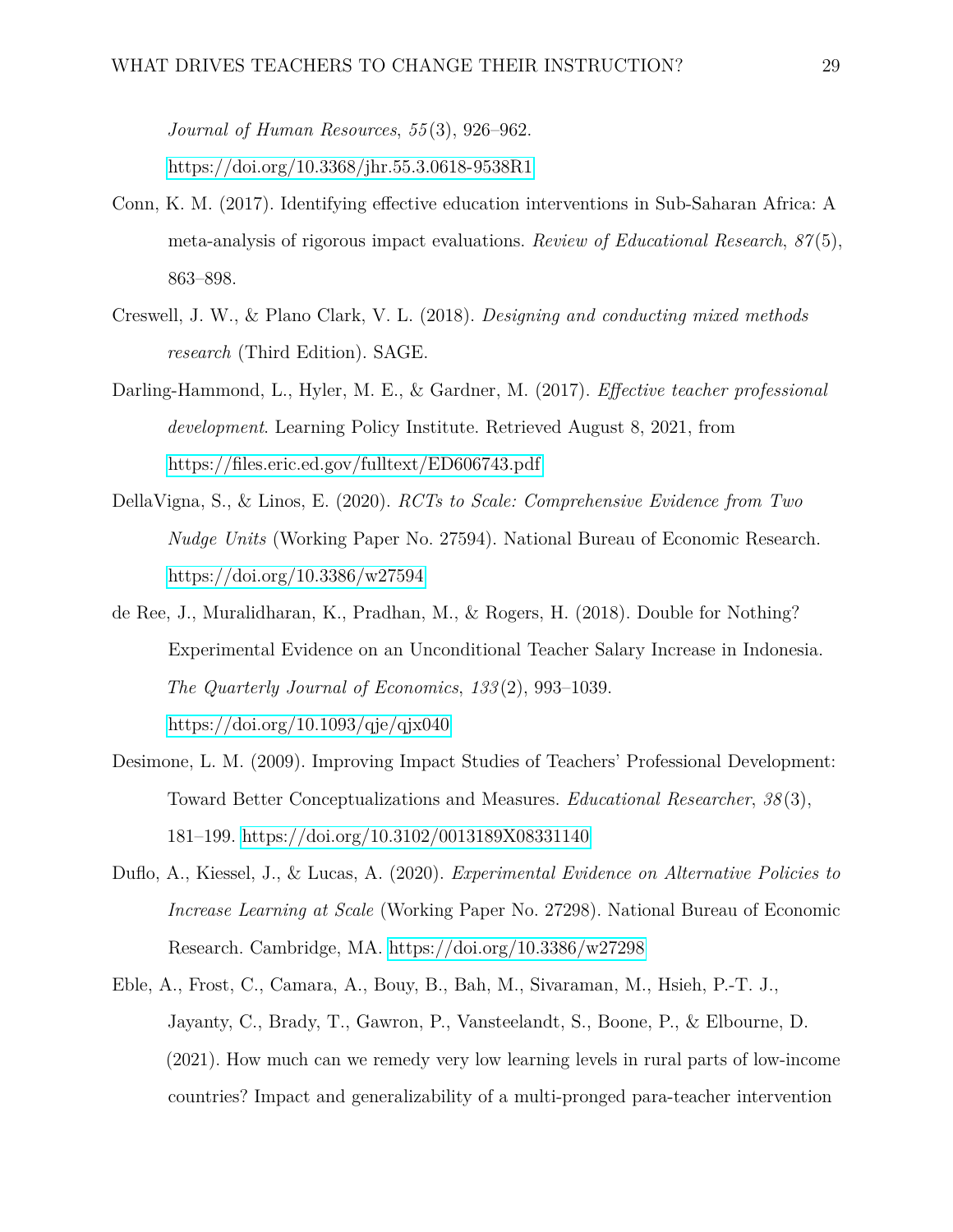*Journal of Human Resources*, *55* (3), 926–962.

<https://doi.org/10.3368/jhr.55.3.0618-9538R1>

- <span id="page-28-3"></span>Conn, K. M. (2017). Identifying effective education interventions in Sub-Saharan Africa: A meta-analysis of rigorous impact evaluations. *Review of Educational Research*, *87* (5), 863–898.
- <span id="page-28-7"></span>Creswell, J. W., & Plano Clark, V. L. (2018). *Designing and conducting mixed methods research* (Third Edition). SAGE.
- <span id="page-28-1"></span>Darling-Hammond, L., Hyler, M. E., & Gardner, M. (2017). *Effective teacher professional development*. Learning Policy Institute. Retrieved August 8, 2021, from <https://files.eric.ed.gov/fulltext/ED606743.pdf>
- <span id="page-28-6"></span>DellaVigna, S., & Linos, E. (2020). *RCTs to Scale: Comprehensive Evidence from Two Nudge Units* (Working Paper No. 27594). National Bureau of Economic Research. <https://doi.org/10.3386/w27594>
- <span id="page-28-0"></span>de Ree, J., Muralidharan, K., Pradhan, M., & Rogers, H. (2018). Double for Nothing? Experimental Evidence on an Unconditional Teacher Salary Increase in Indonesia. *The Quarterly Journal of Economics*, *133* (2), 993–1039. <https://doi.org/10.1093/qje/qjx040>
- <span id="page-28-2"></span>Desimone, L. M. (2009). Improving Impact Studies of Teachers' Professional Development: Toward Better Conceptualizations and Measures. *Educational Researcher*, *38* (3), 181–199.<https://doi.org/10.3102/0013189X08331140>
- <span id="page-28-5"></span>Duflo, A., Kiessel, J., & Lucas, A. (2020). *Experimental Evidence on Alternative Policies to Increase Learning at Scale* (Working Paper No. 27298). National Bureau of Economic Research. Cambridge, MA.<https://doi.org/10.3386/w27298>
- <span id="page-28-4"></span>Eble, A., Frost, C., Camara, A., Bouy, B., Bah, M., Sivaraman, M., Hsieh, P.-T. J., Jayanty, C., Brady, T., Gawron, P., Vansteelandt, S., Boone, P., & Elbourne, D. (2021). How much can we remedy very low learning levels in rural parts of low-income countries? Impact and generalizability of a multi-pronged para-teacher intervention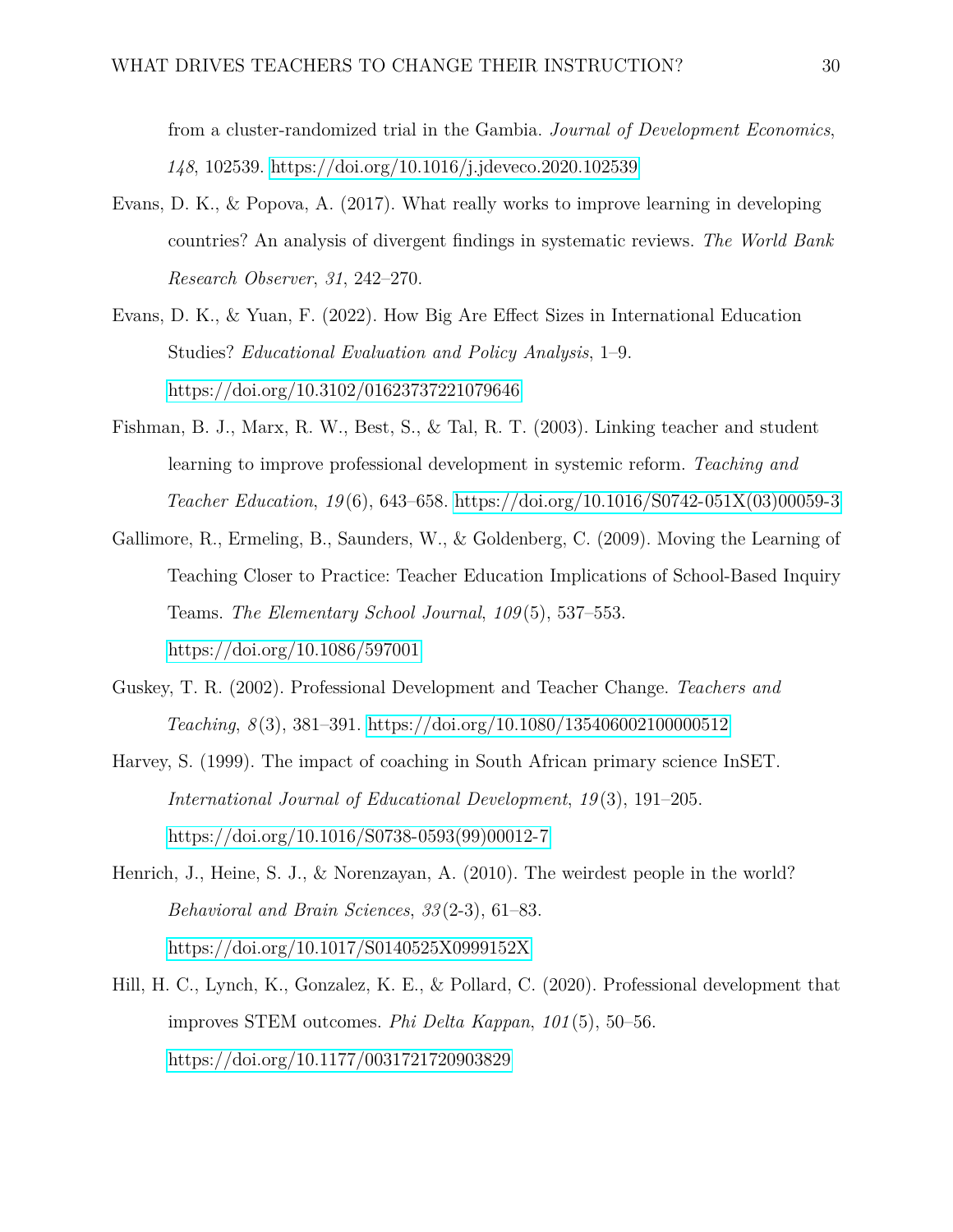from a cluster-randomized trial in the Gambia. *Journal of Development Economics*, *148*, 102539.<https://doi.org/10.1016/j.jdeveco.2020.102539>

- <span id="page-29-4"></span>Evans, D. K., & Popova, A. (2017). What really works to improve learning in developing countries? An analysis of divergent findings in systematic reviews. *The World Bank Research Observer*, *31*, 242–270.
- <span id="page-29-2"></span>Evans, D. K., & Yuan, F. (2022). How Big Are Effect Sizes in International Education Studies? *Educational Evaluation and Policy Analysis*, 1–9. <https://doi.org/10.3102/01623737221079646>
- <span id="page-29-0"></span>Fishman, B. J., Marx, R. W., Best, S., & Tal, R. T. (2003). Linking teacher and student learning to improve professional development in systemic reform. *Teaching and Teacher Education*, *19* (6), 643–658. [https://doi.org/10.1016/S0742-051X\(03\)00059-3](https://doi.org/10.1016/S0742-051X(03)00059-3)
- <span id="page-29-7"></span>Gallimore, R., Ermeling, B., Saunders, W., & Goldenberg, C. (2009). Moving the Learning of Teaching Closer to Practice: Teacher Education Implications of School-Based Inquiry Teams. *The Elementary School Journal*, *109* (5), 537–553. <https://doi.org/10.1086/597001>
- <span id="page-29-1"></span>Guskey, T. R. (2002). Professional Development and Teacher Change. *Teachers and Teaching*, *8* (3), 381–391.<https://doi.org/10.1080/135406002100000512>
- <span id="page-29-3"></span>Harvey, S. (1999). The impact of coaching in South African primary science InSET. *International Journal of Educational Development*, *19* (3), 191–205. [https://doi.org/10.1016/S0738-0593\(99\)00012-7](https://doi.org/10.1016/S0738-0593(99)00012-7)
- <span id="page-29-6"></span>Henrich, J., Heine, S. J., & Norenzayan, A. (2010). The weirdest people in the world? *Behavioral and Brain Sciences*, *33* (2-3), 61–83. <https://doi.org/10.1017/S0140525X0999152X>
- <span id="page-29-5"></span>Hill, H. C., Lynch, K., Gonzalez, K. E., & Pollard, C. (2020). Professional development that improves STEM outcomes. *Phi Delta Kappan*, *101* (5), 50–56. <https://doi.org/10.1177/0031721720903829>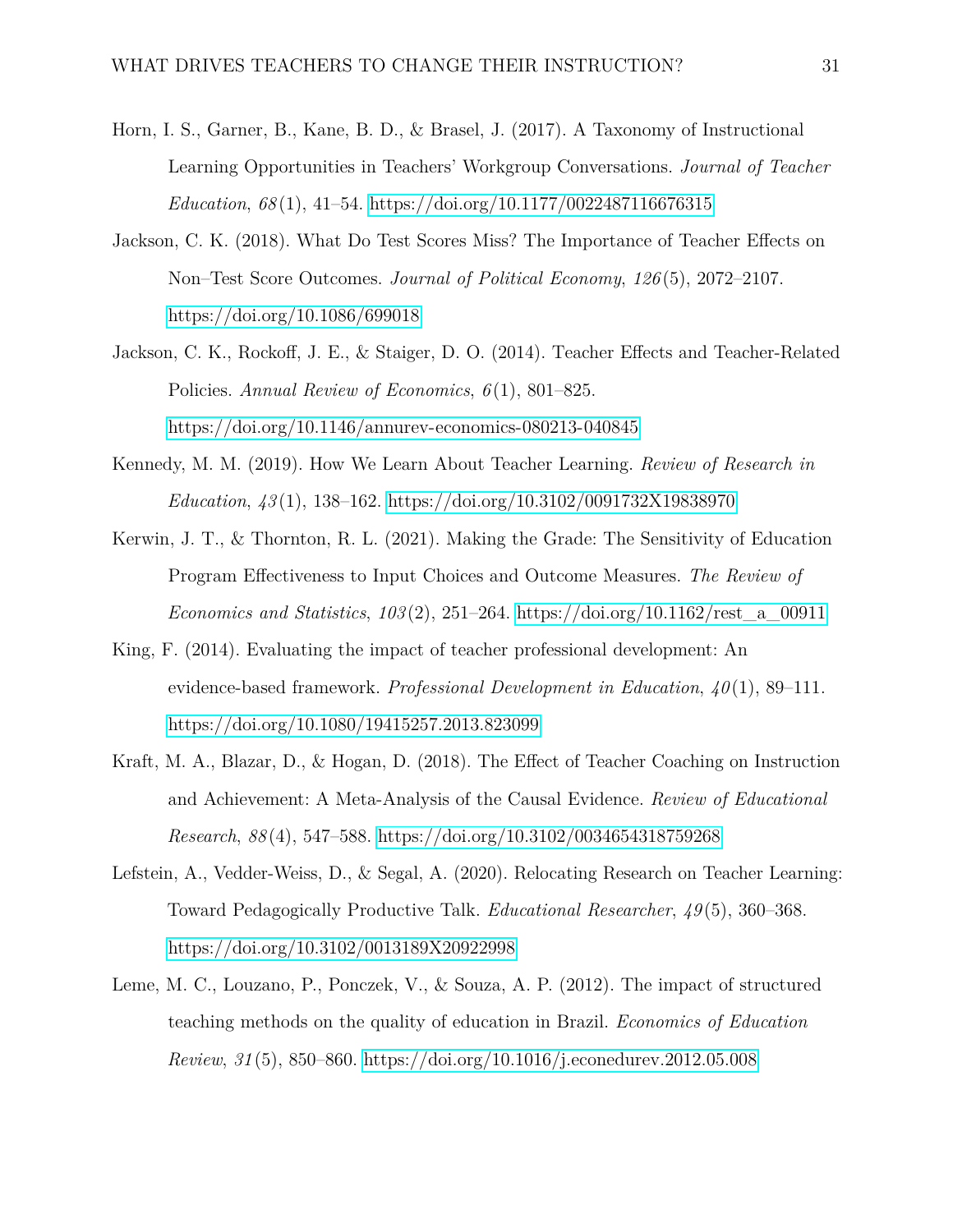- <span id="page-30-4"></span>Horn, I. S., Garner, B., Kane, B. D., & Brasel, J. (2017). A Taxonomy of Instructional Learning Opportunities in Teachers' Workgroup Conversations. *Journal of Teacher Education*, *68* (1), 41–54.<https://doi.org/10.1177/0022487116676315>
- <span id="page-30-0"></span>Jackson, C. K. (2018). What Do Test Scores Miss? The Importance of Teacher Effects on Non–Test Score Outcomes. *Journal of Political Economy*, *126* (5), 2072–2107. <https://doi.org/10.1086/699018>
- <span id="page-30-1"></span>Jackson, C. K., Rockoff, J. E., & Staiger, D. O. (2014). Teacher Effects and Teacher-Related Policies. *Annual Review of Economics*, *6* (1), 801–825. <https://doi.org/10.1146/annurev-economics-080213-040845>
- <span id="page-30-6"></span>Kennedy, M. M. (2019). How We Learn About Teacher Learning. *Review of Research in Education*, *43* (1), 138–162.<https://doi.org/10.3102/0091732X19838970>
- <span id="page-30-8"></span>Kerwin, J. T., & Thornton, R. L. (2021). Making the Grade: The Sensitivity of Education Program Effectiveness to Input Choices and Outcome Measures. *The Review of Economics and Statistics*, *103* (2), 251–264. [https://doi.org/10.1162/rest\\_a\\_00911](https://doi.org/10.1162/rest_a_00911)
- <span id="page-30-7"></span>King, F. (2014). Evaluating the impact of teacher professional development: An evidence-based framework. *Professional Development in Education*, *40* (1), 89–111. <https://doi.org/10.1080/19415257.2013.823099>
- <span id="page-30-2"></span>Kraft, M. A., Blazar, D., & Hogan, D. (2018). The Effect of Teacher Coaching on Instruction and Achievement: A Meta-Analysis of the Causal Evidence. *Review of Educational Research*, *88* (4), 547–588.<https://doi.org/10.3102/0034654318759268>
- <span id="page-30-5"></span>Lefstein, A., Vedder-Weiss, D., & Segal, A. (2020). Relocating Research on Teacher Learning: Toward Pedagogically Productive Talk. *Educational Researcher*, *49* (5), 360–368. <https://doi.org/10.3102/0013189X20922998>
- <span id="page-30-3"></span>Leme, M. C., Louzano, P., Ponczek, V., & Souza, A. P. (2012). The impact of structured teaching methods on the quality of education in Brazil. *Economics of Education Review*, *31* (5), 850–860.<https://doi.org/10.1016/j.econedurev.2012.05.008>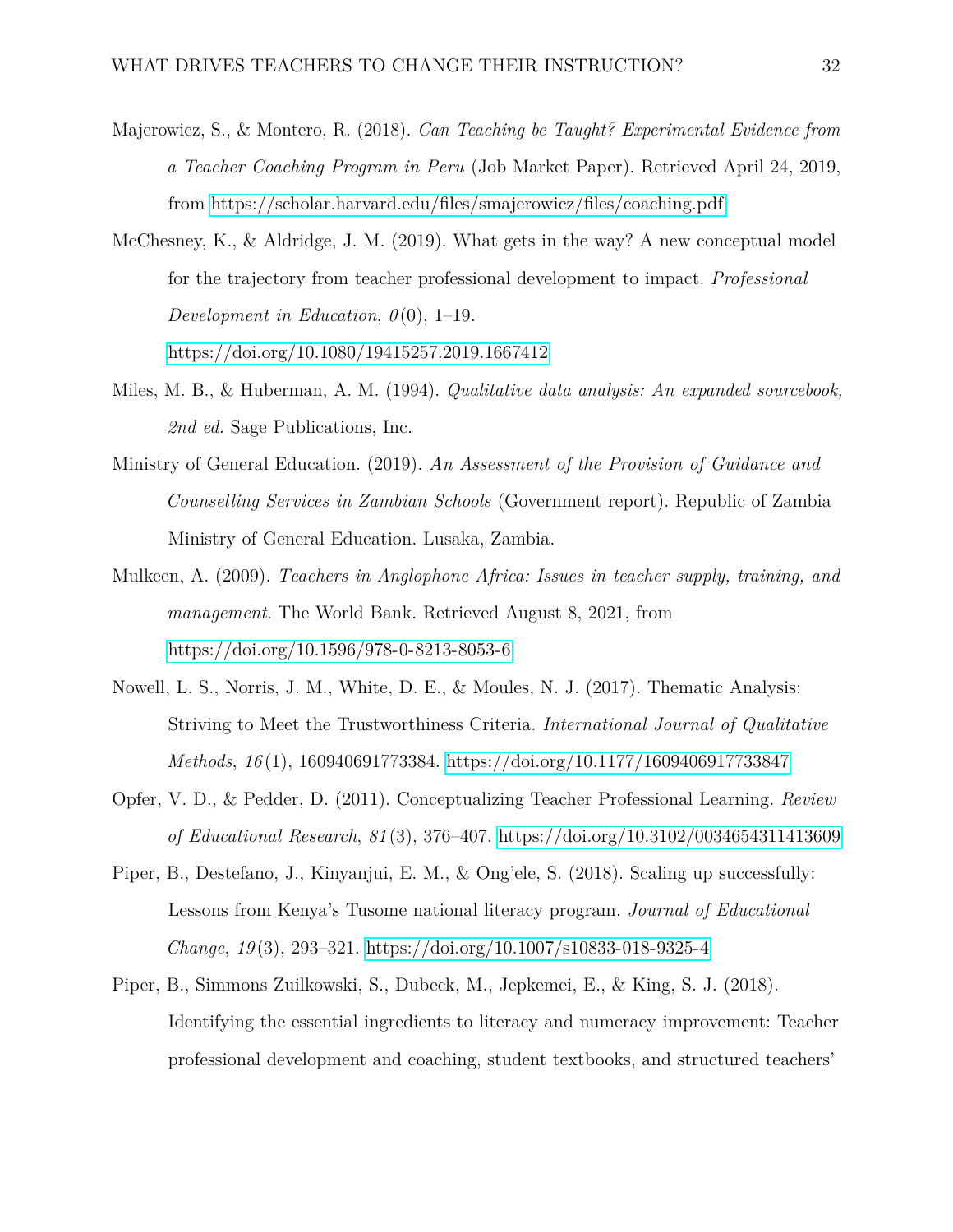- <span id="page-31-1"></span>Majerowicz, S., & Montero, R. (2018). *Can Teaching be Taught? Experimental Evidence from a Teacher Coaching Program in Peru* (Job Market Paper). Retrieved April 24, 2019, from<https://scholar.harvard.edu/files/smajerowicz/files/coaching.pdf>
- <span id="page-31-3"></span>McChesney, K., & Aldridge, J. M. (2019). What gets in the way? A new conceptual model for the trajectory from teacher professional development to impact. *Professional Development in Education,*  $\theta(0)$ , 1–19. <https://doi.org/10.1080/19415257.2019.1667412>
- <span id="page-31-8"></span>Miles, M. B., & Huberman, A. M. (1994). *Qualitative data analysis: An expanded sourcebook, 2nd ed.* Sage Publications, Inc.
- <span id="page-31-6"></span>Ministry of General Education. (2019). *An Assessment of the Provision of Guidance and Counselling Services in Zambian Schools* (Government report). Republic of Zambia Ministry of General Education. Lusaka, Zambia.
- <span id="page-31-0"></span>Mulkeen, A. (2009). *Teachers in Anglophone Africa: Issues in teacher supply, training, and management*. The World Bank. Retrieved August 8, 2021, from <https://doi.org/10.1596/978-0-8213-8053-6>
- <span id="page-31-7"></span>Nowell, L. S., Norris, J. M., White, D. E., & Moules, N. J. (2017). Thematic Analysis: Striving to Meet the Trustworthiness Criteria. *International Journal of Qualitative Methods*, *16* (1), 160940691773384.<https://doi.org/10.1177/1609406917733847>
- <span id="page-31-2"></span>Opfer, V. D., & Pedder, D. (2011). Conceptualizing Teacher Professional Learning. *Review of Educational Research*, *81* (3), 376–407.<https://doi.org/10.3102/0034654311413609>
- <span id="page-31-4"></span>Piper, B., Destefano, J., Kinyanjui, E. M., & Ong'ele, S. (2018). Scaling up successfully: Lessons from Kenya's Tusome national literacy program. *Journal of Educational Change*, *19* (3), 293–321.<https://doi.org/10.1007/s10833-018-9325-4>
- <span id="page-31-5"></span>Piper, B., Simmons Zuilkowski, S., Dubeck, M., Jepkemei, E., & King, S. J. (2018). Identifying the essential ingredients to literacy and numeracy improvement: Teacher professional development and coaching, student textbooks, and structured teachers'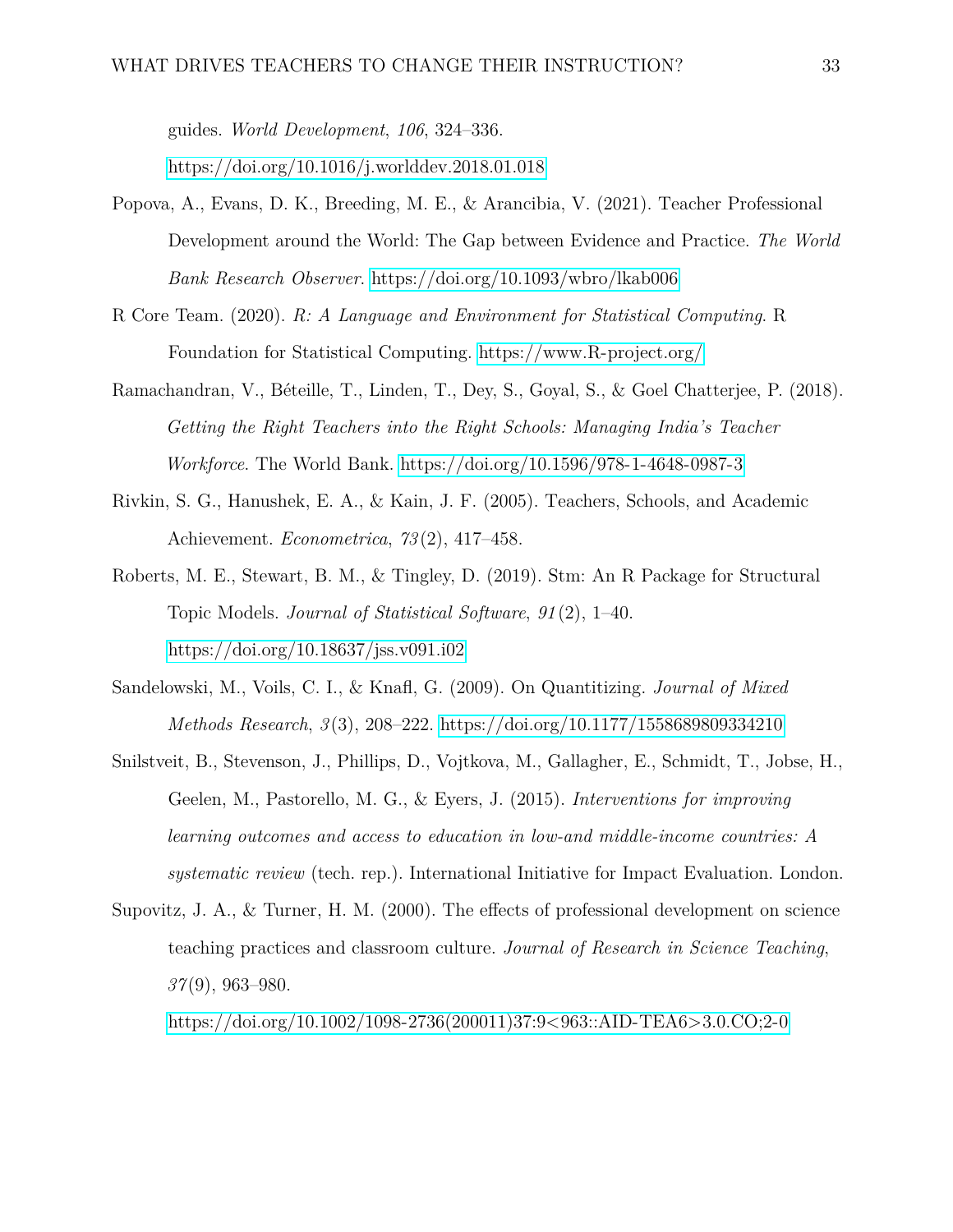guides. *World Development*, *106*, 324–336.

<https://doi.org/10.1016/j.worlddev.2018.01.018>

- <span id="page-32-2"></span>Popova, A., Evans, D. K., Breeding, M. E., & Arancibia, V. (2021). Teacher Professional Development around the World: The Gap between Evidence and Practice. *The World Bank Research Observer*.<https://doi.org/10.1093/wbro/lkab006>
- <span id="page-32-6"></span>R Core Team. (2020). *R: A Language and Environment for Statistical Computing*. R Foundation for Statistical Computing.<https://www.R-project.org/>
- <span id="page-32-1"></span>Ramachandran, V., Béteille, T., Linden, T., Dey, S., Goyal, S., & Goel Chatterjee, P. (2018). *Getting the Right Teachers into the Right Schools: Managing India's Teacher Workforce*. The World Bank.<https://doi.org/10.1596/978-1-4648-0987-3>
- <span id="page-32-0"></span>Rivkin, S. G., Hanushek, E. A., & Kain, J. F. (2005). Teachers, Schools, and Academic Achievement. *Econometrica*, *73* (2), 417–458.
- <span id="page-32-7"></span>Roberts, M. E., Stewart, B. M., & Tingley, D. (2019). Stm: An R Package for Structural Topic Models. *Journal of Statistical Software*, *91* (2), 1–40. <https://doi.org/10.18637/jss.v091.i02>
- <span id="page-32-5"></span>Sandelowski, M., Voils, C. I., & Knafl, G. (2009). On Quantitizing. *Journal of Mixed Methods Research*, *3* (3), 208–222.<https://doi.org/10.1177/1558689809334210>
- <span id="page-32-4"></span>Snilstveit, B., Stevenson, J., Phillips, D., Vojtkova, M., Gallagher, E., Schmidt, T., Jobse, H., Geelen, M., Pastorello, M. G., & Eyers, J. (2015). *Interventions for improving learning outcomes and access to education in low-and middle-income countries: A systematic review* (tech. rep.). International Initiative for Impact Evaluation. London.
- <span id="page-32-3"></span>Supovitz, J. A., & Turner, H. M. (2000). The effects of professional development on science teaching practices and classroom culture. *Journal of Research in Science Teaching*, *37* (9), 963–980.

[https://doi.org/10.1002/1098-2736\(200011\)37:9<963::AID-TEA6>3.0.CO;2-0](https://doi.org/10.1002/1098-2736(200011)37:9<963::AID-TEA6>3.0.CO;2-0)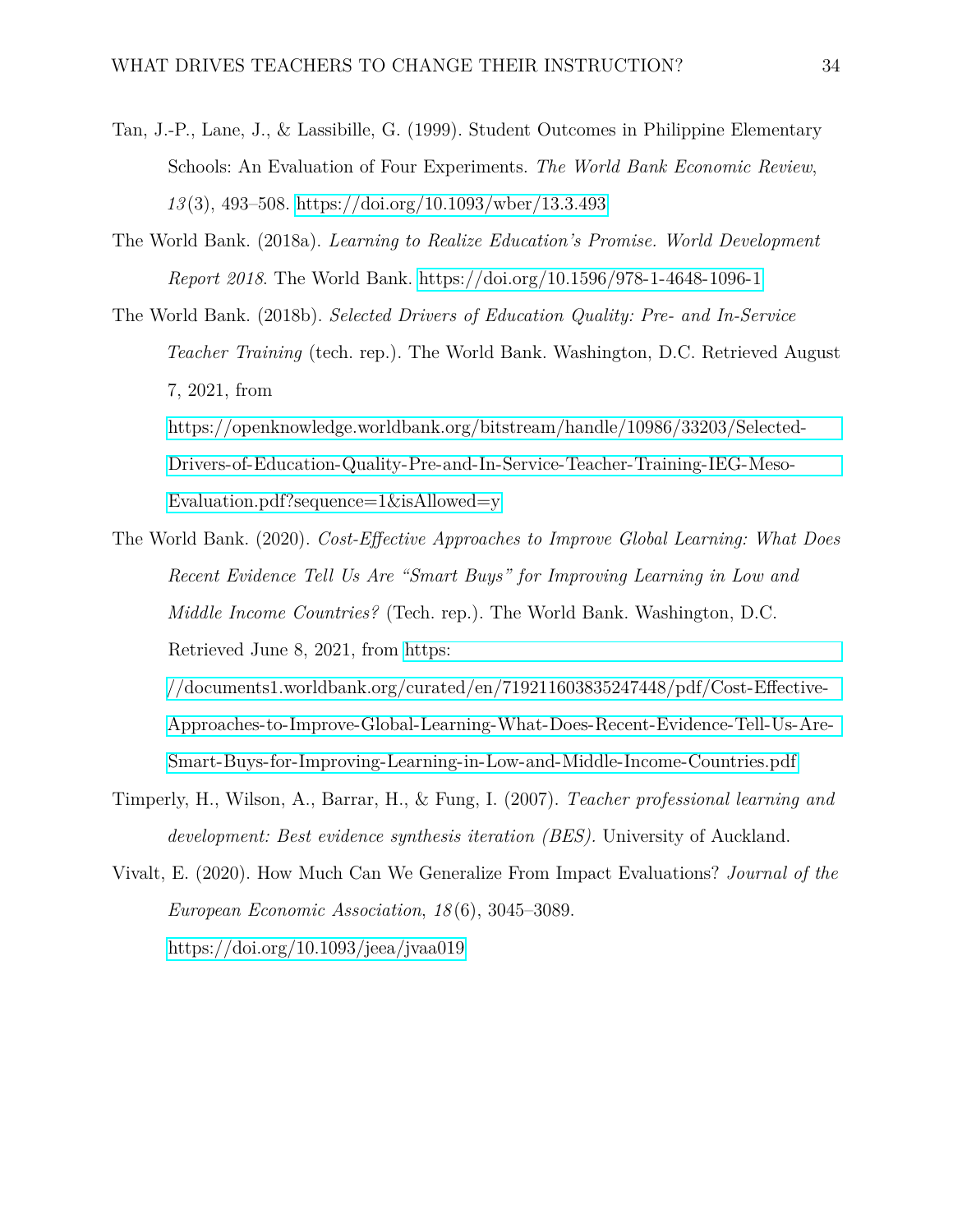- <span id="page-33-4"></span>Tan, J.-P., Lane, J., & Lassibille, G. (1999). Student Outcomes in Philippine Elementary Schools: An Evaluation of Four Experiments. *The World Bank Economic Review*, *13* (3), 493–508.<https://doi.org/10.1093/wber/13.3.493>
- <span id="page-33-1"></span>The World Bank. (2018a). *Learning to Realize Education's Promise. World Development Report 2018*. The World Bank.<https://doi.org/10.1596/978-1-4648-1096-1>
- <span id="page-33-0"></span>The World Bank. (2018b). *Selected Drivers of Education Quality: Pre- and In-Service Teacher Training* (tech. rep.). The World Bank. Washington, D.C. Retrieved August 7, 2021, from [https://openknowledge.worldbank.org/bitstream/handle/10986/33203/Selected-](https://openknowledge.worldbank.org/bitstream/handle/10986/33203/Selected-Drivers-of-Education-Quality-Pre-and-In-Service-Teacher-Training-IEG-Meso-Evaluation.pdf?sequence=1&isAllowed=y)

[Drivers-of-Education-Quality-Pre-and-In-Service-Teacher-Training-IEG-Meso-](https://openknowledge.worldbank.org/bitstream/handle/10986/33203/Selected-Drivers-of-Education-Quality-Pre-and-In-Service-Teacher-Training-IEG-Meso-Evaluation.pdf?sequence=1&isAllowed=y)[Evaluation.pdf?sequence=1&isAllowed=y](https://openknowledge.worldbank.org/bitstream/handle/10986/33203/Selected-Drivers-of-Education-Quality-Pre-and-In-Service-Teacher-Training-IEG-Meso-Evaluation.pdf?sequence=1&isAllowed=y)

<span id="page-33-2"></span>The World Bank. (2020). *Cost-Effective Approaches to Improve Global Learning: What Does Recent Evidence Tell Us Are "Smart Buys" for Improving Learning in Low and Middle Income Countries?* (Tech. rep.). The World Bank. Washington, D.C. Retrieved June 8, 2021, from [https:](https://documents1.worldbank.org/curated/en/719211603835247448/pdf/Cost-Effective-Approaches-to-Improve-Global-Learning-What-Does-Recent-Evidence-Tell-Us-Are-Smart-Buys-for-Improving-Learning-in-Low-and-Middle-Income-Countries.pdf)

[//documents1.worldbank.org/curated/en/719211603835247448/pdf/Cost-Effective-](https://documents1.worldbank.org/curated/en/719211603835247448/pdf/Cost-Effective-Approaches-to-Improve-Global-Learning-What-Does-Recent-Evidence-Tell-Us-Are-Smart-Buys-for-Improving-Learning-in-Low-and-Middle-Income-Countries.pdf)[Approaches-to-Improve-Global-Learning-What-Does-Recent-Evidence-Tell-Us-Are-](https://documents1.worldbank.org/curated/en/719211603835247448/pdf/Cost-Effective-Approaches-to-Improve-Global-Learning-What-Does-Recent-Evidence-Tell-Us-Are-Smart-Buys-for-Improving-Learning-in-Low-and-Middle-Income-Countries.pdf)[Smart-Buys-for-Improving-Learning-in-Low-and-Middle-Income-Countries.pdf](https://documents1.worldbank.org/curated/en/719211603835247448/pdf/Cost-Effective-Approaches-to-Improve-Global-Learning-What-Does-Recent-Evidence-Tell-Us-Are-Smart-Buys-for-Improving-Learning-in-Low-and-Middle-Income-Countries.pdf)

- <span id="page-33-3"></span>Timperly, H., Wilson, A., Barrar, H., & Fung, I. (2007). *Teacher professional learning and development: Best evidence synthesis iteration (BES).* University of Auckland.
- <span id="page-33-5"></span>Vivalt, E. (2020). How Much Can We Generalize From Impact Evaluations? *Journal of the European Economic Association*, *18* (6), 3045–3089. <https://doi.org/10.1093/jeea/jvaa019>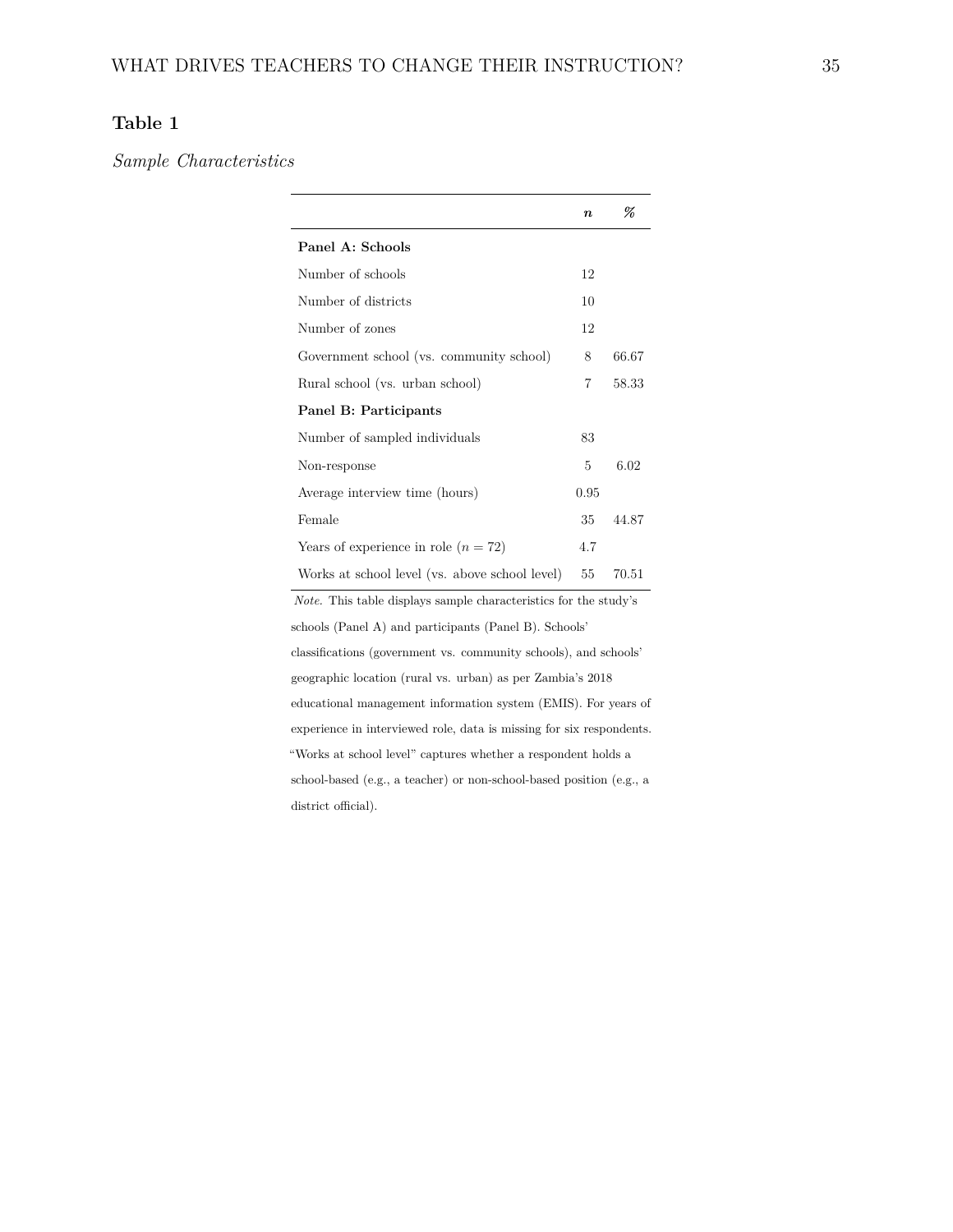# **Table 1**

*Sample Characteristics*

|                                                                         | $\boldsymbol{n}$ | %     |  |  |  |  |  |
|-------------------------------------------------------------------------|------------------|-------|--|--|--|--|--|
| Panel A: Schools                                                        |                  |       |  |  |  |  |  |
| Number of schools                                                       | 12               |       |  |  |  |  |  |
| Number of districts                                                     | 10               |       |  |  |  |  |  |
| Number of zones                                                         | 12               |       |  |  |  |  |  |
| Government school (vs. community school)                                | 8                | 66.67 |  |  |  |  |  |
| Rural school (vs. urban school)                                         | 7                | 58.33 |  |  |  |  |  |
| Panel B: Participants                                                   |                  |       |  |  |  |  |  |
| Number of sampled individuals                                           | 83               |       |  |  |  |  |  |
| Non-response                                                            | 5                | 6.02  |  |  |  |  |  |
| Average interview time (hours)                                          | 0.95             |       |  |  |  |  |  |
| Female                                                                  | 35               | 44.87 |  |  |  |  |  |
| Years of experience in role $(n = 72)$                                  | 4.7              |       |  |  |  |  |  |
| Works at school level (vs. above school level)                          | 55               | 70.51 |  |  |  |  |  |
| <i>Note.</i> This table displays sample characteristics for the study's |                  |       |  |  |  |  |  |
| schools (Panel A) and participants (Panel B). Schools'                  |                  |       |  |  |  |  |  |
| classifications (government vs. community schools), and schools'        |                  |       |  |  |  |  |  |
| geographic location (rural vs. urban) as per Zambia's 2018              |                  |       |  |  |  |  |  |
| educational management information system (EMIS). For years of          |                  |       |  |  |  |  |  |
| experience in interviewed role, data is missing for six respondents.    |                  |       |  |  |  |  |  |
| "Works at school level" captures whether a respondent holds a           |                  |       |  |  |  |  |  |

<span id="page-34-0"></span>school-based (e.g., a teacher) or non-school-based position (e.g., a district official).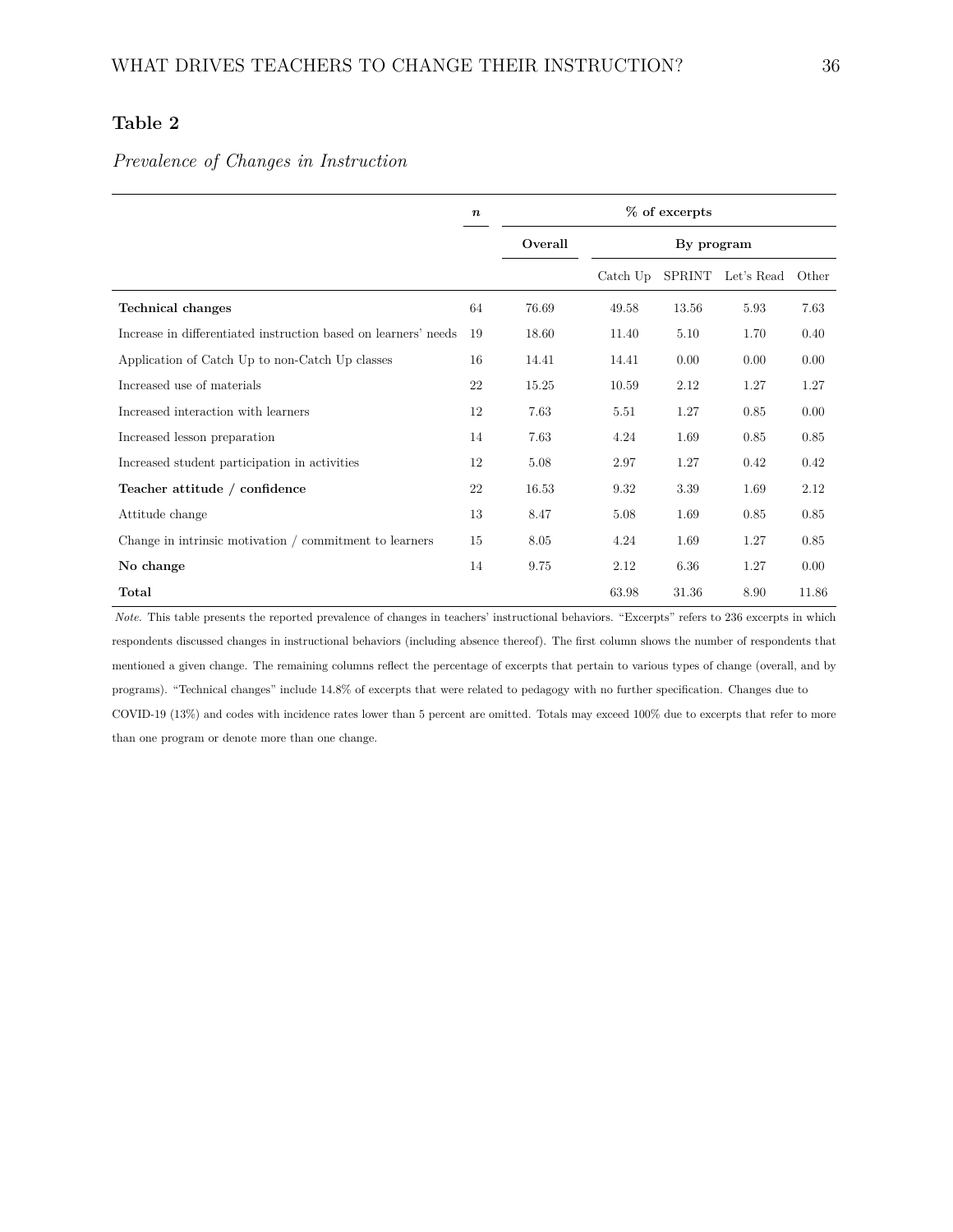# **Table 2**

#### *Prevalence of Changes in Instruction*

|                                                                 | $\boldsymbol{n}$ | $%$ of excerpts |            |               |            |       |
|-----------------------------------------------------------------|------------------|-----------------|------------|---------------|------------|-------|
|                                                                 |                  | Overall         | By program |               |            |       |
|                                                                 |                  |                 | Catch Up   | <b>SPRINT</b> | Let's Read | Other |
| <b>Technical changes</b>                                        | 64               | 76.69           | 49.58      | 13.56         | 5.93       | 7.63  |
| Increase in differentiated instruction based on learners' needs | 19               | 18.60           | 11.40      | 5.10          | 1.70       | 0.40  |
| Application of Catch Up to non-Catch Up classes                 | 16               | 14.41           | 14.41      | 0.00          | 0.00       | 0.00  |
| Increased use of materials                                      | 22               | 15.25           | 10.59      | 2.12          | 1.27       | 1.27  |
| Increased interaction with learners                             | 12               | 7.63            | 5.51       | 1.27          | 0.85       | 0.00  |
| Increased lesson preparation                                    | 14               | 7.63            | 4.24       | 1.69          | 0.85       | 0.85  |
| Increased student participation in activities                   | 12               | 5.08            | 2.97       | 1.27          | 0.42       | 0.42  |
| Teacher attitude / confidence                                   | 22               | 16.53           | 9.32       | 3.39          | 1.69       | 2.12  |
| Attitude change                                                 | 13               | 8.47            | 5.08       | 1.69          | 0.85       | 0.85  |
| Change in intrinsic motivation $/$ commitment to learners       | 15               | 8.05            | 4.24       | 1.69          | 1.27       | 0.85  |
| No change                                                       | 14               | 9.75            | 2.12       | 6.36          | 1.27       | 0.00  |
| Total                                                           |                  |                 | 63.98      | 31.36         | 8.90       | 11.86 |

<span id="page-35-0"></span>*Note.* This table presents the reported prevalence of changes in teachers' instructional behaviors. "Excerpts" refers to 236 excerpts in which respondents discussed changes in instructional behaviors (including absence thereof). The first column shows the number of respondents that mentioned a given change. The remaining columns reflect the percentage of excerpts that pertain to various types of change (overall, and by programs). "Technical changes" include 14.8% of excerpts that were related to pedagogy with no further specification. Changes due to COVID-19 (13%) and codes with incidence rates lower than 5 percent are omitted. Totals may exceed 100% due to excerpts that refer to more than one program or denote more than one change.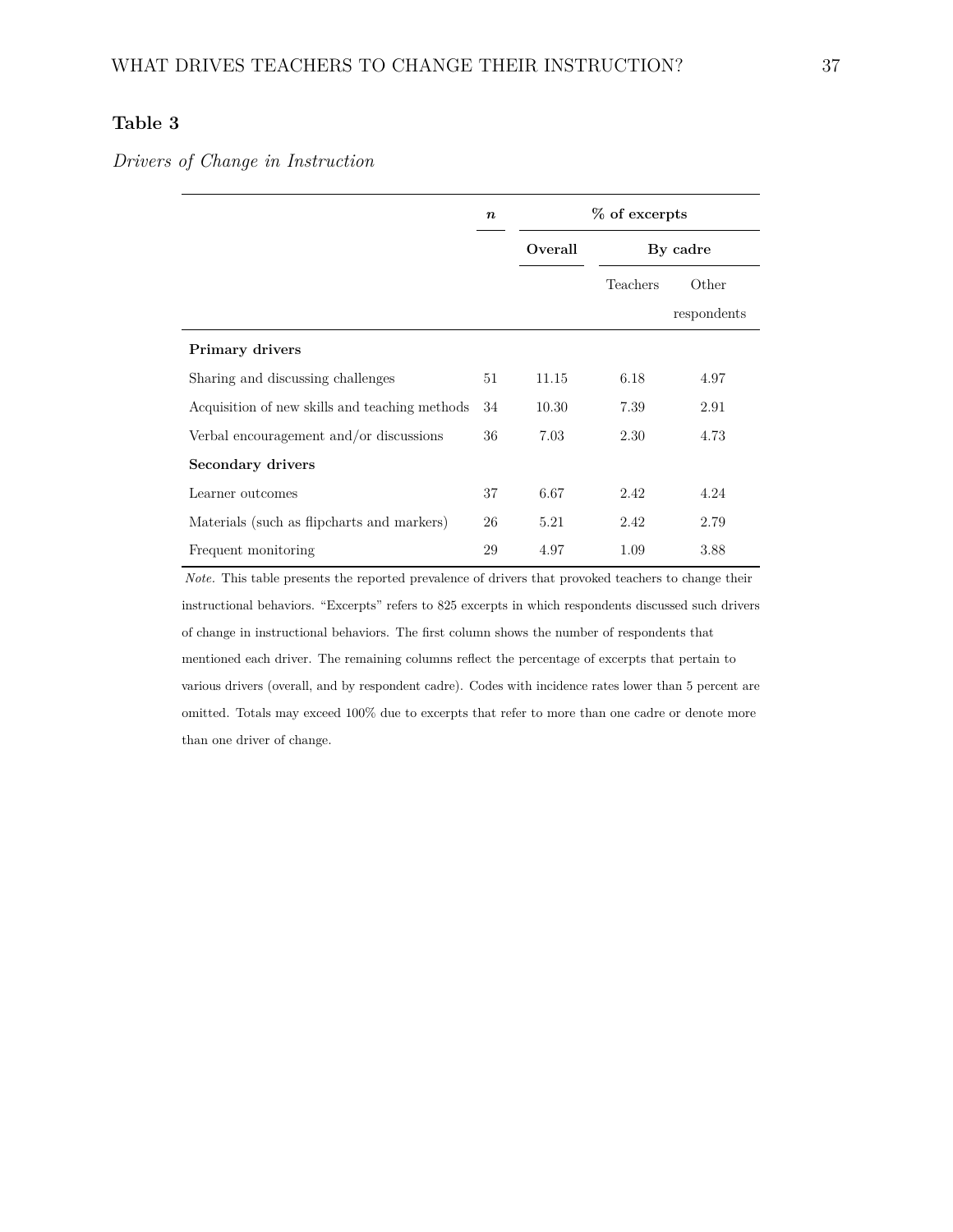## **Table 3**

#### *Drivers of Change in Instruction*

|                                                | $\boldsymbol{n}$ |         | % of excerpts |             |  |  |
|------------------------------------------------|------------------|---------|---------------|-------------|--|--|
|                                                |                  | Overall | By cadre      |             |  |  |
|                                                |                  |         | Teachers      | Other       |  |  |
|                                                |                  |         |               | respondents |  |  |
| <b>Primary drivers</b>                         |                  |         |               |             |  |  |
| Sharing and discussing challenges              | 51               | 11.15   | 6.18          | 4.97        |  |  |
| Acquisition of new skills and teaching methods | 34               | 10.30   | 7.39          | 2.91        |  |  |
| Verbal encouragement and/or discussions        | 36               | 7.03    | 2.30          | 4.73        |  |  |
| Secondary drivers                              |                  |         |               |             |  |  |
| Learner outcomes                               | 37               | 6.67    | 2.42          | 4.24        |  |  |
| Materials (such as flipcharts and markers)     | 26               | 5.21    | 2.42          | 2.79        |  |  |
| Frequent monitoring                            | 29               | 4.97    | 1.09          | 3.88        |  |  |

*Note.* This table presents the reported prevalence of drivers that provoked teachers to change their instructional behaviors. "Excerpts" refers to 825 excerpts in which respondents discussed such drivers of change in instructional behaviors. The first column shows the number of respondents that mentioned each driver. The remaining columns reflect the percentage of excerpts that pertain to various drivers (overall, and by respondent cadre). Codes with incidence rates lower than 5 percent are omitted. Totals may exceed 100% due to excerpts that refer to more than one cadre or denote more than one driver of change.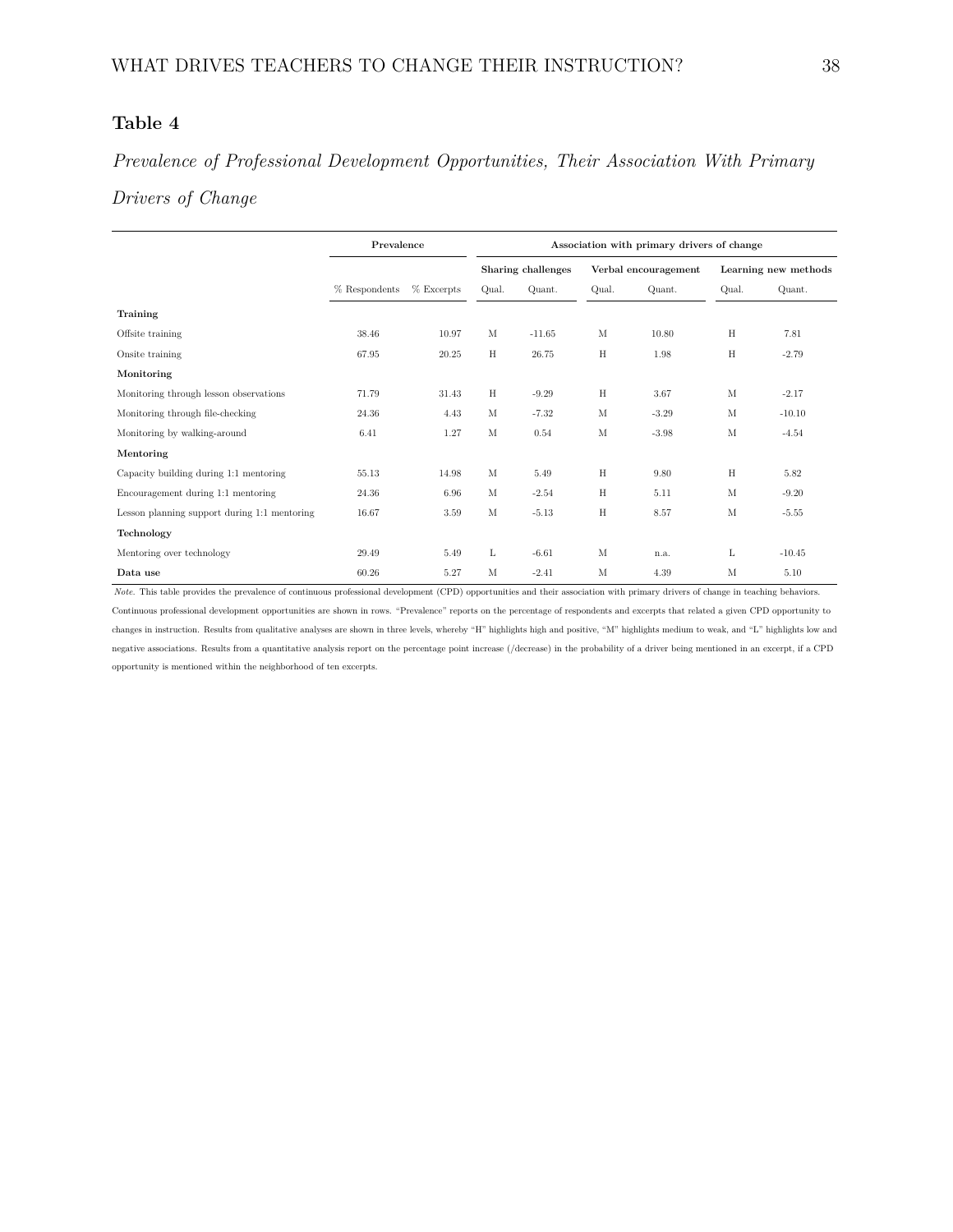## **Table 4**

# *Prevalence of Professional Development Opportunities, Their Association With Primary Drivers of Change*

|                                              | Prevalence    | Association with primary drivers of change |             |                    |       |                      |                      |          |
|----------------------------------------------|---------------|--------------------------------------------|-------------|--------------------|-------|----------------------|----------------------|----------|
|                                              |               |                                            |             | Sharing challenges |       | Verbal encouragement | Learning new methods |          |
|                                              | % Respondents | $%$ Excerpts                               | Qual.       | Quant.             | Qual. | Quant.               | Qual.                | Quant.   |
| Training                                     |               |                                            |             |                    |       |                      |                      |          |
| Offsite training                             | 38.46         | 10.97                                      | $\mathbf M$ | $-11.65$           | M     | 10.80                | H                    | 7.81     |
| Onsite training                              | 67.95         | 20.25                                      | H           | 26.75              | H     | 1.98                 | $\rm H$              | $-2.79$  |
| Monitoring                                   |               |                                            |             |                    |       |                      |                      |          |
| Monitoring through lesson observations       | 71.79         | 31.43                                      | H           | $-9.29$            | H     | 3.67                 | M                    | $-2.17$  |
| Monitoring through file-checking             | 24.36         | 4.43                                       | М           | $-7.32$            | M     | $-3.29$              | $_{\rm M}$           | $-10.10$ |
| Monitoring by walking-around                 | 6.41          | 1.27                                       | M           | 0.54               | M     | $-3.98$              | $_{\rm M}$           | $-4.54$  |
| Mentoring                                    |               |                                            |             |                    |       |                      |                      |          |
| Capacity building during 1:1 mentoring       | 55.13         | 14.98                                      | М           | 5.49               | Η     | 9.80                 | H                    | 5.82     |
| Encouragement during 1:1 mentoring           | 24.36         | 6.96                                       | M           | $-2.54$            | H     | 5.11                 | $_{\rm M}$           | $-9.20$  |
| Lesson planning support during 1:1 mentoring | 16.67         | 3.59                                       | M           | $-5.13$            | H     | 8.57                 | M                    | $-5.55$  |
| Technology                                   |               |                                            |             |                    |       |                      |                      |          |
| Mentoring over technology                    | 29.49         | 5.49                                       | L           | $-6.61$            | M     | n.a.                 | L                    | $-10.45$ |
| Data use                                     | 60.26         | 5.27                                       | M           | $-2.41$            | M     | 4.39                 | M                    | 5.10     |

<span id="page-37-0"></span>*Note.* This table provides the prevalence of continuous professional development (CPD) opportunities and their association with primary drivers of change in teaching behaviors. Continuous professional development opportunities are shown in rows. "Prevalence" reports on the percentage of respondents and excerpts that related a given CPD opportunity to changes in instruction. Results from qualitative analyses are shown in three levels, whereby "H" highlights high and positive, "M" highlights medium to weak, and "L" highlights low and negative associations. Results from a quantitative analysis report on the percentage point increase (/decrease) in the probability of a driver being mentioned in an excerpt, if a CPD opportunity is mentioned within the neighborhood of ten excerpts.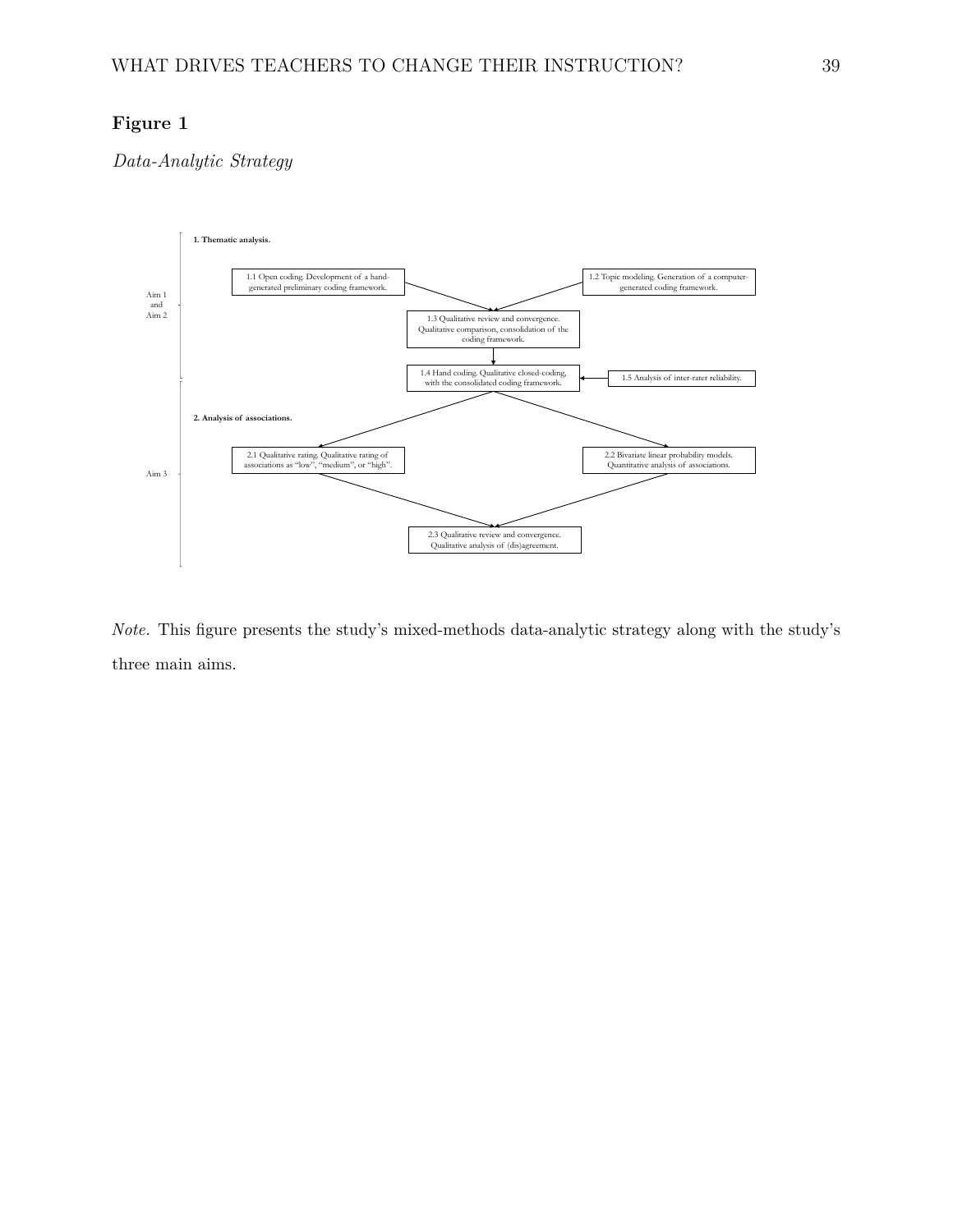## **Figure 1**

*Data-Analytic Strategy*



*Note.* This figure presents the study's mixed-methods data-analytic strategy along with the study's three main aims.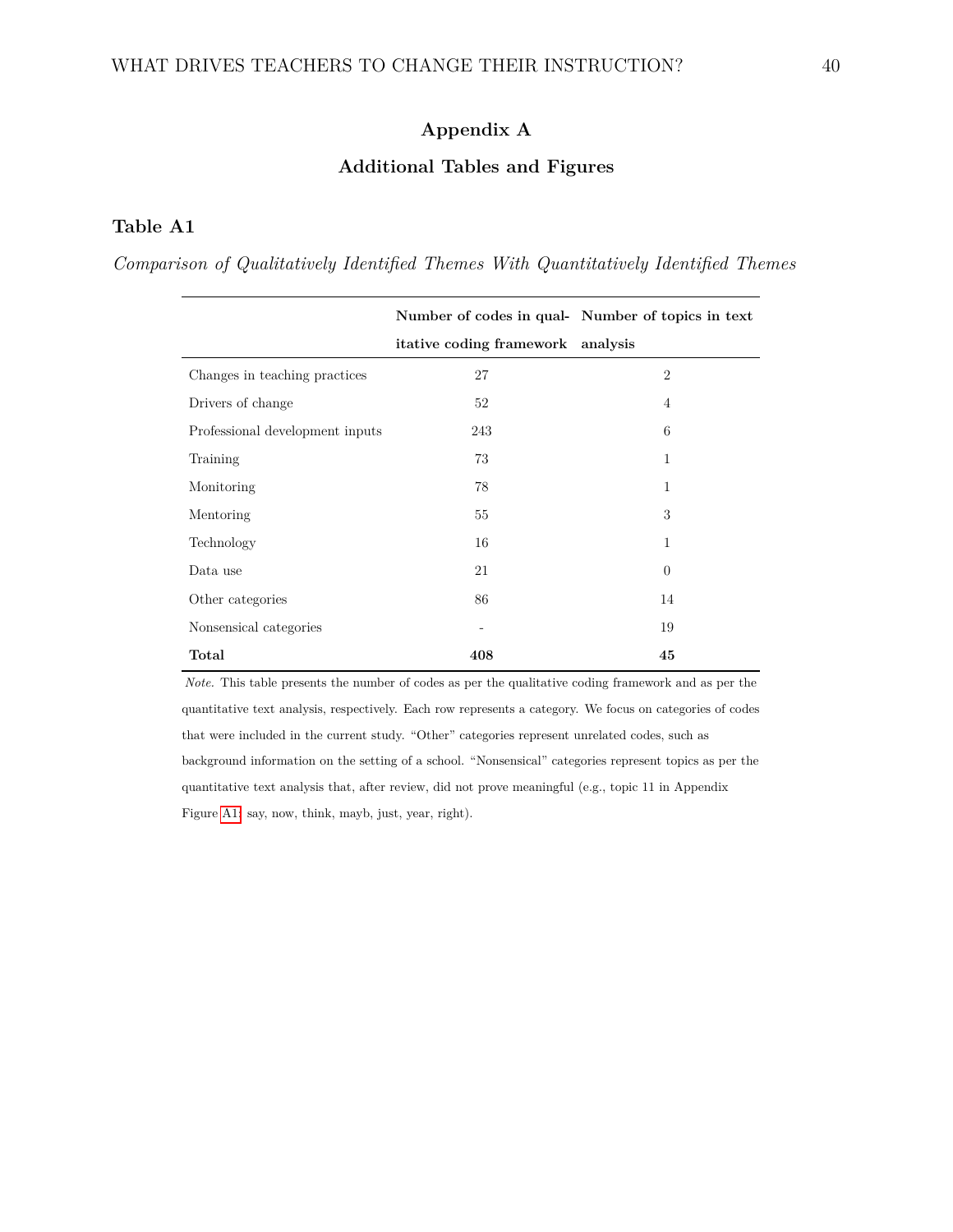## **Appendix A**

#### **Additional Tables and Figures**

## **Table A1**

*Comparison of Qualitatively Identified Themes With Quantitatively Identified Themes*

|                                 |                                   | Number of codes in qual- Number of topics in text |
|---------------------------------|-----------------------------------|---------------------------------------------------|
|                                 | itative coding framework analysis |                                                   |
| Changes in teaching practices   | 27                                | $\overline{2}$                                    |
| Drivers of change               | 52                                | $\overline{4}$                                    |
| Professional development inputs | 243                               | 6                                                 |
| Training                        | 73                                | $\mathbf{1}$                                      |
| Monitoring                      | 78                                | $\mathbf{1}$                                      |
| Mentoring                       | 55                                | 3                                                 |
| Technology                      | 16                                | $\mathbf{1}$                                      |
| Data use                        | 21                                | $\theta$                                          |
| Other categories                | 86                                | 14                                                |
| Nonsensical categories          | $\qquad \qquad \blacksquare$      | 19                                                |
| Total                           | 408                               | 45                                                |

*Note.* This table presents the number of codes as per the qualitative coding framework and as per the quantitative text analysis, respectively. Each row represents a category. We focus on categories of codes that were included in the current study. "Other" categories represent unrelated codes, such as background information on the setting of a school. "Nonsensical" categories represent topics as per the quantitative text analysis that, after review, did not prove meaningful (e.g., topic 11 in Appendix Figure [A1:](#page-40-0) say, now, think, mayb, just, year, right).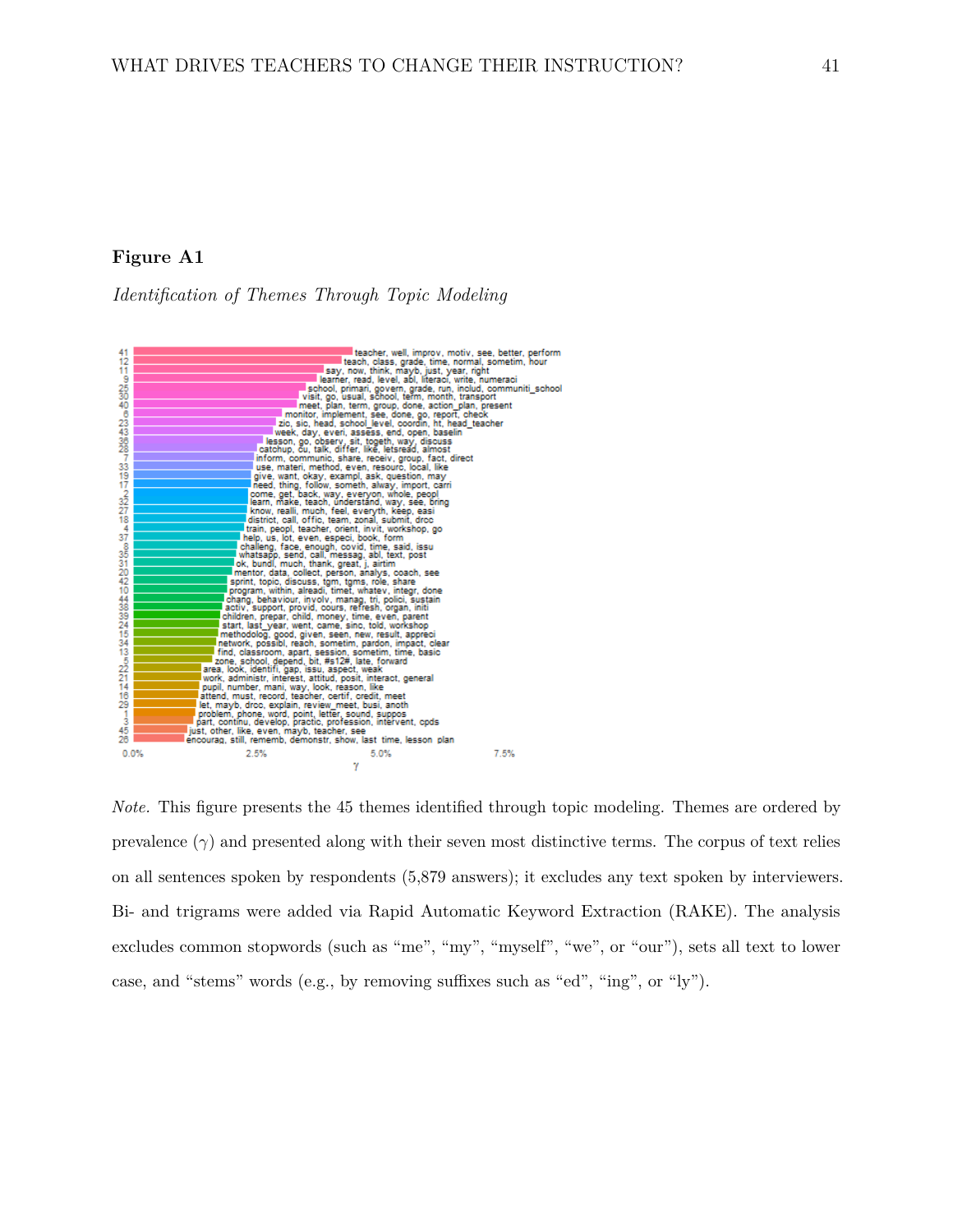#### <span id="page-40-0"></span>**Figure A1**

*Identification of Themes Through Topic Modeling*



*Note.* This figure presents the 45 themes identified through topic modeling. Themes are ordered by prevalence  $(\gamma)$  and presented along with their seven most distinctive terms. The corpus of text relies on all sentences spoken by respondents (5,879 answers); it excludes any text spoken by interviewers. Bi- and trigrams were added via Rapid Automatic Keyword Extraction (RAKE). The analysis excludes common stopwords (such as "me", "my", "myself", "we", or "our"), sets all text to lower case, and "stems" words (e.g., by removing suffixes such as "ed", "ing", or "ly").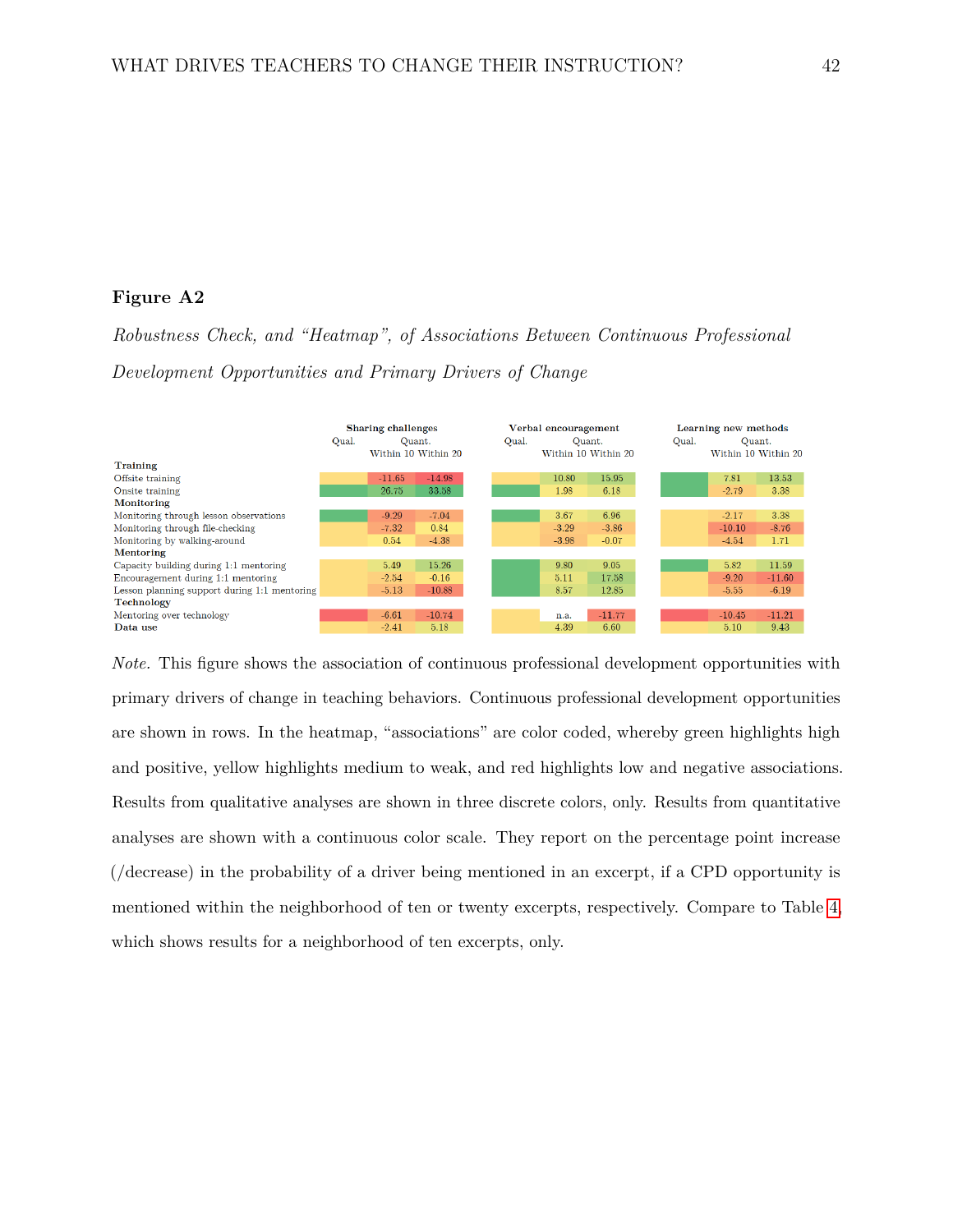#### **Figure A2**

*Robustness Check, and "Heatmap", of Associations Between Continuous Professional Development Opportunities and Primary Drivers of Change*



*Note.* This figure shows the association of continuous professional development opportunities with primary drivers of change in teaching behaviors. Continuous professional development opportunities are shown in rows. In the heatmap, "associations" are color coded, whereby green highlights high and positive, yellow highlights medium to weak, and red highlights low and negative associations. Results from qualitative analyses are shown in three discrete colors, only. Results from quantitative analyses are shown with a continuous color scale. They report on the percentage point increase (/decrease) in the probability of a driver being mentioned in an excerpt, if a CPD opportunity is mentioned within the neighborhood of ten or twenty excerpts, respectively. Compare to Table [4,](#page-37-0) which shows results for a neighborhood of ten excerpts, only.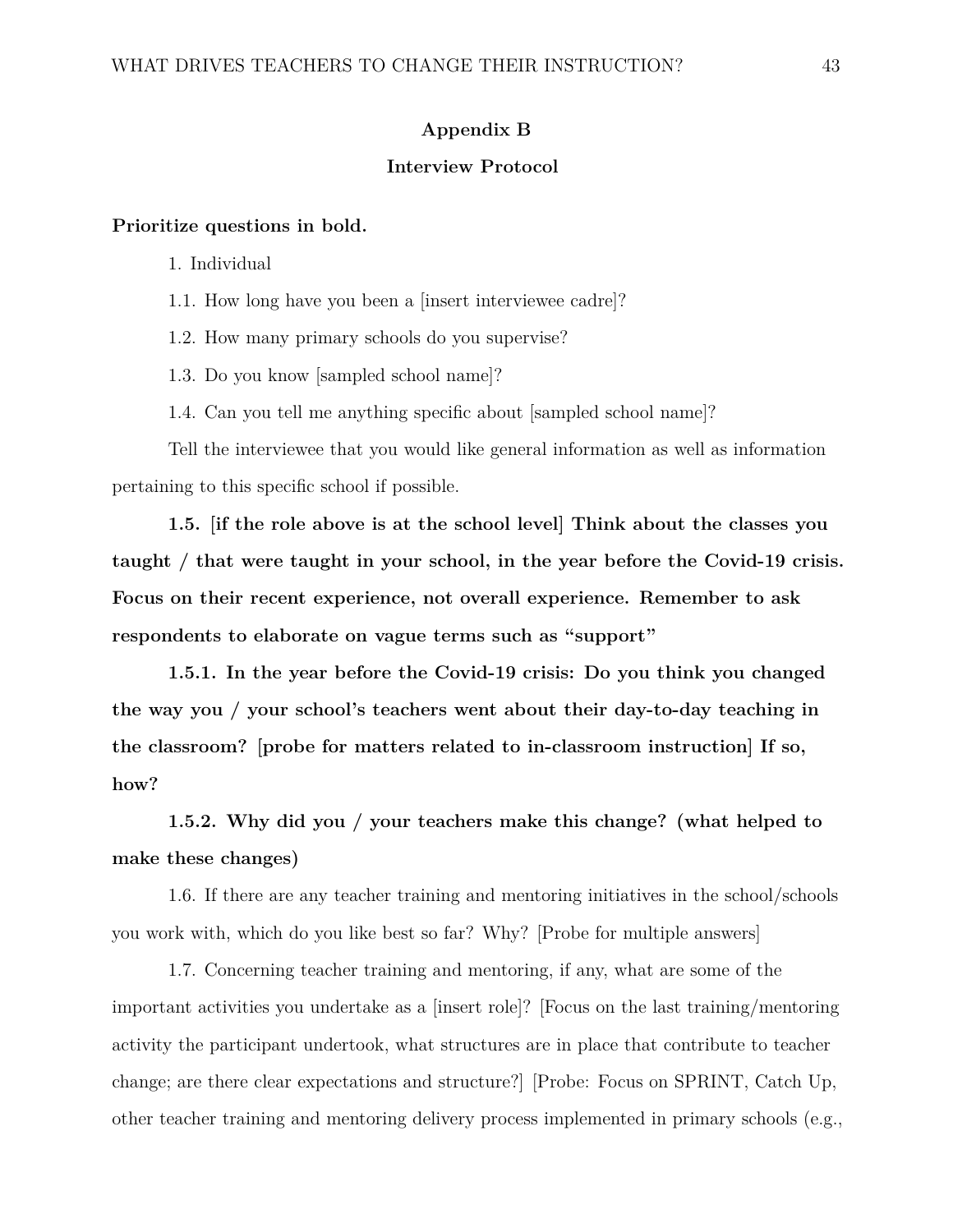#### **Appendix B**

#### **Interview Protocol**

#### **Prioritize questions in bold.**

1. Individual

1.1. How long have you been a [insert interviewee cadre]?

1.2. How many primary schools do you supervise?

1.3. Do you know [sampled school name]?

1.4. Can you tell me anything specific about [sampled school name]?

Tell the interviewee that you would like general information as well as information pertaining to this specific school if possible.

**1.5. [if the role above is at the school level] Think about the classes you taught / that were taught in your school, in the year before the Covid-19 crisis. Focus on their recent experience, not overall experience. Remember to ask respondents to elaborate on vague terms such as "support"**

**1.5.1. In the year before the Covid-19 crisis: Do you think you changed the way you / your school's teachers went about their day-to-day teaching in the classroom? [probe for matters related to in-classroom instruction] If so, how?**

**1.5.2. Why did you / your teachers make this change? (what helped to make these changes)**

1.6. If there are any teacher training and mentoring initiatives in the school/schools you work with, which do you like best so far? Why? [Probe for multiple answers]

1.7. Concerning teacher training and mentoring, if any, what are some of the important activities you undertake as a [insert role]? [Focus on the last training/mentoring activity the participant undertook, what structures are in place that contribute to teacher change; are there clear expectations and structure?] [Probe: Focus on SPRINT, Catch Up, other teacher training and mentoring delivery process implemented in primary schools (e.g.,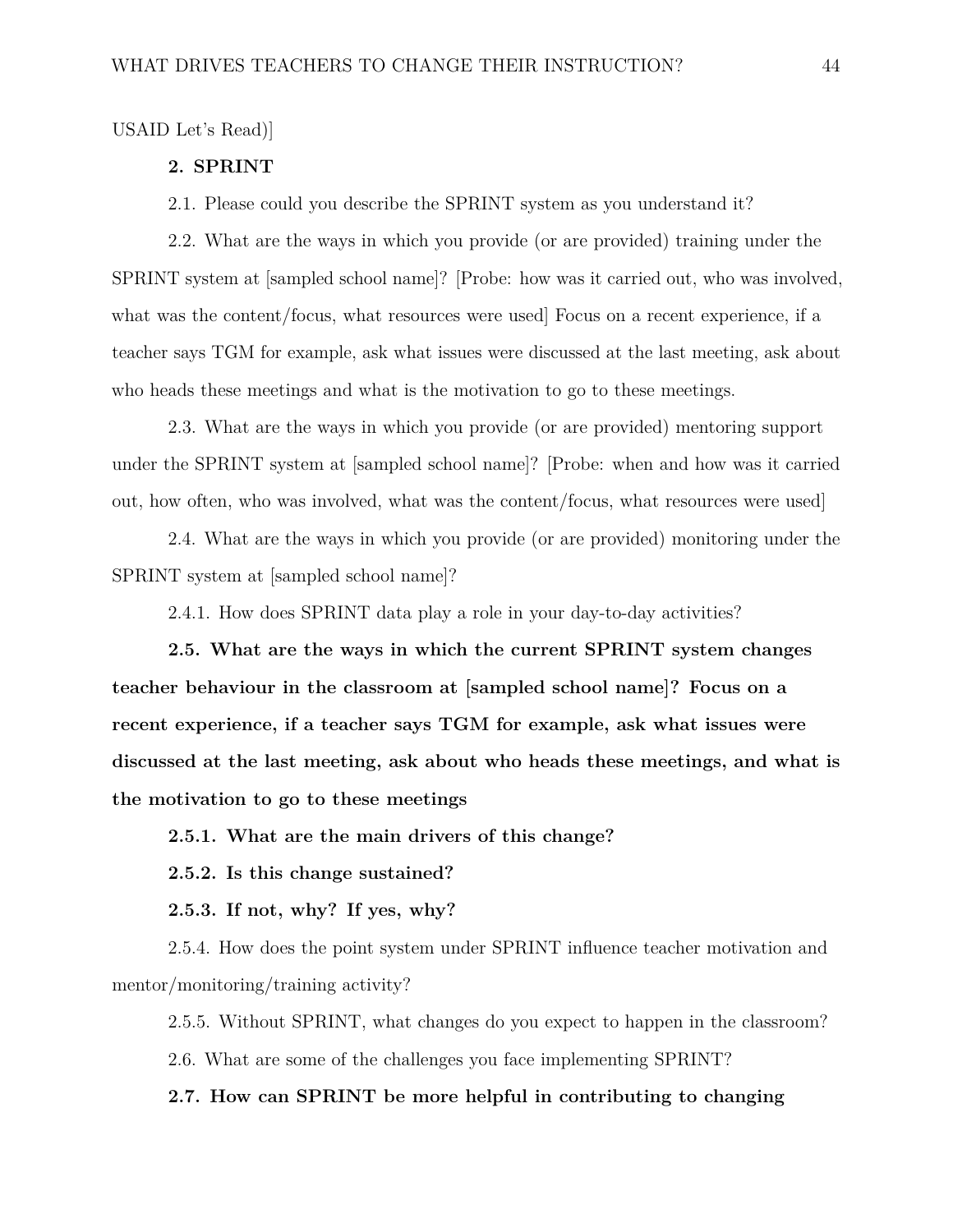#### USAID Let's Read)]

#### **2. SPRINT**

2.1. Please could you describe the SPRINT system as you understand it?

2.2. What are the ways in which you provide (or are provided) training under the SPRINT system at [sampled school name]? [Probe: how was it carried out, who was involved, what was the content/focus, what resources were used Focus on a recent experience, if a teacher says TGM for example, ask what issues were discussed at the last meeting, ask about who heads these meetings and what is the motivation to go to these meetings.

2.3. What are the ways in which you provide (or are provided) mentoring support under the SPRINT system at [sampled school name]? [Probe: when and how was it carried out, how often, who was involved, what was the content/focus, what resources were used]

2.4. What are the ways in which you provide (or are provided) monitoring under the SPRINT system at [sampled school name]?

2.4.1. How does SPRINT data play a role in your day-to-day activities?

**2.5. What are the ways in which the current SPRINT system changes teacher behaviour in the classroom at [sampled school name]? Focus on a recent experience, if a teacher says TGM for example, ask what issues were discussed at the last meeting, ask about who heads these meetings, and what is the motivation to go to these meetings**

**2.5.1. What are the main drivers of this change?**

**2.5.2. Is this change sustained?**

**2.5.3. If not, why? If yes, why?**

2.5.4. How does the point system under SPRINT influence teacher motivation and mentor/monitoring/training activity?

2.5.5. Without SPRINT, what changes do you expect to happen in the classroom? 2.6. What are some of the challenges you face implementing SPRINT?

**2.7. How can SPRINT be more helpful in contributing to changing**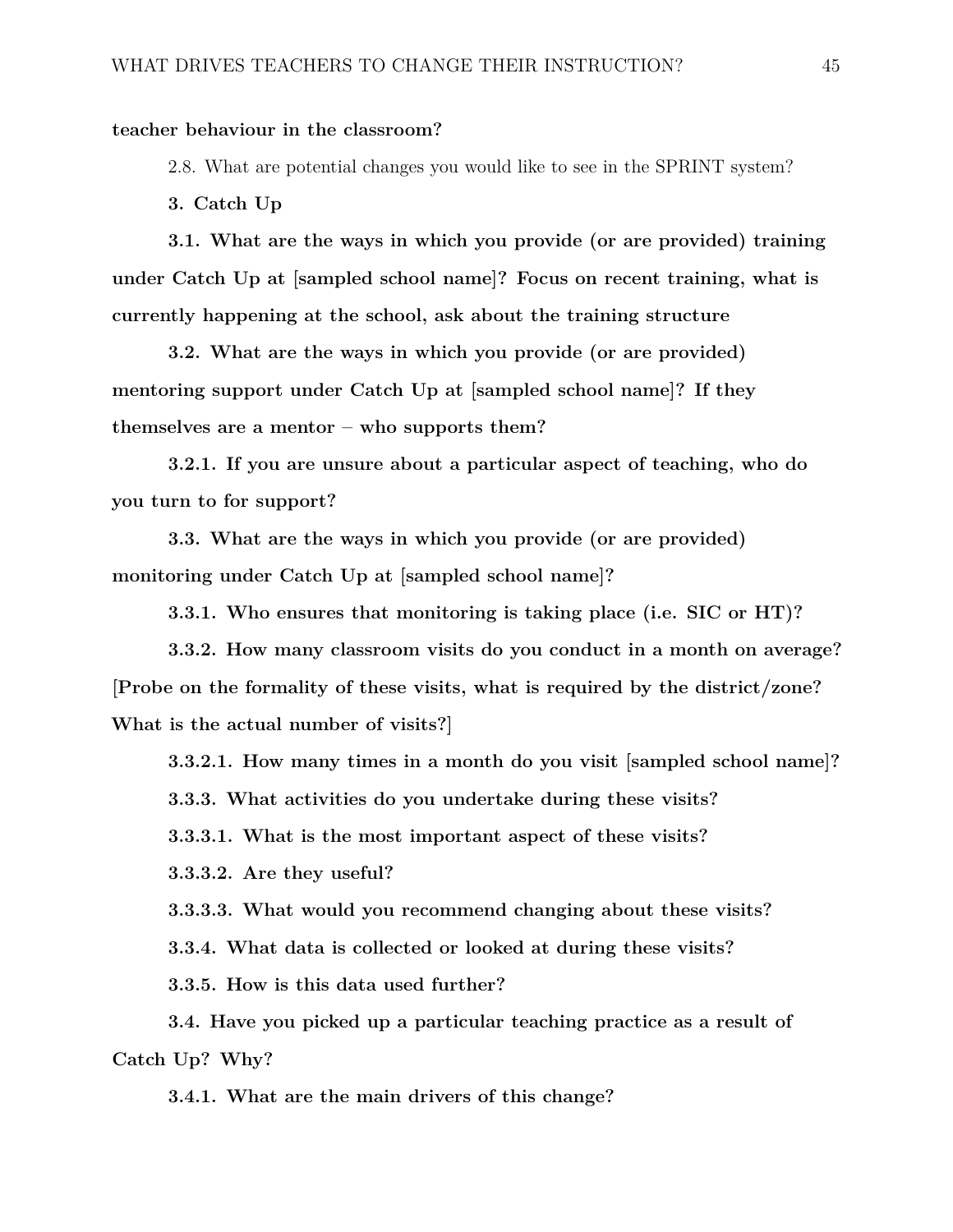#### **teacher behaviour in the classroom?**

2.8. What are potential changes you would like to see in the SPRINT system?

**3. Catch Up**

**3.1. What are the ways in which you provide (or are provided) training under Catch Up at [sampled school name]? Focus on recent training, what is currently happening at the school, ask about the training structure**

**3.2. What are the ways in which you provide (or are provided) mentoring support under Catch Up at [sampled school name]? If they themselves are a mentor – who supports them?**

**3.2.1. If you are unsure about a particular aspect of teaching, who do you turn to for support?**

**3.3. What are the ways in which you provide (or are provided) monitoring under Catch Up at [sampled school name]?**

**3.3.1. Who ensures that monitoring is taking place (i.e. SIC or HT)?**

**3.3.2. How many classroom visits do you conduct in a month on average? [Probe on the formality of these visits, what is required by the district/zone? What is the actual number of visits?]**

**3.3.2.1. How many times in a month do you visit [sampled school name]?**

**3.3.3. What activities do you undertake during these visits?**

**3.3.3.1. What is the most important aspect of these visits?**

**3.3.3.2. Are they useful?**

**3.3.3.3. What would you recommend changing about these visits?**

**3.3.4. What data is collected or looked at during these visits?**

**3.3.5. How is this data used further?**

**3.4. Have you picked up a particular teaching practice as a result of Catch Up? Why?**

**3.4.1. What are the main drivers of this change?**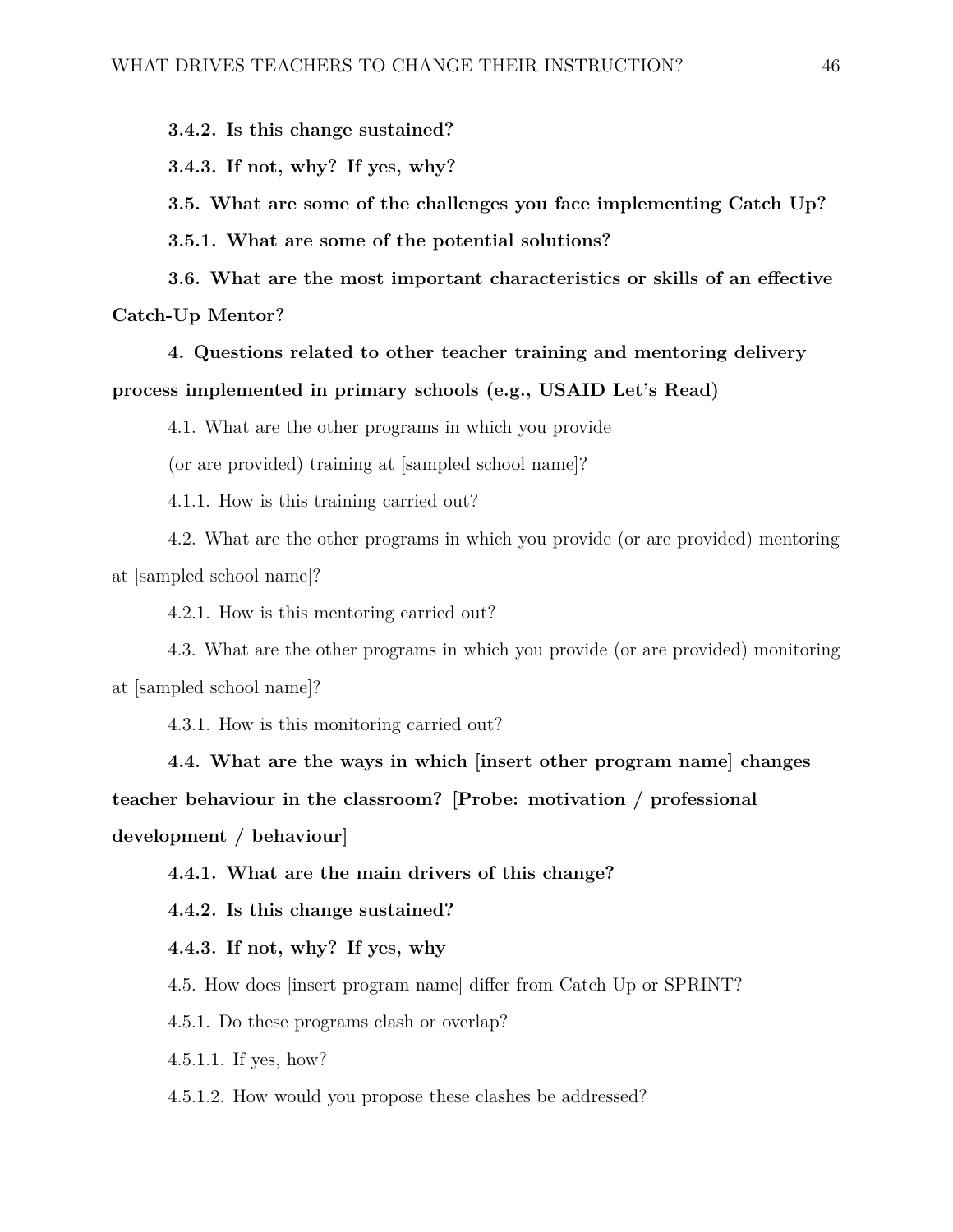**3.4.2. Is this change sustained?**

**3.4.3. If not, why? If yes, why?**

**3.5. What are some of the challenges you face implementing Catch Up?**

**3.5.1. What are some of the potential solutions?**

**3.6. What are the most important characteristics or skills of an effective Catch-Up Mentor?**

**4. Questions related to other teacher training and mentoring delivery process implemented in primary schools (e.g., USAID Let's Read)**

4.1. What are the other programs in which you provide

(or are provided) training at [sampled school name]?

4.1.1. How is this training carried out?

4.2. What are the other programs in which you provide (or are provided) mentoring at [sampled school name]?

4.2.1. How is this mentoring carried out?

4.3. What are the other programs in which you provide (or are provided) monitoring at [sampled school name]?

4.3.1. How is this monitoring carried out?

**4.4. What are the ways in which [insert other program name] changes teacher behaviour in the classroom? [Probe: motivation / professional development / behaviour]**

**4.4.1. What are the main drivers of this change?**

**4.4.2. Is this change sustained?**

**4.4.3. If not, why? If yes, why**

4.5. How does [insert program name] differ from Catch Up or SPRINT?

4.5.1. Do these programs clash or overlap?

4.5.1.1. If yes, how?

4.5.1.2. How would you propose these clashes be addressed?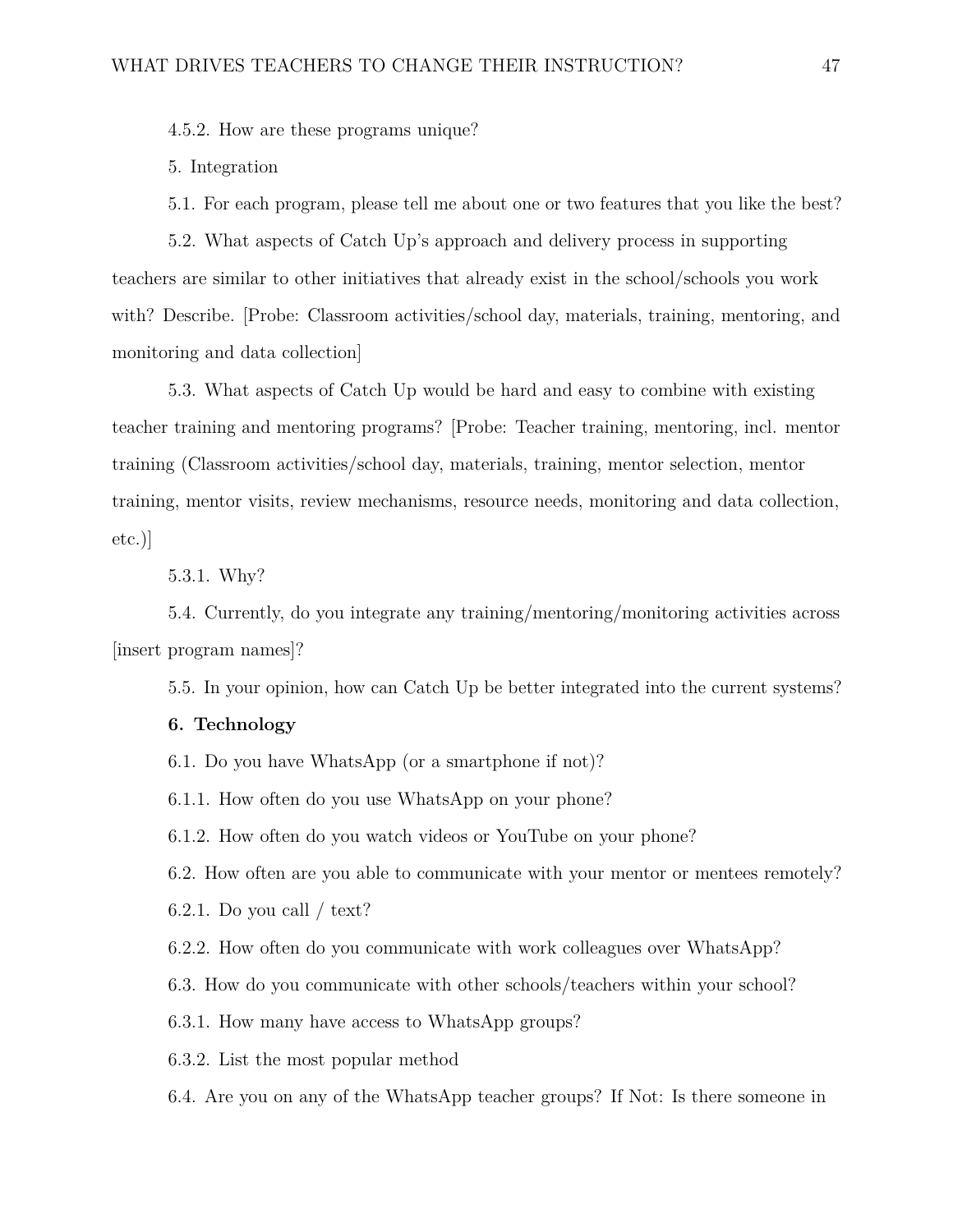4.5.2. How are these programs unique?

5. Integration

5.1. For each program, please tell me about one or two features that you like the best?

5.2. What aspects of Catch Up's approach and delivery process in supporting teachers are similar to other initiatives that already exist in the school/schools you work with? Describe. [Probe: Classroom activities/school day, materials, training, mentoring, and monitoring and data collection]

5.3. What aspects of Catch Up would be hard and easy to combine with existing teacher training and mentoring programs? [Probe: Teacher training, mentoring, incl. mentor training (Classroom activities/school day, materials, training, mentor selection, mentor training, mentor visits, review mechanisms, resource needs, monitoring and data collection, etc.)]

5.3.1. Why?

5.4. Currently, do you integrate any training/mentoring/monitoring activities across [insert program names]?

5.5. In your opinion, how can Catch Up be better integrated into the current systems?

#### **6. Technology**

6.1. Do you have WhatsApp (or a smartphone if not)?

6.1.1. How often do you use WhatsApp on your phone?

6.1.2. How often do you watch videos or YouTube on your phone?

6.2. How often are you able to communicate with your mentor or mentees remotely?

6.2.1. Do you call / text?

6.2.2. How often do you communicate with work colleagues over WhatsApp?

6.3. How do you communicate with other schools/teachers within your school?

6.3.1. How many have access to WhatsApp groups?

6.3.2. List the most popular method

6.4. Are you on any of the WhatsApp teacher groups? If Not: Is there someone in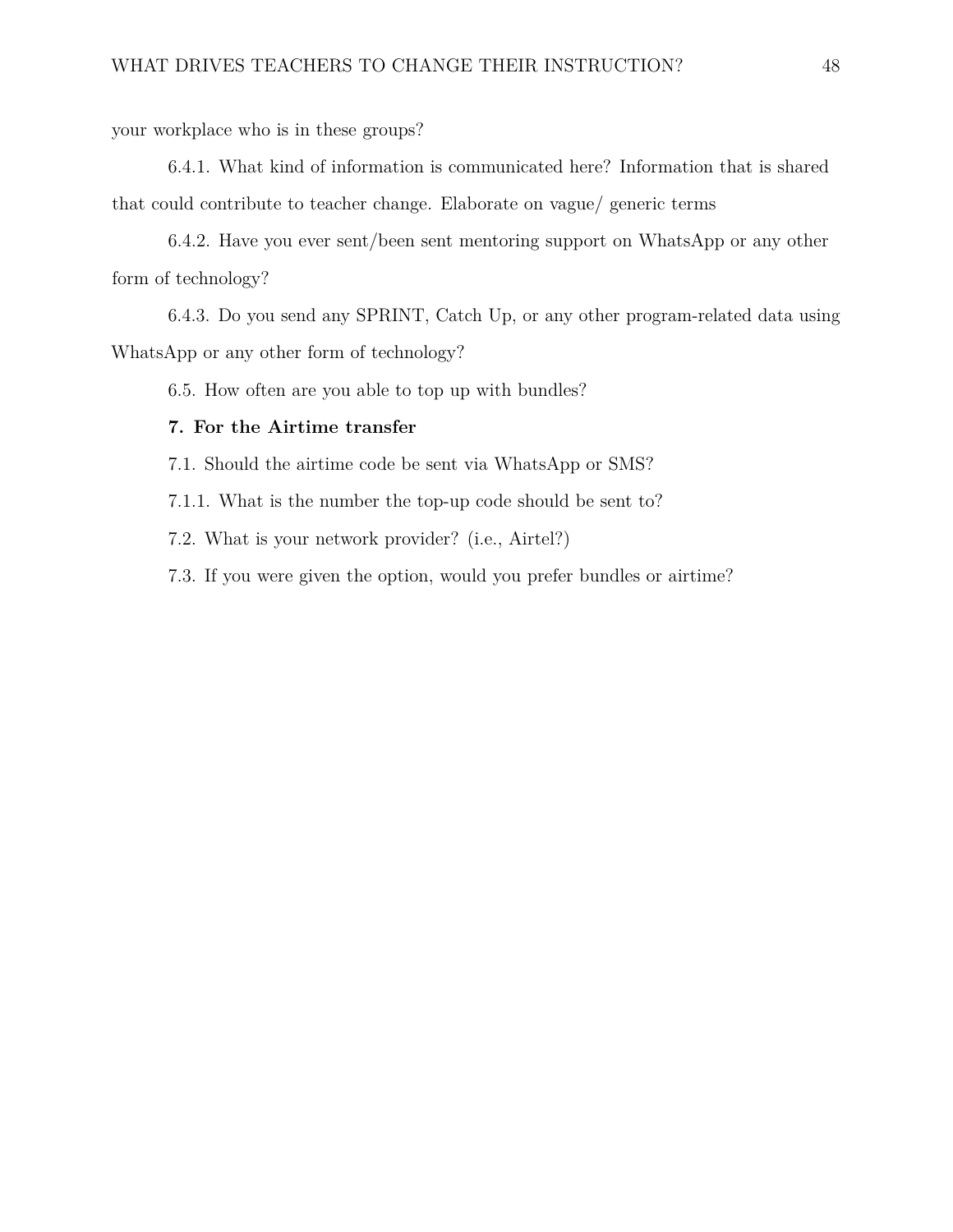your workplace who is in these groups?

6.4.1. What kind of information is communicated here? Information that is shared that could contribute to teacher change. Elaborate on vague/ generic terms

6.4.2. Have you ever sent/been sent mentoring support on WhatsApp or any other form of technology?

6.4.3. Do you send any SPRINT, Catch Up, or any other program-related data using WhatsApp or any other form of technology?

6.5. How often are you able to top up with bundles?

#### **7. For the Airtime transfer**

7.1. Should the airtime code be sent via WhatsApp or SMS?

7.1.1. What is the number the top-up code should be sent to?

7.2. What is your network provider? (i.e., Airtel?)

7.3. If you were given the option, would you prefer bundles or airtime?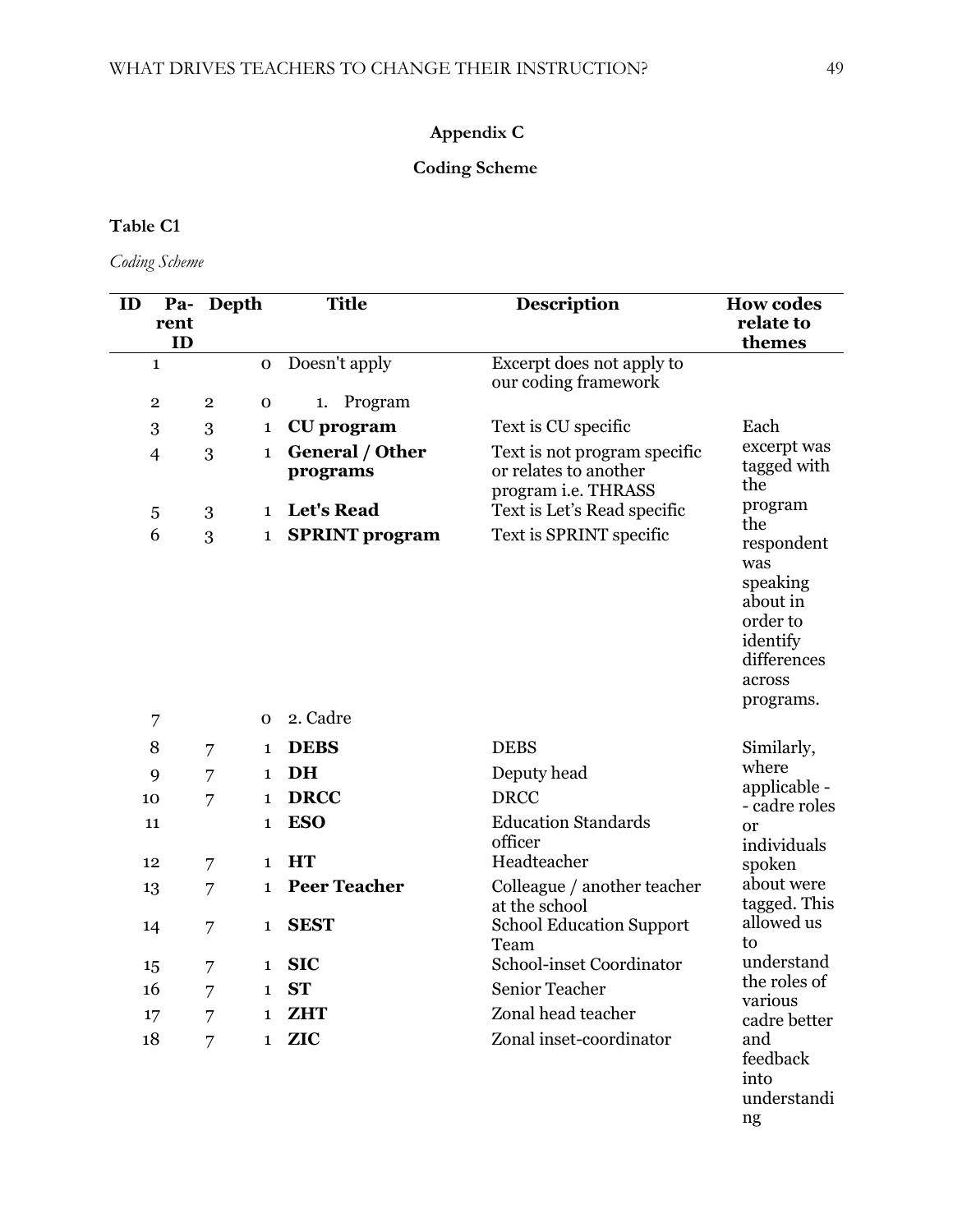## **Appendix C**

## **Coding Scheme**

## **Table C1**

*Coding Scheme*

| ID |                         | Pa- Depth      |                            | <b>Title</b>                      | Description                                                                  | <b>How codes</b>                                                                                               |
|----|-------------------------|----------------|----------------------------|-----------------------------------|------------------------------------------------------------------------------|----------------------------------------------------------------------------------------------------------------|
|    | rent<br>ID              |                |                            |                                   |                                                                              | relate to<br>themes                                                                                            |
|    | $\mathbf{1}$            |                | $\mathbf O$                | Doesn't apply                     | Excerpt does not apply to<br>our coding framework                            |                                                                                                                |
|    | $\overline{\mathbf{2}}$ | $\overline{2}$ | $\mathbf 0$                | Program<br>1.                     |                                                                              |                                                                                                                |
|    | 3                       | 3              | 1                          | <b>CU</b> program                 | Text is CU specific                                                          | Each                                                                                                           |
|    | 4                       | 3              | $\mathbf{1}$               | General / Other<br>programs       | Text is not program specific<br>or relates to another<br>program i.e. THRASS | excerpt was<br>tagged with<br>the                                                                              |
|    | 5                       | 3              | $\mathbf{1}$               | <b>Let's Read</b>                 | Text is Let's Read specific                                                  | program                                                                                                        |
|    | 6<br>7                  | 3              | $\mathbf 1$<br>$\mathbf 0$ | <b>SPRINT</b> program<br>2. Cadre | Text is SPRINT specific                                                      | the<br>respondent<br>was<br>speaking<br>about in<br>order to<br>identify<br>differences<br>across<br>programs. |
|    | 8                       | 7              | 1                          | <b>DEBS</b>                       | <b>DEBS</b>                                                                  | Similarly,                                                                                                     |
|    |                         |                | $\mathbf 1$                | DH                                | Deputy head                                                                  | where                                                                                                          |
| 10 | 9                       | 7              | $\mathbf{1}$               | <b>DRCC</b>                       | <b>DRCC</b>                                                                  | applicable -                                                                                                   |
|    | 11                      | 7              |                            | <b>ESO</b>                        | <b>Education Standards</b>                                                   | - cadre roles                                                                                                  |
|    |                         |                | 1                          |                                   | officer                                                                      | <sub>or</sub><br>individuals                                                                                   |
| 12 |                         | 7              | $\mathbf{1}$               | <b>HT</b>                         | Headteacher                                                                  | spoken                                                                                                         |
| 13 |                         | 7              | $\mathbf 1$                | <b>Peer Teacher</b>               | Colleague / another teacher<br>at the school                                 | about were<br>tagged. This                                                                                     |
| 14 |                         | 7              | $\mathbf 1$                | <b>SEST</b>                       | <b>School Education Support</b><br>Team                                      | allowed us<br>to                                                                                               |
| 15 |                         | 7              | $\mathbf{1}$               | <b>SIC</b>                        | School-inset Coordinator                                                     | understand                                                                                                     |
| 16 |                         | 7              |                            | $1$ ST                            | Senior Teacher                                                               | the roles of<br>various                                                                                        |
| 17 |                         | 7              | $\mathbf{1}$               | <b>ZHT</b>                        | Zonal head teacher                                                           | cadre better                                                                                                   |
| 18 |                         | 7              | $\mathbf{1}$               | <b>ZIC</b>                        | Zonal inset-coordinator                                                      | and<br>feedback<br>into<br>understandi                                                                         |

ng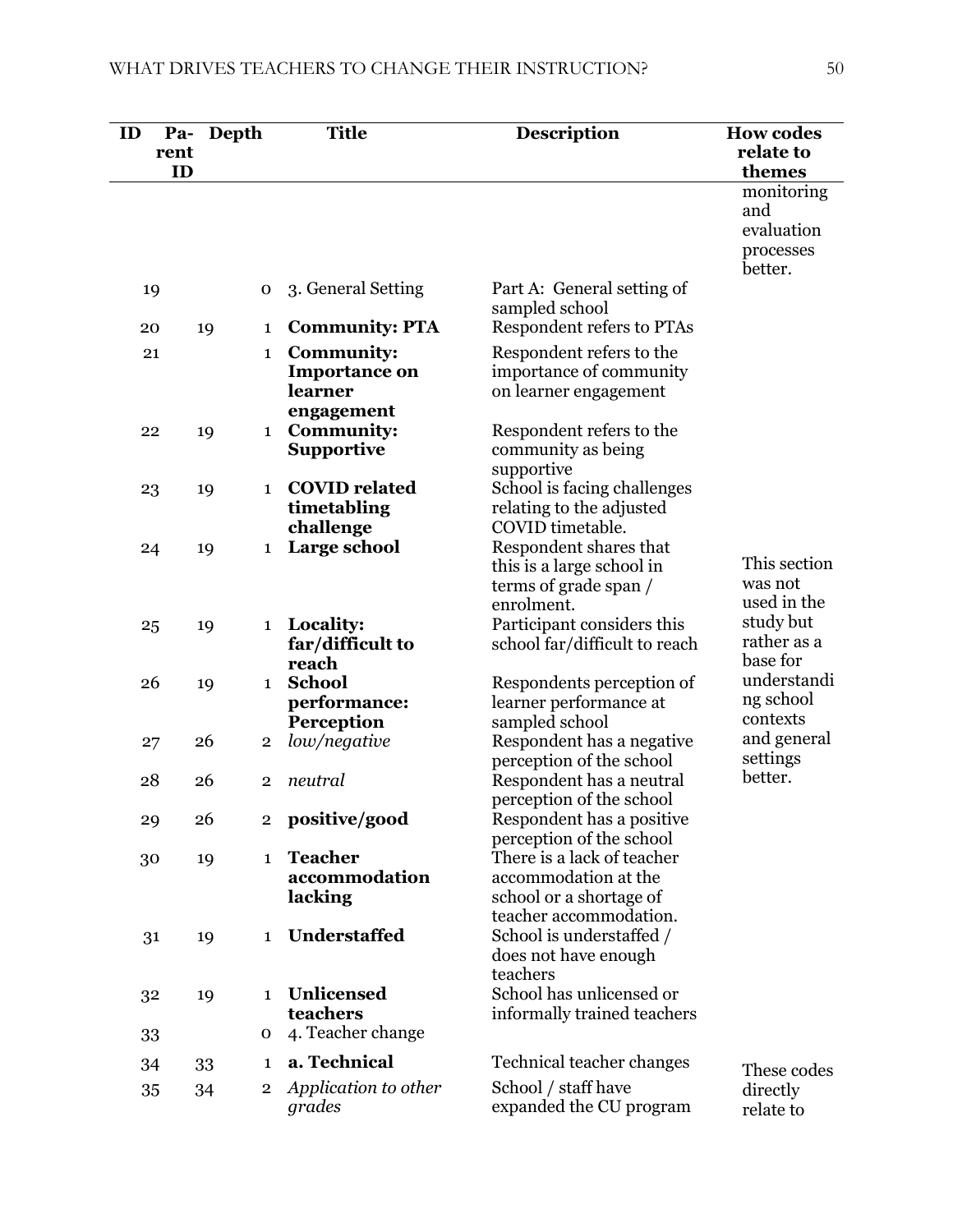| ID   | Pa- | Depth                   | <b>Title</b>                              | <b>Description</b>                                     | <b>How codes</b>       |
|------|-----|-------------------------|-------------------------------------------|--------------------------------------------------------|------------------------|
| rent | ID  |                         |                                           |                                                        | relate to<br>themes    |
|      |     |                         |                                           |                                                        | monitoring             |
|      |     |                         |                                           |                                                        | and<br>evaluation      |
|      |     |                         |                                           |                                                        | processes              |
|      |     |                         |                                           |                                                        | better.                |
| 19   |     | $\mathbf 0$             | 3. General Setting                        | Part A: General setting of                             |                        |
|      |     |                         |                                           | sampled school<br>Respondent refers to PTAs            |                        |
| 20   | 19  | 1                       | <b>Community: PTA</b>                     |                                                        |                        |
| 21   |     | $\mathbf{1}$            | <b>Community:</b><br><b>Importance on</b> | Respondent refers to the<br>importance of community    |                        |
|      |     |                         | learner                                   | on learner engagement                                  |                        |
|      |     |                         | engagement                                |                                                        |                        |
| 22   | 19  | $\mathbf{1}$            | <b>Community:</b>                         | Respondent refers to the                               |                        |
|      |     |                         | <b>Supportive</b>                         | community as being                                     |                        |
|      |     | $\mathbf{1}$            | <b>COVID</b> related                      | supportive<br>School is facing challenges              |                        |
| 23   | 19  |                         | timetabling                               | relating to the adjusted                               |                        |
|      |     |                         | challenge                                 | COVID timetable.                                       |                        |
| 24   | 19  | $\mathbf{1}$            | Large school                              | Respondent shares that                                 |                        |
|      |     |                         |                                           | this is a large school in                              | This section           |
|      |     |                         |                                           | terms of grade span /<br>enrolment.                    | was not<br>used in the |
| 25   | 19  | $\mathbf{1}$            | Locality:                                 | Participant considers this                             | study but              |
|      |     |                         | far/difficult to                          | school far/difficult to reach                          | rather as a            |
|      |     |                         | reach                                     |                                                        | base for               |
| 26   | 19  | $\mathbf{1}$            | <b>School</b>                             | Respondents perception of                              | understandi            |
|      |     |                         | performance:                              | learner performance at                                 | ng school<br>contexts  |
| 27   | 26  | $\overline{2}$          | Perception<br>low/negative                | sampled school<br>Respondent has a negative            | and general            |
|      |     |                         |                                           | perception of the school                               | settings               |
| 28   | 26  | $\overline{2}$          | neutral                                   | Respondent has a neutral                               | better.                |
|      |     |                         |                                           | perception of the school                               |                        |
| 29   | 26  | $\mathbf{2}$            | positive/good                             | Respondent has a positive                              |                        |
| 30   | 19  | 1                       | <b>Teacher</b>                            | perception of the school<br>There is a lack of teacher |                        |
|      |     |                         | accommodation                             | accommodation at the                                   |                        |
|      |     |                         | lacking                                   | school or a shortage of                                |                        |
|      |     |                         |                                           | teacher accommodation.                                 |                        |
| 31   | 19  | 1                       | <b>Understaffed</b>                       | School is understaffed /                               |                        |
|      |     |                         |                                           | does not have enough<br>teachers                       |                        |
| 32   | 19  | $\mathbf{1}$            | Unlicensed                                | School has unlicensed or                               |                        |
|      |     |                         | teachers                                  | informally trained teachers                            |                        |
| 33   |     | 0                       | 4. Teacher change                         |                                                        |                        |
| 34   | 33  | 1                       | a. Technical                              | Technical teacher changes                              | These codes            |
| 35   | 34  | $\overline{\mathbf{2}}$ | Application to other                      | School / staff have                                    | directly               |
|      |     |                         | grades                                    | expanded the CU program                                | relate to              |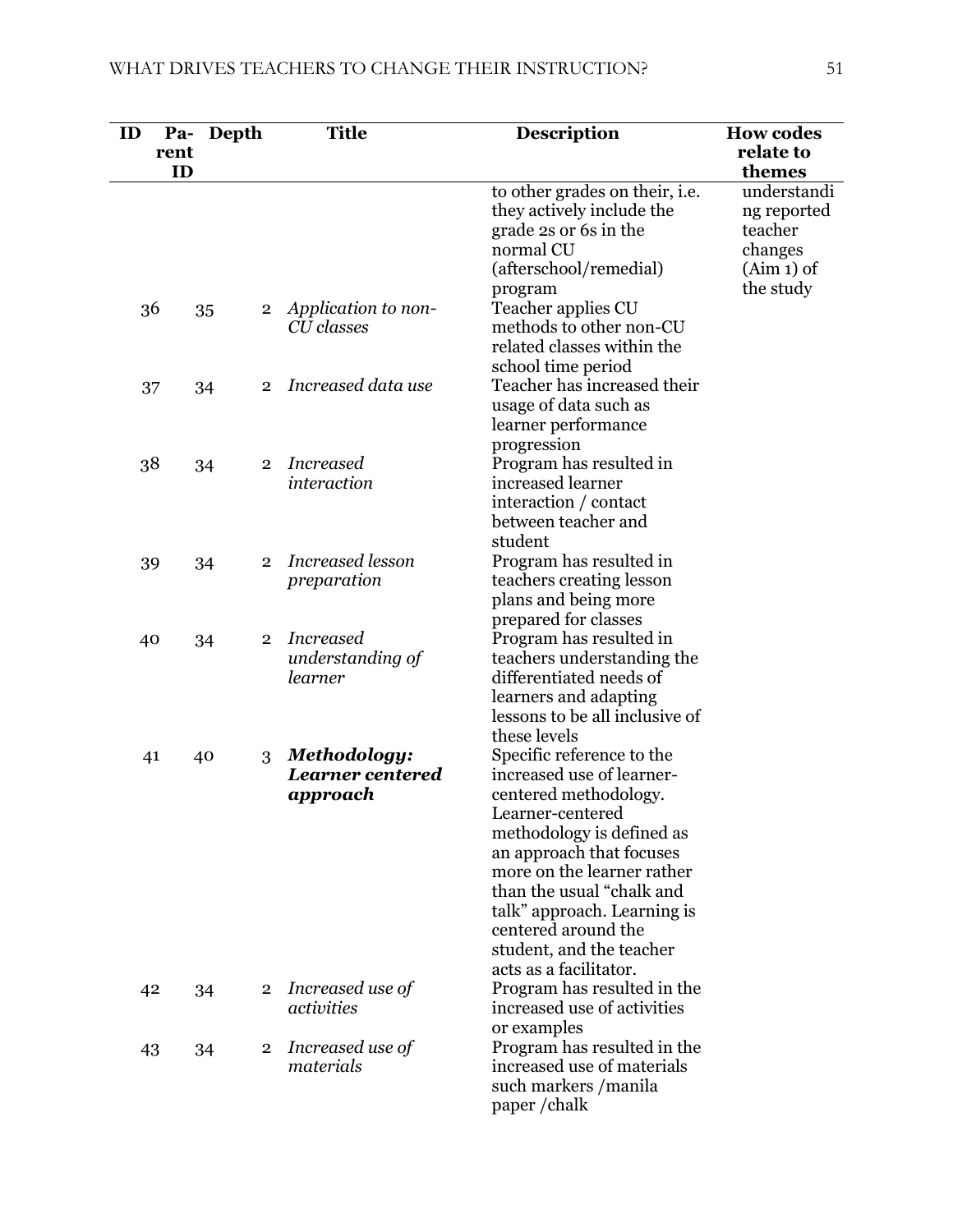| ID<br>rent | Depth<br>Pa-<br>ID |                | <b>Title</b>                                        | <b>Description</b>                                                                                                                                                                                                                                                                                                                  | <b>How codes</b><br>relate to<br>themes                          |
|------------|--------------------|----------------|-----------------------------------------------------|-------------------------------------------------------------------------------------------------------------------------------------------------------------------------------------------------------------------------------------------------------------------------------------------------------------------------------------|------------------------------------------------------------------|
|            |                    |                |                                                     | to other grades on their, i.e.<br>they actively include the<br>grade 2s or 6s in the<br>normal CU<br>(afterschool/remedial)                                                                                                                                                                                                         | understandi<br>ng reported<br>teacher<br>changes<br>$(Aim 1)$ of |
| 36         | 35                 | $\overline{2}$ | Application to non-<br>CU classes                   | program<br>Teacher applies CU<br>methods to other non-CU<br>related classes within the<br>school time period                                                                                                                                                                                                                        | the study                                                        |
| 37         | 34                 | $\overline{2}$ | Increased data use                                  | Teacher has increased their<br>usage of data such as<br>learner performance<br>progression                                                                                                                                                                                                                                          |                                                                  |
| 38         | 34                 | $\overline{2}$ | <i>Increased</i><br>interaction                     | Program has resulted in<br>increased learner<br>interaction / contact<br>between teacher and<br>student                                                                                                                                                                                                                             |                                                                  |
| 39         | 34                 | $\overline{2}$ | <b>Increased</b> lesson<br>preparation              | Program has resulted in<br>teachers creating lesson<br>plans and being more<br>prepared for classes                                                                                                                                                                                                                                 |                                                                  |
| 40         | 34                 | $\overline{2}$ | <i>Increased</i><br>understanding of<br>learner     | Program has resulted in<br>teachers understanding the<br>differentiated needs of<br>learners and adapting<br>lessons to be all inclusive of<br>these levels                                                                                                                                                                         |                                                                  |
| 41         | 40                 | 3              | Methodology:<br><b>Learner centered</b><br>approach | Specific reference to the<br>increased use of learner-<br>centered methodology.<br>Learner-centered<br>methodology is defined as<br>an approach that focuses<br>more on the learner rather<br>than the usual "chalk and<br>talk" approach. Learning is<br>centered around the<br>student, and the teacher<br>acts as a facilitator. |                                                                  |
| 42         | 34                 | $\mathbf{2}$   | Increased use of<br>activities                      | Program has resulted in the<br>increased use of activities<br>or examples                                                                                                                                                                                                                                                           |                                                                  |
| 43         | 34                 | $\mathbf{2}$   | Increased use of<br>materials                       | Program has resulted in the<br>increased use of materials<br>such markers / manila<br>paper/chalk                                                                                                                                                                                                                                   |                                                                  |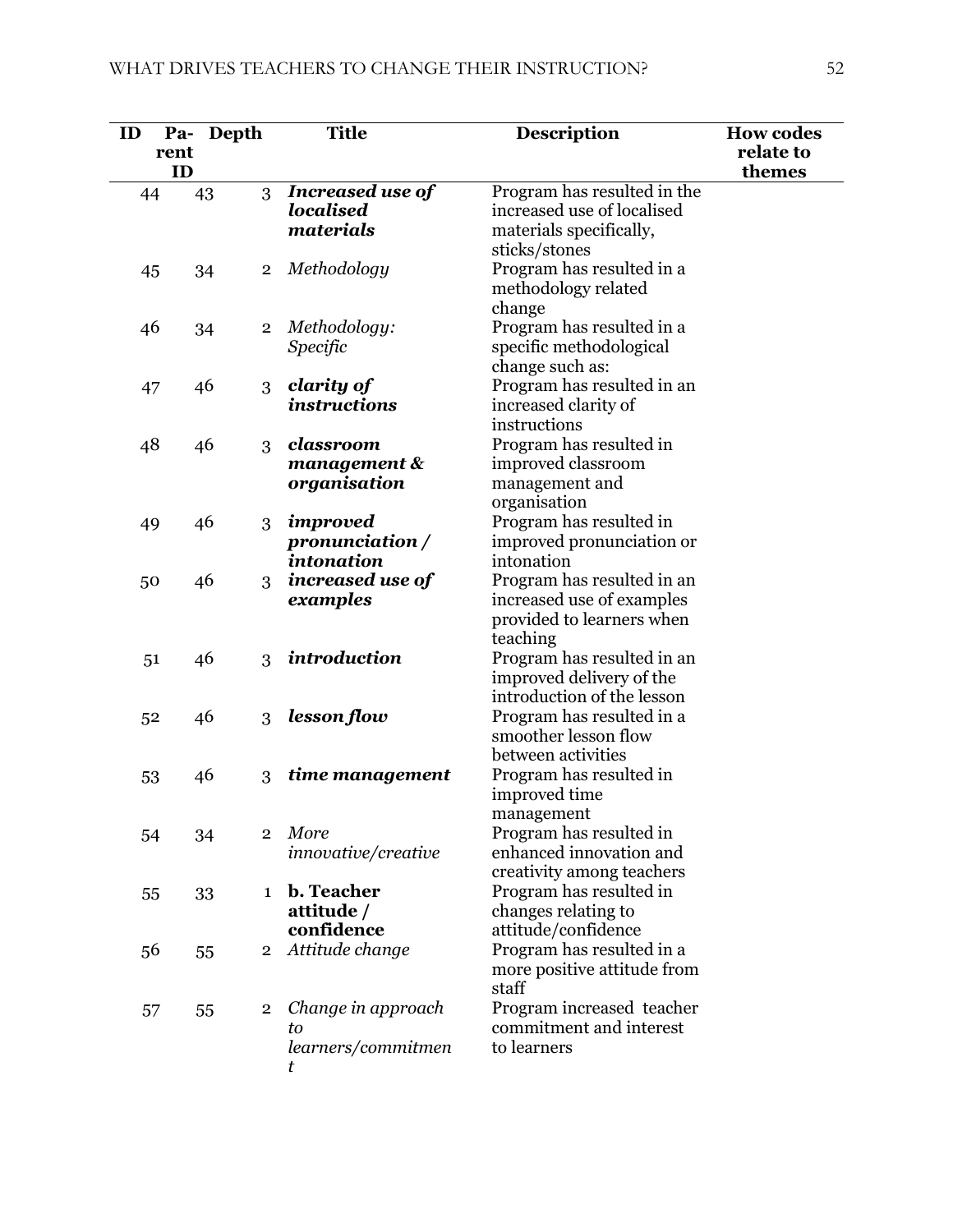| ID | Pa-<br>rent | Depth          | <b>Title</b>            | <b>Description</b>                     | <b>How codes</b><br>relate to |
|----|-------------|----------------|-------------------------|----------------------------------------|-------------------------------|
| 44 | ID<br>43    | 3              | <b>Increased use of</b> | Program has resulted in the            | themes                        |
|    |             |                | <b>localised</b>        | increased use of localised             |                               |
|    |             |                | materials               | materials specifically,                |                               |
|    |             |                |                         | sticks/stones                          |                               |
| 45 | 34          | $\overline{2}$ | Methodology             | Program has resulted in a              |                               |
|    |             |                |                         | methodology related                    |                               |
|    |             |                |                         | change                                 |                               |
| 46 | 34          | $\overline{2}$ | Methodology:            | Program has resulted in a              |                               |
|    |             |                | Specific                | specific methodological                |                               |
|    |             |                |                         | change such as:                        |                               |
| 47 | 46          | 3              | clarity of              | Program has resulted in an             |                               |
|    |             |                | <i>instructions</i>     | increased clarity of                   |                               |
|    |             |                |                         | instructions                           |                               |
| 48 | 46          | 3              | classroom               | Program has resulted in                |                               |
|    |             |                | $m$ anagement $\&$      | improved classroom                     |                               |
|    |             |                | organisation            | management and                         |                               |
|    |             |                |                         | organisation                           |                               |
| 49 | 46          | 3              | improved                | Program has resulted in                |                               |
|    |             |                | pronunciation /         | improved pronunciation or              |                               |
|    |             |                | intonation              | intonation                             |                               |
| 50 | 46          | 3              | increased use of        | Program has resulted in an             |                               |
|    |             |                | examples                | increased use of examples              |                               |
|    |             |                |                         | provided to learners when              |                               |
|    |             |                | introduction            | teaching<br>Program has resulted in an |                               |
| 51 | 46          | 3              |                         | improved delivery of the               |                               |
|    |             |                |                         | introduction of the lesson             |                               |
| 52 | 46          | 3              | lesson flow             | Program has resulted in a              |                               |
|    |             |                |                         | smoother lesson flow                   |                               |
|    |             |                |                         | between activities                     |                               |
| 53 | 46          | 3              | time management         | Program has resulted in                |                               |
|    |             |                |                         | improved time                          |                               |
|    |             |                |                         | management                             |                               |
| 54 | 34          | $\overline{2}$ | <b>More</b>             | Program has resulted in                |                               |
|    |             |                | innovative/creative     | enhanced innovation and                |                               |
|    |             |                |                         | creativity among teachers              |                               |
| 55 | 33          | $\mathbf{1}$   | b. Teacher              | Program has resulted in                |                               |
|    |             |                | attitude /              | changes relating to                    |                               |
|    |             |                | confidence              | attitude/confidence                    |                               |
| 56 | 55          | $\overline{2}$ | Attitude change         | Program has resulted in a              |                               |
|    |             |                |                         | more positive attitude from            |                               |
|    |             |                |                         | staff                                  |                               |
| 57 | 55          | $\overline{2}$ | Change in approach      | Program increased teacher              |                               |
|    |             |                | to                      | commitment and interest                |                               |
|    |             |                | learners/commitmen      | to learners                            |                               |
|    |             |                | t                       |                                        |                               |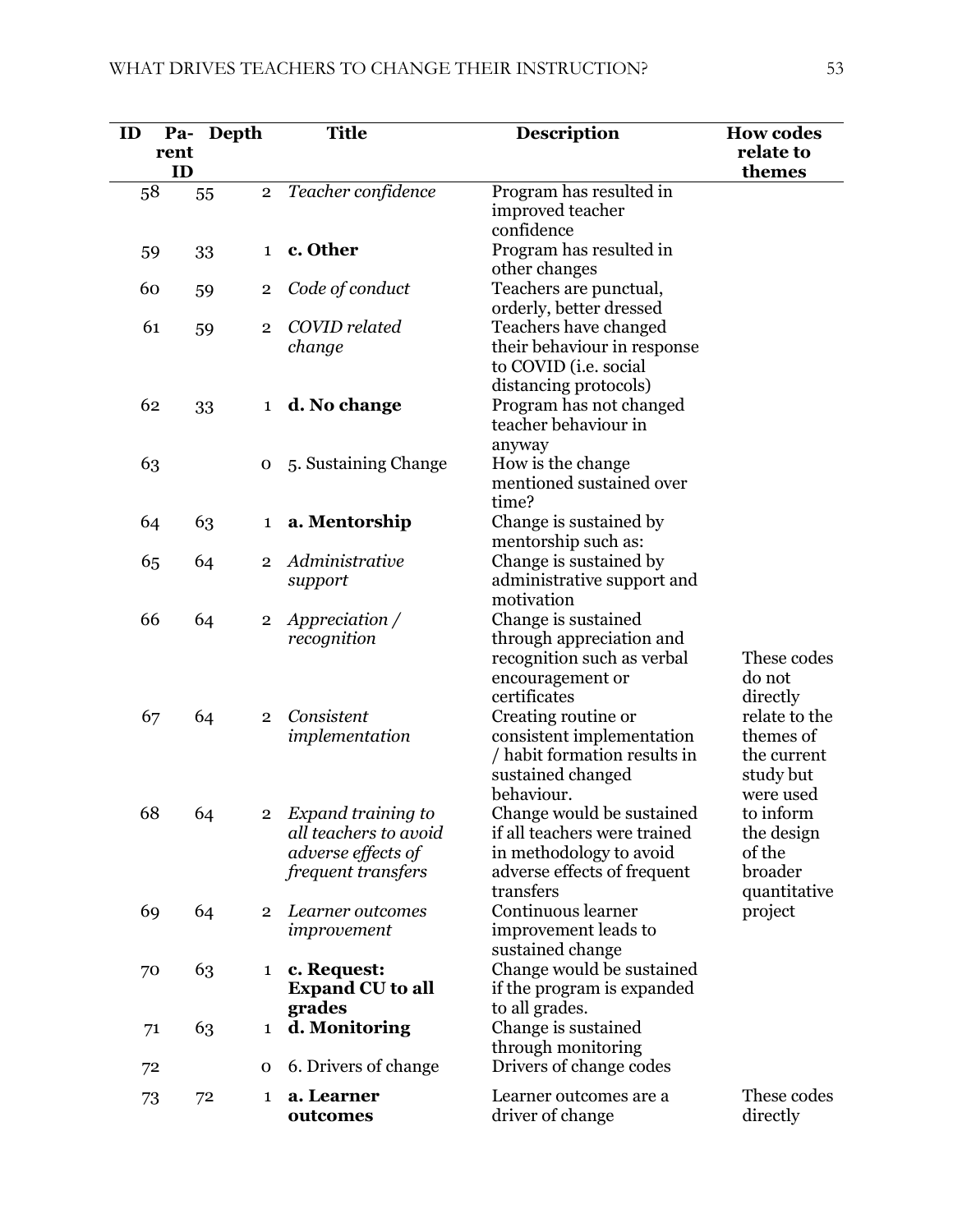| ID | Pa-        | Depth |                | <b>Title</b>                      | <b>Description</b>                               | <b>How codes</b>          |
|----|------------|-------|----------------|-----------------------------------|--------------------------------------------------|---------------------------|
|    | rent<br>ID |       |                |                                   |                                                  | relate to<br>themes       |
| 58 |            | 55    | $\overline{2}$ | Teacher confidence                | Program has resulted in                          |                           |
|    |            |       |                |                                   | improved teacher                                 |                           |
| 59 |            | 33    | $\mathbf{1}$   | c. Other                          | confidence<br>Program has resulted in            |                           |
|    |            |       |                |                                   | other changes                                    |                           |
| 60 |            | 59    | $\overline{2}$ | Code of conduct                   | Teachers are punctual,                           |                           |
| 61 |            |       |                | COVID related                     | orderly, better dressed<br>Teachers have changed |                           |
|    |            | 59    | $\overline{2}$ | change                            | their behaviour in response                      |                           |
|    |            |       |                |                                   | to COVID (i.e. social                            |                           |
|    |            |       |                |                                   | distancing protocols)                            |                           |
| 62 |            | 33    | 1              | d. No change                      | Program has not changed<br>teacher behaviour in  |                           |
|    |            |       |                |                                   | anyway                                           |                           |
| 63 |            |       | 0              | 5. Sustaining Change              | How is the change                                |                           |
|    |            |       |                |                                   | mentioned sustained over                         |                           |
|    |            |       |                |                                   | time?                                            |                           |
| 64 |            | 63    | $\mathbf{1}$   | a. Mentorship                     | Change is sustained by<br>mentorship such as:    |                           |
| 65 |            | 64    | $\overline{2}$ | Administrative                    | Change is sustained by                           |                           |
|    |            |       |                | support                           | administrative support and                       |                           |
| 66 |            | 64    | $\overline{2}$ | Appreciation /                    | motivation<br>Change is sustained                |                           |
|    |            |       |                | recognition                       | through appreciation and                         |                           |
|    |            |       |                |                                   | recognition such as verbal                       | These codes               |
|    |            |       |                |                                   | encouragement or                                 | do not                    |
| 67 |            | 64    | $\overline{2}$ | Consistent                        | certificates<br>Creating routine or              | directly<br>relate to the |
|    |            |       |                | implementation                    | consistent implementation                        | themes of                 |
|    |            |       |                |                                   | / habit formation results in                     | the current               |
|    |            |       |                |                                   | sustained changed                                | study but                 |
| 68 |            | 64    | $\overline{2}$ | Expand training to                | behaviour.<br>Change would be sustained          | were used<br>to inform    |
|    |            |       |                | all teachers to avoid             | if all teachers were trained                     | the design                |
|    |            |       |                | adverse effects of                | in methodology to avoid                          | of the                    |
|    |            |       |                | <i>frequent transfers</i>         | adverse effects of frequent<br>transfers         | broader                   |
| 69 |            | 64    | $\overline{2}$ | Learner outcomes                  | Continuous learner                               | quantitative<br>project   |
|    |            |       |                | improvement                       | improvement leads to                             |                           |
|    |            |       |                |                                   | sustained change                                 |                           |
| 70 |            | 63    | 1              | c. Request:                       | Change would be sustained                        |                           |
|    |            |       |                | <b>Expand CU</b> to all<br>grades | if the program is expanded<br>to all grades.     |                           |
|    | 71         | 63    | 1              | d. Monitoring                     | Change is sustained                              |                           |
|    |            |       |                |                                   | through monitoring                               |                           |
| 72 |            |       | 0              | 6. Drivers of change              | Drivers of change codes                          |                           |
| 73 |            | 72    | 1              | a. Learner                        | Learner outcomes are a                           | These codes               |
|    |            |       |                | outcomes                          | driver of change                                 | directly                  |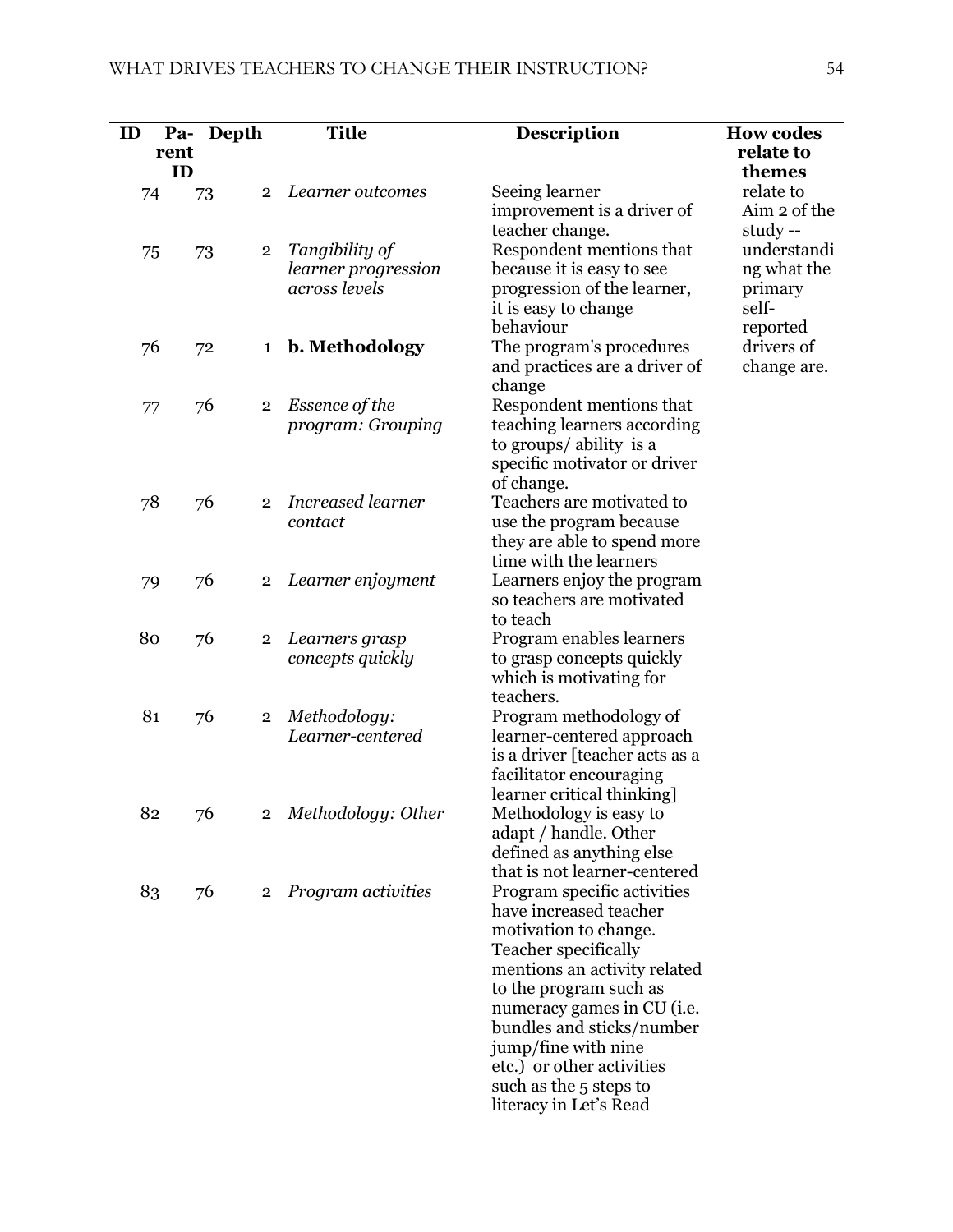| ID | Pa-  | Depth                | <b>Title</b>             | <b>Description</b>                                       | <b>How codes</b>          |
|----|------|----------------------|--------------------------|----------------------------------------------------------|---------------------------|
|    | rent |                      |                          |                                                          | relate to                 |
|    | ID   |                      |                          |                                                          | themes                    |
|    | 74   | $\overline{2}$<br>73 | Learner outcomes         | Seeing learner                                           | relate to<br>Aim 2 of the |
|    |      |                      |                          | improvement is a driver of<br>teacher change.            | study --                  |
|    | 75   | $\overline{2}$<br>73 | Tangibility of           | Respondent mentions that                                 | understandi               |
|    |      |                      | learner progression      | because it is easy to see                                | ng what the               |
|    |      |                      | across levels            | progression of the learner,                              | primary                   |
|    |      |                      |                          | it is easy to change                                     | self-                     |
|    |      |                      |                          | behaviour                                                | reported                  |
|    | 76   | 72<br>$\mathbf{1}$   | b. Methodology           | The program's procedures                                 | drivers of                |
|    |      |                      |                          | and practices are a driver of                            | change are.               |
|    |      |                      |                          | change                                                   |                           |
|    | 77   | 76<br>$\overline{2}$ | Essence of the           | Respondent mentions that                                 |                           |
|    |      |                      | program: Grouping        | teaching learners according                              |                           |
|    |      |                      |                          | to groups/ ability is a<br>specific motivator or driver  |                           |
|    |      |                      |                          | of change.                                               |                           |
|    | 78   | 76<br>$\overline{2}$ | <b>Increased learner</b> | Teachers are motivated to                                |                           |
|    |      |                      | contact                  | use the program because                                  |                           |
|    |      |                      |                          | they are able to spend more                              |                           |
|    |      |                      |                          | time with the learners                                   |                           |
|    | 79   | 76<br>$\overline{2}$ | Learner enjoyment        | Learners enjoy the program                               |                           |
|    |      |                      |                          | so teachers are motivated                                |                           |
|    |      |                      |                          | to teach                                                 |                           |
|    | 80   | 76<br>$\mathbf{2}$   | Learners grasp           | Program enables learners                                 |                           |
|    |      |                      | concepts quickly         | to grasp concepts quickly<br>which is motivating for     |                           |
|    |      |                      |                          | teachers.                                                |                           |
|    | 81   | 76<br>$\overline{2}$ | Methodology:             | Program methodology of                                   |                           |
|    |      |                      | Learner-centered         | learner-centered approach                                |                           |
|    |      |                      |                          | is a driver [teacher acts as a                           |                           |
|    |      |                      |                          | facilitator encouraging                                  |                           |
|    |      |                      |                          | learner critical thinking]                               |                           |
|    | 82   | $76\,$<br>$^{2}$     | Methodology: Other       | Methodology is easy to                                   |                           |
|    |      |                      |                          | adapt / handle. Other                                    |                           |
|    |      |                      |                          | defined as anything else<br>that is not learner-centered |                           |
|    | 83   | 76<br>$\overline{2}$ | Program activities       | Program specific activities                              |                           |
|    |      |                      |                          | have increased teacher                                   |                           |
|    |      |                      |                          | motivation to change.                                    |                           |
|    |      |                      |                          | Teacher specifically                                     |                           |
|    |      |                      |                          | mentions an activity related                             |                           |
|    |      |                      |                          | to the program such as                                   |                           |
|    |      |                      |                          | numeracy games in CU (i.e.                               |                           |
|    |      |                      |                          | bundles and sticks/number                                |                           |
|    |      |                      |                          | jump/fine with nine<br>etc.) or other activities         |                           |
|    |      |                      |                          | such as the 5 steps to                                   |                           |
|    |      |                      |                          | literacy in Let's Read                                   |                           |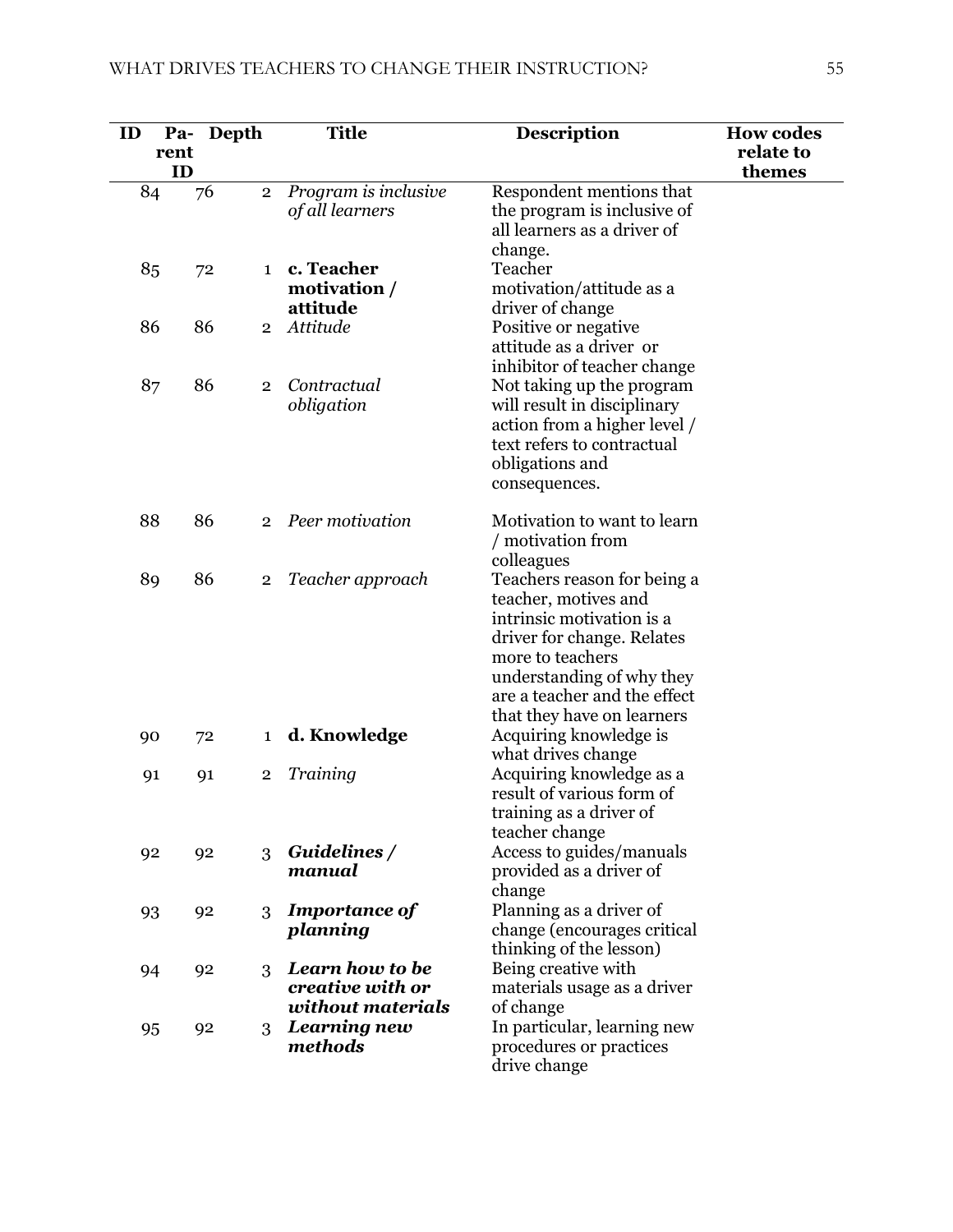| ID | Pa-<br>rent<br>ID | Depth |                | <b>Title</b>                                             | <b>Description</b>                                                                                                                                                                                                            | <b>How codes</b><br>relate to<br>themes |
|----|-------------------|-------|----------------|----------------------------------------------------------|-------------------------------------------------------------------------------------------------------------------------------------------------------------------------------------------------------------------------------|-----------------------------------------|
| 84 |                   | 76    | $\overline{2}$ | Program is inclusive<br>of all learners                  | Respondent mentions that<br>the program is inclusive of<br>all learners as a driver of<br>change.                                                                                                                             |                                         |
| 85 |                   | 72    | $\mathbf{1}$   | c. Teacher<br>motivation /<br>attitude                   | Teacher<br>motivation/attitude as a<br>driver of change                                                                                                                                                                       |                                         |
| 86 |                   | 86    | $\overline{2}$ | Attitude                                                 | Positive or negative<br>attitude as a driver or<br>inhibitor of teacher change                                                                                                                                                |                                         |
| 87 |                   | 86    | $\overline{2}$ | Contractual<br>obligation                                | Not taking up the program<br>will result in disciplinary<br>action from a higher level /<br>text refers to contractual<br>obligations and<br>consequences.                                                                    |                                         |
| 88 |                   | 86    | $\overline{2}$ | Peer motivation                                          | Motivation to want to learn<br>/ motivation from<br>colleagues                                                                                                                                                                |                                         |
| 89 |                   | 86    | $\overline{2}$ | Teacher approach                                         | Teachers reason for being a<br>teacher, motives and<br>intrinsic motivation is a<br>driver for change. Relates<br>more to teachers<br>understanding of why they<br>are a teacher and the effect<br>that they have on learners |                                         |
| 90 |                   | 72    | $\mathbf{1}$   | d. Knowledge                                             | Acquiring knowledge is<br>what drives change                                                                                                                                                                                  |                                         |
| 91 |                   | 91    | $\overline{2}$ | Training                                                 | Acquiring knowledge as a<br>result of various form of<br>training as a driver of<br>teacher change                                                                                                                            |                                         |
| 92 |                   | 92    | 3              | Guidelines /<br>manual                                   | Access to guides/manuals<br>provided as a driver of<br>change                                                                                                                                                                 |                                         |
| 93 |                   | 92    | 3              | <b>Importance of</b><br>planning                         | Planning as a driver of<br>change (encourages critical<br>thinking of the lesson)                                                                                                                                             |                                         |
| 94 |                   | 92    | 3              | Learn how to be<br>creative with or<br>without materials | Being creative with<br>materials usage as a driver<br>of change                                                                                                                                                               |                                         |
| 95 |                   | 92    | 3              | Learning new<br>methods                                  | In particular, learning new<br>procedures or practices<br>drive change                                                                                                                                                        |                                         |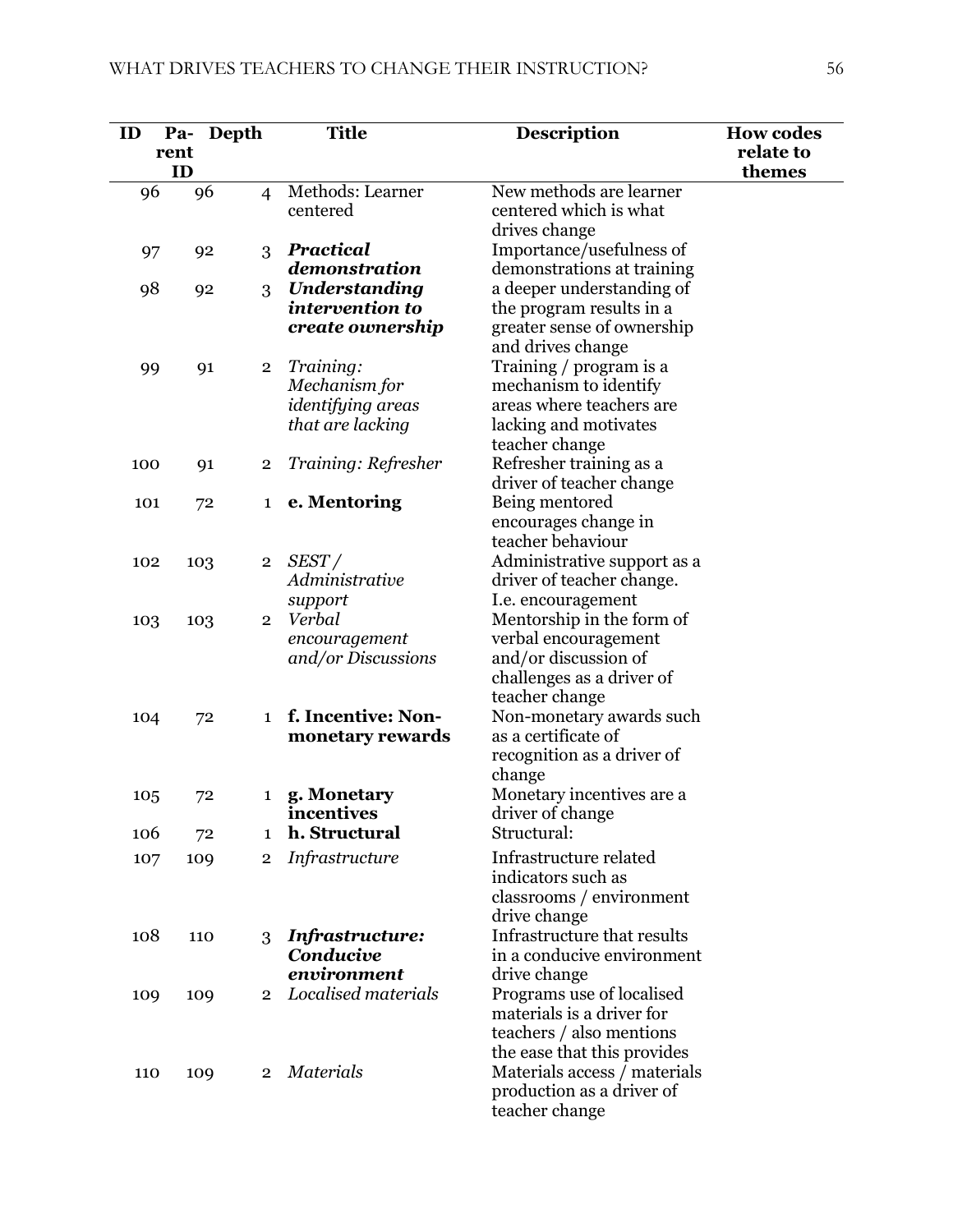| ID  | Pa-        | Depth                 | <b>Title</b>                     | <b>Description</b>                                          | <b>How codes</b>    |
|-----|------------|-----------------------|----------------------------------|-------------------------------------------------------------|---------------------|
|     | rent<br>ID |                       |                                  |                                                             | relate to<br>themes |
| 96  |            | 96<br>$\overline{4}$  | Methods: Learner                 | New methods are learner                                     |                     |
|     |            |                       | centered                         | centered which is what                                      |                     |
|     |            |                       |                                  | drives change                                               |                     |
| 97  |            | 3<br>92               | Practical                        | Importance/usefulness of                                    |                     |
|     |            |                       | demonstration                    | demonstrations at training                                  |                     |
| 98  |            | 92<br>3               | Understanding<br>intervention to | a deeper understanding of<br>the program results in a       |                     |
|     |            |                       | create ownership                 | greater sense of ownership                                  |                     |
|     |            |                       |                                  | and drives change                                           |                     |
| 99  |            | 91<br>$\overline{2}$  | Training:                        | Training / program is a                                     |                     |
|     |            |                       | Mechanism for                    | mechanism to identify                                       |                     |
|     |            |                       | <i>identifying areas</i>         | areas where teachers are                                    |                     |
|     |            |                       | that are lacking                 | lacking and motivates                                       |                     |
|     |            |                       |                                  | teacher change                                              |                     |
| 100 |            | $\mathbf{2}$<br>91    | Training: Refresher              | Refresher training as a                                     |                     |
| 101 |            | 72<br>1               | e. Mentoring                     | driver of teacher change<br>Being mentored                  |                     |
|     |            |                       |                                  | encourages change in                                        |                     |
|     |            |                       |                                  | teacher behaviour                                           |                     |
| 102 |            | 103<br>$\overline{2}$ | SEST/                            | Administrative support as a                                 |                     |
|     |            |                       | Administrative                   | driver of teacher change.                                   |                     |
|     |            |                       | support                          | I.e. encouragement                                          |                     |
| 103 |            | 103<br>$\overline{2}$ | Verbal                           | Mentorship in the form of                                   |                     |
|     |            |                       | encouragement                    | verbal encouragement                                        |                     |
|     |            |                       | and/or Discussions               | and/or discussion of<br>challenges as a driver of           |                     |
|     |            |                       |                                  | teacher change                                              |                     |
| 104 |            | 72<br>$\mathbf 1$     | f. Incentive: Non-               | Non-monetary awards such                                    |                     |
|     |            |                       | monetary rewards                 | as a certificate of                                         |                     |
|     |            |                       |                                  | recognition as a driver of                                  |                     |
|     |            |                       |                                  | change                                                      |                     |
| 105 |            | 72<br>$\mathbf{1}$    | g. Monetary                      | Monetary incentives are a                                   |                     |
|     |            |                       | incentives<br>h. Structural      | driver of change<br>Structural:                             |                     |
| 106 |            | 72<br>1               |                                  |                                                             |                     |
| 107 |            | 109<br>2              | Infrastructure                   | Infrastructure related<br>indicators such as                |                     |
|     |            |                       |                                  | classrooms / environment                                    |                     |
|     |            |                       |                                  | drive change                                                |                     |
| 108 |            | 110<br>3              | Infrastructure:                  | Infrastructure that results                                 |                     |
|     |            |                       | Conducive                        | in a conducive environment                                  |                     |
|     |            |                       | environment                      | drive change                                                |                     |
| 109 |            | 109<br>$\overline{2}$ | Localised materials              | Programs use of localised                                   |                     |
|     |            |                       |                                  | materials is a driver for                                   |                     |
|     |            |                       |                                  | teachers / also mentions                                    |                     |
|     |            | $\overline{2}$        | <b>Materials</b>                 | the ease that this provides<br>Materials access / materials |                     |
| 110 |            | 109                   |                                  | production as a driver of                                   |                     |
|     |            |                       |                                  | teacher change                                              |                     |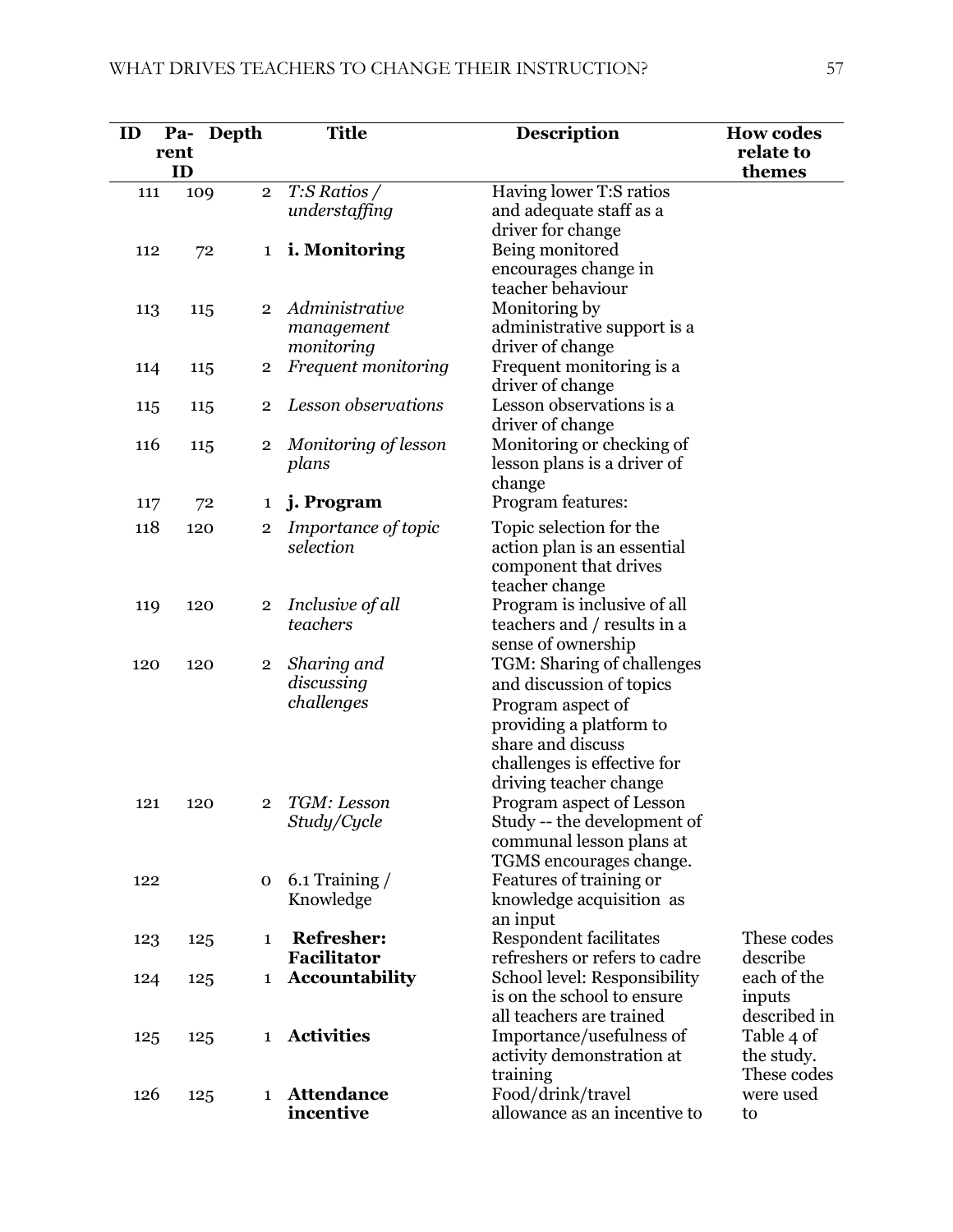| ID  | Pa-  | Depth                 | <b>Title</b>                 | <b>Description</b>                                 | <b>How codes</b>          |
|-----|------|-----------------------|------------------------------|----------------------------------------------------|---------------------------|
|     | rent |                       |                              |                                                    | relate to                 |
|     | ID   |                       |                              |                                                    | themes                    |
| 111 |      | $\overline{2}$<br>109 | $T:$ S Ratios /              | Having lower T:S ratios                            |                           |
|     |      |                       | understaffing                | and adequate staff as a                            |                           |
|     |      |                       |                              | driver for change                                  |                           |
| 112 |      | 72<br>$\mathbf{1}$    | <i>i.</i> Monitoring         | Being monitored                                    |                           |
|     |      |                       |                              | encourages change in                               |                           |
|     |      |                       | Administrative               | teacher behaviour                                  |                           |
| 113 |      | $\overline{2}$<br>115 | management                   | Monitoring by<br>administrative support is a       |                           |
|     |      |                       | monitoring                   | driver of change                                   |                           |
| 114 |      | 115<br>$\mathbf 2$    | Frequent monitoring          | Frequent monitoring is a                           |                           |
|     |      |                       |                              | driver of change                                   |                           |
| 115 |      | $\overline{2}$<br>115 | Lesson observations          | Lesson observations is a                           |                           |
|     |      |                       |                              | driver of change                                   |                           |
| 116 |      | 115<br>2              | Monitoring of lesson         | Monitoring or checking of                          |                           |
|     |      |                       | plans                        | lesson plans is a driver of                        |                           |
|     |      |                       |                              | change                                             |                           |
| 117 |      | 72<br>1               | j. Program                   | Program features:                                  |                           |
| 118 |      | 120<br>2              | Importance of topic          | Topic selection for the                            |                           |
|     |      |                       | selection                    | action plan is an essential                        |                           |
|     |      |                       |                              | component that drives                              |                           |
|     |      |                       |                              | teacher change                                     |                           |
| 119 | 120  | $\overline{2}$        | Inclusive of all<br>teachers | Program is inclusive of all                        |                           |
|     |      |                       |                              | teachers and / results in a<br>sense of ownership  |                           |
| 120 | 120  | $\mathbf 2$           | Sharing and                  | TGM: Sharing of challenges                         |                           |
|     |      |                       | discussing                   | and discussion of topics                           |                           |
|     |      |                       | challenges                   | Program aspect of                                  |                           |
|     |      |                       |                              | providing a platform to                            |                           |
|     |      |                       |                              | share and discuss                                  |                           |
|     |      |                       |                              | challenges is effective for                        |                           |
|     |      |                       |                              | driving teacher change                             |                           |
| 121 |      | 120<br>$\mathbf{2}$   | TGM: Lesson                  | Program aspect of Lesson                           |                           |
|     |      |                       | Study/Cycle                  | Study -- the development of                        |                           |
|     |      |                       |                              | communal lesson plans at                           |                           |
|     |      |                       | $6.1$ Training $/$           | TGMS encourages change.<br>Features of training or |                           |
| 122 |      | 0                     | Knowledge                    | knowledge acquisition as                           |                           |
|     |      |                       |                              | an input                                           |                           |
| 123 |      | $\mathbf{1}$<br>125   | <b>Refresher:</b>            | <b>Respondent facilitates</b>                      | These codes               |
|     |      |                       | Facilitator                  | refreshers or refers to cadre                      | describe                  |
| 124 |      | 125<br>1              | <b>Accountability</b>        | School level: Responsibility                       | each of the               |
|     |      |                       |                              | is on the school to ensure                         | inputs                    |
|     |      |                       |                              | all teachers are trained                           | described in              |
| 125 |      | 125<br>1              | <b>Activities</b>            | Importance/usefulness of                           | Table 4 of                |
|     |      |                       |                              | activity demonstration at                          | the study.<br>These codes |
| 126 |      | 125<br>$\mathbf 1$    | <b>Attendance</b>            | training<br>Food/drink/travel                      | were used                 |
|     |      |                       | incentive                    | allowance as an incentive to                       | to                        |
|     |      |                       |                              |                                                    |                           |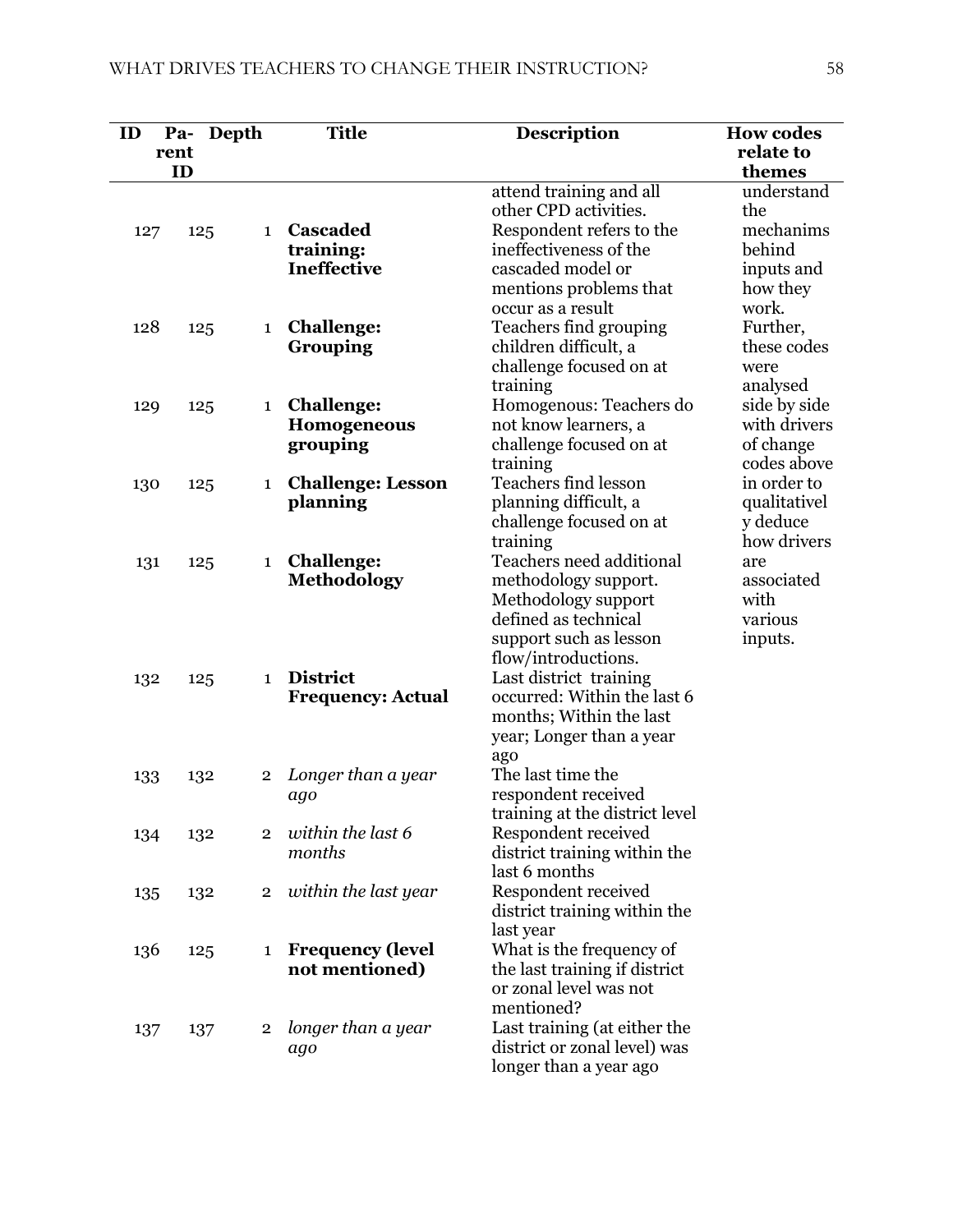| ID  | Depth<br>Pa- |                | <b>Title</b>                         | <b>Description</b>                                      | <b>How codes</b>             |
|-----|--------------|----------------|--------------------------------------|---------------------------------------------------------|------------------------------|
|     | rent<br>ID   |                |                                      |                                                         | relate to<br>themes          |
|     |              |                |                                      | attend training and all<br>other CPD activities.        | understand<br>the            |
| 127 | 125          | $\mathbf{1}$   | Cascaded<br>training:                | Respondent refers to the<br>ineffectiveness of the      | mechanims<br>behind          |
|     |              |                | <b>Ineffective</b>                   | cascaded model or<br>mentions problems that             | inputs and<br>how they       |
|     |              |                |                                      | occur as a result                                       | work.                        |
| 128 | 125          | 1              | <b>Challenge:</b><br>Grouping        | Teachers find grouping<br>children difficult, a         | Further,<br>these codes      |
|     |              |                |                                      | challenge focused on at                                 | were                         |
|     |              |                |                                      | training                                                | analysed                     |
| 129 | 125          | 1              | <b>Challenge:</b><br>Homogeneous     | Homogenous: Teachers do<br>not know learners, a         | side by side<br>with drivers |
|     |              |                | grouping                             | challenge focused on at                                 | of change                    |
|     |              |                |                                      | training                                                | codes above                  |
| 130 | 125          | 1              | <b>Challenge: Lesson</b><br>planning | Teachers find lesson<br>planning difficult, a           | in order to<br>qualitativel  |
|     |              |                |                                      | challenge focused on at                                 | y deduce                     |
|     |              |                |                                      | training                                                | how drivers                  |
| 131 | 125          | $\mathbf 1$    | <b>Challenge:</b>                    | Teachers need additional                                | are                          |
|     |              |                | <b>Methodology</b>                   | methodology support.<br>Methodology support             | associated<br>with           |
|     |              |                |                                      | defined as technical                                    | various                      |
|     |              |                |                                      | support such as lesson<br>flow/introductions.           | inputs.                      |
| 132 | 125          | $\mathbf{1}$   | <b>District</b>                      | Last district training                                  |                              |
|     |              |                | <b>Frequency: Actual</b>             | occurred: Within the last 6                             |                              |
|     |              |                |                                      | months; Within the last<br>year; Longer than a year     |                              |
|     |              |                |                                      | ago                                                     |                              |
| 133 | 132          | $\overline{2}$ | Longer than a year                   | The last time the                                       |                              |
|     |              |                | ago                                  | respondent received                                     |                              |
| 134 | 132          | $\overline{2}$ | within the last 6                    | training at the district level<br>Respondent received   |                              |
|     |              |                | months                               | district training within the                            |                              |
|     |              |                |                                      | last 6 months                                           |                              |
| 135 | 132          | $\overline{2}$ | within the last year                 | Respondent received<br>district training within the     |                              |
|     |              |                |                                      | last year                                               |                              |
| 136 | 125          | 1              | <b>Frequency (level</b>              | What is the frequency of                                |                              |
|     |              |                | not mentioned)                       | the last training if district<br>or zonal level was not |                              |
|     |              |                |                                      | mentioned?                                              |                              |
| 137 | 137          | $\overline{2}$ | longer than a year                   | Last training (at either the                            |                              |
|     |              |                | ago                                  | district or zonal level) was                            |                              |
|     |              |                |                                      | longer than a year ago                                  |                              |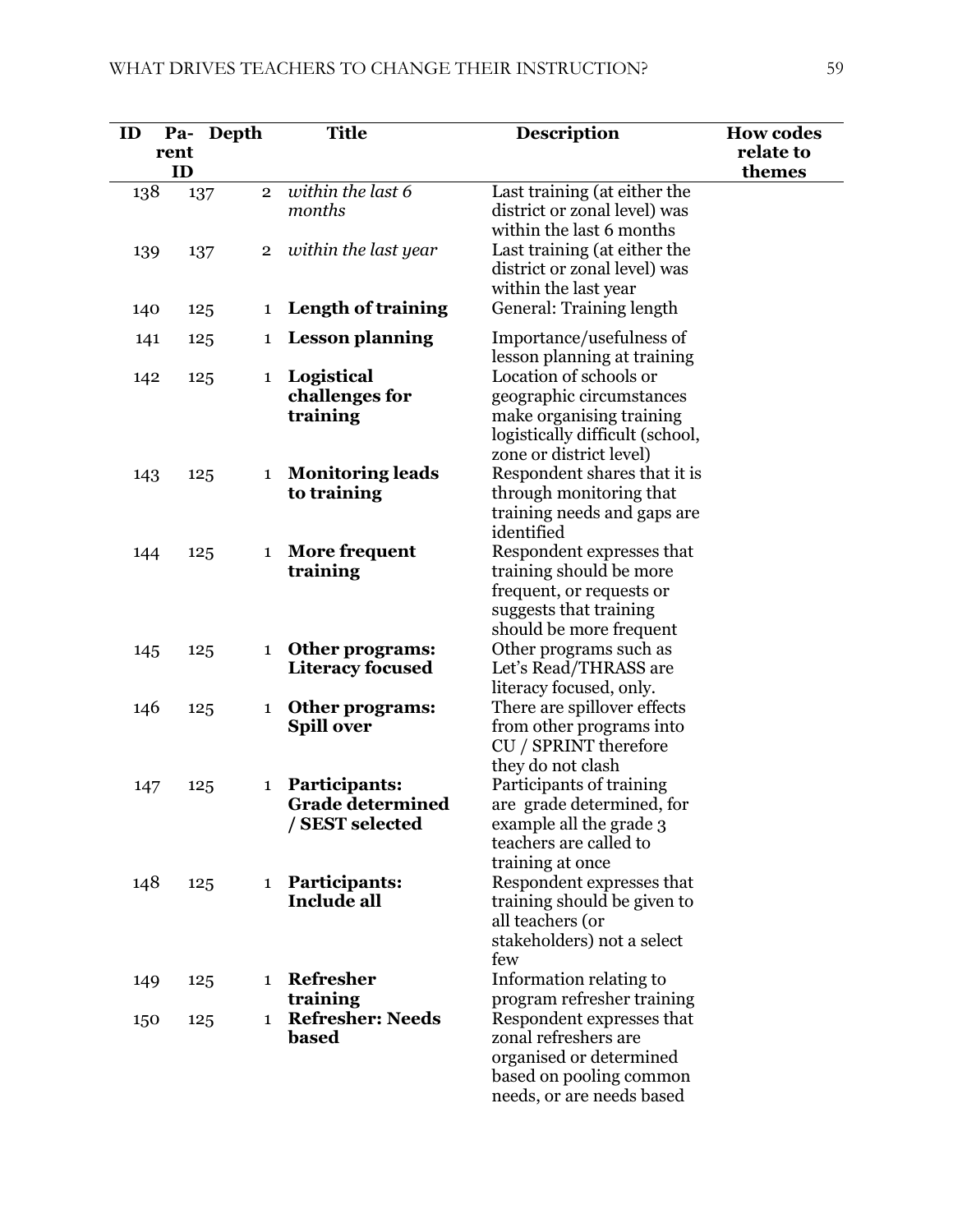| ID  |            | Pa- Depth      | <b>Title</b>                                                | <b>Description</b>                                                                                                                           | <b>How codes</b>    |
|-----|------------|----------------|-------------------------------------------------------------|----------------------------------------------------------------------------------------------------------------------------------------------|---------------------|
|     | rent<br>ID |                |                                                             |                                                                                                                                              | relate to<br>themes |
| 138 | 137        | $\overline{2}$ | within the last 6<br>months                                 | Last training (at either the<br>district or zonal level) was<br>within the last 6 months                                                     |                     |
| 139 | 137        | $\overline{2}$ | within the last year                                        | Last training (at either the<br>district or zonal level) was<br>within the last year                                                         |                     |
| 140 | 125        | 1              | Length of training                                          | General: Training length                                                                                                                     |                     |
| 141 | 125        | 1              | <b>Lesson planning</b>                                      | Importance/usefulness of<br>lesson planning at training                                                                                      |                     |
| 142 | 125        | $\mathbf{1}$   | Logistical<br>challenges for<br>training                    | Location of schools or<br>geographic circumstances<br>make organising training<br>logistically difficult (school,<br>zone or district level) |                     |
| 143 | 125        | $\mathbf{1}$   | <b>Monitoring leads</b><br>to training                      | Respondent shares that it is<br>through monitoring that<br>training needs and gaps are<br>identified                                         |                     |
| 144 | 125        | 1              | More frequent<br>training                                   | Respondent expresses that<br>training should be more<br>frequent, or requests or<br>suggests that training<br>should be more frequent        |                     |
| 145 | 125        | $\mathbf{1}$   | Other programs:<br><b>Literacy focused</b>                  | Other programs such as<br>Let's Read/THRASS are<br>literacy focused, only.                                                                   |                     |
| 146 | 125        | 1              | <b>Other programs:</b><br><b>Spill over</b>                 | There are spillover effects<br>from other programs into<br>CU / SPRINT therefore<br>they do not clash                                        |                     |
| 147 | 125        | 1              | Participants:<br><b>Grade determined</b><br>/ SEST selected | Participants of training<br>are grade determined, for<br>example all the grade 3<br>teachers are called to<br>training at once               |                     |
| 148 | 125        | $\mathbf{1}$   | <b>Participants:</b><br><b>Include all</b>                  | Respondent expresses that<br>training should be given to<br>all teachers (or<br>stakeholders) not a select<br>few                            |                     |
| 149 | 125        | 1              | Refresher<br>training                                       | Information relating to<br>program refresher training                                                                                        |                     |
| 150 | 125        | $\mathbf{1}$   | <b>Refresher: Needs</b><br>based                            | Respondent expresses that<br>zonal refreshers are<br>organised or determined<br>based on pooling common<br>needs, or are needs based         |                     |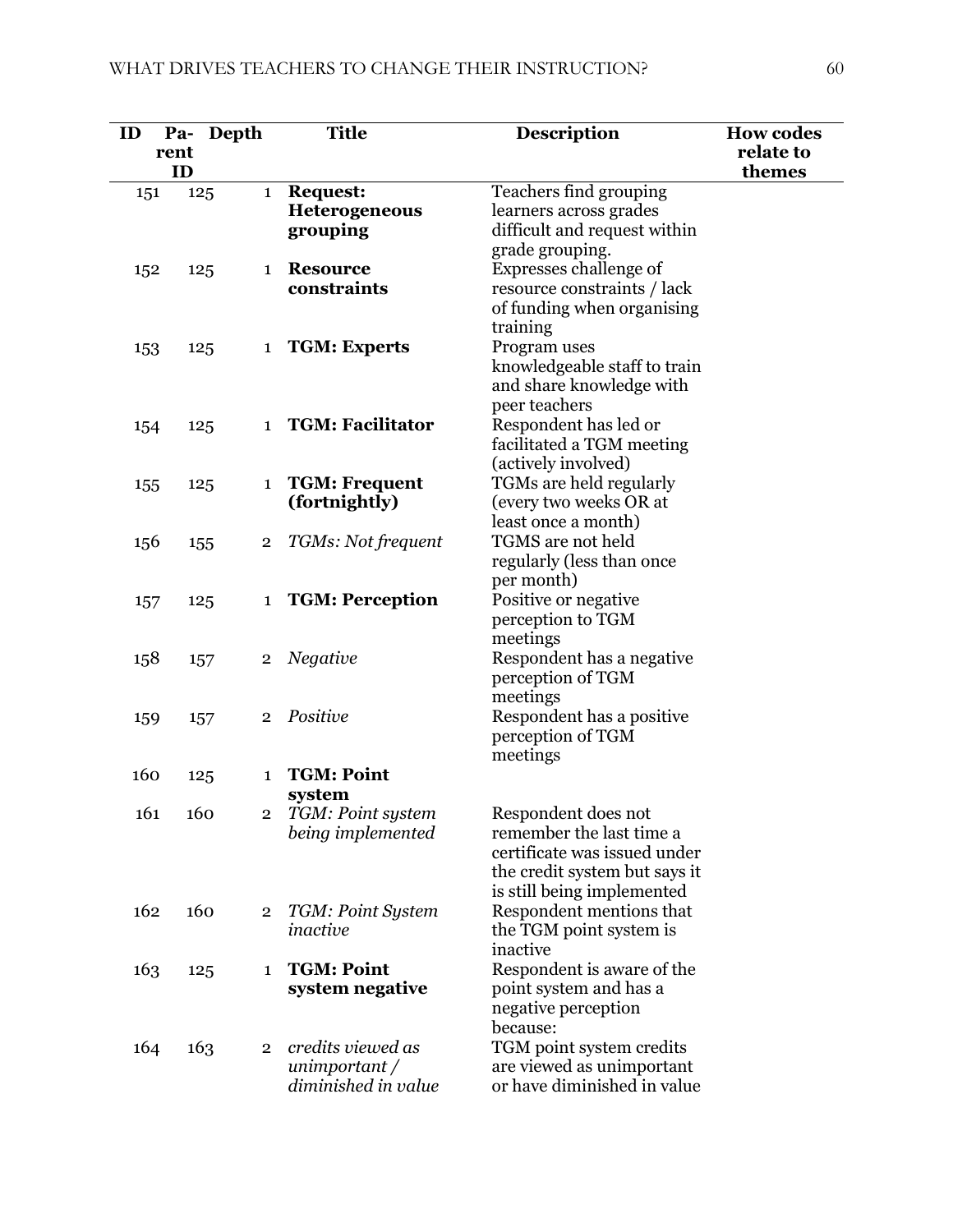| ID  |            | Pa- Depth                      | <b>Title</b>                                                | <b>Description</b>                                                                                                                             | <b>How codes</b>    |
|-----|------------|--------------------------------|-------------------------------------------------------------|------------------------------------------------------------------------------------------------------------------------------------------------|---------------------|
|     | rent<br>ID |                                |                                                             |                                                                                                                                                | relate to<br>themes |
| 151 |            | 125<br>$\mathbf{1}$            | <b>Request:</b><br>Heterogeneous<br>grouping                | Teachers find grouping<br>learners across grades<br>difficult and request within<br>grade grouping.                                            |                     |
| 152 |            | 125<br>1                       | <b>Resource</b><br>constraints                              | Expresses challenge of<br>resource constraints / lack<br>of funding when organising<br>training                                                |                     |
| 153 |            | 125                            | 1 TGM: Experts                                              | Program uses<br>knowledgeable staff to train<br>and share knowledge with<br>peer teachers                                                      |                     |
| 154 |            | 125<br>$\mathbf{1}$            | <b>TGM: Facilitator</b>                                     | Respondent has led or<br>facilitated a TGM meeting<br>(actively involved)                                                                      |                     |
| 155 |            | 125<br>$\mathbf 1$             | <b>TGM: Frequent</b><br>(fortnightly)                       | TGMs are held regularly<br>(every two weeks OR at<br>least once a month)                                                                       |                     |
| 156 |            | 155<br>$\overline{2}$          | TGMs: Not frequent                                          | TGMS are not held<br>regularly (less than once<br>per month)                                                                                   |                     |
| 157 |            | 125<br>$\mathbf{1}$            | <b>TGM: Perception</b>                                      | Positive or negative<br>perception to TGM<br>meetings                                                                                          |                     |
| 158 |            | 157<br>$\overline{2}$          | Negative                                                    | Respondent has a negative<br>perception of TGM<br>meetings                                                                                     |                     |
| 159 |            | 157<br>$\overline{2}$          | Positive                                                    | Respondent has a positive<br>perception of TGM<br>meetings                                                                                     |                     |
| 160 |            | 125<br>$\mathbf{1}$            | <b>TGM: Point</b><br>system                                 |                                                                                                                                                |                     |
| 161 |            | 160<br>$\overline{2}$          | TGM: Point system<br>being implemented                      | Respondent does not<br>remember the last time a<br>certificate was issued under<br>the credit system but says it<br>is still being implemented |                     |
| 162 |            | 160<br>$\overline{\mathbf{2}}$ | TGM: Point System<br>inactive                               | Respondent mentions that<br>the TGM point system is<br>inactive                                                                                |                     |
| 163 |            | 125<br>1                       | <b>TGM: Point</b><br>system negative                        | Respondent is aware of the<br>point system and has a<br>negative perception<br>because:                                                        |                     |
| 164 |            | 163<br>$\overline{2}$          | credits viewed as<br>unimportant $/$<br>diminished in value | TGM point system credits<br>are viewed as unimportant<br>or have diminished in value                                                           |                     |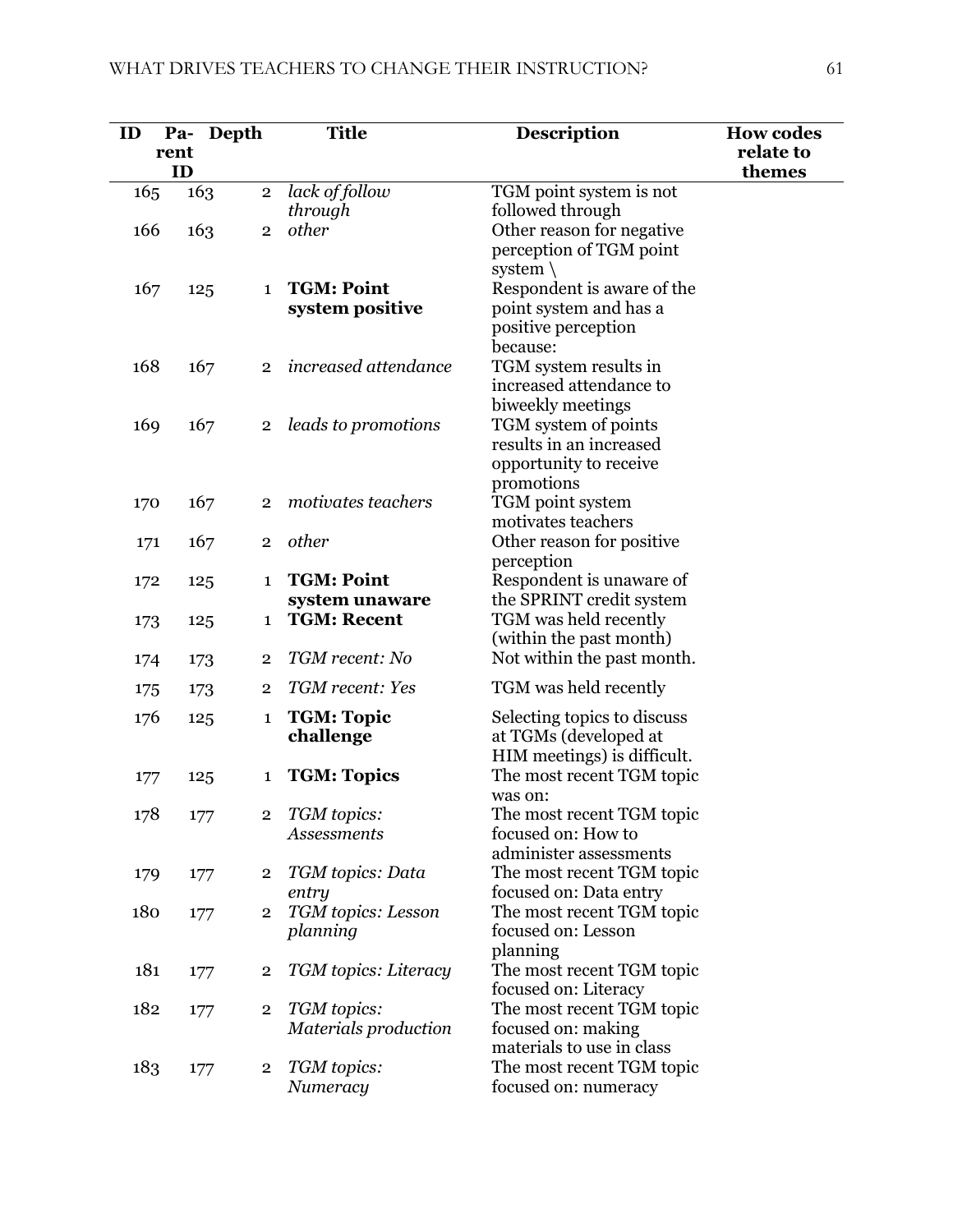| ID  | Depth<br>Pa-<br>rent<br>ID |                         | <b>Title</b>                         | <b>Description</b>                                                                      | <b>How codes</b><br>relate to<br>themes |
|-----|----------------------------|-------------------------|--------------------------------------|-----------------------------------------------------------------------------------------|-----------------------------------------|
| 165 | 163                        | $\overline{2}$          | lack of follow<br>through            | TGM point system is not<br>followed through                                             |                                         |
| 166 | 163                        | $\overline{2}$          | other                                | Other reason for negative<br>perception of TGM point<br>system $\setminus$              |                                         |
| 167 | 125                        | $\mathbf{1}$            | <b>TGM: Point</b><br>system positive | Respondent is aware of the<br>point system and has a<br>positive perception<br>because: |                                         |
| 168 | 167                        | $\overline{2}$          | increased attendance                 | TGM system results in<br>increased attendance to<br>biweekly meetings                   |                                         |
| 169 | 167                        | $\mathbf{2}$            | leads to promotions                  | TGM system of points<br>results in an increased<br>opportunity to receive<br>promotions |                                         |
| 170 | 167                        | $\overline{2}$          | motivates teachers                   | TGM point system<br>motivates teachers                                                  |                                         |
| 171 | 167                        | $\overline{2}$          | other                                | Other reason for positive<br>perception                                                 |                                         |
| 172 | 125                        | $\mathbf{1}$            | <b>TGM: Point</b><br>system unaware  | Respondent is unaware of<br>the SPRINT credit system                                    |                                         |
| 173 | 125                        | $\mathbf 1$             | <b>TGM: Recent</b>                   | TGM was held recently<br>(within the past month)                                        |                                         |
| 174 | 173                        | $\overline{2}$          | TGM recent: No                       | Not within the past month.                                                              |                                         |
| 175 | 173                        | 2                       | TGM recent: Yes                      | TGM was held recently                                                                   |                                         |
| 176 | 125                        | $\mathbf{1}$            | <b>TGM: Topic</b><br>challenge       | Selecting topics to discuss<br>at TGMs (developed at<br>HIM meetings) is difficult.     |                                         |
| 177 | 125                        | 1                       | <b>TGM: Topics</b>                   | The most recent TGM topic<br>was on:                                                    |                                         |
| 178 | 177                        | $\overline{2}$          | TGM topics:<br><b>Assessments</b>    | The most recent TGM topic<br>focused on: How to<br>administer assessments               |                                         |
| 179 | 177                        | $\overline{2}$          | TGM topics: Data<br>entry            | The most recent TGM topic<br>focused on: Data entry                                     |                                         |
| 180 | 177                        | $\overline{2}$          | TGM topics: Lesson<br>planning       | The most recent TGM topic<br>focused on: Lesson<br>planning                             |                                         |
| 181 | 177                        | $\overline{\mathbf{2}}$ | TGM topics: Literacy                 | The most recent TGM topic<br>focused on: Literacy                                       |                                         |
| 182 | 177                        | $\overline{2}$          | TGM topics:<br>Materials production  | The most recent TGM topic<br>focused on: making<br>materials to use in class            |                                         |
| 183 | 177                        | $\overline{2}$          | TGM topics:<br>Numeracy              | The most recent TGM topic<br>focused on: numeracy                                       |                                         |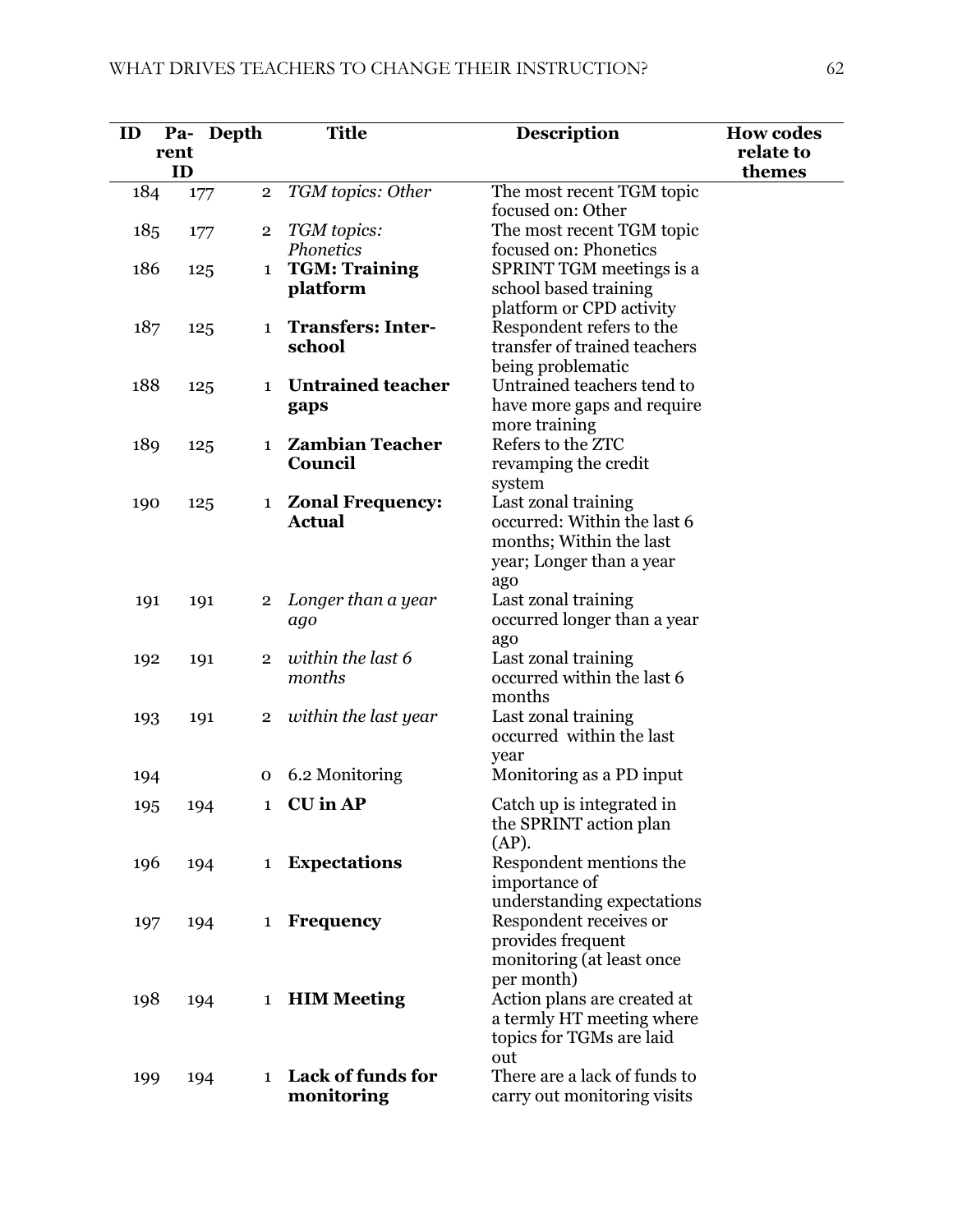| ID  |            | Pa- Depth                      | <b>Title</b>                             | <b>Description</b>                              | <b>How codes</b>    |
|-----|------------|--------------------------------|------------------------------------------|-------------------------------------------------|---------------------|
|     | rent<br>ID |                                |                                          |                                                 | relate to<br>themes |
| 184 |            | $\overline{2}$<br>177          | TGM topics: Other                        | The most recent TGM topic                       |                     |
|     |            |                                |                                          | focused on: Other                               |                     |
| 185 |            | $\overline{\mathbf{2}}$<br>177 | TGM topics:                              | The most recent TGM topic                       |                     |
|     |            |                                | Phonetics                                | focused on: Phonetics                           |                     |
| 186 |            | 125<br>$\mathbf{1}$            | <b>TGM: Training</b>                     | SPRINT TGM meetings is a                        |                     |
|     |            |                                | platform                                 | school based training                           |                     |
|     |            |                                |                                          | platform or CPD activity                        |                     |
| 187 |            | 125<br>1                       | <b>Transfers: Inter-</b>                 | Respondent refers to the                        |                     |
|     |            |                                | school                                   | transfer of trained teachers                    |                     |
|     |            |                                |                                          | being problematic                               |                     |
| 188 |            | 125<br>$\mathbf{1}$            | <b>Untrained teacher</b>                 | Untrained teachers tend to                      |                     |
|     |            |                                | gaps                                     | have more gaps and require<br>more training     |                     |
| 189 |            | $\mathbf{1}$                   | <b>Zambian Teacher</b>                   | Refers to the ZTC                               |                     |
|     |            | 125                            | Council                                  | revamping the credit                            |                     |
|     |            |                                |                                          | system                                          |                     |
| 190 |            | 125                            | <b>Zonal Frequency:</b><br>$\mathbf{1}$  | Last zonal training                             |                     |
|     |            |                                | <b>Actual</b>                            | occurred: Within the last 6                     |                     |
|     |            |                                |                                          | months; Within the last                         |                     |
|     |            |                                |                                          | year; Longer than a year                        |                     |
|     |            |                                |                                          | ago                                             |                     |
| 191 |            | 191<br>$\overline{2}$          | Longer than a year                       | Last zonal training                             |                     |
|     |            |                                | ago                                      | occurred longer than a year                     |                     |
|     |            |                                |                                          | ago                                             |                     |
| 192 |            | 191<br>$\overline{2}$          | within the last 6                        | Last zonal training                             |                     |
|     |            |                                | months                                   | occurred within the last 6                      |                     |
|     |            |                                |                                          | months                                          |                     |
| 193 |            | 191<br>$\overline{2}$          | within the last year                     | Last zonal training<br>occurred within the last |                     |
|     |            |                                |                                          |                                                 |                     |
| 194 |            | 0                              | 6.2 Monitoring                           | year<br>Monitoring as a PD input                |                     |
|     |            |                                |                                          |                                                 |                     |
| 195 |            | 194                            | 1 CU in AP                               | Catch up is integrated in                       |                     |
|     |            |                                |                                          | the SPRINT action plan                          |                     |
|     |            |                                |                                          | (AP).                                           |                     |
| 196 |            | 194<br>$\mathbf{1}$            | <b>Expectations</b>                      | Respondent mentions the<br>importance of        |                     |
|     |            |                                |                                          | understanding expectations                      |                     |
| 197 |            | 194                            | Frequency<br>$\mathbf{1}$                | Respondent receives or                          |                     |
|     |            |                                |                                          | provides frequent                               |                     |
|     |            |                                |                                          | monitoring (at least once                       |                     |
|     |            |                                |                                          | per month)                                      |                     |
| 198 |            | 194                            | <b>HIM Meeting</b><br>$\mathbf{1}$       | Action plans are created at                     |                     |
|     |            |                                |                                          | a termly HT meeting where                       |                     |
|     |            |                                |                                          | topics for TGMs are laid                        |                     |
|     |            |                                |                                          | out                                             |                     |
| 199 |            | 194                            | <b>Lack of funds for</b><br>$\mathbf{1}$ | There are a lack of funds to                    |                     |
|     |            |                                | monitoring                               | carry out monitoring visits                     |                     |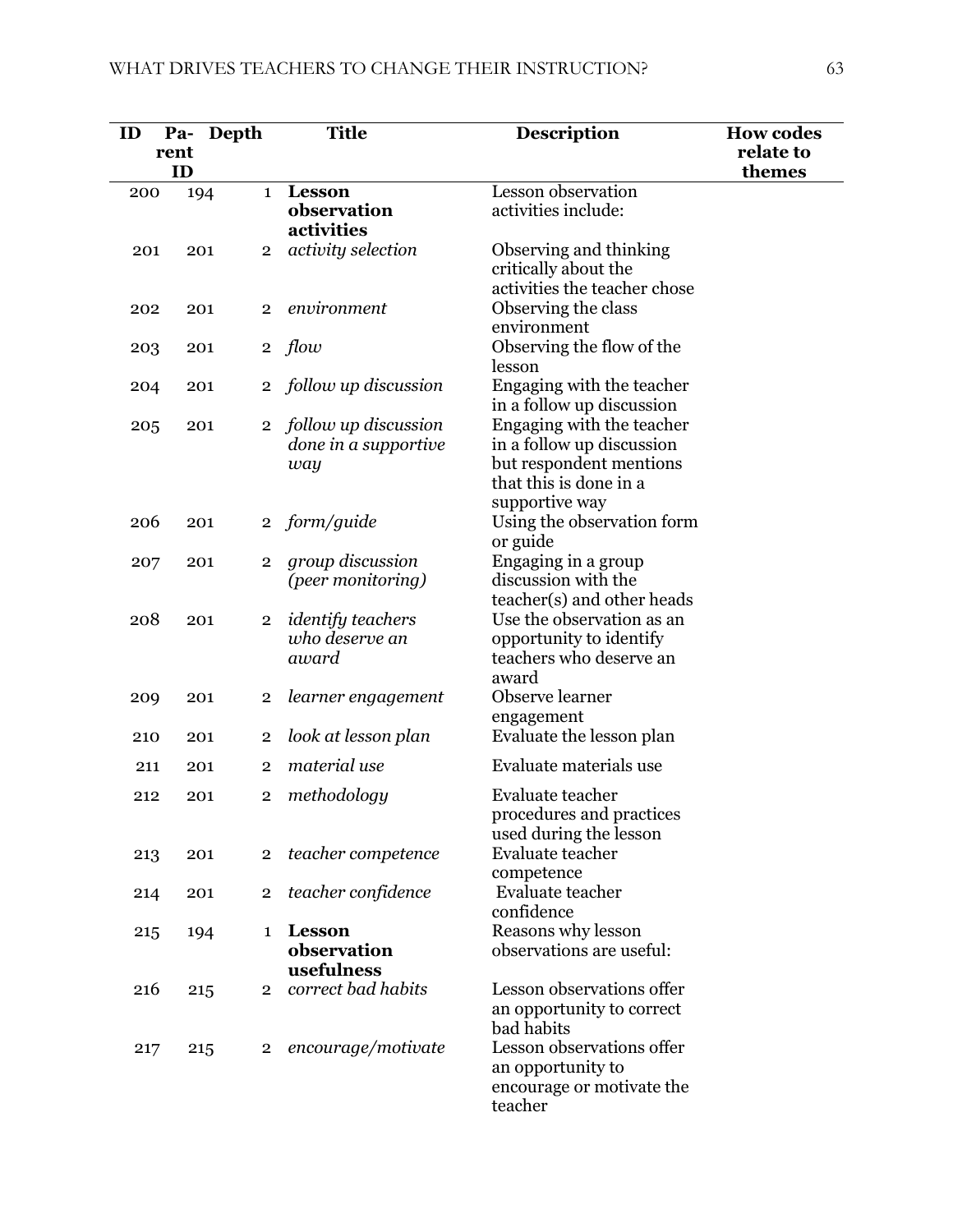| ID  | rent | Pa- Depth      | <b>Title</b>                                        | Description                                                                                                                   | <b>How codes</b><br>relate to |
|-----|------|----------------|-----------------------------------------------------|-------------------------------------------------------------------------------------------------------------------------------|-------------------------------|
|     | ID   |                |                                                     |                                                                                                                               | themes                        |
| 200 | 194  | $\mathbf{1}$   | <b>Lesson</b><br>observation<br>activities          | Lesson observation<br>activities include:                                                                                     |                               |
| 201 | 201  | $\overline{2}$ | activity selection                                  | Observing and thinking<br>critically about the<br>activities the teacher chose                                                |                               |
| 202 | 201  | $\overline{2}$ | environment                                         | Observing the class<br>environment                                                                                            |                               |
| 203 | 201  | $\overline{2}$ | flow                                                | Observing the flow of the<br>lesson                                                                                           |                               |
| 204 | 201  | $\overline{2}$ | follow up discussion                                | Engaging with the teacher<br>in a follow up discussion                                                                        |                               |
| 205 | 201  | $\overline{2}$ | follow up discussion<br>done in a supportive<br>way | Engaging with the teacher<br>in a follow up discussion<br>but respondent mentions<br>that this is done in a<br>supportive way |                               |
| 206 | 201  | $\overline{2}$ | form/guide                                          | Using the observation form<br>or guide                                                                                        |                               |
| 207 | 201  | $\overline{2}$ | group discussion<br>(peer monitoring)               | Engaging in a group<br>discussion with the<br>teacher(s) and other heads                                                      |                               |
| 208 | 201  | $\overline{2}$ | <i>identify teachers</i><br>who deserve an<br>award | Use the observation as an<br>opportunity to identify<br>teachers who deserve an<br>award                                      |                               |
| 209 | 201  | $\overline{2}$ | learner engagement                                  | Observe learner<br>engagement                                                                                                 |                               |
| 210 | 201  | $\overline{2}$ | look at lesson plan                                 | Evaluate the lesson plan                                                                                                      |                               |
| 211 | 201  | $\overline{2}$ | material use                                        | Evaluate materials use                                                                                                        |                               |
| 212 | 201  | 2              | methodology                                         | Evaluate teacher<br>procedures and practices<br>used during the lesson                                                        |                               |
| 213 | 201  | $\overline{2}$ | teacher competence                                  | Evaluate teacher<br>competence                                                                                                |                               |
| 214 | 201  | $\overline{2}$ | teacher confidence                                  | Evaluate teacher<br>confidence                                                                                                |                               |
| 215 | 194  | $\mathbf 1$    | <b>Lesson</b><br>observation<br>usefulness          | Reasons why lesson<br>observations are useful:                                                                                |                               |
| 216 | 215  | $\overline{2}$ | correct bad habits                                  | Lesson observations offer<br>an opportunity to correct<br>bad habits                                                          |                               |
| 217 | 215  | $\mathbf{2}$   | encourage/motivate                                  | Lesson observations offer<br>an opportunity to<br>encourage or motivate the<br>teacher                                        |                               |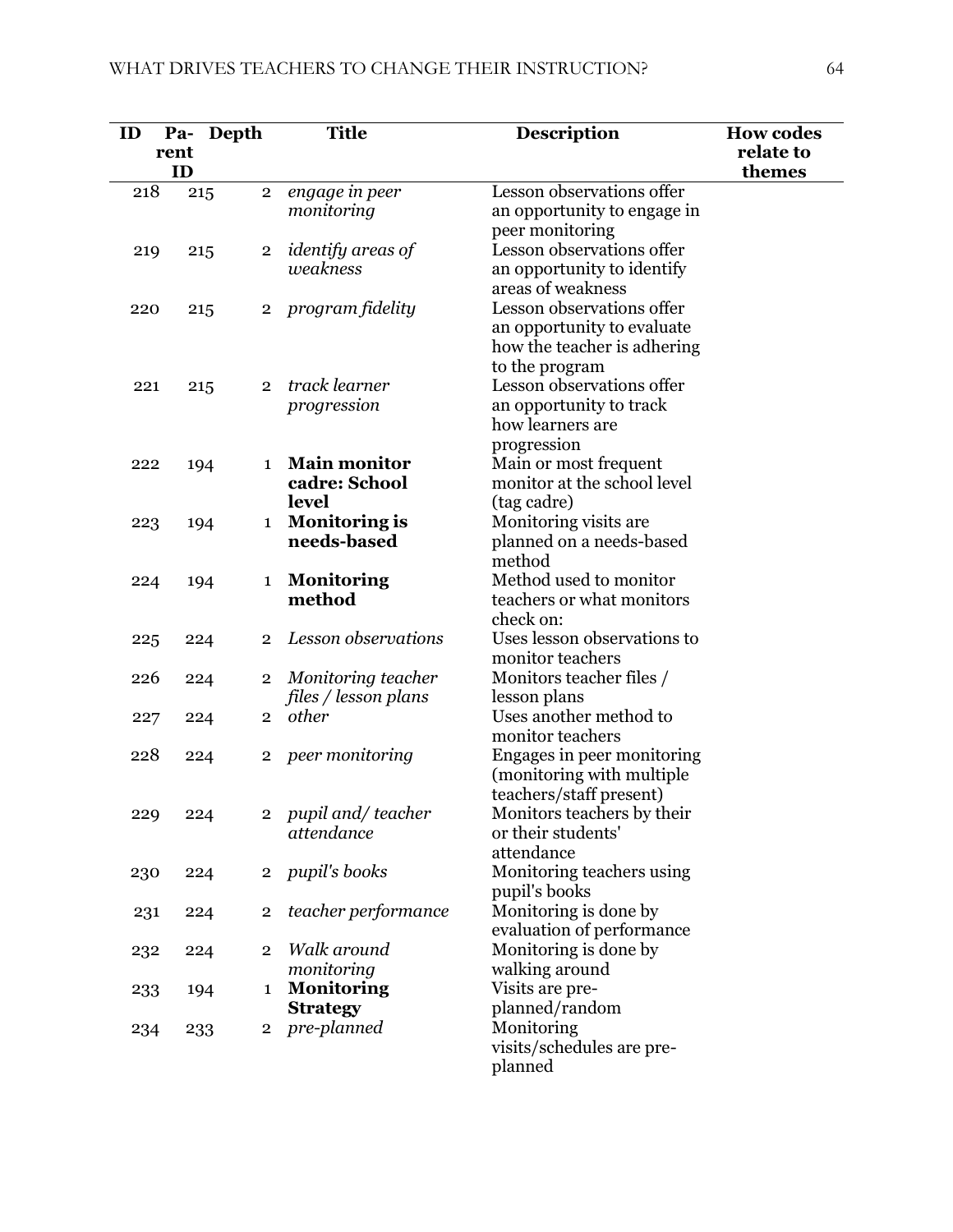| ID  |      | Pa- Depth      | <b>Title</b>                    | <b>Description</b>                      | <b>How codes</b> |
|-----|------|----------------|---------------------------------|-----------------------------------------|------------------|
|     | rent |                |                                 |                                         | relate to        |
|     | ID   |                |                                 |                                         | themes           |
| 218 | 215  | $\overline{2}$ | engage in peer                  | Lesson observations offer               |                  |
|     |      |                | monitoring                      | an opportunity to engage in             |                  |
|     |      |                |                                 | peer monitoring                         |                  |
| 219 | 215  | $\overline{2}$ | identify areas of               | Lesson observations offer               |                  |
|     |      |                | weakness                        | an opportunity to identify              |                  |
|     |      |                |                                 | areas of weakness                       |                  |
| 220 | 215  | $\overline{2}$ | program fidelity                | Lesson observations offer               |                  |
|     |      |                |                                 | an opportunity to evaluate              |                  |
|     |      |                |                                 | how the teacher is adhering             |                  |
|     |      |                |                                 | to the program                          |                  |
| 221 | 215  | $\overline{2}$ | track learner                   | Lesson observations offer               |                  |
|     |      |                | progression                     | an opportunity to track                 |                  |
|     |      |                |                                 | how learners are                        |                  |
|     |      |                |                                 | progression                             |                  |
| 222 | 194  | $\mathbf 1$    | <b>Main monitor</b>             | Main or most frequent                   |                  |
|     |      |                | cadre: School                   | monitor at the school level             |                  |
|     |      |                | level                           | (tag cadre)                             |                  |
| 223 | 194  | $\mathbf{1}$   | <b>Monitoring is</b>            | Monitoring visits are                   |                  |
|     |      |                | needs-based                     | planned on a needs-based                |                  |
|     |      |                |                                 | method                                  |                  |
| 224 | 194  | 1              | <b>Monitoring</b>               | Method used to monitor                  |                  |
|     |      |                | method                          | teachers or what monitors               |                  |
|     |      |                |                                 | check on:                               |                  |
| 225 | 224  | $\overline{2}$ | Lesson observations             | Uses lesson observations to             |                  |
|     |      |                |                                 | monitor teachers                        |                  |
| 226 | 224  | $\overline{2}$ | Monitoring teacher              | Monitors teacher files /                |                  |
|     |      |                | files / lesson plans            | lesson plans                            |                  |
| 227 | 224  | $\overline{2}$ | other                           | Uses another method to                  |                  |
|     |      |                |                                 | monitor teachers                        |                  |
| 228 | 224  | $\overline{2}$ | peer monitoring                 | Engages in peer monitoring              |                  |
|     |      |                |                                 | (monitoring with multiple               |                  |
|     |      |                |                                 | teachers/staff present)                 |                  |
| 229 | 224  |                | 2 pupil and/teacher             | Monitors teachers by their              |                  |
|     |      |                | attendance                      | or their students'                      |                  |
|     |      |                |                                 | attendance                              |                  |
| 230 | 224  | $\overline{2}$ | pupil's books                   | Monitoring teachers using               |                  |
|     |      |                |                                 | pupil's books                           |                  |
| 231 | 224  | $\overline{2}$ | teacher performance             | Monitoring is done by                   |                  |
|     |      |                | Walk around                     | evaluation of performance               |                  |
| 232 | 224  | $\overline{2}$ |                                 | Monitoring is done by<br>walking around |                  |
|     |      |                | monitoring<br><b>Monitoring</b> | Visits are pre-                         |                  |
| 233 | 194  | 1              | <b>Strategy</b>                 | planned/random                          |                  |
|     |      | $\overline{2}$ | pre-planned                     | Monitoring                              |                  |
| 234 | 233  |                |                                 | visits/schedules are pre-               |                  |
|     |      |                |                                 | planned                                 |                  |
|     |      |                |                                 |                                         |                  |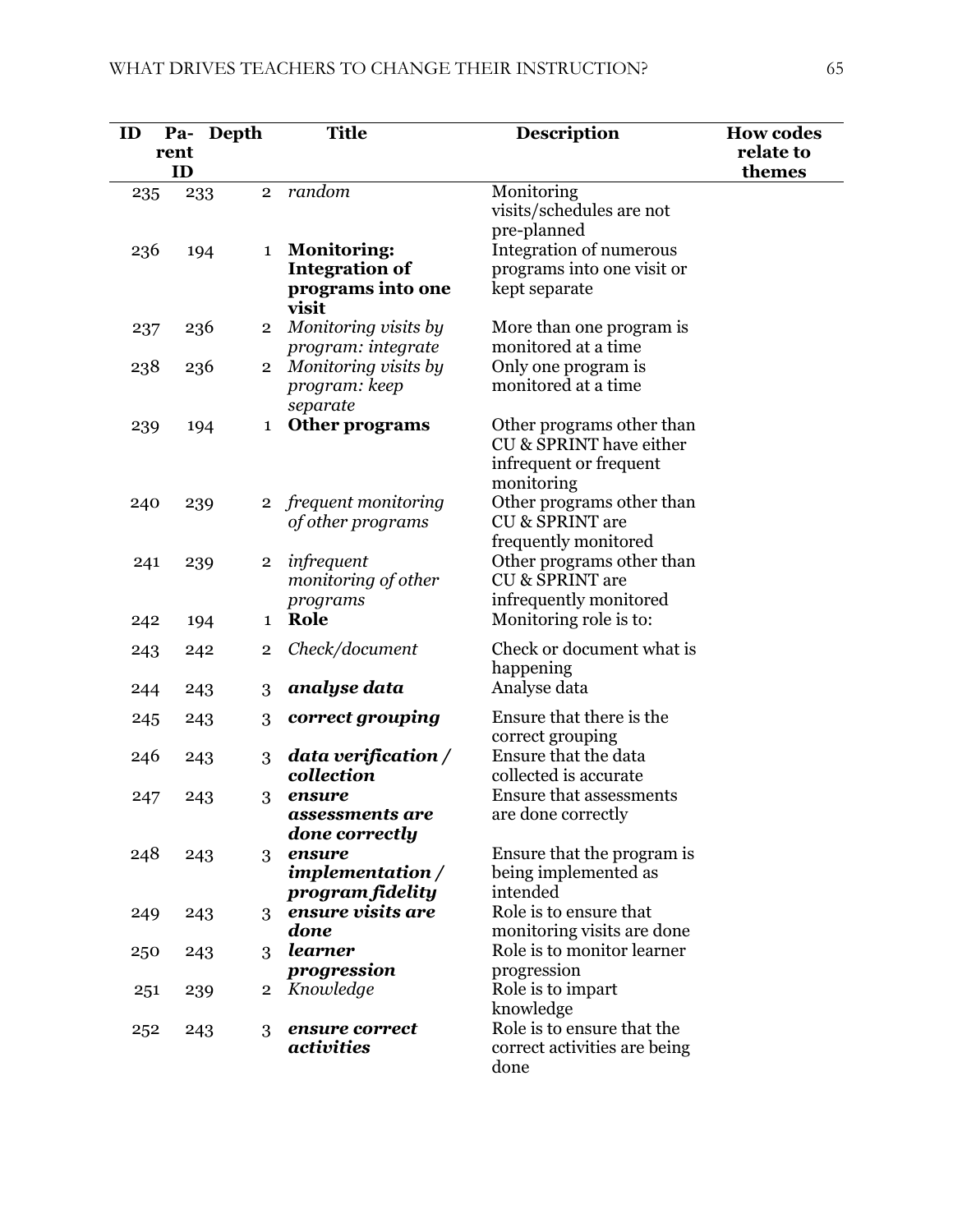| ID  | Pa-<br>rent | Depth                   | <b>Title</b>                                                              | <b>Description</b>                                                                           | <b>How codes</b><br>relate to |
|-----|-------------|-------------------------|---------------------------------------------------------------------------|----------------------------------------------------------------------------------------------|-------------------------------|
|     | ID          | $\overline{2}$          | random                                                                    | Monitoring                                                                                   | themes                        |
| 235 | 233         |                         |                                                                           | visits/schedules are not<br>pre-planned                                                      |                               |
| 236 | 194         | $\mathbf{1}$            | <b>Monitoring:</b><br><b>Integration of</b><br>programs into one<br>visit | <b>Integration of numerous</b><br>programs into one visit or<br>kept separate                |                               |
| 237 | 236         | $\overline{2}$          | Monitoring visits by<br>program: integrate                                | More than one program is<br>monitored at a time                                              |                               |
| 238 | 236         | $\overline{2}$          | Monitoring visits by<br>program: keep<br>separate                         | Only one program is<br>monitored at a time                                                   |                               |
| 239 | 194         | 1                       | Other programs                                                            | Other programs other than<br>CU & SPRINT have either<br>infrequent or frequent<br>monitoring |                               |
| 240 | 239         | $\overline{2}$          | frequent monitoring<br>of other programs                                  | Other programs other than<br><b>CU &amp; SPRINT are</b><br>frequently monitored              |                               |
| 241 | 239         | $\mathbf 2$             | infrequent<br>monitoring of other<br>programs                             | Other programs other than<br><b>CU &amp; SPRINT are</b><br>infrequently monitored            |                               |
| 242 | 194         | $\mathbf{1}$            | Role                                                                      | Monitoring role is to:                                                                       |                               |
| 243 | 242         | $\overline{\mathbf{2}}$ | Check/document                                                            | Check or document what is<br>happening                                                       |                               |
| 244 | 243         | 3                       | analyse data                                                              | Analyse data                                                                                 |                               |
| 245 | 243         | 3                       | correct grouping                                                          | Ensure that there is the<br>correct grouping                                                 |                               |
| 246 | 243         | 3                       | data verification /<br>collection                                         | Ensure that the data<br>collected is accurate                                                |                               |
| 247 | 243         | 3                       | ensure<br>assessments are<br>done correctly                               | <b>Ensure that assessments</b><br>are done correctly                                         |                               |
| 248 | 243         | 3                       | ensure<br>implementation /<br>program fidelity                            | Ensure that the program is<br>being implemented as<br>intended                               |                               |
| 249 | 243         | 3                       | ensure visits are<br>done                                                 | Role is to ensure that<br>monitoring visits are done                                         |                               |
| 250 | 243         | 3                       | learner<br>progression                                                    | Role is to monitor learner<br>progression                                                    |                               |
| 251 | 239         | $\overline{2}$          | Knowledge                                                                 | Role is to impart<br>knowledge                                                               |                               |
| 252 | 243         | 3                       | ensure correct<br>activities                                              | Role is to ensure that the<br>correct activities are being<br>done                           |                               |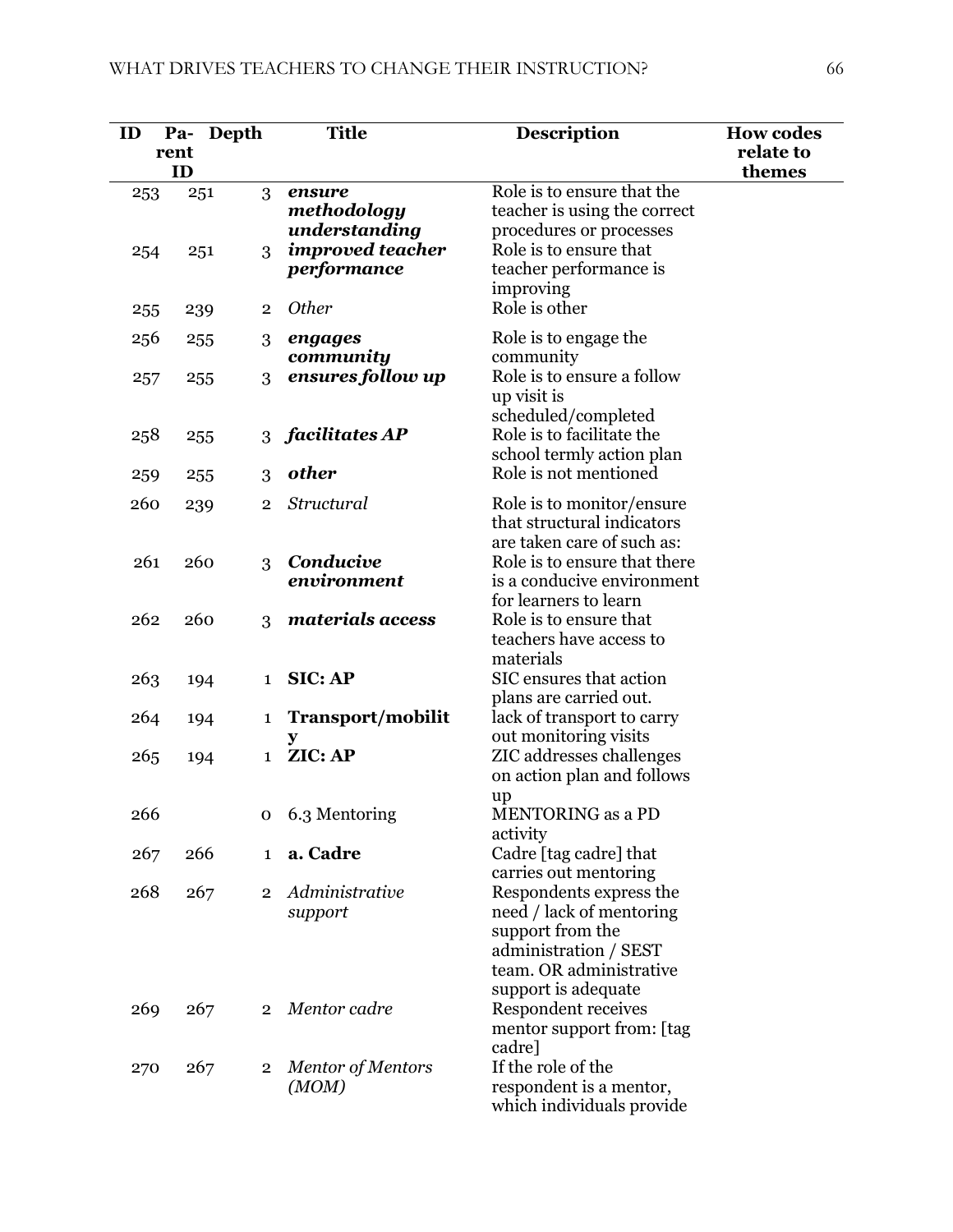| ID         | Pa-<br>rent<br>ID | Depth                 | <b>Title</b>                                                      | <b>Description</b>                                                                                                                                                          | <b>How codes</b><br>relate to<br>themes |
|------------|-------------------|-----------------------|-------------------------------------------------------------------|-----------------------------------------------------------------------------------------------------------------------------------------------------------------------------|-----------------------------------------|
| 253<br>254 |                   | 3<br>251<br>3<br>251  | ensure<br>methodology<br>understanding<br><i>improved teacher</i> | Role is to ensure that the<br>teacher is using the correct<br>procedures or processes<br>Role is to ensure that                                                             |                                         |
|            |                   |                       | performance                                                       | teacher performance is<br>improving                                                                                                                                         |                                         |
| 255        |                   | $\overline{2}$<br>239 | <b>Other</b>                                                      | Role is other                                                                                                                                                               |                                         |
| 256        |                   | 255<br>3              | engages<br>community                                              | Role is to engage the<br>community                                                                                                                                          |                                         |
| 257        |                   | 3<br>255              | ensures follow up                                                 | Role is to ensure a follow<br>up visit is<br>scheduled/completed                                                                                                            |                                         |
| 258        |                   | 255<br>3              | facilitates AP                                                    | Role is to facilitate the<br>school termly action plan                                                                                                                      |                                         |
| 259        |                   | 3<br>255              | other                                                             | Role is not mentioned                                                                                                                                                       |                                         |
| 260        |                   | 239<br>$\overline{2}$ | Structural                                                        | Role is to monitor/ensure<br>that structural indicators<br>are taken care of such as:                                                                                       |                                         |
| 261        |                   | 260<br>3              | Conducive<br>environment                                          | Role is to ensure that there<br>is a conducive environment<br>for learners to learn                                                                                         |                                         |
| 262        |                   | 260<br>3              | materials access                                                  | Role is to ensure that<br>teachers have access to<br>materials                                                                                                              |                                         |
| 263        |                   | 194<br>$\mathbf{1}$   | <b>SIC: AP</b>                                                    | SIC ensures that action<br>plans are carried out.                                                                                                                           |                                         |
| 264        |                   | 194<br>1              | Transport/mobilit                                                 | lack of transport to carry                                                                                                                                                  |                                         |
| 265        |                   | 194<br>$\mathbf{1}$   | ZIC: AP                                                           | out monitoring visits<br>ZIC addresses challenges<br>on action plan and follows<br>up                                                                                       |                                         |
| 266        |                   | 0                     | 6.3 Mentoring                                                     | MENTORING as a PD<br>activity                                                                                                                                               |                                         |
| 267        |                   | 266<br>$\mathbf{1}$   | a. Cadre                                                          | Cadre [tag cadre] that                                                                                                                                                      |                                         |
| 268        |                   | 267                   | 2 Administrative<br>support                                       | carries out mentoring<br>Respondents express the<br>need / lack of mentoring<br>support from the<br>administration / SEST<br>team. OR administrative<br>support is adequate |                                         |
| 269        |                   | 267<br>$2^{\circ}$    | Mentor cadre                                                      | Respondent receives<br>mentor support from: [tag<br>cadre]                                                                                                                  |                                         |
| 270        |                   | 267<br>$\mathbf{2}$   | Mentor of Mentors<br>(MOM)                                        | If the role of the<br>respondent is a mentor,<br>which individuals provide                                                                                                  |                                         |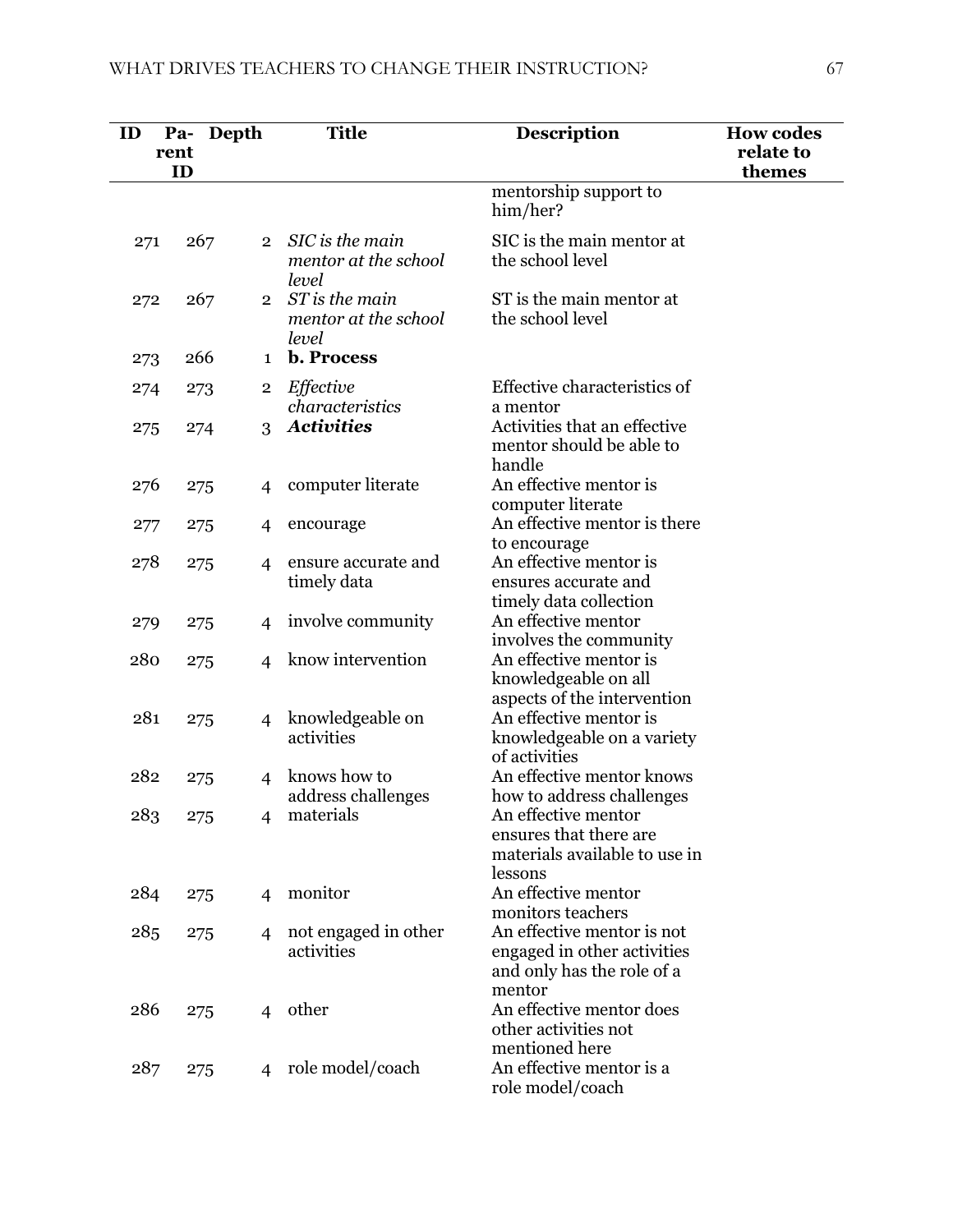| ID  | Depth<br>Pa-<br>rent |                | <b>Title</b>                                     | <b>Description</b>                                                                                | <b>How codes</b><br>relate to |
|-----|----------------------|----------------|--------------------------------------------------|---------------------------------------------------------------------------------------------------|-------------------------------|
|     | ID                   |                |                                                  | mentorship support to<br>him/her?                                                                 | themes                        |
| 271 | 267                  | $\overline{2}$ | SIC is the main<br>mentor at the school<br>level | SIC is the main mentor at<br>the school level                                                     |                               |
| 272 | 267                  | $\overline{2}$ | ST is the main<br>mentor at the school<br>level  | ST is the main mentor at<br>the school level                                                      |                               |
| 273 | 266                  | $\mathbf 1$    | <b>b.</b> Process                                |                                                                                                   |                               |
| 274 | 273                  | $\overline{2}$ | Effective<br>characteristics                     | Effective characteristics of<br>a mentor                                                          |                               |
| 275 | 274                  | 3              | <b>Activities</b>                                | Activities that an effective<br>mentor should be able to<br>handle                                |                               |
| 276 | 275                  | $\overline{4}$ | computer literate                                | An effective mentor is<br>computer literate                                                       |                               |
| 277 | 275                  | $\overline{4}$ | encourage                                        | An effective mentor is there<br>to encourage                                                      |                               |
| 278 | 275                  | $\overline{4}$ | ensure accurate and<br>timely data               | An effective mentor is<br>ensures accurate and<br>timely data collection                          |                               |
| 279 | 275                  | $\overline{4}$ | involve community                                | An effective mentor<br>involves the community                                                     |                               |
| 280 | 275                  | 4              | know intervention                                | An effective mentor is<br>knowledgeable on all<br>aspects of the intervention                     |                               |
| 281 | 275                  | 4              | knowledgeable on<br>activities                   | An effective mentor is<br>knowledgeable on a variety<br>of activities                             |                               |
| 282 | 275                  | $\overline{4}$ | knows how to<br>address challenges               | An effective mentor knows<br>how to address challenges                                            |                               |
| 283 | 275                  | 4              | materials                                        | An effective mentor<br>ensures that there are<br>materials available to use in<br>lessons         |                               |
| 284 | 275                  | $\overline{4}$ | monitor                                          | An effective mentor<br>monitors teachers                                                          |                               |
| 285 | 275                  | 4              | not engaged in other<br>activities               | An effective mentor is not<br>engaged in other activities<br>and only has the role of a<br>mentor |                               |
| 286 | 275                  |                | 4 other                                          | An effective mentor does<br>other activities not<br>mentioned here                                |                               |
| 287 | 275                  | 4              | role model/coach                                 | An effective mentor is a<br>role model/coach                                                      |                               |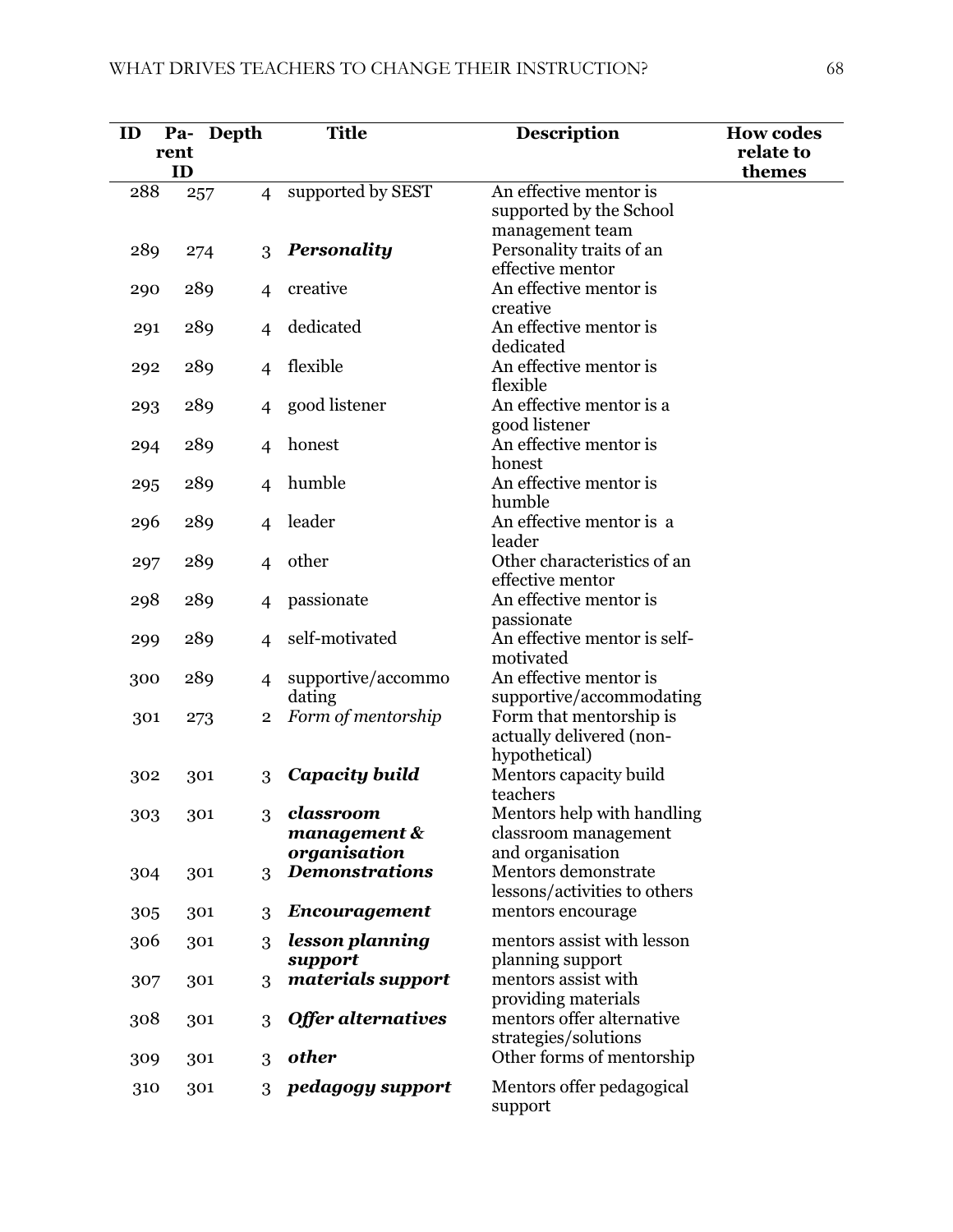| ID  |            | Pa- Depth |                | <b>Title</b>              | <b>Description</b>                                | <b>How codes</b><br>relate to |
|-----|------------|-----------|----------------|---------------------------|---------------------------------------------------|-------------------------------|
|     | rent<br>ID |           |                |                           |                                                   | themes                        |
| 288 |            | 257       | $\overline{4}$ | supported by SEST         | An effective mentor is                            |                               |
|     |            |           |                |                           | supported by the School                           |                               |
|     |            |           |                |                           | management team                                   |                               |
| 289 |            | 274       | 3              | <b>Personality</b>        | Personality traits of an                          |                               |
|     |            |           |                |                           | effective mentor                                  |                               |
| 290 |            | 289       | $\overline{4}$ | creative                  | An effective mentor is                            |                               |
|     |            |           |                |                           | creative                                          |                               |
| 291 |            | 289       | 4              | dedicated                 | An effective mentor is                            |                               |
|     |            |           |                |                           | dedicated                                         |                               |
| 292 |            | 289       | $\overline{4}$ | flexible                  | An effective mentor is<br>flexible                |                               |
|     |            |           |                | good listener             | An effective mentor is a                          |                               |
| 293 |            | 289       | 4              |                           | good listener                                     |                               |
| 294 |            | 289       | $\overline{4}$ | honest                    | An effective mentor is                            |                               |
|     |            |           |                |                           | honest                                            |                               |
| 295 |            | 289       | $\overline{4}$ | humble                    | An effective mentor is                            |                               |
|     |            |           |                |                           | humble                                            |                               |
| 296 |            | 289       | $\overline{4}$ | leader                    | An effective mentor is a                          |                               |
|     |            |           |                |                           | leader                                            |                               |
| 297 |            | 289       | $\overline{4}$ | other                     | Other characteristics of an                       |                               |
|     |            |           |                |                           | effective mentor                                  |                               |
| 298 |            | 289       | 4              | passionate                | An effective mentor is                            |                               |
|     |            |           |                |                           | passionate                                        |                               |
| 299 |            | 289       | 4              | self-motivated            | An effective mentor is self-<br>motivated         |                               |
|     |            | 289       |                | supportive/accommo        | An effective mentor is                            |                               |
| 300 |            |           | $\overline{4}$ | dating                    | supportive/accommodating                          |                               |
| 301 |            | 273       | $\overline{2}$ | Form of mentorship        | Form that mentorship is                           |                               |
|     |            |           |                |                           | actually delivered (non-                          |                               |
|     |            |           |                |                           | hypothetical)                                     |                               |
| 302 |            | 301       | 3              | Capacity build            | Mentors capacity build                            |                               |
|     |            |           |                |                           | teachers                                          |                               |
| 303 |            | 301       | 3              | classroom                 | Mentors help with handling                        |                               |
|     |            |           |                | $m$ anagement $\&$        | classroom management                              |                               |
|     |            |           |                | organisation              | and organisation                                  |                               |
| 304 |            | 301       | 3              | <b>Demonstrations</b>     | Mentors demonstrate                               |                               |
|     |            |           |                |                           | lessons/activities to others<br>mentors encourage |                               |
| 305 |            | 301       | 3              | <b>Encouragement</b>      |                                                   |                               |
| 306 |            | 301       | 3              | lesson planning           | mentors assist with lesson                        |                               |
|     |            |           |                | support                   | planning support                                  |                               |
| 307 |            | 301       | 3              | materials support         | mentors assist with                               |                               |
|     |            |           |                | <b>Offer alternatives</b> | providing materials<br>mentors offer alternative  |                               |
| 308 |            | 301       | 3              |                           | strategies/solutions                              |                               |
| 309 |            | 301       | 3              | other                     | Other forms of mentorship                         |                               |
|     |            |           |                |                           |                                                   |                               |
| 310 |            | 301       | 3              | pedagogy support          | Mentors offer pedagogical<br>support              |                               |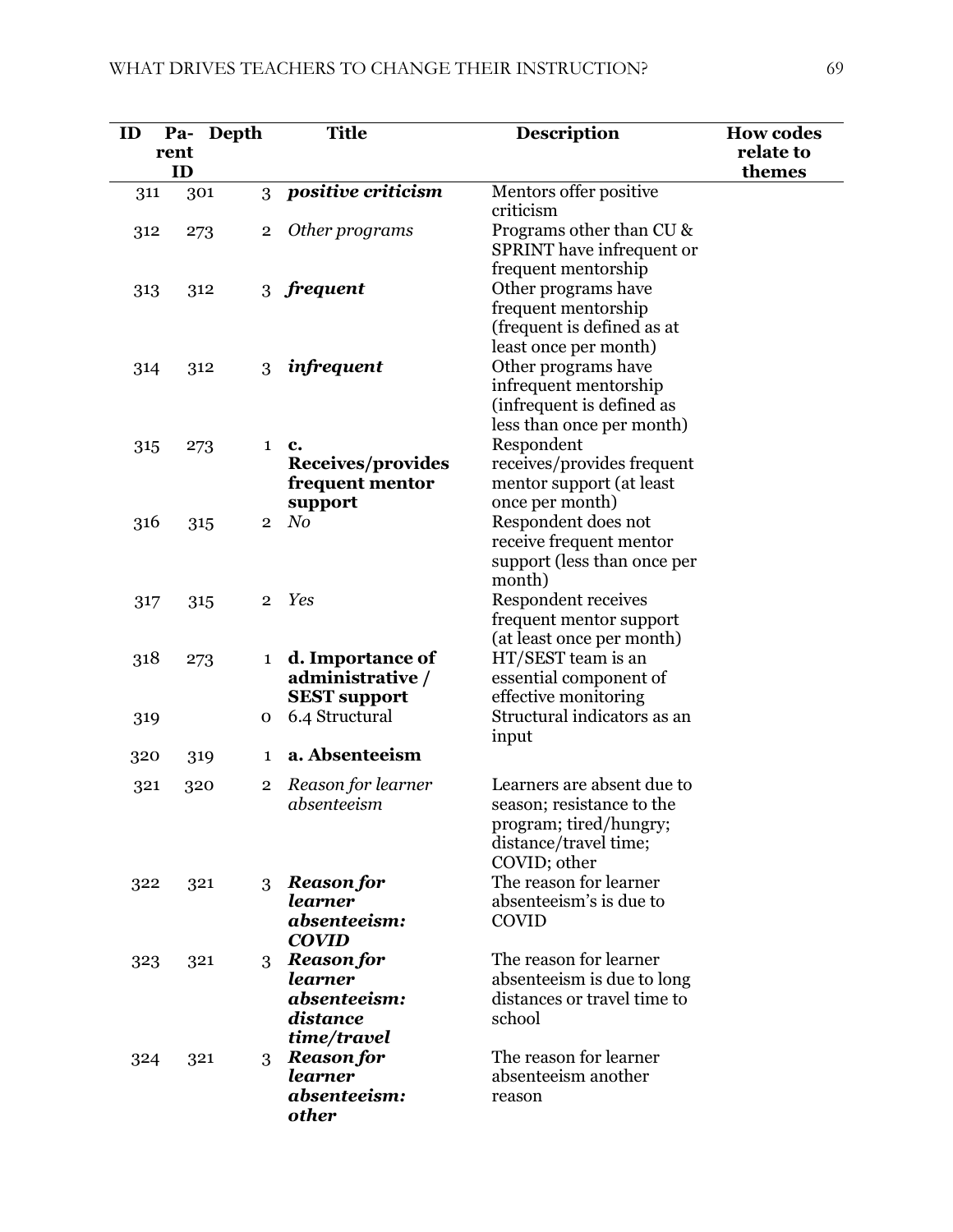| ID  | Pa-<br>rent | Depth |                         | <b>Title</b>                            | <b>Description</b>                             | <b>How codes</b><br>relate to |
|-----|-------------|-------|-------------------------|-----------------------------------------|------------------------------------------------|-------------------------------|
|     | ID          |       |                         |                                         |                                                | themes                        |
| 311 |             | 301   | 3                       | positive criticism                      | Mentors offer positive                         |                               |
|     |             |       |                         |                                         | criticism                                      |                               |
| 312 |             | 273   | $\overline{\mathbf{2}}$ | Other programs                          | Programs other than CU &                       |                               |
|     |             |       |                         |                                         | SPRINT have infrequent or                      |                               |
|     |             |       |                         | 3 frequent                              | frequent mentorship<br>Other programs have     |                               |
| 313 |             | 312   |                         |                                         | frequent mentorship                            |                               |
|     |             |       |                         |                                         | (frequent is defined as at                     |                               |
|     |             |       |                         |                                         | least once per month)                          |                               |
| 314 |             | 312   | 3                       | infrequent                              | Other programs have                            |                               |
|     |             |       |                         |                                         | infrequent mentorship                          |                               |
|     |             |       |                         |                                         | (infrequent is defined as                      |                               |
|     |             |       |                         |                                         | less than once per month)                      |                               |
| 315 |             | 273   | 1                       | c.                                      | Respondent                                     |                               |
|     |             |       |                         | Receives/provides                       | receives/provides frequent                     |                               |
|     |             |       |                         | frequent mentor                         | mentor support (at least<br>once per month)    |                               |
| 316 |             | 315   | $\overline{2}$          | support<br>N <sub>0</sub>               | Respondent does not                            |                               |
|     |             |       |                         |                                         | receive frequent mentor                        |                               |
|     |             |       |                         |                                         | support (less than once per                    |                               |
|     |             |       |                         |                                         | month)                                         |                               |
| 317 |             | 315   | $\overline{2}$          | Yes                                     | <b>Respondent receives</b>                     |                               |
|     |             |       |                         |                                         | frequent mentor support                        |                               |
|     |             |       |                         |                                         | (at least once per month)                      |                               |
| 318 |             | 273   | 1                       | d. Importance of                        | HT/SEST team is an                             |                               |
|     |             |       |                         | administrative /<br><b>SEST support</b> | essential component of<br>effective monitoring |                               |
| 319 |             |       | $\mathbf 0$             | 6.4 Structural                          | Structural indicators as an                    |                               |
|     |             |       |                         |                                         | input                                          |                               |
| 320 |             | 319   | 1                       | a. Absenteeism                          |                                                |                               |
| 321 |             | 320   | $\overline{2}$          | Reason for learner                      | Learners are absent due to                     |                               |
|     |             |       |                         | absenteeism                             | season; resistance to the                      |                               |
|     |             |       |                         |                                         | program; tired/hungry;                         |                               |
|     |             |       |                         |                                         | distance/travel time;                          |                               |
|     |             |       |                         |                                         | COVID; other                                   |                               |
| 322 |             | 321   | 3                       | <b>Reason for</b>                       | The reason for learner                         |                               |
|     |             |       |                         | learner                                 | absenteeism's is due to                        |                               |
|     |             |       |                         | absenteeism:<br><b>COVID</b>            | <b>COVID</b>                                   |                               |
| 323 |             | 321   | 3                       | <b>Reason for</b>                       | The reason for learner                         |                               |
|     |             |       |                         | learner                                 | absenteeism is due to long                     |                               |
|     |             |       |                         | absenteeism:                            | distances or travel time to                    |                               |
|     |             |       |                         | distance                                | school                                         |                               |
|     |             |       |                         | time/travel                             |                                                |                               |
| 324 |             | 321   | 3                       | <b>Reason for</b>                       | The reason for learner                         |                               |
|     |             |       |                         | <b>learner</b>                          | absenteeism another                            |                               |
|     |             |       |                         | absenteeism:                            | reason                                         |                               |
|     |             |       |                         | <b>other</b>                            |                                                |                               |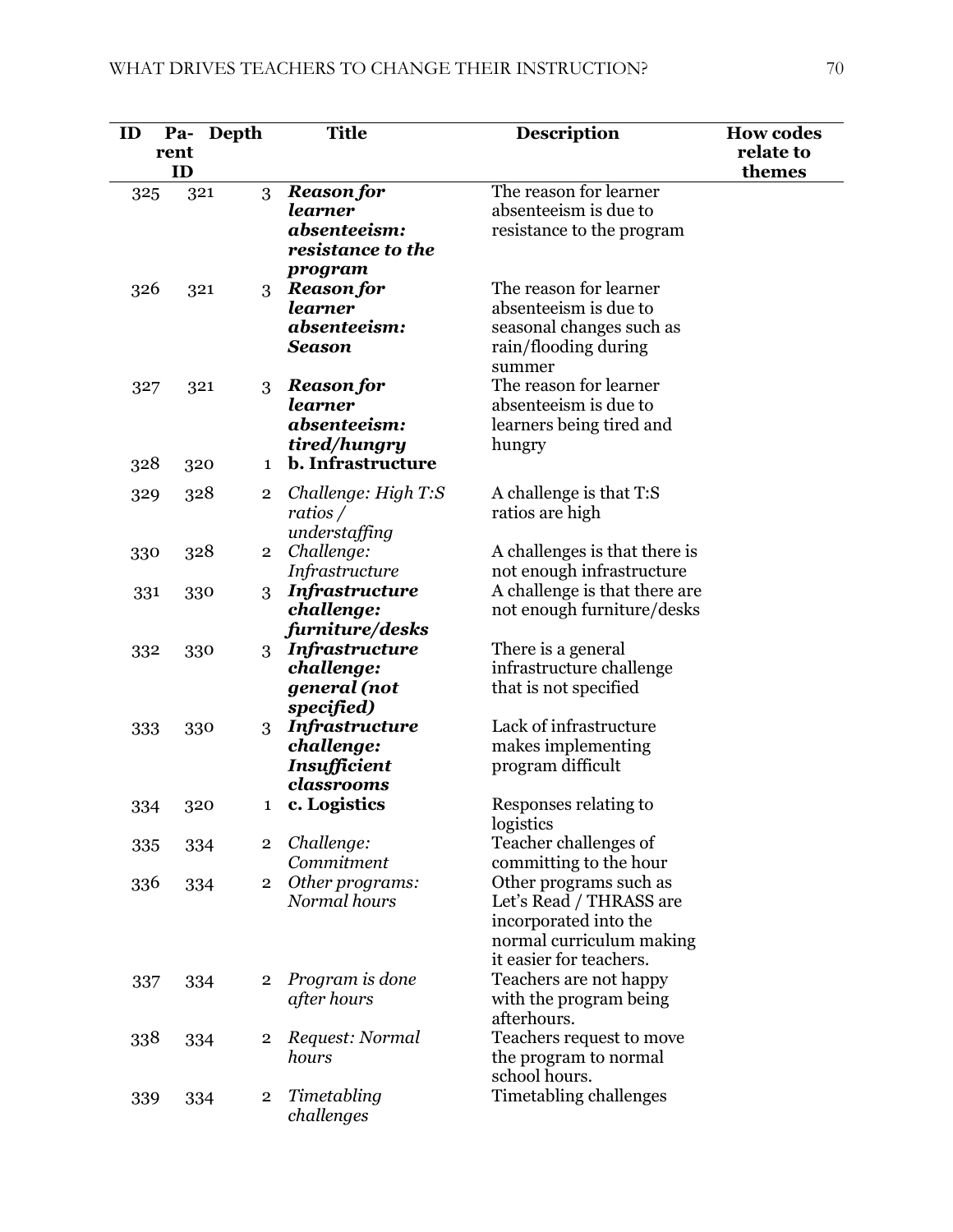| ID  | Pa-  | Depth |                | <b>Title</b>                        | <b>Description</b>                              | <b>How codes</b> |
|-----|------|-------|----------------|-------------------------------------|-------------------------------------------------|------------------|
|     | rent |       |                |                                     |                                                 | relate to        |
|     | ID   |       |                |                                     |                                                 | themes           |
| 325 |      | 321   | 3              | <b>Reason for</b>                   | The reason for learner                          |                  |
|     |      |       |                | learner                             | absenteeism is due to                           |                  |
|     |      |       |                | absenteeism:                        | resistance to the program                       |                  |
|     |      |       |                | resistance to the                   |                                                 |                  |
|     |      |       |                | program                             | The reason for learner                          |                  |
| 326 |      | 321   | 3              | <b>Reason for</b><br>learner        | absenteeism is due to                           |                  |
|     |      |       |                | absenteeism:                        | seasonal changes such as                        |                  |
|     |      |       |                | <b>Season</b>                       | rain/flooding during                            |                  |
|     |      |       |                |                                     | summer                                          |                  |
| 327 |      | 321   | 3              | <b>Reason for</b>                   | The reason for learner                          |                  |
|     |      |       |                | learner                             | absenteeism is due to                           |                  |
|     |      |       |                | absenteeism:                        | learners being tired and                        |                  |
|     |      |       |                | tired/hungry                        | hungry                                          |                  |
| 328 |      | 320   | 1              | <b>b.</b> Infrastructure            |                                                 |                  |
| 329 |      | 328   | 2              | Challenge: High T:S                 | A challenge is that T:S                         |                  |
|     |      |       |                | ratios $/$                          | ratios are high                                 |                  |
|     |      |       |                | understaffing                       |                                                 |                  |
| 330 |      | 328   | $\overline{2}$ | Challenge:                          | A challenges is that there is                   |                  |
|     |      |       |                | Infrastructure                      | not enough infrastructure                       |                  |
| 331 |      | 330   | 3              | <b>Infrastructure</b>               | A challenge is that there are                   |                  |
|     |      |       |                | challenge:                          | not enough furniture/desks                      |                  |
|     |      |       |                | furniture/desks                     |                                                 |                  |
| 332 |      | 330   | 3              | <b>Infrastructure</b><br>challenge: | There is a general<br>infrastructure challenge  |                  |
|     |      |       |                | general (not                        | that is not specified                           |                  |
|     |      |       |                | specified)                          |                                                 |                  |
| 333 |      | 330   | 3              | <b>Infrastructure</b>               | Lack of infrastructure                          |                  |
|     |      |       |                | challenge:                          | makes implementing                              |                  |
|     |      |       |                | Insufficient                        | program difficult                               |                  |
|     |      |       |                | classrooms                          |                                                 |                  |
| 334 |      | 320   | 1              | c. Logistics                        | Responses relating to                           |                  |
|     |      |       |                |                                     | logistics                                       |                  |
| 335 |      | 334   | $\overline{2}$ | Challenge:<br>Commitment            | Teacher challenges of<br>committing to the hour |                  |
| 336 |      | 334   | $\overline{2}$ | Other programs:                     | Other programs such as                          |                  |
|     |      |       |                | Normal hours                        | Let's Read / THRASS are                         |                  |
|     |      |       |                |                                     | incorporated into the                           |                  |
|     |      |       |                |                                     | normal curriculum making                        |                  |
|     |      |       |                |                                     | it easier for teachers.                         |                  |
| 337 |      | 334   | 2              | Program is done                     | Teachers are not happy                          |                  |
|     |      |       |                | after hours                         | with the program being                          |                  |
|     |      |       |                |                                     | afterhours.                                     |                  |
| 338 |      | 334   | 2              | Request: Normal                     | Teachers request to move                        |                  |
|     |      |       |                | hours                               | the program to normal                           |                  |
|     |      |       | $\overline{2}$ | Timetabling                         | school hours.<br>Timetabling challenges         |                  |
| 339 |      | 334   |                | challenges                          |                                                 |                  |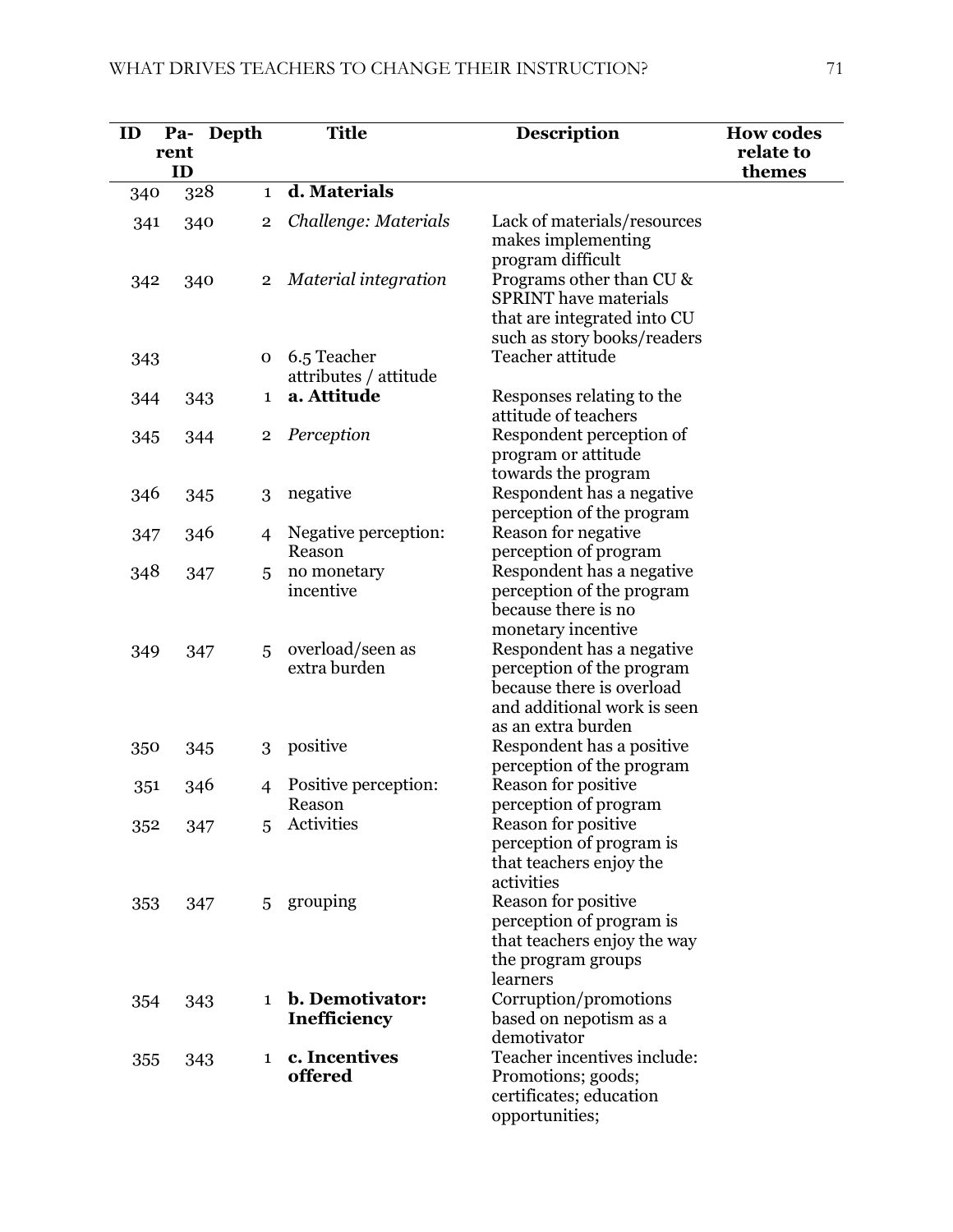| ID  | Pa-<br>rent<br>ID | Depth                   | <b>Title</b>                           | <b>Description</b>                                                                                                                          | <b>How codes</b><br>relate to<br>themes |
|-----|-------------------|-------------------------|----------------------------------------|---------------------------------------------------------------------------------------------------------------------------------------------|-----------------------------------------|
| 340 |                   | 328<br>$\mathbf{1}$     | d. Materials                           |                                                                                                                                             |                                         |
| 341 | 340               | 2                       | Challenge: Materials                   | Lack of materials/resources<br>makes implementing                                                                                           |                                         |
| 342 | 340               | $\overline{2}$          | Material integration                   | program difficult<br>Programs other than CU &<br><b>SPRINT</b> have materials<br>that are integrated into CU<br>such as story books/readers |                                         |
| 343 |                   | 0                       | 6.5 Teacher<br>attributes / attitude   | Teacher attitude                                                                                                                            |                                         |
| 344 | 343               | $\mathbf{1}$            | a. Attitude                            | Responses relating to the<br>attitude of teachers                                                                                           |                                         |
| 345 | 344               | $\overline{\mathbf{2}}$ | Perception                             | Respondent perception of<br>program or attitude<br>towards the program                                                                      |                                         |
| 346 |                   | 3<br>345                | negative                               | Respondent has a negative<br>perception of the program                                                                                      |                                         |
| 347 | 346               | 4                       | Negative perception:<br>Reason         | Reason for negative<br>perception of program                                                                                                |                                         |
| 348 |                   | 347<br>5                | no monetary<br>incentive               | Respondent has a negative<br>perception of the program<br>because there is no<br>monetary incentive                                         |                                         |
| 349 |                   | 5<br>347                | overload/seen as<br>extra burden       | Respondent has a negative<br>perception of the program<br>because there is overload<br>and additional work is seen<br>as an extra burden    |                                         |
| 350 |                   | 345<br>3                | positive                               | Respondent has a positive<br>perception of the program                                                                                      |                                         |
| 351 | 346               | 4                       | Positive perception:<br>Reason         | Reason for positive<br>perception of program                                                                                                |                                         |
| 352 |                   | 347<br>5                | Activities                             | Reason for positive<br>perception of program is<br>that teachers enjoy the<br>activities                                                    |                                         |
| 353 |                   | 347<br>5                | grouping                               | Reason for positive<br>perception of program is<br>that teachers enjoy the way<br>the program groups<br>learners                            |                                         |
| 354 |                   | 343<br>$\mathbf{1}$     | b. Demotivator:<br><b>Inefficiency</b> | Corruption/promotions<br>based on nepotism as a<br>demotivator                                                                              |                                         |
| 355 |                   | 343<br>1                | c. Incentives<br>offered               | Teacher incentives include:<br>Promotions; goods;<br>certificates; education<br>opportunities;                                              |                                         |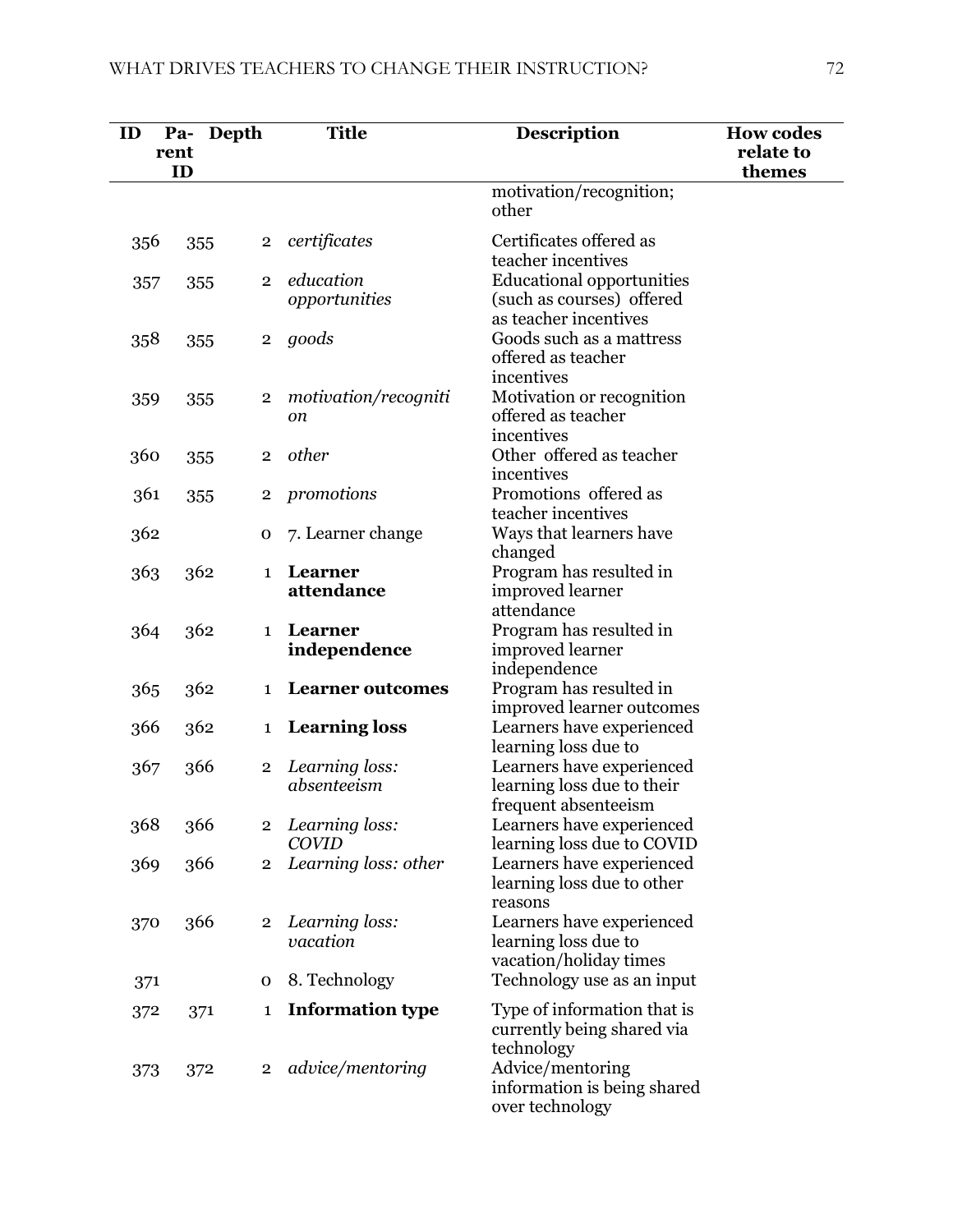| ID  | Depth<br>Pa-<br>rent<br>ID |                | <b>Title</b>                          | <b>Description</b>                                                                     | <b>How codes</b><br>relate to<br>themes |
|-----|----------------------------|----------------|---------------------------------------|----------------------------------------------------------------------------------------|-----------------------------------------|
|     |                            |                |                                       | motivation/recognition;<br>other                                                       |                                         |
| 356 | 355                        | $\mathbf 2$    | certificates                          | Certificates offered as<br>teacher incentives                                          |                                         |
| 357 | 355                        | $\overline{2}$ | education<br>opportunities            | <b>Educational opportunities</b><br>(such as courses) offered<br>as teacher incentives |                                         |
| 358 | 355                        | $\overline{2}$ | goods                                 | Goods such as a mattress<br>offered as teacher<br>incentives                           |                                         |
| 359 | 355                        | $\mathbf 2$    | motivation/recogniti<br><sub>on</sub> | Motivation or recognition<br>offered as teacher<br>incentives                          |                                         |
| 360 | 355                        | $\overline{2}$ | other                                 | Other offered as teacher<br>incentives                                                 |                                         |
| 361 | 355                        | $\overline{2}$ | promotions                            | Promotions offered as<br>teacher incentives                                            |                                         |
| 362 |                            | $\mathbf 0$    | 7. Learner change                     | Ways that learners have<br>changed                                                     |                                         |
| 363 | 362                        | $\mathbf{1}$   | Learner<br>attendance                 | Program has resulted in<br>improved learner<br>attendance                              |                                         |
| 364 | 362                        | $\mathbf{1}$   | Learner<br>independence               | Program has resulted in<br>improved learner<br>independence                            |                                         |
| 365 | 362                        | 1              | <b>Learner outcomes</b>               | Program has resulted in<br>improved learner outcomes                                   |                                         |
| 366 | 362                        | 1              | <b>Learning loss</b>                  | Learners have experienced<br>learning loss due to                                      |                                         |
| 367 | 366                        | $\overline{2}$ | Learning loss:<br>absenteeism         | Learners have experienced<br>learning loss due to their<br>frequent absenteeism        |                                         |
| 368 | 366                        | $\overline{2}$ | Learning loss:<br><b>COVID</b>        | Learners have experienced<br>learning loss due to COVID                                |                                         |
| 369 | 366                        | $\overline{2}$ | Learning loss: other                  | Learners have experienced<br>learning loss due to other<br>reasons                     |                                         |
| 370 | 366                        | $\overline{2}$ | Learning loss:<br>vacation            | Learners have experienced<br>learning loss due to<br>vacation/holiday times            |                                         |
| 371 |                            | 0              | 8. Technology                         | Technology use as an input                                                             |                                         |
| 372 | 371                        | 1              | <b>Information type</b>               | Type of information that is<br>currently being shared via<br>technology                |                                         |
| 373 | 372                        | $\overline{2}$ | advice/mentoring                      | Advice/mentoring<br>information is being shared<br>over technology                     |                                         |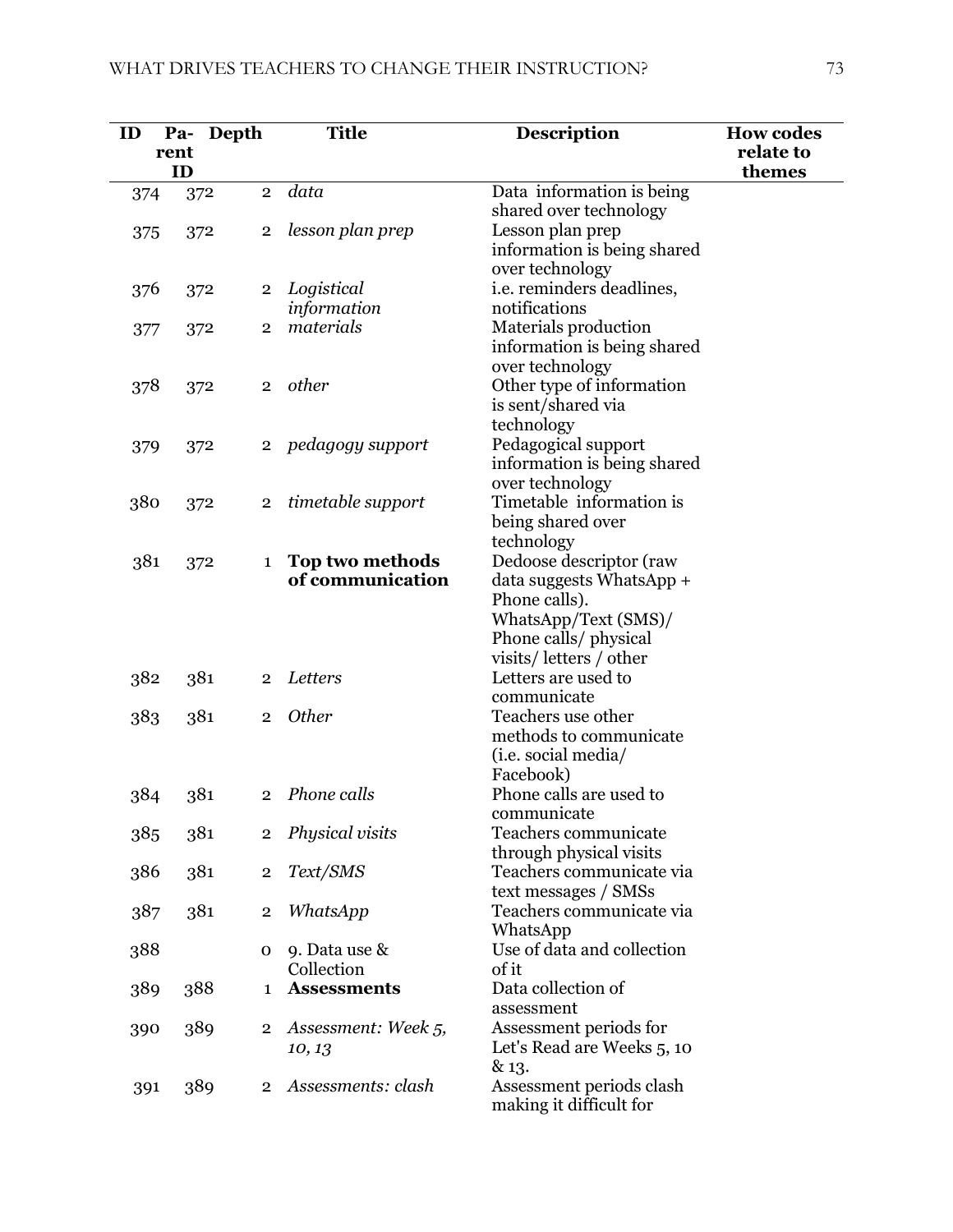| ID  | rent | Pa- Depth             | <b>Title</b>        | <b>Description</b>                             | <b>How codes</b><br>relate to |
|-----|------|-----------------------|---------------------|------------------------------------------------|-------------------------------|
|     | ID   |                       |                     |                                                | themes                        |
| 374 | 372  | $\overline{2}$        | data                | Data information is being                      |                               |
|     |      |                       |                     | shared over technology                         |                               |
| 375 | 372  | $\overline{2}$        | lesson plan prep    | Lesson plan prep                               |                               |
|     |      |                       |                     | information is being shared                    |                               |
|     |      |                       |                     | over technology                                |                               |
| 376 | 372  | $\overline{2}$        | Logistical          | <i>i.e.</i> reminders deadlines,               |                               |
|     |      |                       | information         | notifications                                  |                               |
| 377 | 372  | $\overline{2}$        | materials           | Materials production                           |                               |
|     |      |                       |                     | information is being shared                    |                               |
|     |      |                       |                     | over technology                                |                               |
| 378 | 372  | $\overline{2}$        | other               | Other type of information                      |                               |
|     |      |                       |                     | is sent/shared via                             |                               |
|     |      |                       |                     | technology                                     |                               |
| 379 | 372  | $\mathbf{2}$          | pedagogy support    | Pedagogical support                            |                               |
|     |      |                       |                     | information is being shared<br>over technology |                               |
| 380 |      |                       | timetable support   | Timetable information is                       |                               |
|     | 372  | $\overline{2}$        |                     | being shared over                              |                               |
|     |      |                       |                     | technology                                     |                               |
| 381 | 372  | $\mathbf{1}$          | Top two methods     | Dedoose descriptor (raw                        |                               |
|     |      |                       | of communication    | data suggests WhatsApp +                       |                               |
|     |      |                       |                     | Phone calls).                                  |                               |
|     |      |                       |                     | WhatsApp/Text (SMS)/                           |                               |
|     |      |                       |                     | Phone calls/ physical                          |                               |
|     |      |                       |                     | visits/letters/other                           |                               |
| 382 | 381  | $\overline{2}$        | Letters             | Letters are used to                            |                               |
|     |      |                       |                     | communicate                                    |                               |
| 383 | 381  | $\overline{2}$        | <b>Other</b>        | Teachers use other                             |                               |
|     |      |                       |                     | methods to communicate                         |                               |
|     |      |                       |                     | (i.e. social media/                            |                               |
|     |      |                       |                     | Facebook)                                      |                               |
| 384 | 381  | $\overline{2}$        | Phone calls         | Phone calls are used to                        |                               |
|     |      |                       |                     | communicate                                    |                               |
| 385 |      | 381<br>$\overline{2}$ | Physical visits     | Teachers communicate                           |                               |
|     |      |                       |                     | through physical visits                        |                               |
| 386 | 381  | $\overline{2}$        | Text/SMS            | Teachers communicate via                       |                               |
|     |      |                       |                     | text messages / SMSs                           |                               |
| 387 | 381  | $\mathbf 2$           | WhatsApp            | Teachers communicate via                       |                               |
|     |      |                       |                     | WhatsApp                                       |                               |
| 388 |      | 0                     | 9. Data use &       | Use of data and collection                     |                               |
|     |      |                       | Collection          | of it<br>Data collection of                    |                               |
| 389 | 388  | 1                     | <b>Assessments</b>  | assessment                                     |                               |
|     | 389  | $\overline{2}$        | Assessment: Week 5, | Assessment periods for                         |                               |
| 390 |      |                       |                     | Let's Read are Weeks 5, 10                     |                               |
|     |      |                       | 10, 13              | & 13.                                          |                               |
| 391 | 389  | $\overline{2}$        | Assessments: clash  | Assessment periods clash                       |                               |
|     |      |                       |                     | making it difficult for                        |                               |
|     |      |                       |                     |                                                |                               |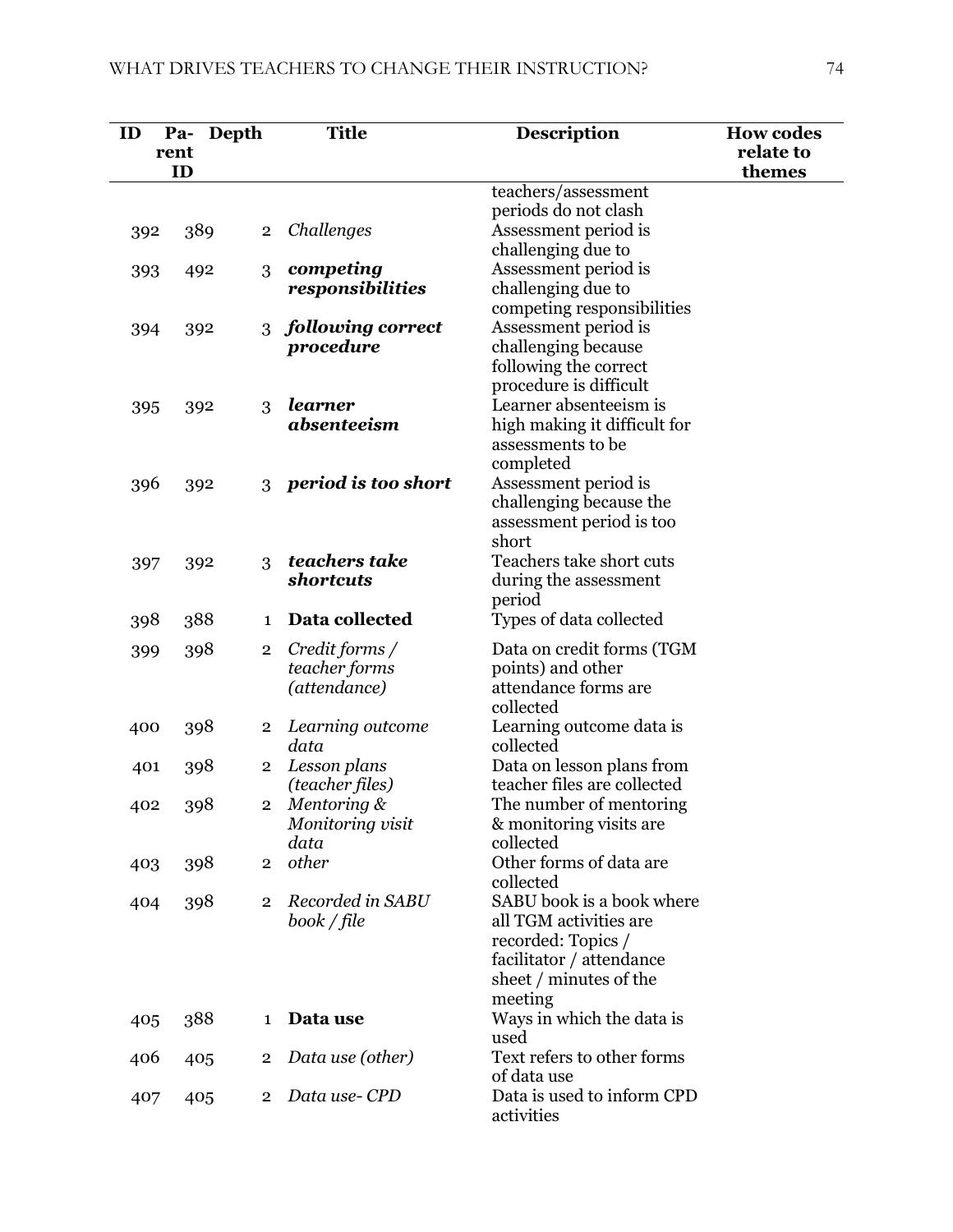| ID  | Pa-  | Depth                   | <b>Title</b>                   | <b>Description</b>                                     | <b>How codes</b> |
|-----|------|-------------------------|--------------------------------|--------------------------------------------------------|------------------|
|     | rent |                         |                                |                                                        | relate to        |
|     | ID   |                         |                                |                                                        | themes           |
|     |      |                         |                                | teachers/assessment                                    |                  |
|     |      |                         |                                | periods do not clash                                   |                  |
| 392 | 389  | $\overline{2}$          | Challenges                     | Assessment period is<br>challenging due to             |                  |
|     | 492  | 3                       | competing                      | Assessment period is                                   |                  |
| 393 |      |                         | responsibilities               | challenging due to                                     |                  |
|     |      |                         |                                | competing responsibilities                             |                  |
| 394 | 392  | 3                       | following correct              | Assessment period is                                   |                  |
|     |      |                         | procedure                      | challenging because                                    |                  |
|     |      |                         |                                | following the correct                                  |                  |
|     |      |                         |                                | procedure is difficult                                 |                  |
| 395 | 392  | 3                       | learner                        | Learner absenteeism is                                 |                  |
|     |      |                         | absenteeism                    | high making it difficult for                           |                  |
|     |      |                         |                                | assessments to be                                      |                  |
|     |      |                         |                                | completed                                              |                  |
| 396 | 392  | 3                       | period is too short            | Assessment period is<br>challenging because the        |                  |
|     |      |                         |                                | assessment period is too                               |                  |
|     |      |                         |                                | short                                                  |                  |
| 397 | 392  | 3                       | teachers take                  | Teachers take short cuts                               |                  |
|     |      |                         | shortcuts                      | during the assessment                                  |                  |
|     |      |                         |                                | period                                                 |                  |
| 398 | 388  | $\mathbf{1}$            | Data collected                 | Types of data collected                                |                  |
| 399 | 398  | $\overline{2}$          | Credit forms /                 | Data on credit forms (TGM                              |                  |
|     |      |                         | teacher forms                  | points) and other                                      |                  |
|     |      |                         | (attendance)                   | attendance forms are                                   |                  |
|     |      |                         |                                | collected                                              |                  |
| 400 | 398  | $\overline{2}$          | Learning outcome               | Learning outcome data is                               |                  |
|     |      |                         | data                           | collected                                              |                  |
| 401 | 398  | $\overline{\mathbf{2}}$ | Lesson plans                   | Data on lesson plans from                              |                  |
| 402 |      | $\bf{2}$                | (teacher files)<br>Mentoring & | teacher files are collected<br>The number of mentoring |                  |
|     | 398  |                         | Monitoring visit               | & monitoring visits are                                |                  |
|     |      |                         | data                           | collected                                              |                  |
| 403 | 398  | $\overline{2}$          | other                          | Other forms of data are                                |                  |
|     |      |                         |                                | collected                                              |                  |
| 404 | 398  | $\overline{2}$          | Recorded in SABU               | SABU book is a book where                              |                  |
|     |      |                         | book / file                    | all TGM activities are                                 |                  |
|     |      |                         |                                | recorded: Topics /                                     |                  |
|     |      |                         |                                | facilitator / attendance                               |                  |
|     |      |                         |                                | sheet / minutes of the                                 |                  |
|     | 388  | 1                       | Data use                       | meeting<br>Ways in which the data is                   |                  |
| 405 |      |                         |                                | used                                                   |                  |
| 406 | 405  | $\overline{2}$          | Data use (other)               | Text refers to other forms                             |                  |
|     |      |                         |                                | of data use                                            |                  |
| 407 | 405  | $\overline{2}$          | Data use-CPD                   | Data is used to inform CPD                             |                  |
|     |      |                         |                                | activities                                             |                  |